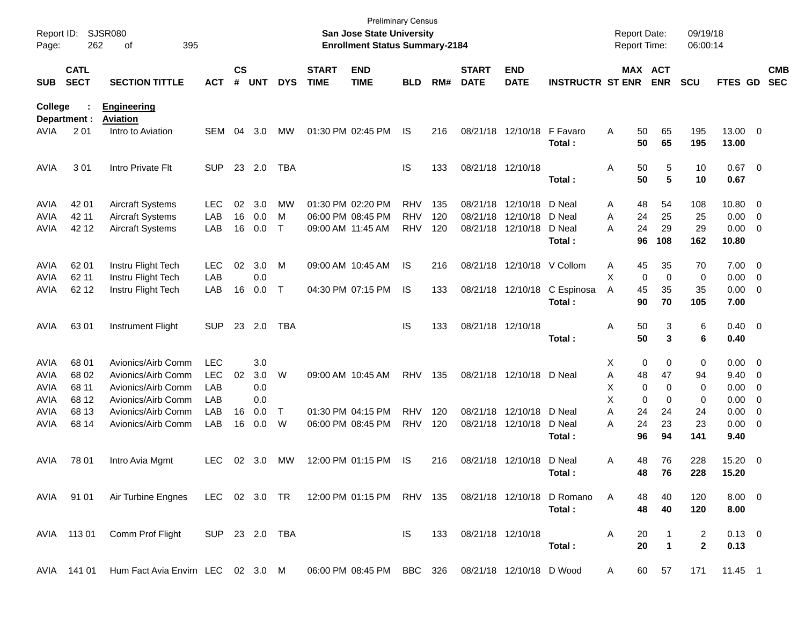| Report ID:<br>Page: | 262                        | <b>SJSR080</b><br>395<br>of                                                                      |                |                    |            |            |                             | <b>San Jose State University</b><br><b>Enrollment Status Summary-2184</b> | <b>Preliminary Census</b> |     |                             |                           |                         |   | <b>Report Date:</b><br>Report Time: |                       | 09/19/18<br>06:00:14 |                     |                          |                          |
|---------------------|----------------------------|--------------------------------------------------------------------------------------------------|----------------|--------------------|------------|------------|-----------------------------|---------------------------------------------------------------------------|---------------------------|-----|-----------------------------|---------------------------|-------------------------|---|-------------------------------------|-----------------------|----------------------|---------------------|--------------------------|--------------------------|
| <b>SUB</b>          | <b>CATL</b><br><b>SECT</b> | <b>SECTION TITTLE</b>                                                                            | <b>ACT</b>     | $\mathsf{cs}$<br># | <b>UNT</b> | <b>DYS</b> | <b>START</b><br><b>TIME</b> | <b>END</b><br><b>TIME</b>                                                 | <b>BLD</b>                | RM# | <b>START</b><br><b>DATE</b> | <b>END</b><br><b>DATE</b> | <b>INSTRUCTR ST ENR</b> |   |                                     | MAX ACT<br><b>ENR</b> | <b>SCU</b>           | FTES GD             |                          | <b>CMB</b><br><b>SEC</b> |
| College             | Department :               | <b>Engineering</b><br><b>Aviation</b>                                                            |                |                    |            |            |                             |                                                                           |                           |     |                             |                           |                         |   |                                     |                       |                      |                     |                          |                          |
| AVIA                | 201                        | Intro to Aviation                                                                                | <b>SEM</b>     | 04                 | 3.0        | MW         |                             | 01:30 PM 02:45 PM                                                         | IS                        | 216 |                             | 08/21/18 12/10/18         | F Favaro<br>Total:      | Α | 50<br>50                            | 65<br>65              | 195<br>195           | 13.00 0<br>13.00    |                          |                          |
| <b>AVIA</b>         | 301                        | Intro Private Flt                                                                                | <b>SUP</b>     |                    | 23 2.0     | TBA        |                             |                                                                           | IS                        | 133 |                             | 08/21/18 12/10/18         | Total :                 | Α | 50<br>50                            | 5<br>5                | 10<br>10             | $0.67$ 0<br>0.67    |                          |                          |
| <b>AVIA</b>         | 42 01                      | <b>Aircraft Systems</b>                                                                          | <b>LEC</b>     | 02                 | 3.0        | MW         |                             | 01:30 PM 02:20 PM                                                         | <b>RHV</b>                | 135 |                             | 08/21/18 12/10/18         | D Neal                  | Α | 48                                  | 54                    | 108                  | 10.80 0             |                          |                          |
| <b>AVIA</b>         | 42 11                      | Aircraft Systems                                                                                 | LAB            | 16                 | 0.0        | м          |                             | 06:00 PM 08:45 PM                                                         | <b>RHV</b>                | 120 |                             | 08/21/18 12/10/18         | D Neal                  | A | 24                                  | 25                    | 25                   | 0.00                | $\overline{\phantom{0}}$ |                          |
| AVIA                | 42 12                      | <b>Aircraft Systems</b>                                                                          | LAB            | 16                 | 0.0        | Т          |                             | 09:00 AM 11:45 AM                                                         | <b>RHV</b>                | 120 |                             | 08/21/18 12/10/18         | D Neal<br>Total:        | Α | 24<br>96                            | 29<br>108             | 29<br>162            | 0.00<br>10.80       | $\overline{\phantom{0}}$ |                          |
|                     |                            |                                                                                                  |                |                    |            |            |                             |                                                                           |                           |     |                             |                           |                         |   |                                     |                       |                      |                     |                          |                          |
| <b>AVIA</b>         | 62 01                      | Instru Flight Tech                                                                               | <b>LEC</b>     | 02                 | 3.0        | M          |                             | 09:00 AM 10:45 AM                                                         | IS                        | 216 |                             | 08/21/18 12/10/18         | V Collom                | Α | 45                                  | 35                    | 70                   | $7.00 \t 0$         |                          |                          |
| <b>AVIA</b>         | 62 11                      | Instru Flight Tech                                                                               | LAB            |                    | 0.0        |            |                             |                                                                           |                           |     |                             |                           |                         | X | $\mathbf 0$                         | $\mathbf 0$           | 0                    | $0.00 \t 0$         |                          |                          |
| AVIA                | 62 12                      | Instru Flight Tech                                                                               | LAB            | 16                 | 0.0        | Т          |                             | 04:30 PM 07:15 PM                                                         | IS                        | 133 |                             | 08/21/18 12/10/18         | C Espinosa<br>Total:    | A | 45<br>90                            | 35<br>70              | 35<br>105            | $0.00 \t 0$<br>7.00 |                          |                          |
| <b>AVIA</b>         | 6301                       | Instrument Flight                                                                                | <b>SUP</b>     |                    | 23 2.0     | <b>TBA</b> |                             |                                                                           | IS                        | 133 |                             | 08/21/18 12/10/18         |                         | Α | 50                                  | 3                     | 6                    | $0.40 \quad 0$      |                          |                          |
|                     |                            |                                                                                                  |                |                    |            |            |                             |                                                                           |                           |     |                             |                           | Total :                 |   | 50                                  | 3                     | 6                    | 0.40                |                          |                          |
| <b>AVIA</b>         | 68 01                      | Avionics/Airb Comm                                                                               | <b>LEC</b>     |                    | 3.0        |            |                             |                                                                           |                           |     |                             |                           |                         | X | 0                                   | 0                     | 0                    | $0.00 \t 0$         |                          |                          |
| <b>AVIA</b>         | 68 02                      | Avionics/Airb Comm                                                                               | <b>LEC</b>     | 02                 | 3.0        | W          |                             | 09:00 AM 10:45 AM                                                         | <b>RHV</b>                | 135 |                             | 08/21/18 12/10/18         | D Neal                  | Α | 48                                  | 47                    | 94                   | 9.40                | $\overline{\phantom{0}}$ |                          |
| <b>AVIA</b>         | 68 11                      | Avionics/Airb Comm                                                                               | LAB            |                    | 0.0        |            |                             |                                                                           |                           |     |                             |                           |                         | Х | 0                                   | 0                     | 0                    | 0.00                | $\overline{\phantom{0}}$ |                          |
| <b>AVIA</b>         | 68 12                      | Avionics/Airb Comm                                                                               | LAB            |                    | 0.0        |            |                             |                                                                           |                           |     |                             |                           |                         | X | 0                                   | 0                     | 0                    | 0.00                | $\overline{\mathbf{0}}$  |                          |
| AVIA                | 68 13                      | Avionics/Airb Comm                                                                               | LAB            | 16                 | 0.0        | Т          |                             | 01:30 PM 04:15 PM                                                         | <b>RHV</b>                | 120 |                             | 08/21/18 12/10/18         | D Neal                  | A | 24                                  | 24                    | 24                   | 0.00                | $\overline{\mathbf{0}}$  |                          |
| AVIA                | 68 14                      | Avionics/Airb Comm                                                                               | LAB            | 16                 | 0.0        | W          |                             | 06:00 PM 08:45 PM                                                         | <b>RHV</b>                | 120 |                             | 08/21/18 12/10/18         | D Neal                  | Α | 24                                  | 23                    | 23                   | 0.00                | $\overline{\phantom{0}}$ |                          |
|                     |                            |                                                                                                  |                |                    |            |            |                             |                                                                           |                           |     |                             |                           | Total :                 |   | 96                                  | 94                    | 141                  | 9.40                |                          |                          |
| AVIA                | 78 01                      | Intro Avia Mgmt                                                                                  | <b>LEC</b>     | 02                 | 3.0        | MW         |                             | 12:00 PM 01:15 PM                                                         | <b>IS</b>                 | 216 |                             | 08/21/18 12/10/18         | D Neal                  | Α | 48                                  | 76                    | 228                  | 15.20 0             |                          |                          |
|                     |                            |                                                                                                  |                |                    |            |            |                             |                                                                           |                           |     |                             |                           | Total:                  |   | 48                                  | 76                    | 228                  | 15.20               |                          |                          |
|                     |                            | AVIA 91 01 Air Turbine Engnes LEC 02 3.0 TR 12:00 PM 01:15 PM RHV 135 08/21/18 12/10/18 D Romano |                |                    |            |            |                             |                                                                           |                           |     |                             |                           |                         | A | 48                                  | 40                    | 120                  | $8.00 \quad 0$      |                          |                          |
|                     |                            |                                                                                                  |                |                    |            |            |                             |                                                                           |                           |     |                             |                           | Total:                  |   | 48                                  | 40                    | 120                  | 8.00                |                          |                          |
|                     | AVIA 113 01                | Comm Prof Flight                                                                                 | SUP 23 2.0 TBA |                    |            |            |                             |                                                                           | IS I                      | 133 |                             | 08/21/18 12/10/18         |                         | A | 20                                  |                       | 2                    | $0.13 \quad 0$      |                          |                          |
|                     |                            |                                                                                                  |                |                    |            |            |                             |                                                                           |                           |     |                             |                           | Total:                  |   | 20                                  | $\mathbf 1$           | $\mathbf{2}$         | 0.13                |                          |                          |
|                     | AVIA 141 01                | Hum Fact Avia Envirn LEC 02 3.0 M 06:00 PM 08:45 PM BBC 326 08/21/18 12/10/18 D Wood             |                |                    |            |            |                             |                                                                           |                           |     |                             |                           |                         | A |                                     | 60 57                 | 171                  | 11.45 1             |                          |                          |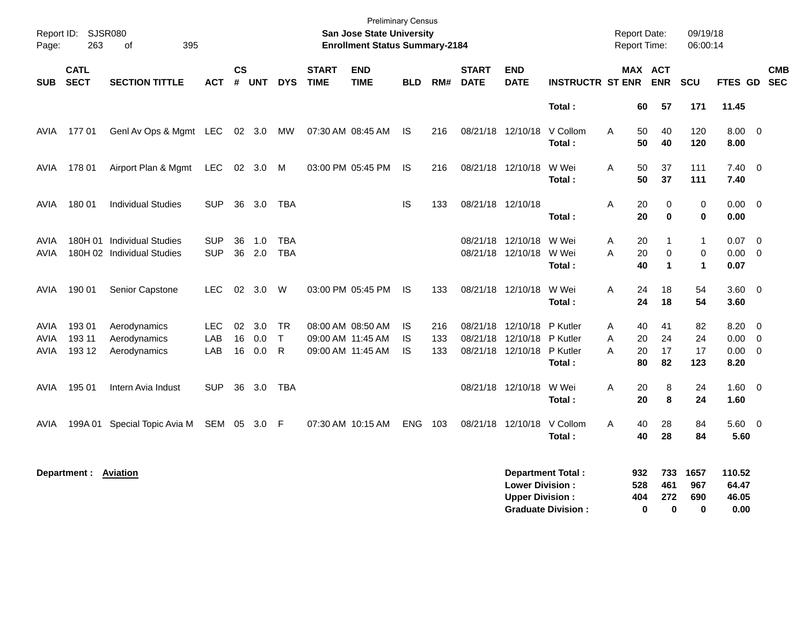| Report ID:<br>Page:         | <b>SJSR080</b><br>263      | 395<br>of                                                |                          |                         |                   |                                |                             | <b>Preliminary Census</b><br>San Jose State University<br><b>Enrollment Status Summary-2184</b> |                       |                   |                             |                                                    |                                                       |                   | <b>Report Date:</b><br>Report Time:          | 09/19/18<br>06:00:14                       |                                  |                                                           |                          |
|-----------------------------|----------------------------|----------------------------------------------------------|--------------------------|-------------------------|-------------------|--------------------------------|-----------------------------|-------------------------------------------------------------------------------------------------|-----------------------|-------------------|-----------------------------|----------------------------------------------------|-------------------------------------------------------|-------------------|----------------------------------------------|--------------------------------------------|----------------------------------|-----------------------------------------------------------|--------------------------|
| <b>SUB</b>                  | <b>CATL</b><br><b>SECT</b> | <b>SECTION TITTLE</b>                                    | <b>ACT</b>               | <b>CS</b><br>$\pmb{\#}$ | <b>UNT</b>        | <b>DYS</b>                     | <b>START</b><br><b>TIME</b> | <b>END</b><br><b>TIME</b>                                                                       | <b>BLD</b>            | RM#               | <b>START</b><br><b>DATE</b> | <b>END</b><br><b>DATE</b>                          | <b>INSTRUCTR ST ENR</b>                               |                   | MAX ACT<br><b>ENR</b>                        | SCU                                        | FTES GD                          |                                                           | <b>CMB</b><br><b>SEC</b> |
|                             |                            |                                                          |                          |                         |                   |                                |                             |                                                                                                 |                       |                   |                             |                                                    | Total:                                                |                   | 60<br>57                                     | 171                                        | 11.45                            |                                                           |                          |
| AVIA                        | 17701                      | Genl Av Ops & Mgmt LEC                                   |                          |                         | 02 3.0            | МW                             |                             | 07:30 AM 08:45 AM                                                                               | IS                    | 216               |                             | 08/21/18 12/10/18                                  | V Collom<br>Total:                                    | Α                 | 50<br>40<br>50<br>40                         | 120<br>120                                 | 8.00<br>8.00                     | $\overline{\phantom{0}}$                                  |                          |
| AVIA                        | 178 01                     | Airport Plan & Mgmt                                      | LEC                      |                         | 02 3.0            | M                              |                             | 03:00 PM 05:45 PM                                                                               | IS                    | 216               |                             | 08/21/18 12/10/18                                  | W Wei<br>Total:                                       | Α                 | 50<br>37<br>50<br>37                         | 111<br>111                                 | 7.40<br>7.40                     | $\overline{\phantom{0}}$                                  |                          |
| AVIA                        | 180 01                     | <b>Individual Studies</b>                                | <b>SUP</b>               | 36                      | 3.0               | TBA                            |                             |                                                                                                 | IS                    | 133               | 08/21/18 12/10/18           |                                                    | Total:                                                | Α                 | 20<br>0<br>20<br>$\bf{0}$                    | $\pmb{0}$<br>$\bf{0}$                      | 0.00<br>0.00                     | $\overline{0}$                                            |                          |
| AVIA<br>AVIA                |                            | 180H 01 Individual Studies<br>180H 02 Individual Studies | <b>SUP</b><br><b>SUP</b> | 36<br>36                | 1.0<br>2.0        | <b>TBA</b><br><b>TBA</b>       |                             |                                                                                                 |                       |                   |                             | 08/21/18 12/10/18<br>08/21/18 12/10/18             | W Wei<br>W Wei<br>Total:                              | A<br>A            | 20<br>1<br>20<br>$\mathbf 0$<br>40<br>1      | $\mathbf{1}$<br>$\pmb{0}$<br>$\mathbf{1}$  | 0.07<br>0.00<br>0.07             | $\overline{\mathbf{0}}$<br>$\overline{\mathbf{0}}$        |                          |
| AVIA                        | 190 01                     | Senior Capstone                                          | <b>LEC</b>               | 02                      | 3.0               | W                              |                             | 03:00 PM 05:45 PM                                                                               | <b>IS</b>             | 133               |                             | 08/21/18 12/10/18                                  | W Wei<br>Total:                                       | A                 | 24<br>18<br>24<br>18                         | 54<br>54                                   | $3.60 \quad 0$<br>3.60           |                                                           |                          |
| <b>AVIA</b><br>AVIA<br>AVIA | 19301<br>193 11<br>193 12  | Aerodynamics<br>Aerodynamics<br>Aerodynamics             | LEC<br>LAB<br>LAB        | 02<br>16<br>16          | 3.0<br>0.0<br>0.0 | <b>TR</b><br>$\mathsf{T}$<br>R |                             | 08:00 AM 08:50 AM<br>09:00 AM 11:45 AM<br>09:00 AM 11:45 AM                                     | IS<br><b>IS</b><br>IS | 216<br>133<br>133 | 08/21/18                    | 12/10/18<br>08/21/18 12/10/18<br>08/21/18 12/10/18 | P Kutler<br>P Kutler<br>P Kutler<br>Total:            | Α<br>A<br>A       | 40<br>41<br>20<br>24<br>20<br>17<br>80<br>82 | 82<br>24<br>17<br>123                      | 8.20<br>0.00<br>0.00<br>8.20     | $\overline{0}$<br>$\mathbf 0$<br>$\overline{\phantom{0}}$ |                          |
| AVIA                        | 195 01                     | Intern Avia Indust                                       | <b>SUP</b>               | 36                      | 3.0               | <b>TBA</b>                     |                             |                                                                                                 |                       |                   |                             | 08/21/18 12/10/18                                  | W Wei<br>Total:                                       | Α                 | 20<br>8<br>20<br>8                           | 24<br>24                                   | $1.60 \quad 0$<br>1.60           |                                                           |                          |
| AVIA                        | 199A 01                    | Special Topic Avia M                                     | SEM 05                   |                         | 3.0 F             |                                |                             | 07:30 AM 10:15 AM                                                                               | <b>ENG</b>            | 103               | 08/21/18                    | 12/10/18                                           | V Collom<br>Total:                                    | A                 | 40<br>28<br>40<br>28                         | 84<br>84                                   | 5.60<br>5.60                     | $\overline{\phantom{0}}$                                  |                          |
|                             | Department :               | <b>Aviation</b>                                          |                          |                         |                   |                                |                             |                                                                                                 |                       |                   |                             | <b>Lower Division:</b><br><b>Upper Division:</b>   | <b>Department Total:</b><br><b>Graduate Division:</b> | 932<br>528<br>404 | 733<br>461<br>272<br>$\bf{0}$                | 1657<br>967<br>690<br>$\bf{0}$<br>$\bf{0}$ | 110.52<br>64.47<br>46.05<br>0.00 |                                                           |                          |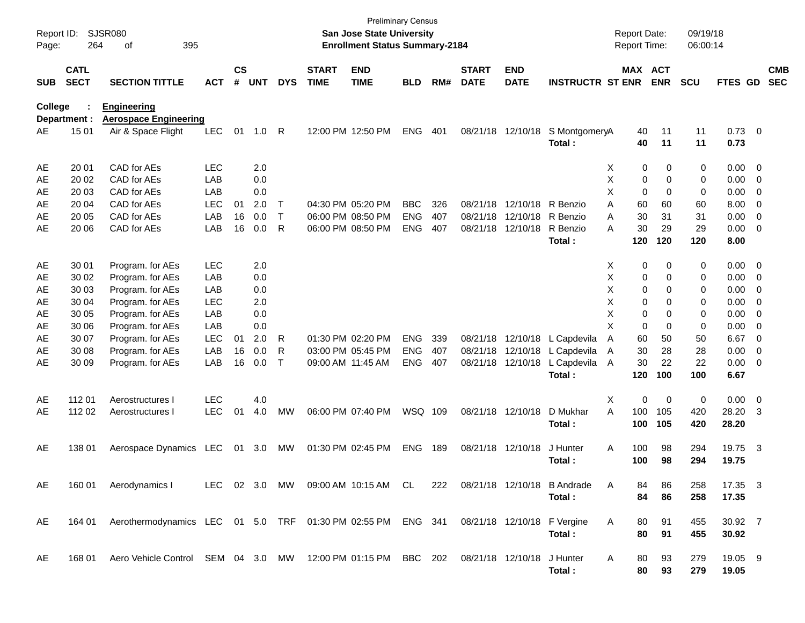| Report ID:<br>Page: | 264                        | <b>SJSR080</b><br>395<br>of                                  |            |                    |            |              |                             | San Jose State University<br><b>Enrollment Status Summary-2184</b> | <b>Preliminary Census</b> |     |                             |                           |                                       |   | <b>Report Date:</b><br><b>Report Time:</b> |             | 09/19/18<br>06:00:14 |                        |                          |                          |
|---------------------|----------------------------|--------------------------------------------------------------|------------|--------------------|------------|--------------|-----------------------------|--------------------------------------------------------------------|---------------------------|-----|-----------------------------|---------------------------|---------------------------------------|---|--------------------------------------------|-------------|----------------------|------------------------|--------------------------|--------------------------|
| <b>SUB</b>          | <b>CATL</b><br><b>SECT</b> | <b>SECTION TITTLE</b>                                        | <b>ACT</b> | $\mathsf{cs}$<br># | <b>UNT</b> | <b>DYS</b>   | <b>START</b><br><b>TIME</b> | <b>END</b><br><b>TIME</b>                                          | <b>BLD</b>                | RM# | <b>START</b><br><b>DATE</b> | <b>END</b><br><b>DATE</b> | <b>INSTRUCTR ST ENR</b>               |   | MAX ACT                                    | <b>ENR</b>  | <b>SCU</b>           | <b>FTES GD</b>         |                          | <b>CMB</b><br><b>SEC</b> |
| College             | Department :               | <b>Engineering</b><br><b>Aerospace Engineering</b>           |            |                    |            |              |                             |                                                                    |                           |     |                             |                           |                                       |   |                                            |             |                      |                        |                          |                          |
| AE                  | 15 01                      | Air & Space Flight                                           | <b>LEC</b> | 01                 | $1.0$ R    |              |                             | 12:00 PM 12:50 PM                                                  | <b>ENG</b>                | 401 |                             | 08/21/18 12/10/18         | S MontgomeryA<br>Total :              |   | 40<br>40                                   | 11<br>11    | 11<br>11             | $0.73 \quad 0$<br>0.73 |                          |                          |
| AE                  | 20 01                      | CAD for AEs                                                  | <b>LEC</b> |                    | 2.0        |              |                             |                                                                    |                           |     |                             |                           |                                       | X | 0                                          | 0           | 0                    | $0.00 \ 0$             |                          |                          |
| AE                  | 20 02                      | CAD for AEs                                                  | LAB        |                    | 0.0        |              |                             |                                                                    |                           |     |                             |                           |                                       | X | 0                                          | 0           | 0                    | 0.00                   | $\overline{\phantom{0}}$ |                          |
| AE                  | 20 03                      | CAD for AEs                                                  | LAB        |                    | 0.0        |              |                             |                                                                    |                           |     |                             |                           |                                       | X | 0                                          | $\Omega$    | 0                    | 0.00                   | $\overline{\mathbf{0}}$  |                          |
| AE                  | 20 04                      | CAD for AEs                                                  | <b>LEC</b> | 01                 | 2.0        | $\mathsf{T}$ |                             | 04:30 PM 05:20 PM                                                  | <b>BBC</b>                | 326 | 08/21/18                    | 12/10/18                  | R Benzio                              | A | 60                                         | 60          | 60                   | 8.00                   | $\overline{\mathbf{0}}$  |                          |
| AE                  | 20 05                      | CAD for AEs                                                  | LAB        | 16                 | 0.0        | $\mathsf{T}$ |                             | 06:00 PM 08:50 PM                                                  | <b>ENG</b>                | 407 | 08/21/18                    | 12/10/18                  | R Benzio                              | A | 30                                         | 31          | 31                   | 0.00                   | $\overline{\phantom{0}}$ |                          |
| AE                  | 20 06                      | CAD for AEs                                                  | LAB        | 16                 | 0.0        | $\mathsf{R}$ |                             | 06:00 PM 08:50 PM                                                  | <b>ENG</b>                | 407 | 08/21/18                    | 12/10/18                  | R Benzio<br>Total :                   | A | 30<br>120                                  | 29<br>120   | 29<br>120            | 0.00<br>8.00           | $\overline{\mathbf{0}}$  |                          |
| AE                  | 30 01                      | Program. for AEs                                             | <b>LEC</b> |                    | 2.0        |              |                             |                                                                    |                           |     |                             |                           |                                       | X | 0                                          | 0           | 0                    | $0.00 \t 0$            |                          |                          |
| AE                  | 30 02                      | Program. for AEs                                             | LAB        |                    | 0.0        |              |                             |                                                                    |                           |     |                             |                           |                                       | X | 0                                          | 0           | 0                    | 0.00                   | $\overline{\phantom{0}}$ |                          |
| AE                  | 30 03                      | Program. for AEs                                             | LAB        |                    | 0.0        |              |                             |                                                                    |                           |     |                             |                           |                                       | X | 0                                          | $\Omega$    | 0                    | 0.00                   | $\overline{\phantom{0}}$ |                          |
| AE                  | 30 04                      | Program. for AEs                                             | <b>LEC</b> |                    | 2.0        |              |                             |                                                                    |                           |     |                             |                           |                                       | X | 0                                          | $\Omega$    | 0                    | 0.00                   | $\overline{0}$           |                          |
| AE                  | 30 05                      | Program. for AEs                                             | LAB        |                    | 0.0        |              |                             |                                                                    |                           |     |                             |                           |                                       | X | 0                                          | $\Omega$    | 0                    | 0.00                   | $\overline{\mathbf{0}}$  |                          |
| AE                  | 30 06                      | Program. for AEs                                             | LAB        |                    | 0.0        |              |                             |                                                                    |                           |     |                             |                           |                                       | X | 0                                          | $\Omega$    | 0                    | 0.00                   | $\overline{\mathbf{0}}$  |                          |
| AE                  | 30 07                      | Program. for AEs                                             | LEC        | 01                 | 2.0        | R            |                             | 01:30 PM 02:20 PM                                                  | <b>ENG</b>                | 339 |                             | 08/21/18 12/10/18         | L Capdevila                           | Α | 60                                         | 50          | 50                   | 6.67                   | $\overline{0}$           |                          |
| AE                  | 30 08                      | Program. for AEs                                             | LAB        | 16                 | 0.0        | R            |                             | 03:00 PM 05:45 PM                                                  | <b>ENG</b>                | 407 | 08/21/18                    | 12/10/18                  | L Capdevila                           | Α | 30                                         | 28          | 28                   | 0.00                   | $\overline{\mathbf{0}}$  |                          |
| AE                  | 30 09                      | Program. for AEs                                             | LAB        | 16                 | 0.0        | $\mathsf{T}$ |                             | 09:00 AM 11:45 AM                                                  | <b>ENG</b>                | 407 |                             | 08/21/18 12/10/18         | L Capdevila                           | A | 30                                         | 22          | 22                   | $0.00 \t 0$            |                          |                          |
|                     |                            |                                                              |            |                    |            |              |                             |                                                                    |                           |     |                             |                           | Total:                                |   | 120                                        | 100         | 100                  | 6.67                   |                          |                          |
| AE                  | 112 01                     | Aerostructures I                                             | <b>LEC</b> |                    | 4.0        |              |                             |                                                                    |                           |     |                             |                           |                                       | X | 0                                          | $\mathbf 0$ | $\,0\,$              | $0.00 \t 0$            |                          |                          |
| AE                  | 112 02                     | Aerostructures I                                             | LEC        | 01                 | 4.0        | MW           |                             | 06:00 PM 07:40 PM                                                  | WSQ 109                   |     |                             | 08/21/18 12/10/18         | D Mukhar                              | A | 100                                        | 105         | 420                  | 28.20                  | 3                        |                          |
|                     |                            |                                                              |            |                    |            |              |                             |                                                                    |                           |     |                             |                           | Total:                                |   | 100                                        | 105         | 420                  | 28.20                  |                          |                          |
| AE                  | 138 01                     | Aerospace Dynamics LEC                                       |            | 01                 | 3.0        | МW           |                             | 01:30 PM 02:45 PM                                                  | <b>ENG</b>                | 189 |                             | 08/21/18 12/10/18         | J Hunter                              | A | 100                                        | 98          | 294                  | 19.75                  | $\overline{\mathbf{3}}$  |                          |
|                     |                            |                                                              |            |                    |            |              |                             |                                                                    |                           |     |                             |                           | Total :                               |   | 100                                        | 98          | 294                  | 19.75                  |                          |                          |
| AE                  | 160 01                     | Aerodynamics I                                               |            |                    |            |              |                             | LEC 02 3.0 MW 09:00 AM 10:15 AM CL                                 |                           | 222 |                             |                           | 08/21/18 12/10/18 B Andrade<br>Total: | Α | 84<br>84                                   | 86<br>86    | 258<br>258           | 17.35 3<br>17.35       |                          |                          |
| AE                  | 164 01                     | Aerothermodynamics LEC 01 5.0 TRF 01:30 PM 02:55 PM ENG 341  |            |                    |            |              |                             |                                                                    |                           |     |                             |                           | 08/21/18 12/10/18 F Vergine           | A | 80                                         | 91          | 455                  | 30.92 7                |                          |                          |
|                     |                            |                                                              |            |                    |            |              |                             |                                                                    |                           |     |                             |                           | Total:                                |   | 80                                         | 91          | 455                  | 30.92                  |                          |                          |
| AE                  | 168 01                     | Aero Vehicle Control SEM 04 3.0 MW 12:00 PM 01:15 PM BBC 202 |            |                    |            |              |                             |                                                                    |                           |     |                             | 08/21/18 12/10/18         | J Hunter<br>Total:                    | Α | 80<br>80                                   | 93<br>93    | 279<br>279           | 19.05 9<br>19.05       |                          |                          |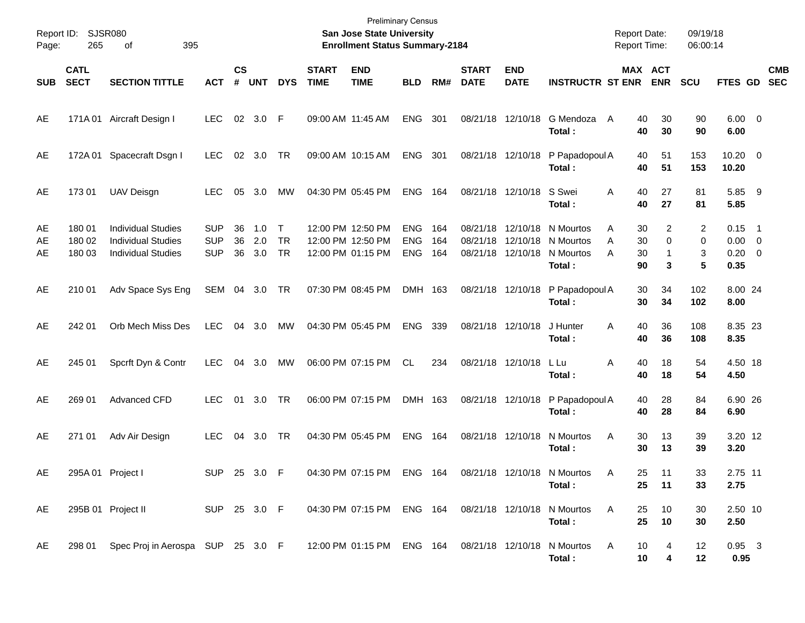| Report ID:<br>Page: | 265                        | <b>SJSR080</b><br>395<br>οf                                                         |                                        |                    |                   |                                  |                             | <b>Preliminary Census</b><br>San Jose State University<br><b>Enrollment Status Summary-2184</b> |                                        |                   |                             |                                           |                                               | <b>Report Date:</b><br>Report Time: |                       | 09/19/18<br>06:00:14 |                              |                                                                                 |                          |
|---------------------|----------------------------|-------------------------------------------------------------------------------------|----------------------------------------|--------------------|-------------------|----------------------------------|-----------------------------|-------------------------------------------------------------------------------------------------|----------------------------------------|-------------------|-----------------------------|-------------------------------------------|-----------------------------------------------|-------------------------------------|-----------------------|----------------------|------------------------------|---------------------------------------------------------------------------------|--------------------------|
| <b>SUB</b>          | <b>CATL</b><br><b>SECT</b> | <b>SECTION TITTLE</b>                                                               | <b>ACT</b>                             | $\mathsf{cs}$<br># | <b>UNT</b>        | <b>DYS</b>                       | <b>START</b><br><b>TIME</b> | <b>END</b><br><b>TIME</b>                                                                       | <b>BLD</b>                             | RM#               | <b>START</b><br><b>DATE</b> | <b>END</b><br><b>DATE</b>                 | <b>INSTRUCTR ST ENR</b>                       |                                     | MAX ACT<br><b>ENR</b> | <b>SCU</b>           | FTES GD                      |                                                                                 | <b>CMB</b><br><b>SEC</b> |
| AE                  |                            | 171A 01 Aircraft Design I                                                           | <b>LEC</b>                             |                    | 02 3.0 F          |                                  |                             | 09:00 AM 11:45 AM                                                                               | <b>ENG</b>                             | 301               |                             | 08/21/18 12/10/18                         | G Mendoza<br>Total:                           | 40<br>A<br>40                       | 30<br>30              | 90<br>90             | $6.00 \quad 0$<br>6.00       |                                                                                 |                          |
| AE                  |                            | 172A 01 Spacecraft Dsgn I                                                           | <b>LEC</b>                             | 02                 | 3.0               | TR                               |                             | 09:00 AM 10:15 AM                                                                               | <b>ENG</b>                             | 301               |                             | 08/21/18 12/10/18                         | P Papadopoul A<br>Total:                      | 40<br>40                            | 51<br>51              | 153<br>153           | $10.20 \t 0$<br>10.20        |                                                                                 |                          |
| AE                  | 17301                      | UAV Deisgn                                                                          | <b>LEC</b>                             | 05                 | 3.0               | МW                               |                             | 04:30 PM 05:45 PM                                                                               | <b>ENG</b>                             | 164               |                             | 08/21/18 12/10/18                         | S Swei<br>Total:                              | Α<br>40<br>40                       | 27<br>27              | 81<br>81             | 5.85 9<br>5.85               |                                                                                 |                          |
| AE<br>AE<br>AE      | 180 01<br>180 02<br>180 03 | <b>Individual Studies</b><br><b>Individual Studies</b><br><b>Individual Studies</b> | <b>SUP</b><br><b>SUP</b><br><b>SUP</b> | 36<br>36<br>36     | 1.0<br>2.0<br>3.0 | $\top$<br><b>TR</b><br><b>TR</b> |                             | 12:00 PM 12:50 PM<br>12:00 PM 12:50 PM<br>12:00 PM 01:15 PM                                     | <b>ENG</b><br><b>ENG</b><br><b>ENG</b> | 164<br>164<br>164 | 08/21/18<br>08/21/18        | 12/10/18<br>12/10/18<br>08/21/18 12/10/18 | N Mourtos<br>N Mourtos<br>N Mourtos<br>Total: | 30<br>A<br>A<br>30<br>A<br>30<br>90 | 2<br>0<br>-1<br>3     | 2<br>0<br>3<br>5     | 0.15<br>0.00<br>0.20<br>0.35 | $\overline{\phantom{1}}$<br>$\overline{\mathbf{0}}$<br>$\overline{\phantom{0}}$ |                          |
| AE                  | 210 01                     | Adv Space Sys Eng                                                                   | SEM                                    | 04                 | 3.0               | TR                               |                             | 07:30 PM 08:45 PM                                                                               | DMH 163                                |                   |                             | 08/21/18 12/10/18                         | P Papadopoul A<br>Total:                      | 30<br>30                            | 34<br>34              | 102<br>102           | 8.00 24<br>8.00              |                                                                                 |                          |
| AE                  | 242 01                     | Orb Mech Miss Des                                                                   | LEC                                    | 04                 | 3.0               | MW                               |                             | 04:30 PM 05:45 PM                                                                               | <b>ENG</b>                             | 339               |                             | 08/21/18 12/10/18                         | J Hunter<br>Total:                            | A<br>40<br>40                       | 36<br>36              | 108<br>108           | 8.35 23<br>8.35              |                                                                                 |                          |
| AE                  | 245 01                     | Spcrft Dyn & Contr                                                                  | <b>LEC</b>                             | 04                 | 3.0               | MW                               |                             | 06:00 PM 07:15 PM                                                                               | CL.                                    | 234               |                             | 08/21/18 12/10/18                         | L Lu<br>Total:                                | Α<br>40<br>40                       | 18<br>18              | 54<br>54             | 4.50 18<br>4.50              |                                                                                 |                          |
| AE                  | 269 01                     | Advanced CFD                                                                        | <b>LEC</b>                             |                    | 01 3.0            | TR                               |                             | 06:00 PM 07:15 PM                                                                               | DMH 163                                |                   |                             | 08/21/18 12/10/18                         | P Papadopoul A<br>Total:                      | 40<br>40                            | 28<br>28              | 84<br>84             | 6.90 26<br>6.90              |                                                                                 |                          |
| AE                  | 271 01                     | Adv Air Design                                                                      | <b>LEC</b>                             | 04                 | 3.0               | TR                               |                             | 04:30 PM 05:45 PM                                                                               | <b>ENG</b>                             | 164               |                             | 08/21/18 12/10/18                         | N Mourtos<br>Total:                           | Α<br>30<br>30                       | 13<br>13              | 39<br>39             | 3.20 12<br>3.20              |                                                                                 |                          |
| AE                  | 295A 01 Project I          |                                                                                     | <b>SUP</b>                             |                    | 25 3.0            | $\mathsf F$                      |                             | 04:30 PM 07:15 PM                                                                               | <b>ENG 164</b>                         |                   |                             |                                           | 08/21/18 12/10/18 N Mourtos<br>Total:         | A<br>25.<br>25                      | 11<br>11              | 33.<br>33            | 2.75 11<br>2.75              |                                                                                 |                          |
| AE                  |                            | 295B 01 Project II                                                                  | SUP 25 3.0 F                           |                    |                   |                                  |                             | 04:30 PM 07:15 PM ENG 164 08/21/18 12/10/18 N Mourtos                                           |                                        |                   |                             |                                           | Total:                                        | A<br>25<br>25                       | 10<br>10              | 30<br>30             | 2.50 10<br>2.50              |                                                                                 |                          |
| AE                  |                            | 298 01 Spec Proj in Aerospa SUP 25 3.0 F                                            |                                        |                    |                   |                                  |                             | 12:00 PM 01:15 PM ENG 164 08/21/18 12/10/18 N Mourtos                                           |                                        |                   |                             |                                           | Total:                                        | A<br>10<br>10                       | 4<br>4                | 12<br>12             | $0.95 \quad 3$<br>0.95       |                                                                                 |                          |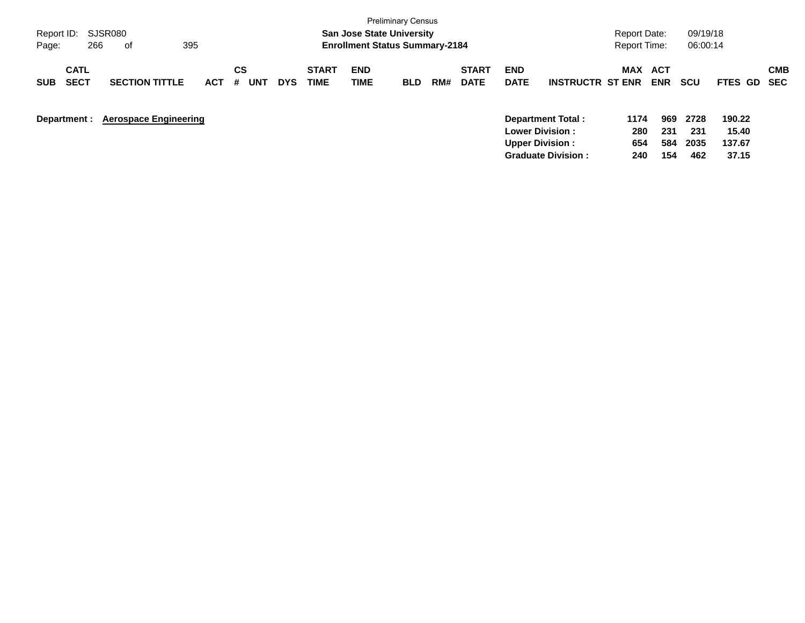| Report ID:<br>266<br>Page:               | SJSR080<br>of                | 395        |                |            |                             | <b>San Jose State University</b><br><b>Enrollment Status Summary-2184</b> | <b>Preliminary Census</b> |     |                             |                           |                                              | Report Date:<br><b>Report Time:</b> |                   | 09/19/18<br>06:00:14 |                           |                   |
|------------------------------------------|------------------------------|------------|----------------|------------|-----------------------------|---------------------------------------------------------------------------|---------------------------|-----|-----------------------------|---------------------------|----------------------------------------------|-------------------------------------|-------------------|----------------------|---------------------------|-------------------|
| <b>CATL</b><br><b>SECT</b><br><b>SUB</b> | <b>SECTION TITTLE</b>        | <b>ACT</b> | CS<br>#<br>UNT | <b>DYS</b> | <b>START</b><br><b>TIME</b> | <b>END</b><br>TIME                                                        | <b>BLD</b>                | RM# | <b>START</b><br><b>DATE</b> | <b>END</b><br><b>DATE</b> | <b>INSTRUCTR ST ENR</b>                      | MAX                                 | ACT<br><b>ENR</b> | <b>SCU</b>           | <b>FTES GD</b>            | <b>CMB</b><br>SEC |
| Department :                             | <b>Aerospace Engineering</b> |            |                |            |                             |                                                                           |                           |     |                             | <b>Upper Division:</b>    | Department Total:<br><b>Lower Division :</b> | 1174<br>280<br>654                  | 969<br>231<br>584 | 2728<br>231<br>2035  | 190.22<br>15.40<br>137.67 |                   |

**Graduate Division : 240 154 462 37.15**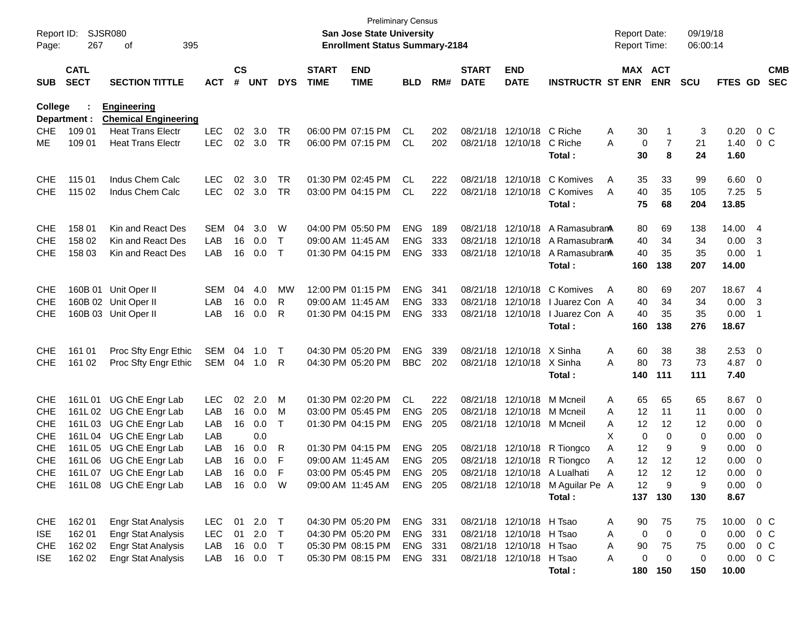|                     |              |                             |              |               |            |            |              |                                                                           | <b>Preliminary Census</b> |     |              |                          |                                  |                                     |             |                      |                |                          |            |
|---------------------|--------------|-----------------------------|--------------|---------------|------------|------------|--------------|---------------------------------------------------------------------------|---------------------------|-----|--------------|--------------------------|----------------------------------|-------------------------------------|-------------|----------------------|----------------|--------------------------|------------|
| Report ID:<br>Page: | 267          | SJSR080<br>395<br>оf        |              |               |            |            |              | <b>San Jose State University</b><br><b>Enrollment Status Summary-2184</b> |                           |     |              |                          |                                  | <b>Report Date:</b><br>Report Time: |             | 09/19/18<br>06:00:14 |                |                          |            |
|                     |              |                             |              |               |            |            |              |                                                                           |                           |     |              |                          |                                  |                                     |             |                      |                |                          |            |
|                     | <b>CATL</b>  |                             |              | $\mathsf{cs}$ |            |            | <b>START</b> | <b>END</b>                                                                |                           |     | <b>START</b> | <b>END</b>               |                                  | MAX ACT                             |             |                      |                |                          | <b>CMB</b> |
| <b>SUB</b>          | <b>SECT</b>  | <b>SECTION TITTLE</b>       | <b>ACT</b>   | #             | <b>UNT</b> | <b>DYS</b> | <b>TIME</b>  | <b>TIME</b>                                                               | <b>BLD</b>                | RM# | <b>DATE</b>  | <b>DATE</b>              | <b>INSTRUCTR ST ENR</b>          |                                     | <b>ENR</b>  | <b>SCU</b>           | <b>FTES GD</b> |                          | <b>SEC</b> |
| <b>College</b>      |              | <b>Engineering</b>          |              |               |            |            |              |                                                                           |                           |     |              |                          |                                  |                                     |             |                      |                |                          |            |
|                     | Department : | <b>Chemical Engineering</b> |              |               |            |            |              |                                                                           |                           |     |              |                          |                                  |                                     |             |                      |                |                          |            |
| <b>CHE</b>          | 109 01       | <b>Heat Trans Electr</b>    | <b>LEC</b>   | 02            | 3.0        | TR         |              | 06:00 PM 07:15 PM                                                         | <b>CL</b>                 | 202 |              | 08/21/18 12/10/18        | C Riche                          | 30<br>Α                             |             | 3                    | 0.20           | $0\,$ C                  |            |
| ME                  | 109 01       | <b>Heat Trans Electr</b>    | <b>LEC</b>   | 02            | 3.0        | <b>TR</b>  |              | 06:00 PM 07:15 PM                                                         | CL                        | 202 |              | 08/21/18 12/10/18        | C Riche                          | Α<br>0                              | 7           | 21                   | 1.40           | 0 <sup>o</sup>           |            |
|                     |              |                             |              |               |            |            |              |                                                                           |                           |     |              |                          | Total:                           | 30                                  | 8           | 24                   | 1.60           |                          |            |
| <b>CHE</b>          | 115 01       | Indus Chem Calc             | <b>LEC</b>   | 02            | 3.0        | TR         |              | 01:30 PM 02:45 PM                                                         | CL.                       | 222 |              | 08/21/18 12/10/18        | C Komives                        | A<br>35                             | 33          | 99                   | 6.60           | $\overline{\mathbf{0}}$  |            |
| <b>CHE</b>          | 115 02       | Indus Chem Calc             | <b>LEC</b>   | 02            | 3.0        | <b>TR</b>  |              | 03:00 PM 04:15 PM                                                         | CL                        | 222 |              | 08/21/18 12/10/18        | C Komives                        | A<br>40                             | 35          | 105                  | 7.25           | - 5                      |            |
|                     |              |                             |              |               |            |            |              |                                                                           |                           |     |              |                          | Total:                           | 75                                  | 68          | 204                  | 13.85          |                          |            |
| <b>CHE</b>          | 158 01       | Kin and React Des           | <b>SEM</b>   | 04            | 3.0        | W          |              | 04:00 PM 05:50 PM                                                         | <b>ENG</b>                | 189 | 08/21/18     | 12/10/18                 | A RamasubranA                    | 80                                  | 69          | 138                  | 14.00 4        |                          |            |
| <b>CHE</b>          | 158 02       | Kin and React Des           | LAB          | 16            | 0.0        | Т          |              | 09:00 AM 11:45 AM                                                         | <b>ENG</b>                | 333 | 08/21/18     | 12/10/18                 | A RamasubranA                    | 40                                  | 34          | 34                   | 0.00           | 3                        |            |
| <b>CHE</b>          | 158 03       | Kin and React Des           | LAB          | 16            | 0.0        | T          |              | 01:30 PM 04:15 PM                                                         | <b>ENG</b>                | 333 |              | 08/21/18 12/10/18        | A RamasubranA                    | 40                                  | 35          | 35                   | 0.00           | -1                       |            |
|                     |              |                             |              |               |            |            |              |                                                                           |                           |     |              |                          | Total:                           | 160                                 | 138         | 207                  | 14.00          |                          |            |
|                     |              |                             |              |               |            |            |              |                                                                           |                           |     |              |                          |                                  |                                     |             |                      |                |                          |            |
| <b>CHE</b>          | 160B 01      | Unit Oper II                | <b>SEM</b>   | 04            | 4.0        | MW         |              | 12:00 PM 01:15 PM                                                         | <b>ENG</b>                | 341 | 08/21/18     | 12/10/18                 | C Komives                        | 80<br>A                             | 69          | 207                  | 18.67 4        |                          |            |
| <b>CHE</b>          |              | 160B 02 Unit Oper II        | LAB          | 16            | 0.0        | R          |              | 09:00 AM 11:45 AM                                                         | <b>ENG</b>                | 333 | 08/21/18     | 12/10/18                 | I Juarez Con A                   | 40                                  | 34          | 34                   | 0.00           | -3                       |            |
| <b>CHE</b>          |              | 160B 03 Unit Oper II        | LAB          | 16            | 0.0        | R          |              | 01:30 PM 04:15 PM                                                         | <b>ENG</b>                | 333 |              | 08/21/18 12/10/18        | I Juarez Con A<br>Total:         | 40<br>160                           | 35<br>138   | 35<br>276            | 0.00<br>18.67  | -1                       |            |
|                     |              |                             |              |               |            |            |              |                                                                           |                           |     |              |                          |                                  |                                     |             |                      |                |                          |            |
| <b>CHE</b>          | 161 01       | Proc Sfty Engr Ethic        | SEM          | 04            | 1.0        | Т          |              | 04:30 PM 05:20 PM                                                         | <b>ENG</b>                | 339 |              | 08/21/18 12/10/18        | X Sinha                          | Α<br>60                             | 38          | 38                   | 2.53           | $\overline{\phantom{0}}$ |            |
| <b>CHE</b>          | 161 02       | Proc Sfty Engr Ethic        | SEM          | 04            | 1.0        | R          |              | 04:30 PM 05:20 PM                                                         | <b>BBC</b>                | 202 |              | 08/21/18 12/10/18        | X Sinha                          | 80<br>Α                             | 73          | 73                   | 4.87           | $\overline{\phantom{0}}$ |            |
|                     |              |                             |              |               |            |            |              |                                                                           |                           |     |              |                          | Total:                           | 140                                 | 111         | 111                  | 7.40           |                          |            |
| <b>CHE</b>          | 161L01       | UG ChE Engr Lab             | LEC          | 02            | 2.0        | M          |              | 01:30 PM 02:20 PM                                                         | CL                        | 222 | 08/21/18     | 12/10/18                 | M Mcneil                         | 65<br>Α                             | 65          | 65                   | 8.67 0         |                          |            |
| <b>CHE</b>          | 161L 02      | UG ChE Engr Lab             | LAB          | 16            | 0.0        | м          |              | 03:00 PM 05:45 PM                                                         | <b>ENG</b>                | 205 | 08/21/18     | 12/10/18                 | M Mcneil                         | 12<br>Α                             | 11          | 11                   | 0.00           | $\overline{0}$           |            |
| <b>CHE</b>          | 161L03       | UG ChE Engr Lab             | LAB          | 16            | 0.0        | Т          |              | 01:30 PM 04:15 PM                                                         | <b>ENG</b>                | 205 |              | 08/21/18 12/10/18        | M Mcneil                         | 12<br>Α                             | 12          | 12                   | 0.00           | 0                        |            |
| <b>CHE</b>          | 161L04       | UG ChE Engr Lab             | LAB          |               | 0.0        |            |              |                                                                           |                           |     |              |                          |                                  | х<br>0                              | 0           | 0                    | 0.00           | $\mathbf 0$              |            |
| <b>CHE</b>          | 161L 05      | UG ChE Engr Lab             | LAB          | 16            | 0.0        | R          |              | 01:30 PM 04:15 PM                                                         | <b>ENG</b>                | 205 |              | 08/21/18 12/10/18        | R Tiongco                        | 12<br>Α                             | 9           | 9                    | 0.00           | 0                        |            |
| <b>CHE</b>          |              | 161L 06 UG ChE Engr Lab     | LAB          | 16            | 0.0        | F          |              | 09:00 AM 11:45 AM                                                         | <b>ENG</b>                | 205 |              |                          | 08/21/18 12/10/18 R Tiongco      | 12<br>Α                             | 12          | 12                   | 0.00           | 0                        |            |
| <b>CHE</b>          |              | 161L 07 UG ChE Engr Lab     | LAB          |               | 16 0.0     | -F         |              | 03:00 PM 05:45 PM                                                         | ENG                       | 205 |              |                          | 08/21/18 12/10/18 A Lualhati     | 12<br>Α                             | 12          | 12                   | 0.00           | - 0                      |            |
|                     |              | CHE 161L08 UG ChE Engr Lab  | LAB 16 0.0 W |               |            |            |              | 09:00 AM 11:45 AM                                                         | ENG 205                   |     |              |                          | 08/21/18 12/10/18 M Aguilar Pe A | 12                                  | 9           | 9                    | $0.00 \t 0$    |                          |            |
|                     |              |                             |              |               |            |            |              |                                                                           |                           |     |              |                          | Total:                           |                                     | 137 130     | 130                  | 8.67           |                          |            |
| <b>CHE</b>          | 162 01       | <b>Engr Stat Analysis</b>   | LEC          |               | 01 2.0     | $\top$     |              | 04:30 PM 05:20 PM                                                         | ENG 331                   |     |              | 08/21/18 12/10/18 H Tsao |                                  | 90<br>A                             | 75          | 75                   | 10.00          | $0\,$ C                  |            |
| ISE.                | 162 01       | <b>Engr Stat Analysis</b>   | LEC          | 01            | 2.0        | Τ          |              | 04:30 PM 05:20 PM                                                         | ENG                       | 331 |              | 08/21/18 12/10/18 H Tsao |                                  | 0<br>Α                              | $\mathbf 0$ | 0                    | 0.00           | $0\,C$                   |            |
| <b>CHE</b>          | 162 02       | <b>Engr Stat Analysis</b>   | LAB          | 16            | 0.0        | Τ          |              | 05:30 PM 08:15 PM                                                         | ENG 331                   |     |              | 08/21/18 12/10/18 H Tsao |                                  | 90<br>Α                             | 75          | 75                   | 0.00           | $0\,C$                   |            |
| <b>ISE</b>          | 162 02       | <b>Engr Stat Analysis</b>   | LAB          |               | 16 0.0     | $\top$     |              | 05:30 PM 08:15 PM                                                         | ENG 331                   |     |              | 08/21/18 12/10/18 H Tsao |                                  | 0<br>Α                              | 0           | 0                    | 0.00           | $0\,C$                   |            |
|                     |              |                             |              |               |            |            |              |                                                                           |                           |     |              |                          | Total:                           | 180                                 | 150         | 150                  | 10.00          |                          |            |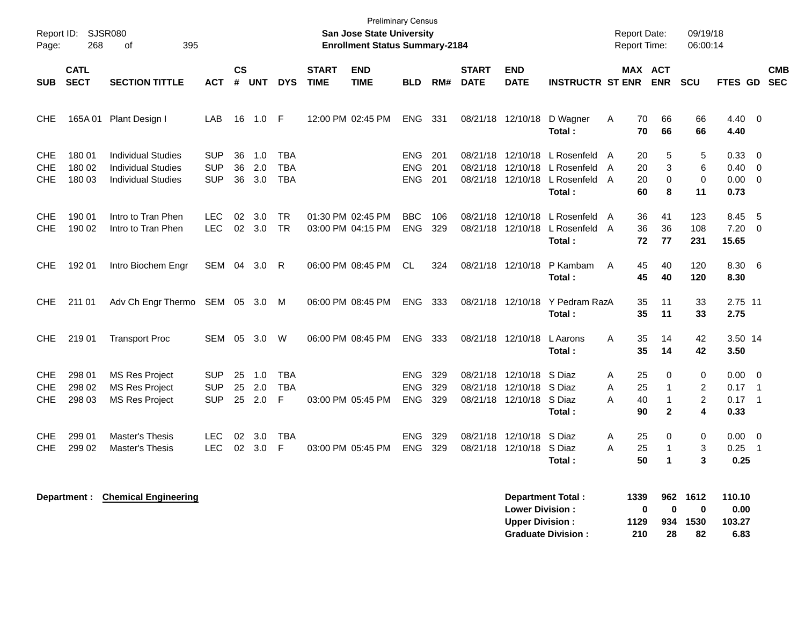| Report ID:<br>Page:             | <b>SJSR080</b><br>268      | 395<br>οf                                                                           |                                        |                    |                   |                                        |                             | <b>Preliminary Census</b><br><b>San Jose State University</b><br><b>Enrollment Status Summary-2184</b> |                                        |                   |                                  |                                         |                                                                                | <b>Report Date:</b><br><b>Report Time:</b>       |                                                         | 09/19/18<br>06:00:14                              |                                                |                |                          |
|---------------------------------|----------------------------|-------------------------------------------------------------------------------------|----------------------------------------|--------------------|-------------------|----------------------------------------|-----------------------------|--------------------------------------------------------------------------------------------------------|----------------------------------------|-------------------|----------------------------------|-----------------------------------------|--------------------------------------------------------------------------------|--------------------------------------------------|---------------------------------------------------------|---------------------------------------------------|------------------------------------------------|----------------|--------------------------|
| <b>SUB</b>                      | <b>CATL</b><br><b>SECT</b> | <b>SECTION TITTLE</b>                                                               | <b>ACT</b>                             | $\mathsf{cs}$<br># | <b>UNT</b>        | <b>DYS</b>                             | <b>START</b><br><b>TIME</b> | <b>END</b><br><b>TIME</b>                                                                              | <b>BLD</b>                             | RM#               | <b>START</b><br><b>DATE</b>      | <b>END</b><br><b>DATE</b>               | <b>INSTRUCTR ST ENR</b>                                                        |                                                  | MAX ACT<br><b>ENR</b>                                   | <b>SCU</b>                                        | FTES GD                                        |                | <b>CMB</b><br><b>SEC</b> |
| <b>CHE</b>                      | 165A 01                    | Plant Design I                                                                      | LAB                                    | 16                 | 1.0               | -F                                     |                             | 12:00 PM 02:45 PM                                                                                      | <b>ENG</b>                             | 331               |                                  | 08/21/18 12/10/18                       | D Wagner<br>Total:                                                             | 70<br>A<br>70                                    | 66<br>66                                                | 66<br>66                                          | 4.40 0<br>4.40                                 |                |                          |
| CHE<br><b>CHE</b><br><b>CHE</b> | 180 01<br>180 02<br>180 03 | <b>Individual Studies</b><br><b>Individual Studies</b><br><b>Individual Studies</b> | <b>SUP</b><br><b>SUP</b><br><b>SUP</b> | 36<br>36<br>36     | 1.0<br>2.0<br>3.0 | <b>TBA</b><br><b>TBA</b><br><b>TBA</b> |                             |                                                                                                        | <b>ENG</b><br><b>ENG</b><br><b>ENG</b> | 201<br>201<br>201 | 08/21/18                         | 08/21/18 12/10/18                       | L Rosenfeld<br>12/10/18 L Rosenfeld<br>08/21/18 12/10/18 L Rosenfeld<br>Total: | 20<br>A<br>20<br>A<br>$\overline{A}$<br>20<br>60 | 5<br>3<br>$\Omega$<br>8                                 | 5<br>6<br>0<br>11                                 | 0.33<br>$0.40 \quad 0$<br>$0.00 \t 0$<br>0.73  | - 0            |                          |
| <b>CHE</b><br><b>CHE</b>        | 190 01<br>190 02           | Intro to Tran Phen<br>Intro to Tran Phen                                            | <b>LEC</b><br><b>LEC</b>               | 02<br>02           | 3.0<br>3.0        | <b>TR</b><br><b>TR</b>                 |                             | 01:30 PM 02:45 PM<br>03:00 PM 04:15 PM                                                                 | <b>BBC</b><br><b>ENG</b>               | 106<br>329        | 08/21/18<br>08/21/18             | 12/10/18<br>12/10/18                    | L Rosenfeld<br>L Rosenfeld<br>Total:                                           | 36<br>A<br>36<br>A<br>72                         | 41<br>36<br>77                                          | 123<br>108<br>231                                 | 8.45<br>7.20<br>15.65                          | 5<br>$\Omega$  |                          |
| CHE.                            | 192 01                     | Intro Biochem Engr                                                                  | SEM                                    | 04                 | 3.0               | R                                      |                             | 06:00 PM 08:45 PM                                                                                      | CL                                     | 324               | 08/21/18                         | 12/10/18                                | P Kambam<br>Total:                                                             | 45<br>A<br>45                                    | 40<br>40                                                | 120<br>120                                        | 8.30<br>8.30                                   | - 6            |                          |
| CHE.                            | 211 01                     | Adv Ch Engr Thermo SEM 05 3.0                                                       |                                        |                    |                   | M                                      |                             | 06:00 PM 08:45 PM                                                                                      | <b>ENG</b>                             | 333               |                                  | 08/21/18 12/10/18                       | Y Pedram RazA<br>Total:                                                        | 35<br>35                                         | 11<br>11                                                | 33<br>33                                          | 2.75 11<br>2.75                                |                |                          |
| CHE.                            | 219 01                     | <b>Transport Proc</b>                                                               | SEM                                    | 05                 | 3.0               | W                                      |                             | 06:00 PM 08:45 PM                                                                                      | <b>ENG</b>                             | 333               |                                  | 08/21/18 12/10/18                       | L Aarons<br>Total:                                                             | 35<br>Α<br>35                                    | 14<br>14                                                | 42<br>42                                          | 3.50 14<br>3.50                                |                |                          |
| CHE<br><b>CHE</b><br><b>CHE</b> | 298 01<br>298 02<br>298 03 | <b>MS Res Project</b><br><b>MS Res Project</b><br><b>MS Res Project</b>             | <b>SUP</b><br><b>SUP</b><br><b>SUP</b> | 25<br>25<br>25     | 1.0<br>2.0<br>2.0 | <b>TBA</b><br><b>TBA</b><br>F          |                             | 03:00 PM 05:45 PM                                                                                      | <b>ENG</b><br><b>ENG</b><br><b>ENG</b> | 329<br>329<br>329 | 08/21/18<br>08/21/18<br>08/21/18 | 12/10/18<br>12/10/18<br>12/10/18 S Diaz | S Diaz<br>S Diaz<br>Total:                                                     | 25<br>A<br>25<br>A<br>Α<br>40<br>90              | $\Omega$<br>$\mathbf 1$<br>$\mathbf{1}$<br>$\mathbf{2}$ | $\Omega$<br>$\overline{c}$<br>$\overline{2}$<br>4 | $0.00 \quad 0$<br>$0.17$ 1<br>$0.17$ 1<br>0.33 |                |                          |
| CHE.<br><b>CHE</b>              | 299 01<br>299 02           | Master's Thesis<br>Master's Thesis                                                  | <b>LEC</b><br><b>LEC</b>               | 02<br>02           | 3.0<br>3.0        | TBA<br>F                               |                             | 03:00 PM 05:45 PM                                                                                      | <b>ENG</b><br><b>ENG</b>               | 329<br>329        | 08/21/18<br>08/21/18             | 12/10/18 S Diaz<br>12/10/18             | S Diaz<br>Total:                                                               | Α<br>25<br>A<br>25<br>50                         | 0<br>$\mathbf{1}$<br>1                                  | 0<br>3<br>3                                       | $0.00 \t 0$<br>0.25<br>0.25                    | $\overline{1}$ |                          |

| Department Total:         | 1339 |    | 962 1612 | 110.10 |
|---------------------------|------|----|----------|--------|
| <b>Lower Division:</b>    | n    | n  | 0        | 0.00   |
| <b>Upper Division:</b>    | 1129 |    | 934 1530 | 103.27 |
| <b>Graduate Division:</b> | 210  | 28 | 82       | 6.83   |

**Department : Chemical Engineering**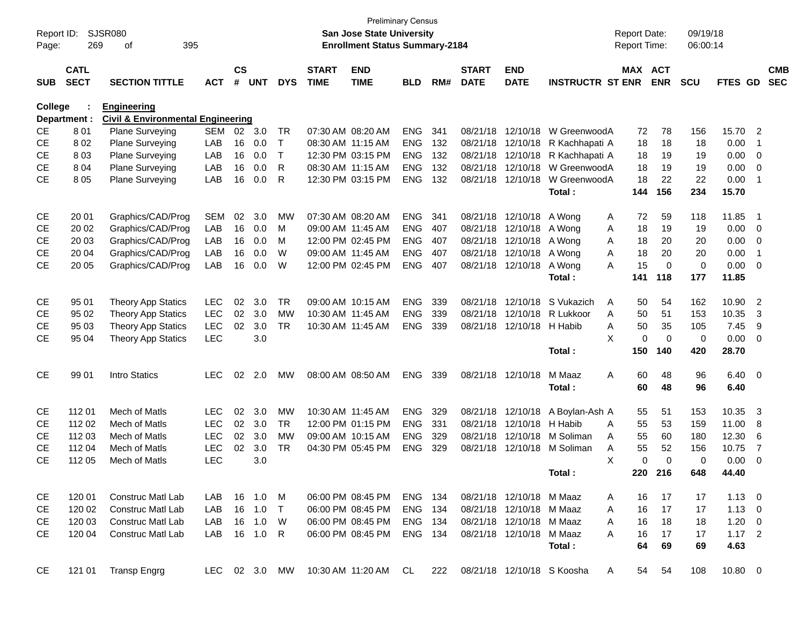| Report ID:<br>Page: | 269                        | <b>SJSR080</b><br>395<br>of                  |               |                |            |              |                             | <b>San Jose State University</b><br><b>Enrollment Status Summary-2184</b> | Preliminary Census |     |                             |                           |                            | <b>Report Date:</b><br>Report Time: |             | 09/19/18<br>06:00:14 |                |                         |                          |
|---------------------|----------------------------|----------------------------------------------|---------------|----------------|------------|--------------|-----------------------------|---------------------------------------------------------------------------|--------------------|-----|-----------------------------|---------------------------|----------------------------|-------------------------------------|-------------|----------------------|----------------|-------------------------|--------------------------|
| <b>SUB</b>          | <b>CATL</b><br><b>SECT</b> | <b>SECTION TITTLE</b>                        | <b>ACT</b>    | <b>CS</b><br># | <b>UNT</b> | <b>DYS</b>   | <b>START</b><br><b>TIME</b> | <b>END</b><br><b>TIME</b>                                                 | <b>BLD</b>         | RM# | <b>START</b><br><b>DATE</b> | <b>END</b><br><b>DATE</b> | <b>INSTRUCTR ST ENR</b>    | <b>MAX ACT</b>                      | <b>ENR</b>  | <b>SCU</b>           | FTES GD        |                         | <b>CMB</b><br><b>SEC</b> |
| College             |                            | <b>Engineering</b>                           |               |                |            |              |                             |                                                                           |                    |     |                             |                           |                            |                                     |             |                      |                |                         |                          |
|                     | Department :               | <b>Civil &amp; Environmental Engineering</b> |               |                |            |              |                             |                                                                           |                    |     |                             |                           |                            |                                     |             |                      |                |                         |                          |
| <b>CE</b>           | 801                        | <b>Plane Surveying</b>                       | <b>SEM</b>    | $02\,$         | 3.0        | TR           |                             | 07:30 AM 08:20 AM                                                         | <b>ENG</b>         | 341 |                             | 08/21/18 12/10/18         | W GreenwoodA               | 72                                  | 78          | 156                  | 15.70          | $\overline{2}$          |                          |
| <b>CE</b>           | 802                        | <b>Plane Surveying</b>                       | LAB           | 16             | 0.0        | $\mathsf{T}$ |                             | 08:30 AM 11:15 AM                                                         | <b>ENG</b>         | 132 |                             | 08/21/18 12/10/18         | R Kachhapati A             | 18                                  | 18          | 18                   | 0.00           | -1                      |                          |
| <b>CE</b>           | 803                        | <b>Plane Surveying</b>                       | LAB           | 16             | 0.0        | $\mathsf{T}$ |                             | 12:30 PM 03:15 PM                                                         | <b>ENG</b>         | 132 |                             | 08/21/18 12/10/18         | R Kachhapati A             | 18                                  | 19          | 19                   | 0.00           | 0                       |                          |
| <b>CE</b>           | 804                        | Plane Surveying                              | LAB           | 16             | 0.0        | R            |                             | 08:30 AM 11:15 AM                                                         | <b>ENG</b>         | 132 |                             | 08/21/18 12/10/18         | W GreenwoodA               | 18                                  | 19          | 19                   | 0.00           | 0                       |                          |
| <b>CE</b>           | 805                        | <b>Plane Surveying</b>                       | LAB           | 16             | 0.0        | R            |                             | 12:30 PM 03:15 PM                                                         | <b>ENG</b>         | 132 |                             | 08/21/18 12/10/18         | W GreenwoodA               | 18                                  | 22          | 22                   | 0.00           | -1                      |                          |
|                     |                            |                                              |               |                |            |              |                             |                                                                           |                    |     |                             |                           | Total:                     | 144                                 | 156         | 234                  | 15.70          |                         |                          |
| CE                  | 20 01                      | Graphics/CAD/Prog                            | <b>SEM</b>    | 02             | 3.0        | MW           |                             | 07:30 AM 08:20 AM                                                         | <b>ENG</b>         | 341 |                             | 08/21/18 12/10/18         | A Wong                     | 72<br>A                             | 59          | 118                  | 11.85          | - 1                     |                          |
| <b>CE</b>           | 20 02                      | Graphics/CAD/Prog                            | LAB           | 16             | 0.0        | м            |                             | 09:00 AM 11:45 AM                                                         | <b>ENG</b>         | 407 |                             | 08/21/18 12/10/18 A Wong  |                            | 18<br>A                             | 19          | 19                   | 0.00           | $\overline{\mathbf{0}}$ |                          |
| CЕ                  | 20 03                      | Graphics/CAD/Prog                            | LAB           | 16             | 0.0        | м            |                             | 12:00 PM 02:45 PM                                                         | <b>ENG</b>         | 407 |                             | 08/21/18 12/10/18         | A Wong                     | 18<br>A                             | 20          | 20                   | 0.00           | 0                       |                          |
| <b>CE</b>           | 20 04                      | Graphics/CAD/Prog                            | LAB           | 16             | 0.0        | W            |                             | 09:00 AM 11:45 AM                                                         | <b>ENG</b>         | 407 |                             | 08/21/18 12/10/18 A Wong  |                            | 18<br>A                             | 20          | 20                   | 0.00           | -1                      |                          |
| <b>CE</b>           | 20 05                      | Graphics/CAD/Prog                            | LAB           | 16             | 0.0        | W            |                             | 12:00 PM 02:45 PM                                                         | <b>ENG</b>         | 407 |                             | 08/21/18 12/10/18         | A Wong                     | 15<br>A                             | $\mathbf 0$ | 0                    | 0.00           | 0                       |                          |
|                     |                            |                                              |               |                |            |              |                             |                                                                           |                    |     |                             |                           | Total:                     | 141                                 | 118         | 177                  | 11.85          |                         |                          |
| CE                  | 95 01                      | <b>Theory App Statics</b>                    | <b>LEC</b>    | 02             | 3.0        | <b>TR</b>    |                             | 09:00 AM 10:15 AM                                                         | <b>ENG</b>         | 339 |                             | 08/21/18 12/10/18         | S Vukazich                 | 50<br>A                             | 54          | 162                  | 10.90          | $\overline{2}$          |                          |
| CE.                 | 95 02                      | <b>Theory App Statics</b>                    | <b>LEC</b>    | 02             | 3.0        | MW           |                             | 10:30 AM 11:45 AM                                                         | <b>ENG</b>         | 339 | 08/21/18                    | 12/10/18                  | R Lukkoor                  | A<br>50                             | 51          | 153                  | 10.35          | 3                       |                          |
| CЕ                  | 95 03                      | <b>Theory App Statics</b>                    | <b>LEC</b>    | 02             | 3.0        | <b>TR</b>    |                             | 10:30 AM 11:45 AM                                                         | <b>ENG</b>         | 339 |                             | 08/21/18 12/10/18         | H Habib                    | 50<br>Α                             | 35          | 105                  | 7.45           | 9                       |                          |
| <b>CE</b>           | 95 04                      | <b>Theory App Statics</b>                    | <b>LEC</b>    |                | 3.0        |              |                             |                                                                           |                    |     |                             |                           |                            | X<br>0                              | $\mathbf 0$ | 0                    | 0.00           | $\overline{0}$          |                          |
|                     |                            |                                              |               |                |            |              |                             |                                                                           |                    |     |                             |                           | Total:                     | 150                                 | 140         | 420                  | 28.70          |                         |                          |
| <b>CE</b>           | 99 01                      | Intro Statics                                | <b>LEC</b>    | 02             | 2.0        | MW           |                             | 08:00 AM 08:50 AM                                                         | <b>ENG</b>         | 339 |                             | 08/21/18 12/10/18         | M Maaz                     | A<br>60                             | 48          | 96                   | $6.40 \quad 0$ |                         |                          |
|                     |                            |                                              |               |                |            |              |                             |                                                                           |                    |     |                             |                           | Total :                    | 60                                  | 48          | 96                   | 6.40           |                         |                          |
| CЕ                  | 112 01                     | Mech of Matls                                | <b>LEC</b>    | 02             | 3.0        | <b>MW</b>    |                             | 10:30 AM 11:45 AM                                                         | <b>ENG</b>         | 329 |                             | 08/21/18 12/10/18         | A Boylan-Ash A             | 55                                  | 51          | 153                  | 10.35          | -3                      |                          |
| CЕ                  | 112 02                     | <b>Mech of Matls</b>                         | <b>LEC</b>    | 02             | 3.0        | <b>TR</b>    |                             | 12:00 PM 01:15 PM                                                         | <b>ENG</b>         | 331 |                             | 08/21/18 12/10/18         | H Habib                    | A<br>55                             | 53          | 159                  | 11.00          | 8                       |                          |
| CЕ                  | 112 03                     | Mech of Matls                                | <b>LEC</b>    | 02             | 3.0        | <b>MW</b>    |                             | 09:00 AM 10:15 AM                                                         | <b>ENG</b>         | 329 | 08/21/18                    | 12/10/18                  | M Soliman                  | 55<br>A                             | 60          | 180                  | 12.30          | 6                       |                          |
| CЕ                  | 112 04                     | <b>Mech of Matls</b>                         | <b>LEC</b>    | 02             | 3.0        | <b>TR</b>    |                             | 04:30 PM 05:45 PM                                                         | <b>ENG</b>         | 329 |                             | 08/21/18 12/10/18         | M Soliman                  | 55<br>Α                             | 52          | 156                  | 10.75          | 7                       |                          |
| <b>CE</b>           | 112 05                     | <b>Mech of Matls</b>                         | <b>LEC</b>    |                | 3.0        |              |                             |                                                                           |                    |     |                             |                           |                            | X<br>0                              | $\mathbf 0$ | 0                    | 0.00           | 0                       |                          |
|                     |                            |                                              |               |                |            |              |                             |                                                                           |                    |     |                             |                           | Total:                     | 220                                 | 216         | 648                  | 44.40          |                         |                          |
| CE                  | 120 01                     | <b>Construc Matl Lab</b>                     | LAB           |                | 16 1.0     | M            |                             | 06:00 PM 08:45 PM                                                         | ENG 134            |     |                             | 08/21/18 12/10/18 M Maaz  |                            | 16<br>A                             | 17          | 17                   | $1.13 \ 0$     |                         |                          |
| CE                  | 120 02                     | <b>Construc Matl Lab</b>                     | LAB           |                | 16 1.0     | $\top$       |                             | 06:00 PM 08:45 PM                                                         | ENG 134            |     |                             | 08/21/18 12/10/18 M Maaz  |                            | 16<br>A                             | 17          | 17                   | $1.13 \ 0$     |                         |                          |
| CE                  | 120 03                     | <b>Construc Matl Lab</b>                     | LAB           |                | 16 1.0     | W            |                             | 06:00 PM 08:45 PM                                                         | ENG 134            |     |                             | 08/21/18 12/10/18 M Maaz  |                            | 16<br>A                             | 18          | 18                   | $1.20 \t 0$    |                         |                          |
| CE                  | 120 04                     | Construc Matl Lab                            | LAB           |                | 16 1.0     | R            |                             | 06:00 PM 08:45 PM                                                         | ENG 134            |     |                             | 08/21/18 12/10/18 M Maaz  |                            | 16<br>A                             | 17          | 17                   | $1.17$ 2       |                         |                          |
|                     |                            |                                              |               |                |            |              |                             |                                                                           |                    |     |                             |                           | Total:                     | 64                                  | 69          | 69                   | 4.63           |                         |                          |
| <b>CE</b>           | 121 01                     | <b>Transp Engrg</b>                          | LEC 02 3.0 MW |                |            |              |                             | 10:30 AM 11:20 AM                                                         | CL.                | 222 |                             |                           | 08/21/18 12/10/18 S Koosha | 54<br>A                             | 54          | 108                  | $10.80 \t 0$   |                         |                          |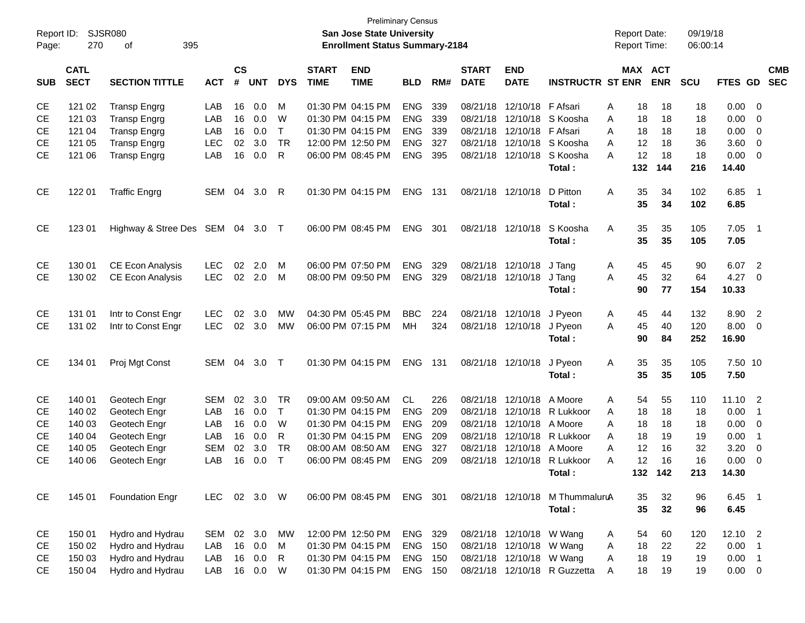| Report ID: |                            | <b>SJSR080</b>             |              |                    |            |              |                             | <b>Preliminary Census</b><br>San Jose State University |                |     |                             |                           |                                 |        | <b>Report Date:</b> |            | 09/19/18   |               |                            |                          |
|------------|----------------------------|----------------------------|--------------|--------------------|------------|--------------|-----------------------------|--------------------------------------------------------|----------------|-----|-----------------------------|---------------------------|---------------------------------|--------|---------------------|------------|------------|---------------|----------------------------|--------------------------|
| Page:      | 270                        | 395<br>οf                  |              |                    |            |              |                             | <b>Enrollment Status Summary-2184</b>                  |                |     |                             |                           |                                 |        | <b>Report Time:</b> |            | 06:00:14   |               |                            |                          |
| <b>SUB</b> | <b>CATL</b><br><b>SECT</b> | <b>SECTION TITTLE</b>      | <b>ACT</b>   | $\mathsf{cs}$<br># | <b>UNT</b> | <b>DYS</b>   | <b>START</b><br><b>TIME</b> | <b>END</b><br><b>TIME</b>                              | <b>BLD</b>     | RM# | <b>START</b><br><b>DATE</b> | <b>END</b><br><b>DATE</b> | <b>INSTRUCTR ST ENR</b>         |        | MAX ACT             | <b>ENR</b> | <b>SCU</b> | FTES GD       |                            | <b>CMB</b><br><b>SEC</b> |
|            |                            |                            |              |                    |            |              |                             |                                                        |                |     |                             |                           |                                 |        |                     |            |            |               |                            |                          |
| CЕ         | 121 02                     | <b>Transp Engrg</b>        | LAB          | 16                 | 0.0        | M            |                             | 01:30 PM 04:15 PM                                      | <b>ENG</b>     | 339 | 08/21/18                    | 12/10/18                  | F Afsari                        | A      | 18                  | 18         | 18         | 0.00          | - 0                        |                          |
| <b>CE</b>  | 121 03                     | <b>Transp Engrg</b>        | LAB          | 16                 | 0.0        | W            |                             | 01:30 PM 04:15 PM                                      | <b>ENG</b>     | 339 | 08/21/18                    | 12/10/18                  | S Koosha                        | A      | 18                  | 18         | 18         | 0.00          | 0                          |                          |
| <b>CE</b>  | 121 04                     | <b>Transp Engrg</b>        | LAB          | 16                 | 0.0        | $\mathsf{T}$ |                             | 01:30 PM 04:15 PM                                      | <b>ENG</b>     | 339 | 08/21/18                    | 12/10/18                  | F Afsari                        | A      | 18                  | 18         | 18         | 0.00          | 0                          |                          |
| <b>CE</b>  | 121 05                     | <b>Transp Engrg</b>        | <b>LEC</b>   | 02                 | 3.0        | <b>TR</b>    |                             | 12:00 PM 12:50 PM                                      | <b>ENG</b>     | 327 | 08/21/18                    | 12/10/18                  | S Koosha<br>S Koosha            | A<br>A | 12<br>12            | 18<br>18   | 36         | 3.60          | 0                          |                          |
| <b>CE</b>  | 121 06                     | <b>Transp Engrg</b>        | LAB          | 16                 | 0.0        | R            |                             | 06:00 PM 08:45 PM                                      | <b>ENG</b>     | 395 | 08/21/18                    | 12/10/18                  | Total:                          |        | 132                 | 144        | 18<br>216  | 0.00<br>14.40 | - 0                        |                          |
|            |                            |                            |              |                    |            |              |                             |                                                        |                |     |                             |                           |                                 |        |                     |            |            |               |                            |                          |
| CE         | 122 01                     | <b>Traffic Engrg</b>       | SEM          | 04                 | 3.0        | R            |                             | 01:30 PM 04:15 PM                                      | <b>ENG</b>     | 131 | 08/21/18                    | 12/10/18                  | D Pitton<br>Total:              | A      | 35<br>35            | 34<br>34   | 102<br>102 | 6.85<br>6.85  | $\overline{\phantom{0}}$ 1 |                          |
|            |                            |                            |              |                    |            |              |                             |                                                        |                |     |                             |                           |                                 |        |                     |            |            |               |                            |                          |
| <b>CE</b>  | 123 01                     | Highway & Stree Des SEM 04 |              |                    | $3.0$ T    |              |                             | 06:00 PM 08:45 PM                                      | <b>ENG</b>     | 301 | 08/21/18                    | 12/10/18                  | S Koosha                        | A      | 35                  | 35         | 105        | 7.05          | $\overline{\phantom{0}}$ 1 |                          |
|            |                            |                            |              |                    |            |              |                             |                                                        |                |     |                             |                           | Total:                          |        | 35                  | 35         | 105        | 7.05          |                            |                          |
| <b>CE</b>  | 130 01                     | CE Econ Analysis           | <b>LEC</b>   | 02                 | 2.0        | M            |                             | 06:00 PM 07:50 PM                                      | <b>ENG</b>     | 329 | 08/21/18                    | 12/10/18                  | J Tang                          | A      | 45                  | 45         | 90         | 6.07          | $\overline{2}$             |                          |
| <b>CE</b>  | 130 02                     | CE Econ Analysis           | <b>LEC</b>   | 02                 | 2.0        | M            |                             | 08:00 PM 09:50 PM                                      | <b>ENG</b>     | 329 |                             | 08/21/18 12/10/18         | J Tang                          | A      | 45                  | 32         | 64         | 4.27          | - 0                        |                          |
|            |                            |                            |              |                    |            |              |                             |                                                        |                |     |                             |                           | Total:                          |        | 90                  | 77         | 154        | 10.33         |                            |                          |
| <b>CE</b>  | 131 01                     | Intr to Const Engr         | <b>LEC</b>   | 02                 | 3.0        | MW           |                             | 04:30 PM 05:45 PM                                      | <b>BBC</b>     | 224 | 08/21/18                    | 12/10/18                  | J Pyeon                         | Α      | 45                  | 44         | 132        | 8.90          | $\overline{2}$             |                          |
| <b>CE</b>  | 131 02                     | Intr to Const Engr         | <b>LEC</b>   | 02                 | 3.0        | MW           |                             | 06:00 PM 07:15 PM                                      | MН             | 324 |                             | 08/21/18 12/10/18 J Pyeon |                                 | A      | 45                  | 40         | 120        | 8.00          | - 0                        |                          |
|            |                            |                            |              |                    |            |              |                             |                                                        |                |     |                             |                           | Total:                          |        | 90                  | 84         | 252        | 16.90         |                            |                          |
| CE         | 134 01                     | Proj Mgt Const             | SEM          | 04                 | 3.0        | $\top$       |                             | 01:30 PM 04:15 PM                                      | <b>ENG</b>     | 131 | 08/21/18 12/10/18           |                           | J Pyeon                         | Α      | 35                  | 35         | 105        | 7.50 10       |                            |                          |
|            |                            |                            |              |                    |            |              |                             |                                                        |                |     |                             |                           | Total:                          |        | 35                  | 35         | 105        | 7.50          |                            |                          |
| <b>CE</b>  | 140 01                     | Geotech Engr               | <b>SEM</b>   | 02                 | 3.0        | TR           |                             | 09:00 AM 09:50 AM                                      | <b>CL</b>      | 226 | 08/21/18                    | 12/10/18                  | A Moore                         | A      | 54                  | 55         | 110        | 11.10         | $\overline{\mathbf{2}}$    |                          |
| <b>CE</b>  | 140 02                     | Geotech Engr               | LAB          | 16                 | 0.0        | $\mathsf{T}$ |                             | 01:30 PM 04:15 PM                                      | <b>ENG</b>     | 209 | 08/21/18                    | 12/10/18                  | R Lukkoor                       | A      | 18                  | 18         | 18         | 0.00          | $\overline{1}$             |                          |
| <b>CE</b>  | 140 03                     | Geotech Engr               | LAB          | 16                 | 0.0        | W            |                             | 01:30 PM 04:15 PM                                      | <b>ENG</b>     | 209 | 08/21/18                    | 12/10/18                  | A Moore                         | A      | 18                  | 18         | 18         | 0.00          | 0                          |                          |
| <b>CE</b>  | 140 04                     | Geotech Engr               | LAB          | 16                 | 0.0        | R            |                             | 01:30 PM 04:15 PM                                      | <b>ENG</b>     | 209 | 08/21/18                    | 12/10/18                  | R Lukkoor                       | A      | 18                  | 19         | 19         | 0.00          | $\overline{\phantom{0}}$ 1 |                          |
| <b>CE</b>  | 140 05                     | Geotech Engr               | <b>SEM</b>   | 02                 | 3.0        | <b>TR</b>    |                             | 08:00 AM 08:50 AM                                      | <b>ENG</b>     | 327 | 08/21/18                    | 12/10/18                  | A Moore                         | A      | 12                  | 16         | 32         | 3.20          | 0                          |                          |
| <b>CE</b>  | 140 06                     | Geotech Engr               | LAB          | 16                 | 0.0        | $\top$       |                             | 06:00 PM 08:45 PM                                      | <b>ENG</b>     | 209 | 08/21/18                    | 12/10/18                  | R Lukkoor                       | Α      | 12                  | 16         | 16         | 0.00          | $\overline{0}$             |                          |
|            |                            |                            |              |                    |            |              |                             |                                                        |                |     |                             |                           | Total:                          |        |                     | 132 142    | 213        | 14.30         |                            |                          |
| CE         | 145 01                     | <b>Foundation Engr</b>     | LEC 02 3.0 W |                    |            |              |                             | 06:00 PM 08:45 PM ENG 301                              |                |     |                             |                           | 08/21/18 12/10/18 M ThummaluruA |        | 35                  | 32         | 96         | 6.45 1        |                            |                          |
|            |                            |                            |              |                    |            |              |                             |                                                        |                |     |                             |                           | Total:                          |        | 35                  | 32         | 96         | 6.45          |                            |                          |
| CE         | 150 01                     | Hydro and Hydrau           | SEM          |                    | 02 3.0     | MW           |                             | 12:00 PM 12:50 PM                                      | ENG 329        |     |                             | 08/21/18 12/10/18 W Wang  |                                 | A      | 54                  | 60         | 120        | 12.10 2       |                            |                          |
| CE         | 150 02                     | Hydro and Hydrau           | LAB          | 16                 | 0.0        | M            |                             | 01:30 PM 04:15 PM                                      | <b>ENG 150</b> |     |                             | 08/21/18 12/10/18 W Wang  |                                 | A      | 18                  | 22         | 22         | 0.00          | $\overline{\phantom{0}}$ 1 |                          |
| CЕ         | 150 03                     | Hydro and Hydrau           | LAB          | 16                 | 0.0        | R            |                             | 01:30 PM 04:15 PM                                      | <b>ENG 150</b> |     |                             | 08/21/18 12/10/18 W Wang  |                                 | Α      | 18                  | 19         | 19         | 0.00          | $\overline{\phantom{0}}$ 1 |                          |
| <b>CE</b>  | 150 04                     | Hydro and Hydrau           | LAB          |                    | 16  0.0    | W            |                             | 01:30 PM 04:15 PM                                      | <b>ENG 150</b> |     |                             |                           | 08/21/18 12/10/18 R Guzzetta    | Α      | 18                  | 19         | 19         | $0.00 \t 0$   |                            |                          |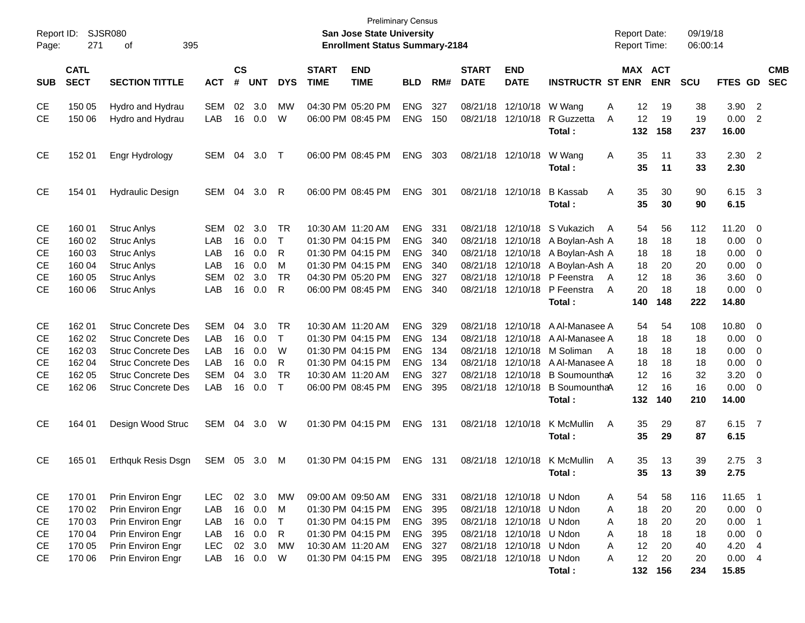| Report ID:<br>Page: | 271                        | SJSR080<br>395<br>οf      |            |                    |            |              |                             | <b>Preliminary Census</b><br><b>San Jose State University</b><br><b>Enrollment Status Summary-2184</b> |            |       |                             |                           |                                 | <b>Report Date:</b><br><b>Report Time:</b> |            | 09/19/18<br>06:00:14 |                  |                          |                          |
|---------------------|----------------------------|---------------------------|------------|--------------------|------------|--------------|-----------------------------|--------------------------------------------------------------------------------------------------------|------------|-------|-----------------------------|---------------------------|---------------------------------|--------------------------------------------|------------|----------------------|------------------|--------------------------|--------------------------|
| <b>SUB</b>          | <b>CATL</b><br><b>SECT</b> | <b>SECTION TITTLE</b>     | <b>ACT</b> | $\mathsf{cs}$<br># | <b>UNT</b> | <b>DYS</b>   | <b>START</b><br><b>TIME</b> | <b>END</b><br><b>TIME</b>                                                                              | <b>BLD</b> | RM#   | <b>START</b><br><b>DATE</b> | <b>END</b><br><b>DATE</b> | <b>INSTRUCTR ST ENR</b>         | MAX ACT                                    | <b>ENR</b> | <b>SCU</b>           | FTES GD          |                          | <b>CMB</b><br><b>SEC</b> |
| CE                  | 150 05                     | Hydro and Hydrau          | <b>SEM</b> | 02                 | 3.0        | МW           |                             | 04:30 PM 05:20 PM                                                                                      | <b>ENG</b> | 327   | 08/21/18                    | 12/10/18 W Wang           |                                 | Α<br>12                                    | 19         | 38                   | 3.90             | $\overline{\phantom{0}}$ |                          |
| CE                  | 150 06                     | Hydro and Hydrau          | LAB        | 16                 | 0.0        | W            |                             | 06:00 PM 08:45 PM                                                                                      | <b>ENG</b> | 150   | 08/21/18                    | 12/10/18                  | R Guzzetta<br>Total:            | A<br>12<br>132                             | 19<br>158  | 19<br>237            | 0.00<br>16.00    | 2                        |                          |
| CE                  | 152 01                     | Engr Hydrology            | SEM        | 04                 | 3.0        | $\top$       |                             | 06:00 PM 08:45 PM                                                                                      | <b>ENG</b> | 303   |                             | 08/21/18 12/10/18         | W Wang<br>Total:                | 35<br>Α<br>35                              | 11<br>11   | 33<br>33             | $2.30$ 2<br>2.30 |                          |                          |
| CE                  | 154 01                     | <b>Hydraulic Design</b>   | SEM        | 04                 | 3.0        | -R           |                             | 06:00 PM 08:45 PM                                                                                      | <b>ENG</b> | 301   | 08/21/18                    | 12/10/18                  | <b>B</b> Kassab<br>Total:       | 35<br>Α<br>35                              | 30<br>30   | 90<br>90             | 6.15<br>6.15     | $\overline{\mathbf{3}}$  |                          |
| CЕ                  | 160 01                     | <b>Struc Anlys</b>        | SEM        | 02                 | 3.0        | TR           |                             | 10:30 AM 11:20 AM                                                                                      | <b>ENG</b> | 331   | 08/21/18                    | 12/10/18                  | S Vukazich                      | 54<br>A                                    | 56         | 112                  | 11.20            | $\overline{\phantom{0}}$ |                          |
| СE                  | 160 02                     | <b>Struc Anlys</b>        | LAB        | 16                 | 0.0        | $\top$       |                             | 01:30 PM 04:15 PM                                                                                      | <b>ENG</b> | 340   | 08/21/18                    |                           | 12/10/18 A Boylan-Ash A         | 18                                         | 18         | 18                   | 0.00             | $\overline{\mathbf{0}}$  |                          |
| СE                  | 160 03                     | <b>Struc Anlys</b>        | LAB        | 16                 | 0.0        | R            |                             | 01:30 PM 04:15 PM                                                                                      | <b>ENG</b> | 340   | 08/21/18                    | 12/10/18                  | A Boylan-Ash A                  | 18                                         | 18         | 18                   | 0.00             | 0                        |                          |
| СE                  | 160 04                     | <b>Struc Anlys</b>        | LAB        | 16                 | 0.0        | M            |                             | 01:30 PM 04:15 PM                                                                                      | <b>ENG</b> | 340   | 08/21/18                    |                           | 12/10/18 A Boylan-Ash A         | 18                                         | 20         | 20                   | 0.00             | 0                        |                          |
| СE                  | 160 05                     | <b>Struc Anlys</b>        | <b>SEM</b> | 02                 | 3.0        | <b>TR</b>    |                             | 04:30 PM 05:20 PM                                                                                      | <b>ENG</b> | 327   | 08/21/18                    |                           | 12/10/18 P Feenstra             | 12<br>A                                    | 18         | 36                   | 3.60             | 0                        |                          |
| CE                  | 160 06                     | <b>Struc Anlys</b>        | LAB        | 16                 | 0.0        | R            |                             | 06:00 PM 08:45 PM                                                                                      | <b>ENG</b> | 340   | 08/21/18                    | 12/10/18                  | P Feenstra                      | 20<br>A                                    | 18         | 18                   | 0.00             | 0                        |                          |
|                     |                            |                           |            |                    |            |              |                             |                                                                                                        |            |       |                             |                           | Total:                          | 140                                        | 148        | 222                  | 14.80            |                          |                          |
| CЕ                  | 162 01                     | <b>Struc Concrete Des</b> | SEM        | 04                 | 3.0        | TR           |                             | 10:30 AM 11:20 AM                                                                                      | <b>ENG</b> | 329   | 08/21/18                    |                           | 12/10/18 A Al-Manasee A         | 54                                         | 54         | 108                  | 10.80            | $\overline{\phantom{0}}$ |                          |
| СE                  | 162 02                     | <b>Struc Concrete Des</b> | LAB        | 16                 | 0.0        | $\top$       |                             | 01:30 PM 04:15 PM                                                                                      | <b>ENG</b> | 134   | 08/21/18                    |                           | 12/10/18 A Al-Manasee A         | 18                                         | 18         | 18                   | 0.00             | 0                        |                          |
| СE                  | 162 03                     | <b>Struc Concrete Des</b> | LAB        | 16                 | 0.0        | W            |                             | 01:30 PM 04:15 PM                                                                                      | <b>ENG</b> | 134   | 08/21/18                    |                           | 12/10/18 M Soliman              | 18<br>A                                    | 18         | 18                   | 0.00             | 0                        |                          |
| СE                  | 162 04                     | <b>Struc Concrete Des</b> | LAB        | 16                 | 0.0        | R            |                             | 01:30 PM 04:15 PM                                                                                      | <b>ENG</b> | 134   | 08/21/18                    |                           | 12/10/18 A Al-Manasee A         | 18                                         | 18         | 18                   | 0.00             | 0                        |                          |
| СE                  | 162 05                     | <b>Struc Concrete Des</b> | <b>SEM</b> | 04                 | 3.0        | <b>TR</b>    |                             | 10:30 AM 11:20 AM                                                                                      | <b>ENG</b> | 327   | 08/21/18                    |                           | 12/10/18 B SoumounthaA          | 12                                         | 16         | 32                   | 3.20             | 0                        |                          |
| CE                  | 162 06                     | <b>Struc Concrete Des</b> | LAB        | 16                 | 0.0        | $\top$       |                             | 06:00 PM 08:45 PM                                                                                      | <b>ENG</b> | 395   |                             |                           | 08/21/18 12/10/18 B SoumounthaA | 12                                         | 16         | 16                   | 0.00             | - 0                      |                          |
|                     |                            |                           |            |                    |            |              |                             |                                                                                                        |            |       |                             |                           | Total:                          | 132                                        | 140        | 210                  | 14.00            |                          |                          |
| <b>CE</b>           | 164 01                     | Design Wood Struc         | <b>SEM</b> | 04                 | 3.0        | W            |                             | 01:30 PM 04:15 PM                                                                                      | <b>ENG</b> | - 131 |                             | 08/21/18 12/10/18         | K McMullin                      | 35<br>Α                                    | 29         | 87                   | 6.15             | $\overline{7}$           |                          |
|                     |                            |                           |            |                    |            |              |                             |                                                                                                        |            |       |                             |                           | Total:                          | 35                                         | 29         | 87                   | 6.15             |                          |                          |
| <b>CE</b>           | 165 01                     | Erthquk Resis Dsgn        | SEM        | 05                 | 3.0        | M            |                             | 01:30 PM 04:15 PM                                                                                      | <b>ENG</b> | - 131 | 08/21/18                    | 12/10/18                  | K McMullin<br>Total:            | Α<br>35<br>35                              | 13<br>13   | 39<br>39             | 2.75<br>2.75     | $\overline{\mathbf{3}}$  |                          |
| CE                  | 170 01                     | Prin Environ Engr         | LEC        |                    | 02 3.0     | MW           |                             | 09:00 AM 09:50 AM                                                                                      | ENG        | 331   |                             | 08/21/18 12/10/18 U Ndon  |                                 | 54<br>A                                    | 58         | 116                  | 11.65 1          |                          |                          |
| CE                  | 170 02                     | Prin Environ Engr         | LAB        | 16                 | 0.0        | M            |                             | 01:30 PM 04:15 PM                                                                                      | ENG        | 395   |                             | 08/21/18 12/10/18 U Ndon  |                                 | 18<br>A                                    | 20         | 20                   | $0.00 \t 0$      |                          |                          |
| CE                  | 170 03                     | Prin Environ Engr         | LAB        | 16                 | 0.0        | $\top$       |                             | 01:30 PM 04:15 PM                                                                                      | ENG        | 395   |                             | 08/21/18 12/10/18 U Ndon  |                                 | 18<br>A                                    | 20         | 20                   | 0.00             | $\overline{\phantom{1}}$ |                          |
| CE                  | 170 04                     | Prin Environ Engr         | LAB        | 16                 | 0.0        | $\mathsf{R}$ |                             | 01:30 PM 04:15 PM                                                                                      | ENG        | 395   |                             | 08/21/18 12/10/18 U Ndon  |                                 | 18<br>A                                    | 18         | 18                   | 0.00             | $\overline{\phantom{0}}$ |                          |
| CE                  | 170 05                     | Prin Environ Engr         | LEC        | $02\,$             | 3.0        | MW           |                             | 10:30 AM 11:20 AM                                                                                      | ENG        | 327   |                             | 08/21/18 12/10/18 U Ndon  |                                 | 12<br>A                                    | 20         | 40                   | 4.20 4           |                          |                          |
| CE                  | 170 06                     | Prin Environ Engr         | LAB        | 16                 | 0.0        | W            |                             | 01:30 PM 04:15 PM                                                                                      | ENG 395    |       |                             | 08/21/18 12/10/18 U Ndon  |                                 | 12<br>A                                    | 20         | 20                   | 0.004            |                          |                          |
|                     |                            |                           |            |                    |            |              |                             |                                                                                                        |            |       |                             |                           | Total:                          | 132                                        | 156        | 234                  | 15.85            |                          |                          |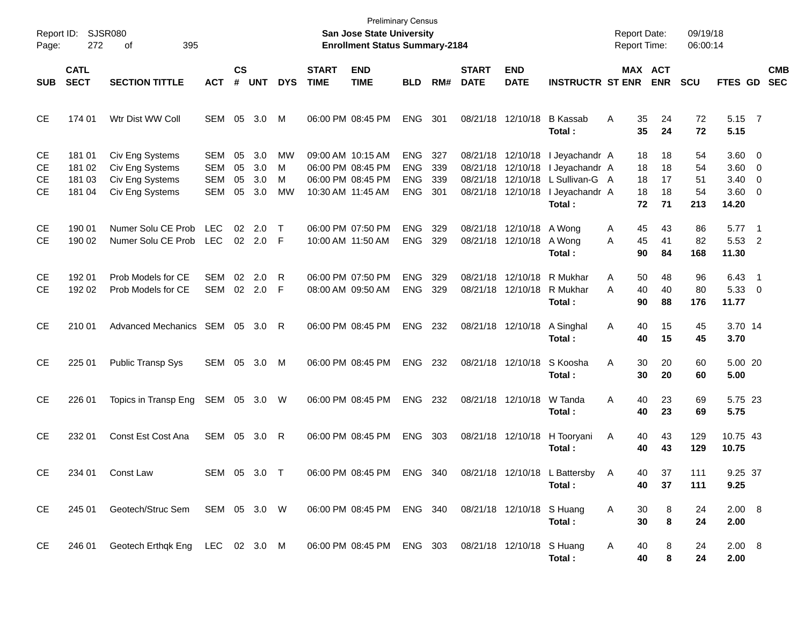| Report ID:<br>Page:  | 272                                  | SJSR080<br>395<br>οf                                                                |                                 |                      |                            |                    |                             | <b>Preliminary Census</b><br><b>San Jose State University</b><br><b>Enrollment Status Summary-2184</b> |                                               |                          |                             |                                               |                                                                                                                                      | <b>Report Date:</b><br><b>Report Time:</b> |                            | 09/19/18<br>06:00:14        |                                                       |            |
|----------------------|--------------------------------------|-------------------------------------------------------------------------------------|---------------------------------|----------------------|----------------------------|--------------------|-----------------------------|--------------------------------------------------------------------------------------------------------|-----------------------------------------------|--------------------------|-----------------------------|-----------------------------------------------|--------------------------------------------------------------------------------------------------------------------------------------|--------------------------------------------|----------------------------|-----------------------------|-------------------------------------------------------|------------|
| <b>SUB</b>           | <b>CATL</b><br><b>SECT</b>           | <b>SECTION TITTLE</b>                                                               | <b>ACT</b>                      | <b>CS</b><br>#       | <b>UNT</b>                 | <b>DYS</b>         | <b>START</b><br><b>TIME</b> | <b>END</b><br><b>TIME</b>                                                                              | <b>BLD</b>                                    | RM#                      | <b>START</b><br><b>DATE</b> | <b>END</b><br><b>DATE</b>                     | <b>INSTRUCTR ST ENR</b>                                                                                                              |                                            | MAX ACT<br><b>ENR</b>      | <b>SCU</b>                  | FTES GD SEC                                           | <b>CMB</b> |
| СE                   | 174 01                               | Wtr Dist WW Coll                                                                    | SEM                             | 05                   | 3.0                        | M                  |                             | 06:00 PM 08:45 PM                                                                                      | <b>ENG</b>                                    | 301                      |                             | 08/21/18 12/10/18                             | <b>B</b> Kassab<br>Total:                                                                                                            | A<br>35<br>35                              | 24<br>24                   | 72<br>72                    | 5.15 7<br>5.15                                        |            |
| CЕ<br>СE<br>СE<br>СE | 181 01<br>181 02<br>181 03<br>181 04 | Civ Eng Systems<br>Civ Eng Systems<br>Civ Eng Systems<br>Civ Eng Systems            | SEM<br>SEM<br><b>SEM</b><br>SEM | 05<br>05<br>05<br>05 | 3.0<br>3.0<br>3.0<br>3.0   | MW<br>M<br>M<br>MW |                             | 09:00 AM 10:15 AM<br>06:00 PM 08:45 PM<br>06:00 PM 08:45 PM<br>10:30 AM 11:45 AM                       | ENG<br><b>ENG</b><br><b>ENG</b><br><b>ENG</b> | 327<br>339<br>339<br>301 |                             | 08/21/18 12/10/18                             | 08/21/18 12/10/18 I Jeyachandr A<br>I Jeyachandr A<br>08/21/18 12/10/18 L Sullivan-G A<br>08/21/18 12/10/18 I Jeyachandr A<br>Total: | 18<br>18<br>18<br>18<br>72                 | 18<br>18<br>17<br>18<br>71 | 54<br>54<br>51<br>54<br>213 | $3.60 \ 0$<br>3.60 0<br>$3.40 \ 0$<br>3.60 0<br>14.20 |            |
| <b>CE</b><br>СE      | 190 01<br>190 02                     | Numer Solu CE Prob<br>Numer Solu CE Prob                                            | LEC<br>LEC                      |                      | $02 \quad 2.0$<br>02 2.0 F | $\top$             |                             | 06:00 PM 07:50 PM<br>10:00 AM 11:50 AM                                                                 | <b>ENG</b><br><b>ENG</b>                      | 329<br>329               |                             | 08/21/18 12/10/18 A Wong<br>08/21/18 12/10/18 | A Wong<br>Total:                                                                                                                     | 45<br>A<br>45<br>A<br>90                   | 43<br>41<br>84             | 86<br>82<br>168             | $5.77$ 1<br>5.53 2<br>11.30                           |            |
| CE<br>СE             | 192 01<br>192 02                     | Prob Models for CE<br>Prob Models for CE                                            | <b>SEM</b><br>SEM               | 02                   | 2.0<br>02 2.0              | R<br>-F            |                             | 06:00 PM 07:50 PM<br>08:00 AM 09:50 AM                                                                 | <b>ENG</b><br><b>ENG</b>                      | 329<br>329               |                             | 08/21/18 12/10/18                             | 08/21/18 12/10/18 R Mukhar<br>R Mukhar<br>Total:                                                                                     | A<br>50<br>40<br>A<br>90                   | 48<br>40<br>88             | 96<br>80<br>176             | 6.43 1<br>5.33 0<br>11.77                             |            |
| <b>CE</b>            | 210 01                               | Advanced Mechanics SEM 05 3.0                                                       |                                 |                      |                            | R                  |                             | 06:00 PM 08:45 PM                                                                                      | <b>ENG</b>                                    | 232                      |                             | 08/21/18 12/10/18                             | A Singhal<br>Total:                                                                                                                  | 40<br>A<br>40                              | 15<br>15                   | 45<br>45                    | 3.70 14<br>3.70                                       |            |
| <b>CE</b>            | 225 01                               | <b>Public Transp Sys</b>                                                            | SEM 05                          |                      | 3.0                        | M                  |                             | 06:00 PM 08:45 PM                                                                                      | <b>ENG</b>                                    | 232                      |                             | 08/21/18 12/10/18                             | S Koosha<br>Total:                                                                                                                   | 30<br>Α<br>30                              | 20<br>20                   | 60<br>60                    | 5.00 20<br>5.00                                       |            |
| <b>CE</b>            | 226 01                               | Topics in Transp Eng                                                                | SEM 05 3.0 W                    |                      |                            |                    |                             | 06:00 PM 08:45 PM                                                                                      | <b>ENG</b>                                    | 232                      |                             | 08/21/18 12/10/18                             | W Tanda<br>Total :                                                                                                                   | 40<br>Α<br>40                              | 23<br>23                   | 69<br>69                    | 5.75 23<br>5.75                                       |            |
| <b>CE</b>            | 232 01                               | Const Est Cost Ana                                                                  | SEM 05 3.0                      |                      |                            | -R                 |                             | 06:00 PM 08:45 PM                                                                                      | <b>ENG</b>                                    | 303                      |                             | 08/21/18 12/10/18                             | H Tooryani<br>Total:                                                                                                                 | Α<br>40<br>40                              | 43<br>43                   | 129<br>129                  | 10.75 43<br>10.75                                     |            |
| <b>CE</b>            | 234 01                               | Const Law                                                                           | SEM 05 3.0 T                    |                      |                            |                    |                             | 06:00 PM 08:45 PM                                                                                      | ENG 340                                       |                          |                             | 08/21/18 12/10/18 L                           | Battersby A<br>Total:                                                                                                                | 40                                         | 40<br>37<br>37             | 111<br>111                  | 9.25 37<br>9.25                                       |            |
| CE                   | 245 01                               | Geotech/Struc Sem SEM 05 3.0 W 06:00 PM 08:45 PM ENG 340 08/21/18 12/10/18 S Huang  |                                 |                      |                            |                    |                             |                                                                                                        |                                               |                          |                             |                                               | Total:                                                                                                                               | A<br>30<br>30                              | 8<br>8                     | 24<br>24                    | 2.00 8<br>2.00                                        |            |
| CE                   | 246 01                               | Geotech Erthqk Eng LEC 02 3.0 M 06:00 PM 08:45 PM ENG 303 08/21/18 12/10/18 S Huang |                                 |                      |                            |                    |                             |                                                                                                        |                                               |                          |                             |                                               | Total:                                                                                                                               | A<br>40<br>40                              | 8<br>8                     | 24<br>24                    | $2.00\quad 8$<br>2.00                                 |            |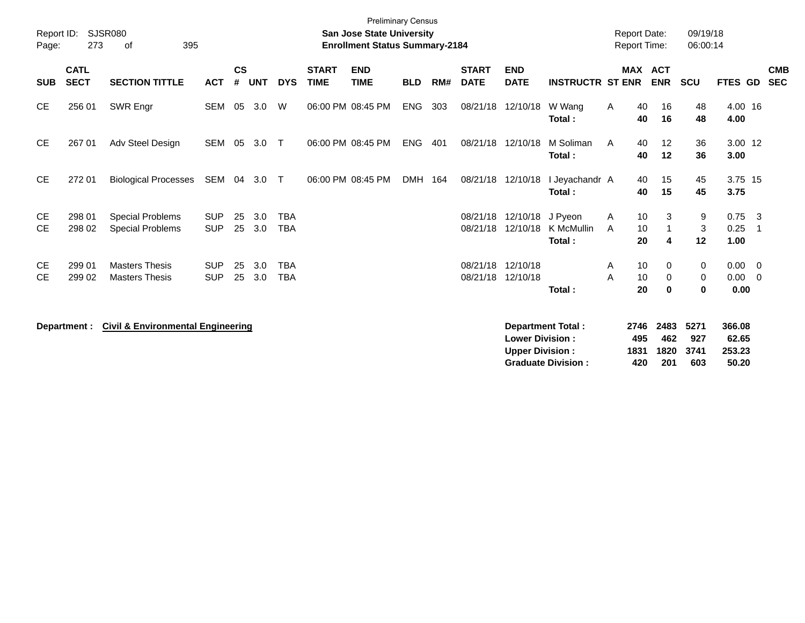|                        |                            |                                                    |                          |                    |            |                          |                             | <b>Preliminary Census</b>                                                 |            |     |                             |                                                  |                                 |              |                                            |                       |                       |                             |                |                          |
|------------------------|----------------------------|----------------------------------------------------|--------------------------|--------------------|------------|--------------------------|-----------------------------|---------------------------------------------------------------------------|------------|-----|-----------------------------|--------------------------------------------------|---------------------------------|--------------|--------------------------------------------|-----------------------|-----------------------|-----------------------------|----------------|--------------------------|
| Report ID:<br>Page:    | 273                        | <b>SJSR080</b><br>395<br>οf                        |                          |                    |            |                          |                             | <b>San Jose State University</b><br><b>Enrollment Status Summary-2184</b> |            |     |                             |                                                  |                                 |              | <b>Report Date:</b><br><b>Report Time:</b> |                       | 09/19/18<br>06:00:14  |                             |                |                          |
| <b>SUB</b>             | <b>CATL</b><br><b>SECT</b> | <b>SECTION TITTLE</b>                              | <b>ACT</b>               | $\mathsf{cs}$<br># | <b>UNT</b> | <b>DYS</b>               | <b>START</b><br><b>TIME</b> | <b>END</b><br><b>TIME</b>                                                 | <b>BLD</b> | RM# | <b>START</b><br><b>DATE</b> | <b>END</b><br><b>DATE</b>                        | <b>INSTRUCTR ST ENR</b>         |              | <b>MAX ACT</b>                             | <b>ENR</b>            | <b>SCU</b>            | FTES GD                     |                | <b>CMB</b><br><b>SEC</b> |
| <b>CE</b>              | 256 01                     | SWR Engr                                           | <b>SEM</b>               | 05                 | 3.0        | W                        |                             | 06:00 PM 08:45 PM                                                         | <b>ENG</b> | 303 | 08/21/18                    | 12/10/18                                         | W Wang<br>Total:                | $\mathsf{A}$ | 40<br>40                                   | 16<br>16              | 48<br>48              | 4.00 16<br>4.00             |                |                          |
| <b>CE</b>              | 267 01                     | Adv Steel Design                                   | SEM                      | 05                 | 3.0        | $\top$                   |                             | 06:00 PM 08:45 PM                                                         | <b>ENG</b> | 401 |                             | 08/21/18 12/10/18                                | M Soliman<br>Total:             | $\mathsf{A}$ | 40<br>40                                   | 12<br>12              | 36<br>36              | 3.00 12<br>3.00             |                |                          |
| <b>CE</b>              | 272 01                     | <b>Biological Processes</b>                        | SEM                      |                    | 04 3.0     | $\top$                   |                             | 06:00 PM 08:45 PM                                                         | <b>DMH</b> | 164 |                             | 08/21/18 12/10/18                                | I Jeyachandr A<br>Total:        |              | 40<br>40                                   | 15<br>15              | 45<br>45              | 3.75 15<br>3.75             |                |                          |
| СE<br><b>CE</b>        | 298 01<br>298 02           | <b>Special Problems</b><br><b>Special Problems</b> | <b>SUP</b><br><b>SUP</b> | 25<br>25           | 3.0<br>3.0 | <b>TBA</b><br><b>TBA</b> |                             |                                                                           |            |     | 08/21/18<br>08/21/18        | 12/10/18<br>12/10/18                             | J Pyeon<br>K McMullin<br>Total: | A<br>A       | 10<br>10<br>20                             | 3<br>1<br>4           | 9<br>$\sqrt{3}$<br>12 | $0.75$ 3<br>0.25<br>1.00    |                |                          |
| <b>CE</b><br><b>CE</b> | 299 01<br>299 02           | <b>Masters Thesis</b><br><b>Masters Thesis</b>     | <b>SUP</b><br><b>SUP</b> | 25<br>25           | 3.0<br>3.0 | <b>TBA</b><br><b>TBA</b> |                             |                                                                           |            |     | 08/21/18                    | 12/10/18<br>08/21/18 12/10/18                    | Total:                          | A<br>A       | 10<br>10<br>20                             | $\mathbf 0$<br>0<br>0 | 0<br>0<br>0           | $0.00 \t 0$<br>0.00<br>0.00 | $\overline{0}$ |                          |
|                        | Department :               | <b>Civil &amp; Environmental Engineering</b>       |                          |                    |            |                          |                             |                                                                           |            |     |                             | <b>Lower Division:</b><br><b>Upper Division:</b> | <b>Department Total:</b>        |              | 2746<br>495<br>1831                        | 2483<br>462<br>1820   | 5271<br>927<br>3741   | 366.08<br>62.65<br>253.23   |                |                          |

**Graduate Division : 420 201 603 50.20**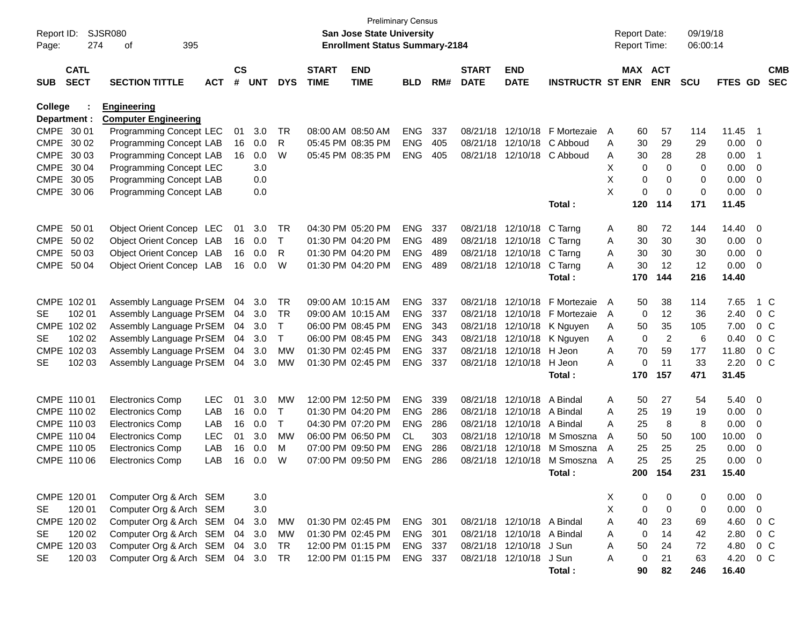| Report ID:<br>Page: | 274                        | <b>SJSR080</b><br>395<br>οf                       |            |                    |            |              |                             | San Jose State University<br><b>Enrollment Status Summary-2184</b> | <b>Preliminary Census</b> |     |                             |                            |                            |   | <b>Report Date:</b><br>Report Time: |                | 09/19/18<br>06:00:14 |             |                         |                          |
|---------------------|----------------------------|---------------------------------------------------|------------|--------------------|------------|--------------|-----------------------------|--------------------------------------------------------------------|---------------------------|-----|-----------------------------|----------------------------|----------------------------|---|-------------------------------------|----------------|----------------------|-------------|-------------------------|--------------------------|
| <b>SUB</b>          | <b>CATL</b><br><b>SECT</b> | <b>SECTION TITTLE</b>                             | <b>ACT</b> | $\mathsf{cs}$<br># | <b>UNT</b> | <b>DYS</b>   | <b>START</b><br><b>TIME</b> | <b>END</b><br><b>TIME</b>                                          | <b>BLD</b>                | RM# | <b>START</b><br><b>DATE</b> | <b>END</b><br><b>DATE</b>  | <b>INSTRUCTR ST ENR</b>    |   | MAX ACT                             | <b>ENR</b>     | <b>SCU</b>           | FTES GD     |                         | <b>CMB</b><br><b>SEC</b> |
| <b>College</b>      | Department :               | <b>Engineering</b><br><b>Computer Engineering</b> |            |                    |            |              |                             |                                                                    |                           |     |                             |                            |                            |   |                                     |                |                      |             |                         |                          |
|                     | CMPE 30 01                 | Programming Concept LEC                           |            | 01                 | 3.0        | TR           |                             | 08:00 AM 08:50 AM                                                  | <b>ENG</b>                | 337 |                             | 08/21/18 12/10/18          | F Mortezaie                | A | 60                                  | 57             | 114                  | 11.45       | - 1                     |                          |
|                     | CMPE 30 02                 | Programming Concept LAB                           |            | 16                 | 0.0        | R            |                             | 05:45 PM 08:35 PM                                                  | <b>ENG</b>                | 405 |                             |                            | 08/21/18 12/10/18 C Abboud | A | 30                                  | 29             | 29                   | 0.00        | $\overline{\mathbf{0}}$ |                          |
|                     | CMPE 30 03                 | Programming Concept LAB                           |            | 16                 | 0.0        | W            |                             | 05:45 PM 08:35 PM                                                  | <b>ENG</b>                | 405 |                             |                            | 08/21/18 12/10/18 C Abboud | A | 30                                  | 28             | 28                   | 0.00        | -1                      |                          |
|                     | CMPE 30 04                 | Programming Concept LEC                           |            |                    | 3.0        |              |                             |                                                                    |                           |     |                             |                            |                            | X | 0                                   | $\Omega$       | 0                    | 0.00        | 0                       |                          |
|                     | CMPE 30 05                 | Programming Concept LAB                           |            |                    | 0.0        |              |                             |                                                                    |                           |     |                             |                            |                            | X | 0                                   | 0              | 0                    | 0.00        | 0                       |                          |
|                     | CMPE 30 06                 | Programming Concept LAB                           |            |                    | 0.0        |              |                             |                                                                    |                           |     |                             |                            |                            | X | 0                                   | $\mathbf 0$    | $\mathbf 0$          | 0.00        | $\overline{0}$          |                          |
|                     |                            |                                                   |            |                    |            |              |                             |                                                                    |                           |     |                             |                            | Total:                     |   | 120                                 | 114            | 171                  | 11.45       |                         |                          |
| CMPE 50 01          |                            | Object Orient Concep LEC                          |            | 01                 | 3.0        | TR           |                             | 04:30 PM 05:20 PM                                                  | <b>ENG</b>                | 337 |                             | 08/21/18 12/10/18          | C Tarng                    | A | 80                                  | 72             | 144                  | 14.40       | 0                       |                          |
|                     | CMPE 50 02                 | Object Orient Concep LAB                          |            | 16                 | 0.0        | T            |                             | 01:30 PM 04:20 PM                                                  | <b>ENG</b>                | 489 |                             | 08/21/18 12/10/18          | C Tarng                    | A | 30                                  | 30             | 30                   | 0.00        | 0                       |                          |
|                     | CMPE 50 03                 | Object Orient Concep LAB                          |            | 16                 | 0.0        | R            |                             | 01:30 PM 04:20 PM                                                  | <b>ENG</b>                | 489 |                             | 08/21/18 12/10/18 C Tarng  |                            | Α | 30                                  | 30             | 30                   | 0.00        | 0                       |                          |
|                     | CMPE 50 04                 | Object Orient Concep LAB                          |            | 16                 | 0.0        | W            |                             | 01:30 PM 04:20 PM                                                  | <b>ENG</b>                | 489 |                             | 08/21/18 12/10/18          | C Tarng                    | A | 30                                  | 12             | 12                   | 0.00        | $\overline{\mathbf{0}}$ |                          |
|                     |                            |                                                   |            |                    |            |              |                             |                                                                    |                           |     |                             |                            | Total:                     |   | 170                                 | 144            | 216                  | 14.40       |                         |                          |
|                     | CMPE 102 01                | Assembly Language PrSEM                           |            | 04                 | 3.0        | <b>TR</b>    |                             | 09:00 AM 10:15 AM                                                  | <b>ENG</b>                | 337 |                             | 08/21/18 12/10/18          | F Mortezaie                | A | 50                                  | 38             | 114                  | 7.65        | 1 C                     |                          |
| SE                  | 102 01                     | Assembly Language PrSEM                           |            | 04                 | 3.0        | TR           |                             | 09:00 AM 10:15 AM                                                  | <b>ENG</b>                | 337 |                             | 08/21/18 12/10/18          | F Mortezaie                | A | 0                                   | 12             | 36                   | 2.40        | 0 <sup>o</sup>          |                          |
|                     | CMPE 102 02                | Assembly Language PrSEM                           |            | 04                 | 3.0        | T            |                             | 06:00 PM 08:45 PM                                                  | <b>ENG</b>                | 343 |                             | 08/21/18 12/10/18          | K Nguyen                   | A | 50                                  | 35             | 105                  | 7.00        |                         | 0 <sup>o</sup>           |
| SE                  | 102 02                     | Assembly Language PrSEM                           |            | 04                 | 3.0        | $\mathsf{T}$ |                             | 06:00 PM 08:45 PM                                                  | <b>ENG</b>                | 343 |                             | 08/21/18 12/10/18          | K Nguyen                   | A | $\mathbf 0$                         | $\overline{c}$ | 6                    | 0.40        |                         | 0 <sup>o</sup>           |
|                     | CMPE 102 03                | Assembly Language PrSEM                           |            | 04                 | 3.0        | <b>MW</b>    |                             | 01:30 PM 02:45 PM                                                  | <b>ENG</b>                | 337 |                             | 08/21/18 12/10/18 H Jeon   |                            | A | 70                                  | 59             | 177                  | 11.80       |                         | 0 <sup>o</sup>           |
| <b>SE</b>           | 102 03                     | Assembly Language PrSEM                           |            | 04                 | 3.0        | MW           |                             | 01:30 PM 02:45 PM                                                  | <b>ENG</b>                | 337 |                             | 08/21/18 12/10/18          | H Jeon                     | A | 0                                   | 11             | 33                   | 2.20        |                         | 0 <sup>o</sup>           |
|                     |                            |                                                   |            |                    |            |              |                             |                                                                    |                           |     |                             |                            | Total:                     |   | 170                                 | 157            | 471                  | 31.45       |                         |                          |
|                     | CMPE 110 01                | <b>Electronics Comp</b>                           | <b>LEC</b> | 01                 | 3.0        | MW           |                             | 12:00 PM 12:50 PM                                                  | <b>ENG</b>                | 339 |                             | 08/21/18 12/10/18 A Bindal |                            | A | 50                                  | 27             | 54                   | 5.40        | $\overline{\mathbf{0}}$ |                          |
|                     | CMPE 110 02                | <b>Electronics Comp</b>                           | LAB        | 16                 | 0.0        | $\top$       |                             | 01:30 PM 04:20 PM                                                  | <b>ENG</b>                | 286 |                             | 08/21/18 12/10/18 A Bindal |                            | A | 25                                  | 19             | 19                   | 0.00        | $\overline{\mathbf{0}}$ |                          |
|                     | CMPE 110 03                | <b>Electronics Comp</b>                           | LAB        | 16                 | 0.0        | T            |                             | 04:30 PM 07:20 PM                                                  | <b>ENG</b>                | 286 |                             | 08/21/18 12/10/18 A Bindal |                            | A | 25                                  | 8              | 8                    | 0.00        | 0                       |                          |
|                     | CMPE 110 04                | <b>Electronics Comp</b>                           | <b>LEC</b> | 01                 | 3.0        | <b>MW</b>    |                             | 06:00 PM 06:50 PM                                                  | <b>CL</b>                 | 303 |                             | 08/21/18 12/10/18          | M Smoszna                  | A | 50                                  | 50             | 100                  | 10.00       | 0                       |                          |
|                     | CMPE 110 05                | <b>Electronics Comp</b>                           | LAB        | 16                 | 0.0        | M            |                             | 07:00 PM 09:50 PM                                                  | <b>ENG</b>                | 286 |                             | 08/21/18 12/10/18          | M Smoszna                  | A | 25                                  | 25             | 25                   | 0.00        | 0                       |                          |
|                     | CMPE 110 06                | <b>Electronics Comp</b>                           | LAB        | 16                 | 0.0        | W            |                             | 07:00 PM 09:50 PM                                                  | <b>ENG</b>                | 286 |                             | 08/21/18 12/10/18          | M Smoszna                  | A | 25                                  | 25             | 25                   | 0.00        | 0                       |                          |
|                     |                            |                                                   |            |                    |            |              |                             |                                                                    |                           |     |                             |                            | Total:                     |   | 200                                 | 154            | 231                  | 15.40       |                         |                          |
|                     | CMPE 120 01                | Computer Org & Arch SEM                           |            |                    | 3.0        |              |                             |                                                                    |                           |     |                             |                            |                            | X | 0                                   | 0              | 0                    | $0.00 \t 0$ |                         |                          |
| <b>SE</b>           | 120 01                     | Computer Org & Arch SEM                           |            |                    | 3.0        |              |                             |                                                                    |                           |     |                             |                            |                            | X | 0                                   | $\mathbf 0$    | 0                    | 0.00        | $\overline{0}$          |                          |
|                     | CMPE 120 02                | Computer Org & Arch SEM                           |            | 04                 | 3.0        | МW           |                             | 01:30 PM 02:45 PM                                                  | ENG 301                   |     |                             | 08/21/18 12/10/18 A Bindal |                            | A | 40                                  | 23             | 69                   | 4.60        | $0\,C$                  |                          |
| <b>SE</b>           | 120 02                     | Computer Org & Arch SEM                           |            |                    | 04 3.0     | <b>MW</b>    |                             | 01:30 PM 02:45 PM                                                  | <b>ENG</b>                | 301 |                             | 08/21/18 12/10/18 A Bindal |                            | A | 0                                   | 14             | 42                   | 2.80        |                         | $0\,C$                   |
|                     | CMPE 120 03                | Computer Org & Arch SEM                           |            |                    | 04 3.0     | <b>TR</b>    |                             | 12:00 PM 01:15 PM                                                  | ENG 337                   |     |                             | 08/21/18 12/10/18 J Sun    |                            | A | 50                                  | 24             | 72                   | 4.80        |                         | $0\,C$                   |
| <b>SE</b>           | 120 03                     | Computer Org & Arch SEM 04 3.0                    |            |                    |            | TR           |                             | 12:00 PM 01:15 PM                                                  | ENG 337                   |     |                             | 08/21/18 12/10/18 J Sun    |                            | Α | 0                                   | 21             | 63                   | 4.20        |                         | $0\,C$                   |
|                     |                            |                                                   |            |                    |            |              |                             |                                                                    |                           |     |                             |                            | Total:                     |   | 90                                  | 82             | 246                  | 16.40       |                         |                          |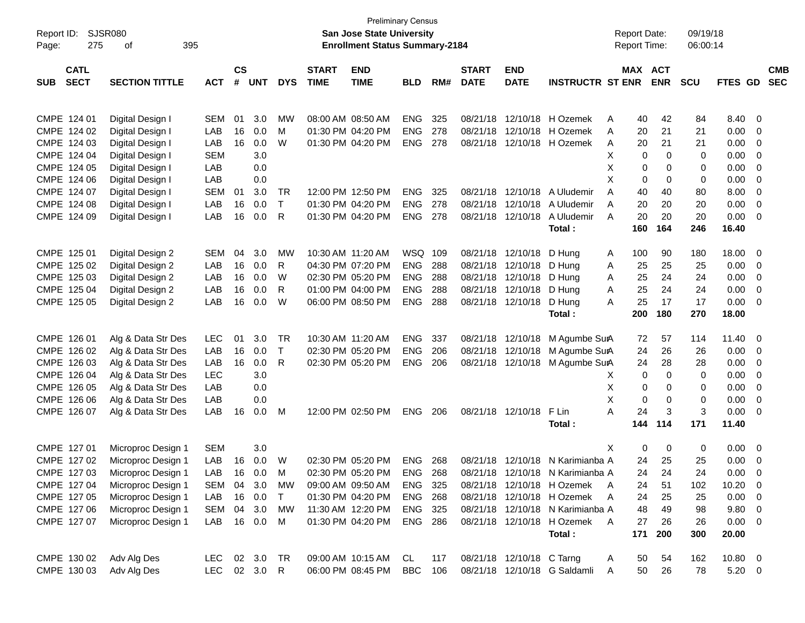|                           |                       |            |               |            |            |                   |                                       | <b>Preliminary Census</b> |     |              |                           |                                  |                     |            |                            |             |                          |            |
|---------------------------|-----------------------|------------|---------------|------------|------------|-------------------|---------------------------------------|---------------------------|-----|--------------|---------------------------|----------------------------------|---------------------|------------|----------------------------|-------------|--------------------------|------------|
| Report ID:                | SJSR080               |            |               |            |            |                   | <b>San Jose State University</b>      |                           |     |              |                           |                                  | <b>Report Date:</b> |            | 09/19/18                   |             |                          |            |
| 275<br>Page:              | 395<br>οf             |            |               |            |            |                   | <b>Enrollment Status Summary-2184</b> |                           |     |              |                           |                                  | <b>Report Time:</b> |            | 06:00:14                   |             |                          |            |
|                           |                       |            |               |            |            |                   |                                       |                           |     |              |                           |                                  |                     |            |                            |             |                          |            |
| <b>CATL</b>               |                       |            | $\mathsf{cs}$ |            |            | <b>START</b>      | <b>END</b>                            |                           |     | <b>START</b> | <b>END</b>                |                                  |                     | MAX ACT    |                            |             |                          | <b>CMB</b> |
| <b>SECT</b><br><b>SUB</b> | <b>SECTION TITTLE</b> | <b>ACT</b> | #             | <b>UNT</b> | <b>DYS</b> | <b>TIME</b>       | <b>TIME</b>                           | <b>BLD</b>                | RM# | <b>DATE</b>  | <b>DATE</b>               | <b>INSTRUCTR ST ENR</b>          |                     | <b>ENR</b> | <b>SCU</b>                 | FTES GD     |                          | <b>SEC</b> |
|                           |                       |            |               |            |            |                   |                                       |                           |     |              |                           |                                  |                     |            |                            |             |                          |            |
| CMPE 124 01               | Digital Design I      | <b>SEM</b> | 01            | 3.0        | <b>MW</b>  |                   | 08:00 AM 08:50 AM                     | <b>ENG</b>                | 325 | 08/21/18     | 12/10/18                  | H Ozemek                         | Α                   | 40         | 42<br>84                   | 8.40        | $\mathbf 0$              |            |
| CMPE 124 02               | Digital Design I      | LAB        | 16            | 0.0        | M          |                   | 01:30 PM 04:20 PM                     | <b>ENG</b>                | 278 | 08/21/18     | 12/10/18                  | H Ozemek                         | Α                   | 20         | 21<br>21                   | 0.00        | 0                        |            |
| CMPE 124 03               | Digital Design I      | LAB        | 16            | 0.0        | W          |                   | 01:30 PM 04:20 PM                     | <b>ENG</b>                | 278 | 08/21/18     | 12/10/18                  | H Ozemek                         | A                   | 20         | 21<br>21                   | 0.00        | 0                        |            |
| CMPE 124 04               | Digital Design I      | <b>SEM</b> |               | 3.0        |            |                   |                                       |                           |     |              |                           |                                  | х                   | 0          | $\Omega$<br>$\Omega$       | 0.00        | $\overline{0}$           |            |
| CMPE 124 05               | Digital Design I      | LAB        |               | 0.0        |            |                   |                                       |                           |     |              |                           |                                  | Χ                   | 0          | 0<br>0                     | 0.00        | $\overline{0}$           |            |
| CMPE 124 06               | Digital Design I      | LAB        |               | 0.0        |            |                   |                                       |                           |     |              |                           |                                  | X                   | 0          | 0<br>0                     | 0.00        | $\overline{0}$           |            |
| CMPE 124 07               | Digital Design I      | <b>SEM</b> | 01            | 3.0        | TR         |                   | 12:00 PM 12:50 PM                     | <b>ENG</b>                | 325 | 08/21/18     | 12/10/18                  | A Uludemir                       | A                   | 40         | 40<br>80                   | 8.00        | 0                        |            |
| CMPE 124 08               | Digital Design I      | LAB        | 16            | 0.0        | T          |                   | 01:30 PM 04:20 PM                     | <b>ENG</b>                | 278 | 08/21/18     | 12/10/18                  | A Uludemir                       | A                   | 20         | 20<br>20                   | 0.00        | 0                        |            |
| CMPE 124 09               | Digital Design I      | LAB        | 16            | 0.0        | R          |                   | 01:30 PM 04:20 PM                     | <b>ENG</b>                | 278 |              | 08/21/18 12/10/18         | A Uludemir                       | A                   | 20         | 20<br>20                   | 0.00        | 0                        |            |
|                           |                       |            |               |            |            |                   |                                       |                           |     |              |                           | Total:                           | 160                 | 164        | 246                        | 16.40       |                          |            |
|                           |                       |            |               |            |            |                   |                                       |                           |     |              |                           |                                  |                     |            |                            |             |                          |            |
| CMPE 125 01               | Digital Design 2      | <b>SEM</b> | 04            | 3.0        | <b>MW</b>  |                   | 10:30 AM 11:20 AM                     | WSQ 109                   |     |              | 08/21/18 12/10/18         | D Hung                           | 100<br>A            |            | 90<br>180                  | 18.00       | $\mathbf{0}$             |            |
| CMPE 125 02               | Digital Design 2      | LAB        | 16            | 0.0        | R          |                   | 04:30 PM 07:20 PM                     | <b>ENG</b>                | 288 |              | 08/21/18 12/10/18         | D Hung                           | Α                   | 25         | 25<br>25                   | 0.00        | 0                        |            |
| CMPE 125 03               | Digital Design 2      | LAB        | 16            | 0.0        | W          |                   | 02:30 PM 05:20 PM                     | <b>ENG</b>                | 288 |              | 08/21/18 12/10/18         | D Hung                           | Α                   | 25         | 24<br>24                   | 0.00        | 0                        |            |
| CMPE 125 04               | Digital Design 2      | LAB        | 16            | 0.0        | R          |                   | 01:00 PM 04:00 PM                     | <b>ENG</b>                | 288 |              | 08/21/18 12/10/18         | D Hung                           | Α                   | 25         | 24<br>24                   | 0.00        | 0                        |            |
| CMPE 125 05               | Digital Design 2      | LAB        | 16            | 0.0        | W          |                   | 06:00 PM 08:50 PM                     | <b>ENG</b>                | 288 |              | 08/21/18 12/10/18         | D Hung                           | A                   | 25         | 17<br>17                   | 0.00        | 0                        |            |
|                           |                       |            |               |            |            |                   |                                       |                           |     |              |                           | Total:                           | 200                 | 180        | 270                        | 18.00       |                          |            |
|                           |                       |            |               |            |            |                   |                                       |                           |     |              |                           |                                  |                     |            |                            |             |                          |            |
| CMPE 126 01               | Alg & Data Str Des    | <b>LEC</b> | 01            | 3.0        | <b>TR</b>  | 10:30 AM 11:20 AM |                                       | <b>ENG</b>                | 337 |              | 08/21/18 12/10/18         | M Agumbe SurA                    |                     | 72         | 57<br>114                  | 11.40       | $\mathbf{0}$             |            |
| CMPE 126 02               | Alg & Data Str Des    | LAB        | 16            | 0.0        | T          |                   | 02:30 PM 05:20 PM                     | <b>ENG</b>                | 206 | 08/21/18     | 12/10/18                  | M Agumbe SurA                    |                     | 24         | 26<br>26                   | 0.00        | 0                        |            |
| CMPE 126 03               | Alg & Data Str Des    | LAB        | 16            | 0.0        | R          |                   | 02:30 PM 05:20 PM                     | <b>ENG</b>                | 206 |              | 08/21/18 12/10/18         | M Agumbe SurA                    |                     | 24         | 28<br>28                   | 0.00        | 0                        |            |
| CMPE 126 04               | Alg & Data Str Des    | <b>LEC</b> |               | 3.0        |            |                   |                                       |                           |     |              |                           |                                  | х                   | 0          | $\Omega$<br>0              | 0.00        | $\overline{0}$           |            |
| CMPE 126 05               | Alg & Data Str Des    | LAB        |               | 0.0        |            |                   |                                       |                           |     |              |                           |                                  | Χ                   | 0          | 0<br>0                     | 0.00        | $\overline{0}$           |            |
| CMPE 126 06               | Alg & Data Str Des    | LAB        |               | 0.0        |            |                   |                                       |                           |     |              |                           |                                  | Χ                   | 0          | $\mathbf 0$<br>$\mathbf 0$ | 0.00        | 0                        |            |
| CMPE 126 07               | Alg & Data Str Des    | LAB        | 16            | 0.0        | M          |                   | 12:00 PM 02:50 PM                     | <b>ENG</b>                | 206 |              | 08/21/18 12/10/18         | F Lin                            | А                   | 24         | 3<br>3                     | 0.00        | 0                        |            |
|                           |                       |            |               |            |            |                   |                                       |                           |     |              |                           | Total:                           | 144                 | 114        | 171                        | 11.40       |                          |            |
|                           |                       |            |               |            |            |                   |                                       |                           |     |              |                           |                                  |                     |            |                            |             |                          |            |
| CMPE 127 01               | Microproc Design 1    | <b>SEM</b> |               | 3.0        |            |                   |                                       |                           |     |              |                           |                                  | X                   | 0          | 0<br>0                     | 0.00        | 0                        |            |
| CMPE 127 02               | Microproc Design 1    | LAB        | 16            | 0.0        | W          |                   | 02:30 PM 05:20 PM                     | <b>ENG</b>                | 268 |              | 08/21/18 12/10/18         | N Karimianba A                   |                     | 24         | 25<br>25                   | 0.00        | 0                        |            |
| CMPE 127 03               | Microproc Design 1    | LAB        |               | 16  0.0    | M          |                   | 02:30 PM 05:20 PM                     | ENG                       | 268 |              |                           | 08/21/18 12/10/18 N Karimianba A |                     | 24         | 24<br>24                   | 0.00        | $\overline{\mathbf{0}}$  |            |
| CMPE 127 04               | Microproc Design 1    | SEM        |               | 04 3.0     | МW         |                   | 09:00 AM 09:50 AM                     | ENG 325                   |     |              |                           | 08/21/18 12/10/18 H Ozemek A     |                     | 24         | 51<br>102                  | 10.20       | $\overline{\phantom{0}}$ |            |
| CMPE 127 05               | Microproc Design 1    | LAB        |               | 16 0.0     | T          |                   | 01:30 PM 04:20 PM                     | <b>ENG 268</b>            |     |              |                           | 08/21/18 12/10/18 H Ozemek       | A                   | 24         | 25<br>25                   | 0.00        | $\overline{\phantom{0}}$ |            |
| CMPE 127 06               | Microproc Design 1    | <b>SEM</b> |               | 04 3.0     | МW         |                   | 11:30 AM 12:20 PM                     | ENG 325                   |     |              |                           | 08/21/18 12/10/18 N Karimianba A |                     | 48         | 49<br>98                   | $9.80\ 0$   |                          |            |
| CMPE 127 07               | Microproc Design 1    | LAB        |               | 16  0.0    | M          |                   | 01:30 PM 04:20 PM                     | <b>ENG 286</b>            |     |              |                           | 08/21/18 12/10/18 H Ozemek       | <sup>A</sup>        | 27         | 26<br>26                   | $0.00 \t 0$ |                          |            |
|                           |                       |            |               |            |            |                   |                                       |                           |     |              |                           | Total:                           | 171                 | 200        | 300                        | 20.00       |                          |            |
|                           |                       |            |               |            |            |                   |                                       |                           |     |              |                           |                                  |                     |            |                            |             |                          |            |
| CMPE 130 02               | Adv Alg Des           | <b>LEC</b> |               | 02 3.0     | TR.        |                   | 09:00 AM 10:15 AM                     | CL                        | 117 |              | 08/21/18 12/10/18 C Tarng |                                  | A                   | 50         | 54<br>162                  | 10.80 0     |                          |            |
| CMPE 130 03               | Adv Alg Des           | <b>LEC</b> |               | 02 3.0 R   |            |                   | 06:00 PM 08:45 PM                     | <b>BBC</b>                | 106 |              |                           | 08/21/18 12/10/18 G Saldamli     | A                   | 50         | 26<br>78                   | $5.20 \t 0$ |                          |            |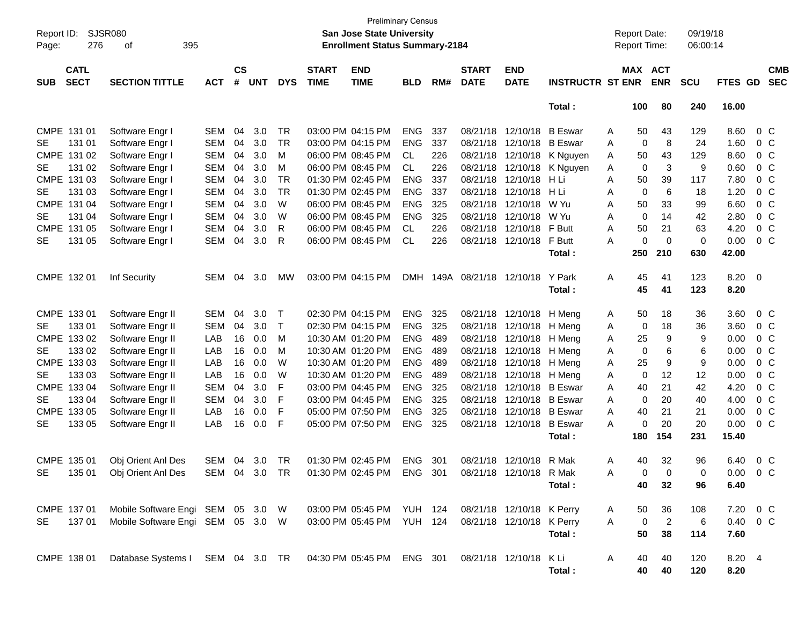| Report ID:<br>Page:                      | <b>SJSR080</b><br>395<br>276<br>οf                         |               |                    |            |            |                             | <b>San Jose State University</b><br><b>Enrollment Status Summary-2184</b> | <b>Preliminary Census</b> |      |                             |                           |                            |              | <b>Report Date:</b><br><b>Report Time:</b> |                | 09/19/18<br>06:00:14 |          |                          |
|------------------------------------------|------------------------------------------------------------|---------------|--------------------|------------|------------|-----------------------------|---------------------------------------------------------------------------|---------------------------|------|-----------------------------|---------------------------|----------------------------|--------------|--------------------------------------------|----------------|----------------------|----------|--------------------------|
| <b>CATL</b><br><b>SECT</b><br><b>SUB</b> | <b>SECTION TITTLE</b>                                      | <b>ACT</b>    | $\mathsf{cs}$<br># | <b>UNT</b> | <b>DYS</b> | <b>START</b><br><b>TIME</b> | <b>END</b><br><b>TIME</b>                                                 | <b>BLD</b>                | RM#  | <b>START</b><br><b>DATE</b> | <b>END</b><br><b>DATE</b> | <b>INSTRUCTR ST ENR</b>    |              | MAX ACT                                    | <b>ENR</b>     | <b>SCU</b>           | FTES GD  | <b>CMB</b><br><b>SEC</b> |
|                                          |                                                            |               |                    |            |            |                             |                                                                           |                           |      |                             |                           | Total:                     |              | 100                                        | 80             | 240                  | 16.00    |                          |
| CMPE 131 01                              | Software Engr I                                            | SEM           | 04                 | 3.0        | TR         |                             | 03:00 PM 04:15 PM                                                         | <b>ENG</b>                | 337  |                             | 08/21/18 12/10/18 B Eswar |                            | A            | 50                                         | 43             | 129                  | 8.60     | $0\,C$                   |
| 131 01<br>SE                             | Software Engr I                                            | SEM           | 04                 | 3.0        | TR         |                             | 03:00 PM 04:15 PM                                                         | <b>ENG</b>                | 337  |                             | 08/21/18 12/10/18         | B Eswar                    | A            | 0                                          | 8              | 24                   | 1.60     | $0\,C$                   |
| CMPE 131 02                              | Software Engr I                                            | SEM           | 04                 | 3.0        | M          |                             | 06:00 PM 08:45 PM                                                         | CL.                       | 226  |                             | 08/21/18 12/10/18         | K Nguyen                   | A            | 50                                         | 43             | 129                  | 8.60     | $0\,C$                   |
| SE<br>131 02                             | Software Engr I                                            | SEM           | 04                 | 3.0        | м          |                             | 06:00 PM 08:45 PM                                                         | CL.                       | 226  |                             |                           | 08/21/18 12/10/18 K Nguyen | A            | 0                                          | 3              | 9                    | 0.60     | 0 <sup>C</sup>           |
| CMPE 131 03                              | Software Engr I                                            | SEM           | 04                 | 3.0        | <b>TR</b>  |                             | 01:30 PM 02:45 PM                                                         | <b>ENG</b>                | 337  |                             | 08/21/18 12/10/18 H Li    |                            | Α            | 50                                         | 39             | 117                  | 7.80     | 0 <sup>C</sup>           |
| SE<br>131 03                             | Software Engr I                                            | SEM           | 04                 | 3.0        | <b>TR</b>  |                             | 01:30 PM 02:45 PM                                                         | <b>ENG</b>                | 337  | 08/21/18                    | 12/10/18                  | HLi                        | Α            | 0                                          | 6              | 18                   | 1.20     | 0 <sup>C</sup>           |
| CMPE 131 04                              | Software Engr I                                            | SEM           | 04                 | 3.0        | W          |                             | 06:00 PM 08:45 PM                                                         | <b>ENG</b>                | 325  | 08/21/18                    | 12/10/18                  | W Yu                       | Α            | 50                                         | 33             | 99                   | 6.60     | 0 <sup>C</sup>           |
| SE<br>131 04                             | Software Engr I                                            | SEM           | 04                 | 3.0        | W          |                             | 06:00 PM 08:45 PM                                                         | <b>ENG</b>                | 325  |                             | 08/21/18 12/10/18         | W Yu                       | A            | 0                                          | 14             | 42                   | 2.80     | 0 <sup>C</sup>           |
| CMPE 131 05                              | Software Engr I                                            | SEM           | 04                 | 3.0        | R          |                             | 06:00 PM 08:45 PM                                                         | CL.                       | 226  |                             | 08/21/18 12/10/18 F Butt  |                            | A            | 50                                         | 21             | 63                   | 4.20     | 0 <sup>C</sup>           |
| <b>SE</b><br>131 05                      | Software Engr I                                            | <b>SEM</b>    | 04                 | 3.0        | R          |                             | 06:00 PM 08:45 PM                                                         | <b>CL</b>                 | 226  |                             | 08/21/18 12/10/18         | F Butt                     | A            | 0                                          | $\mathbf 0$    | 0                    | 0.00     | $0\,C$                   |
|                                          |                                                            |               |                    |            |            |                             |                                                                           |                           |      |                             |                           | Total:                     |              | 250                                        | 210            | 630                  | 42.00    |                          |
| CMPE 132 01                              | Inf Security                                               | SEM           | 04                 | 3.0        | MW         |                             | 03:00 PM 04:15 PM                                                         | <b>DMH</b>                | 149A |                             | 08/21/18 12/10/18         | Y Park                     | Α            | 45                                         | 41             | 123                  | 8.20 0   |                          |
|                                          |                                                            |               |                    |            |            |                             |                                                                           |                           |      |                             |                           | Total:                     |              | 45                                         | 41             | 123                  | 8.20     |                          |
| CMPE 133 01                              | Software Engr II                                           | SEM           | 04                 | 3.0        | T          |                             | 02:30 PM 04:15 PM                                                         | ENG                       | 325  |                             | 08/21/18 12/10/18 H Meng  |                            | A            | 50                                         | 18             | 36                   | 3.60     | $0\,C$                   |
| SE<br>13301                              | Software Engr II                                           | <b>SEM</b>    | 04                 | 3.0        | T          |                             | 02:30 PM 04:15 PM                                                         | <b>ENG</b>                | 325  |                             | 08/21/18 12/10/18 H Meng  |                            | A            | 0                                          | 18             | 36                   | 3.60     | $0\,C$                   |
| CMPE 133 02                              | Software Engr II                                           | LAB           | 16                 | 0.0        | M          |                             | 10:30 AM 01:20 PM                                                         | <b>ENG</b>                | 489  |                             | 08/21/18 12/10/18 H Meng  |                            | A            | 25                                         | 9              | 9                    | 0.00     | $0\,C$                   |
| 133 02<br>SE                             | Software Engr II                                           | LAB           | 16                 | 0.0        | M          |                             | 10:30 AM 01:20 PM                                                         | <b>ENG</b>                | 489  |                             | 08/21/18 12/10/18 H Meng  |                            | A            | 0                                          | 6              | 6                    | 0.00     | 0 <sup>C</sup>           |
| CMPE 133 03                              | Software Engr II                                           | LAB           | 16                 | 0.0        | W          |                             | 10:30 AM 01:20 PM                                                         | <b>ENG</b>                | 489  |                             | 08/21/18 12/10/18 H Meng  |                            | Α            | 25                                         | 9              | 9                    | 0.00     | 0 <sup>C</sup>           |
| SE<br>133 03                             | Software Engr II                                           | LAB           | 16                 | 0.0        | W          |                             | 10:30 AM 01:20 PM                                                         | <b>ENG</b>                | 489  |                             | 08/21/18 12/10/18 H Meng  |                            | A            | 0                                          | 12             | 12                   | 0.00     | 0 <sup>C</sup>           |
| CMPE 133 04                              | Software Engr II                                           | <b>SEM</b>    | 04                 | 3.0        | F          |                             | 03:00 PM 04:45 PM                                                         | <b>ENG</b>                | 325  |                             | 08/21/18 12/10/18         | B Eswar                    | Α            | 40                                         | 21             | 42                   | 4.20     | 0 <sup>C</sup>           |
| SE<br>133 04                             | Software Engr II                                           | SEM           | 04                 | 3.0        | F          |                             | 03:00 PM 04:45 PM                                                         | <b>ENG</b>                | 325  |                             | 08/21/18 12/10/18 B Eswar |                            | A            | 0                                          | 20             | 40                   | 4.00     | 0 <sup>C</sup>           |
| CMPE 133 05                              | Software Engr II                                           | LAB           | 16                 | 0.0        | F          |                             | 05:00 PM 07:50 PM                                                         | <b>ENG</b>                | 325  |                             | 08/21/18 12/10/18 B Eswar |                            | A            | 40                                         | 21             | 21                   | 0.00     | 0 <sup>C</sup>           |
| <b>SE</b><br>133 05                      | Software Engr II                                           | LAB           | 16                 | 0.0        | F          |                             | 05:00 PM 07:50 PM                                                         | <b>ENG</b>                | 325  |                             | 08/21/18 12/10/18         | <b>B</b> Eswar             | A            | 0                                          | 20             | 20                   | 0.00     | $0\,C$                   |
|                                          |                                                            |               |                    |            |            |                             |                                                                           |                           |      |                             |                           | Total:                     |              | 180                                        | 154            | 231                  | 15.40    |                          |
|                                          |                                                            |               |                    |            |            |                             |                                                                           |                           |      |                             |                           |                            |              |                                            |                |                      |          |                          |
| CMPE 135 01                              | Obj Orient Anl Des                                         | SEM           | 04                 | 3.0        | TR         |                             | 01:30 PM 02:45 PM                                                         | <b>ENG</b>                | 301  |                             | 08/21/18 12/10/18         | R Mak                      | Α            | 40                                         | 32             | 96                   | 6.40     | $0\,C$                   |
| <b>SE</b><br>135 01                      | Obj Orient Anl Des                                         | SEM 04 3.0 TR |                    |            |            |                             | 01:30 PM 02:45 PM                                                         | ENG 301                   |      |                             | 08/21/18 12/10/18 R Mak   |                            | A            | $\Omega$                                   | $\Omega$       | $\Omega$             | 0.00     | $0\,$ C                  |
|                                          |                                                            |               |                    |            |            |                             |                                                                           |                           |      |                             |                           | Total:                     |              | 40                                         | 32             | 96                   | 6.40     |                          |
| CMPE 137 01                              | Mobile Software Engi SEM 05 3.0 W                          |               |                    |            |            |                             | 03:00 PM 05:45 PM YUH 124                                                 |                           |      |                             | 08/21/18 12/10/18 K Perry |                            | A            | 50                                         | 36             | 108                  | 7.20 0 C |                          |
| 13701<br><b>SE</b>                       | Mobile Software Engi SEM 05 3.0 W                          |               |                    |            |            |                             | 03:00 PM 05:45 PM YUH 124                                                 |                           |      |                             | 08/21/18 12/10/18 K Perry |                            | $\mathsf{A}$ | 0                                          | $\overline{2}$ | 6                    | 0.40 0 C |                          |
|                                          |                                                            |               |                    |            |            |                             |                                                                           |                           |      |                             |                           | Total:                     |              | 50                                         | 38             | 114                  | 7.60     |                          |
| CMPE 138 01                              | Database Systems I SEM 04 3.0 TR 04:30 PM 05:45 PM ENG 301 |               |                    |            |            |                             |                                                                           |                           |      |                             | 08/21/18 12/10/18 KLi     |                            | A            | 40                                         | 40             | 120                  | 8.20 4   |                          |
|                                          |                                                            |               |                    |            |            |                             |                                                                           |                           |      |                             |                           | Total:                     |              | 40                                         | 40             | 120                  | 8.20     |                          |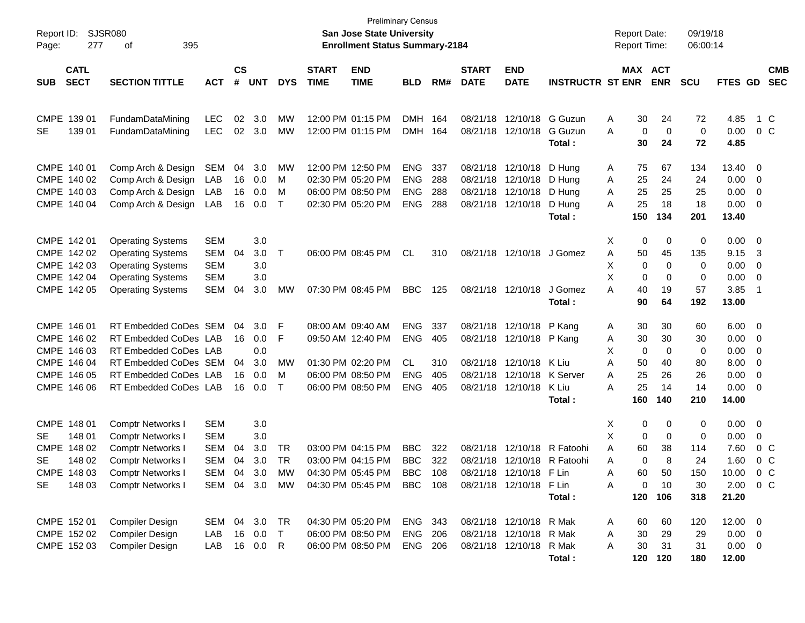| Report ID:<br>277<br>Page:                                                                       | <b>SJSR080</b><br>395<br>οf                                                                                                                            |                                                             |                             |                                 |                              |                             | <b>Preliminary Census</b><br><b>San Jose State University</b><br><b>Enrollment Status Summary-2184</b> |                                                      |                          |                                              |                                                                               |                                                | <b>Report Date:</b><br><b>Report Time:</b>                        |                                      | 09/19/18<br>06:00:14                    |                                                     |                                                            |
|--------------------------------------------------------------------------------------------------|--------------------------------------------------------------------------------------------------------------------------------------------------------|-------------------------------------------------------------|-----------------------------|---------------------------------|------------------------------|-----------------------------|--------------------------------------------------------------------------------------------------------|------------------------------------------------------|--------------------------|----------------------------------------------|-------------------------------------------------------------------------------|------------------------------------------------|-------------------------------------------------------------------|--------------------------------------|-----------------------------------------|-----------------------------------------------------|------------------------------------------------------------|
| <b>CATL</b><br><b>SECT</b><br><b>SUB</b>                                                         | <b>SECTION TITTLE</b>                                                                                                                                  | <b>ACT</b>                                                  | $\mathbf{c}\mathbf{s}$<br># | <b>UNT</b>                      | <b>DYS</b>                   | <b>START</b><br><b>TIME</b> | <b>END</b><br><b>TIME</b>                                                                              | <b>BLD</b>                                           | RM#                      | <b>START</b><br><b>DATE</b>                  | <b>END</b><br><b>DATE</b>                                                     | <b>INSTRUCTR ST ENR</b>                        | MAX ACT                                                           | <b>ENR</b>                           | <b>SCU</b>                              | FTES GD                                             | <b>CMB</b><br><b>SEC</b>                                   |
| CMPE 139 01<br>139 01<br><b>SE</b>                                                               | FundamDataMining<br>FundamDataMining                                                                                                                   | LEC<br><b>LEC</b>                                           | 02<br>02                    | 3.0<br>3.0                      | MW<br>МW                     |                             | 12:00 PM 01:15 PM<br>12:00 PM 01:15 PM                                                                 | <b>DMH</b><br><b>DMH</b>                             | 164<br>164               | 08/21/18<br>08/21/18                         | 12/10/18<br>12/10/18                                                          | G Guzun<br>G Guzun<br>Total:                   | 30<br>Α<br>A<br>0<br>30                                           | 24<br>$\mathbf 0$<br>24              | 72<br>$\mathbf 0$<br>72                 | 4.85<br>0.00<br>4.85                                | 1 C<br>0 <sup>o</sup>                                      |
| CMPE 140 01<br>CMPE 140 02<br>CMPE 140 03<br>CMPE 140 04                                         | Comp Arch & Design<br>Comp Arch & Design<br>Comp Arch & Design<br>Comp Arch & Design                                                                   | <b>SEM</b><br>LAB<br>LAB<br>LAB                             | 04<br>16<br>16<br>16        | 3.0<br>0.0<br>0.0<br>0.0        | MW<br>M<br>M<br>$\mathsf{T}$ |                             | 12:00 PM 12:50 PM<br>02:30 PM 05:20 PM<br>06:00 PM 08:50 PM<br>02:30 PM 05:20 PM                       | <b>ENG</b><br><b>ENG</b><br><b>ENG</b><br><b>ENG</b> | 337<br>288<br>288<br>288 | 08/21/18<br>08/21/18<br>08/21/18<br>08/21/18 | 12/10/18<br>12/10/18<br>12/10/18<br>12/10/18                                  | D Hung<br>D Hung<br>D Hung<br>D Hung<br>Total: | 75<br>Α<br>25<br>Α<br>25<br>Α<br>25<br>Α<br>150                   | 67<br>24<br>25<br>18<br>134          | 134<br>24<br>25<br>18<br>201            | 13.40<br>0.00<br>0.00<br>0.00<br>13.40              | $\overline{\mathbf{0}}$<br>0<br>0<br>0                     |
| CMPE 142 01<br>CMPE 142 02<br>CMPE 142 03<br>CMPE 142 04<br>CMPE 142 05                          | <b>Operating Systems</b><br><b>Operating Systems</b><br><b>Operating Systems</b><br><b>Operating Systems</b><br><b>Operating Systems</b>               | <b>SEM</b><br><b>SEM</b><br><b>SEM</b><br><b>SEM</b><br>SEM | 04<br>04                    | 3.0<br>3.0<br>3.0<br>3.0<br>3.0 | $\top$<br>МW                 |                             | 06:00 PM 08:45 PM<br>07:30 PM 08:45 PM                                                                 | <b>CL</b><br><b>BBC</b>                              | 310<br>125               |                                              | 08/21/18 12/10/18<br>08/21/18 12/10/18                                        | J Gomez<br>J Gomez                             | Х<br>0<br>Α<br>50<br>X<br>0<br>Χ<br>0<br>A<br>40                  | 0<br>45<br>0<br>0<br>19              | 0<br>135<br>0<br>0<br>57                | 0.00<br>9.15<br>0.00<br>0.00<br>3.85                | $\overline{\mathbf{0}}$<br>-3<br>0<br>0<br>-1              |
| CMPE 146 01<br>CMPE 146 02<br>CMPE 146 03                                                        | RT Embedded CoDes SEM<br>RT Embedded CoDes LAB<br>RT Embedded CoDes LAB                                                                                |                                                             | 04<br>16                    | 3.0<br>0.0<br>0.0               | F<br>F                       |                             | 08:00 AM 09:40 AM<br>09:50 AM 12:40 PM                                                                 | <b>ENG</b><br><b>ENG</b>                             | 337<br>405               | 08/21/18<br>08/21/18                         | 12/10/18<br>12/10/18 P Kang                                                   | Total:<br>P Kang                               | 90<br>30<br>Α<br>30<br>Α<br>х<br>0                                | 64<br>30<br>30<br>0                  | 192<br>60<br>30<br>0                    | 13.00<br>6.00<br>0.00<br>0.00                       | $\overline{\phantom{0}}$<br>0<br>0                         |
| CMPE 146 04<br>CMPE 146 05<br>CMPE 146 06                                                        | RT Embedded CoDes SEM<br>RT Embedded CoDes LAB<br>RT Embedded CoDes LAB                                                                                |                                                             | 04<br>16<br>16              | 3.0<br>0.0<br>0.0               | MW<br>M<br>$\top$            |                             | 01:30 PM 02:20 PM<br>06:00 PM 08:50 PM<br>06:00 PM 08:50 PM                                            | <b>CL</b><br><b>ENG</b><br><b>ENG</b>                | 310<br>405<br>405        | 08/21/18<br>08/21/18<br>08/21/18             | 12/10/18<br>12/10/18<br>12/10/18                                              | K Liu<br>K Server<br>K Liu<br>Total:           | 50<br>Α<br>25<br>Α<br>A<br>25<br>160                              | 40<br>26<br>14<br>140                | 80<br>26<br>14<br>210                   | 8.00<br>0.00<br>0.00<br>14.00                       | 0<br>0<br>0                                                |
| CMPE 148 01<br>SE<br>148 01<br>CMPE 148 02<br><b>SE</b><br>148 02<br>CMPE 148 03<br>148 03<br>SE | <b>Comptr Networks I</b><br><b>Comptr Networks I</b><br><b>Comptr Networks I</b><br><b>Comptr Networks I</b><br>Comptr Networks I<br>Comptr Networks I | <b>SEM</b><br><b>SEM</b><br><b>SEM</b><br><b>SEM</b><br>SEM | 04<br>04<br>- 04            | 3.0<br>3.0<br>3.0<br>3.0<br>3.0 | TR<br>TR<br>MW               |                             | 03:00 PM 04:15 PM<br>03:00 PM 04:15 PM<br>04:30 PM 05:45 PM<br>SEM 04 3.0 MW 04:30 PM 05:45 PM BBC 108 | <b>BBC</b><br><b>BBC</b><br><b>BBC</b>               | 322<br>322<br>108        | 08/21/18<br>08/21/18                         | 12/10/18<br>12/10/18<br>08/21/18 12/10/18 F Lin<br>08/21/18 12/10/18 F Lin    | R Fatoohi<br>R Fatoohi<br>Total:               | Х<br>0<br>Χ<br>0<br>Α<br>60<br>0<br>Α<br>60<br>Α<br>0<br>Α<br>120 | 0<br>0<br>38<br>8<br>50<br>10<br>106 | 0<br>0<br>114<br>24<br>150<br>30<br>318 | 0.00<br>0.00<br>7.60<br>1.60<br>10.00<br>21.20      | 0<br>0<br>$0\,$ C<br>$0\,$ C<br>$0\,C$<br>$2.00 \t 0 \t C$ |
| CMPE 152 01<br>CMPE 152 02<br>CMPE 152 03                                                        | Compiler Design<br>Compiler Design<br>Compiler Design                                                                                                  | SEM 04 3.0<br>LAB<br>LAB                                    | 16                          | 0.0<br>16 0.0                   | <b>TR</b><br>$\top$<br>R     |                             | 04:30 PM 05:20 PM<br>06:00 PM 08:50 PM<br>06:00 PM 08:50 PM                                            | ENG 343<br><b>ENG</b><br><b>ENG 206</b>              | 206                      |                                              | 08/21/18 12/10/18 R Mak<br>08/21/18 12/10/18 R Mak<br>08/21/18 12/10/18 R Mak | Total:                                         | 60<br>A<br>30<br>A<br>30<br>A<br>120                              | 60<br>29<br>31<br>120                | 120<br>29<br>31<br>180                  | $12.00 \t 0$<br>$0.00 \t 0$<br>$0.00 \t 0$<br>12.00 |                                                            |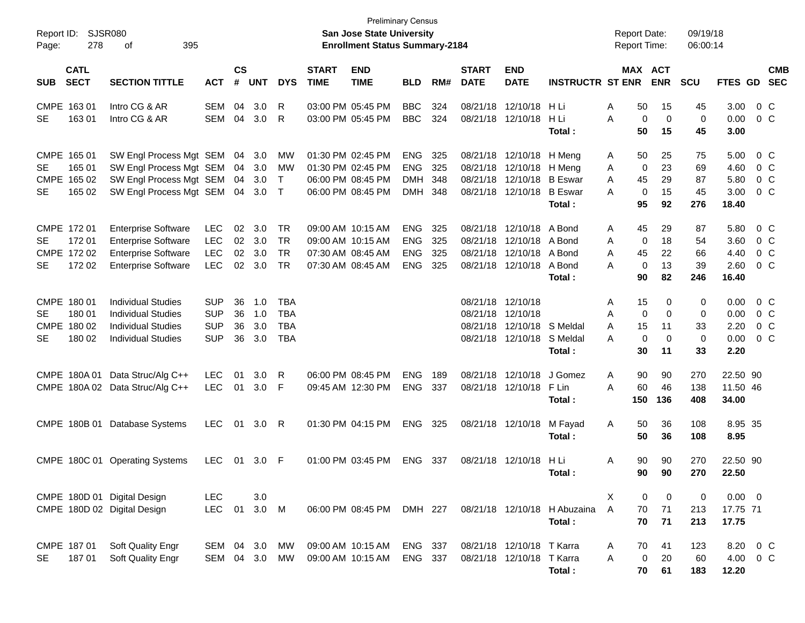| Report ID:<br>278<br>Page:                                                   | <b>SJSR080</b><br>395<br>οf                                                                                          |                                                      |                      |                          |                                                      |                             | <b>Preliminary Census</b><br>San Jose State University<br><b>Enrollment Status Summary-2184</b> |                                                      |                          |                                  |                                                                                               |                                        | <b>Report Date:</b><br><b>Report Time:</b> |                                                | 09/19/18<br>06:00:14              |                                       |                                       |
|------------------------------------------------------------------------------|----------------------------------------------------------------------------------------------------------------------|------------------------------------------------------|----------------------|--------------------------|------------------------------------------------------|-----------------------------|-------------------------------------------------------------------------------------------------|------------------------------------------------------|--------------------------|----------------------------------|-----------------------------------------------------------------------------------------------|----------------------------------------|--------------------------------------------|------------------------------------------------|-----------------------------------|---------------------------------------|---------------------------------------|
| <b>CATL</b><br><b>SECT</b><br><b>SUB</b>                                     | <b>SECTION TITTLE</b>                                                                                                | <b>ACT</b>                                           | $\mathsf{cs}$<br>#   | <b>UNT</b>               | <b>DYS</b>                                           | <b>START</b><br><b>TIME</b> | <b>END</b><br><b>TIME</b>                                                                       | <b>BLD</b>                                           | RM#                      | <b>START</b><br><b>DATE</b>      | <b>END</b><br><b>DATE</b>                                                                     | <b>INSTRUCTR ST ENR</b>                |                                            | MAX ACT<br><b>ENR</b>                          | <b>SCU</b>                        | FTES GD                               | <b>CMB</b><br><b>SEC</b>              |
| CMPE 163 01<br>163 01<br><b>SE</b>                                           | Intro CG & AR<br>Intro CG & AR                                                                                       | SEM<br>SEM                                           | 04<br>04             | 3.0<br>3.0               | R<br>R                                               |                             | 03:00 PM 05:45 PM<br>03:00 PM 05:45 PM                                                          | <b>BBC</b><br><b>BBC</b>                             | 324<br>324               | 08/21/18                         | 12/10/18<br>08/21/18 12/10/18                                                                 | H Li<br>H Li<br>Total :                | Α<br>50<br>A<br>50                         | 15<br>$\mathbf 0$<br>$\mathbf 0$<br>15         | 45<br>$\mathbf 0$<br>45           | 3.00<br>0.00<br>3.00                  | $0\,$ C<br>$0\,C$                     |
| CMPE 165 01<br>165 01<br>SE.<br>CMPE 165 02<br>165 02<br><b>SE</b>           | SW Engl Process Mgt SEM<br>SW Engl Process Mgt SEM<br>SW Engl Process Mgt SEM<br>SW Engl Process Mgt SEM             |                                                      | 04<br>04<br>04<br>04 | 3.0<br>3.0<br>3.0<br>3.0 | MW<br>MW<br>$\top$<br>$\top$                         |                             | 01:30 PM 02:45 PM<br>01:30 PM 02:45 PM<br>06:00 PM 08:45 PM<br>06:00 PM 08:45 PM                | <b>ENG</b><br><b>ENG</b><br><b>DMH</b><br><b>DMH</b> | 325<br>325<br>348<br>348 | 08/21/18                         | 08/21/18 12/10/18 H Meng<br>12/10/18 H Meng<br>08/21/18 12/10/18 B Eswar<br>08/21/18 12/10/18 | <b>B</b> Eswar<br>Total:               | 50<br>A<br>A<br>A<br>45<br>A<br>95         | 25<br>0<br>23<br>29<br>0<br>15<br>92           | 75<br>69<br>87<br>45<br>276       | 5.00<br>4.60<br>5.80<br>3.00<br>18.40 | $0\,C$<br>$0\,C$<br>$0\,C$<br>$0\,C$  |
| CMPE 172 01<br>172 01<br>SE.<br>CMPE 172 02<br>172 02<br>SE.                 | <b>Enterprise Software</b><br><b>Enterprise Software</b><br><b>Enterprise Software</b><br><b>Enterprise Software</b> | LEC<br>LEC<br><b>LEC</b><br><b>LEC</b>               | 02<br>02<br>02<br>02 | 3.0<br>3.0<br>3.0<br>3.0 | TR<br><b>TR</b><br><b>TR</b><br><b>TR</b>            |                             | 09:00 AM 10:15 AM<br>09:00 AM 10:15 AM<br>07:30 AM 08:45 AM<br>07:30 AM 08:45 AM                | <b>ENG</b><br><b>ENG</b><br><b>ENG</b><br><b>ENG</b> | 325<br>325<br>325<br>325 | 08/21/18<br>08/21/18<br>08/21/18 | 12/10/18 A Bond<br>12/10/18 A Bond<br>12/10/18 A Bond<br>08/21/18 12/10/18 A Bond             | Total:                                 | 45<br>A<br>A<br>45<br>A<br>Α<br>90         | 29<br>0<br>18<br>22<br>$\mathbf 0$<br>13<br>82 | 87<br>54<br>66<br>39<br>246       | 5.80<br>3.60<br>4.40<br>2.60<br>16.40 | $0\,C$<br>$0\,C$<br>$0\,C$<br>$0\,$ C |
| CMPE 180 01<br>180 01<br>SE.<br><b>CMPE</b><br>180 02<br><b>SE</b><br>180 02 | <b>Individual Studies</b><br><b>Individual Studies</b><br><b>Individual Studies</b><br><b>Individual Studies</b>     | <b>SUP</b><br><b>SUP</b><br><b>SUP</b><br><b>SUP</b> | 36<br>36<br>36<br>36 | 1.0<br>1.0<br>3.0<br>3.0 | <b>TBA</b><br><b>TBA</b><br><b>TBA</b><br><b>TBA</b> |                             |                                                                                                 |                                                      |                          | 08/21/18                         | 08/21/18 12/10/18<br>08/21/18 12/10/18<br>12/10/18 S Meldal<br>08/21/18 12/10/18 S Meldal     | Total :                                | 15<br>A<br>A<br>A<br>15<br>Α<br>30         | 0<br>0<br>0<br>11<br>0<br>$\mathbf 0$<br>11    | 0<br>0<br>33<br>$\mathbf 0$<br>33 | 0.00<br>0.00<br>2.20<br>0.00<br>2.20  | 0 C<br>0 C<br>$0\,C$<br>$0\,$ C       |
| CMPE 180A 01<br>CMPE 180A 02                                                 | Data Struc/Alg C++<br>Data Struc/Alg C++                                                                             | LEC<br><b>LEC</b>                                    | 01<br>01             | 3.0<br>3.0               | R<br>F                                               |                             | 06:00 PM 08:45 PM<br>09:45 AM 12:30 PM                                                          | <b>ENG</b><br><b>ENG</b>                             | 189<br>337               | 08/21/18                         | 12/10/18<br>08/21/18 12/10/18                                                                 | J Gomez<br>F Lin<br>Total :            | 90<br>Α<br>A<br>60<br>150                  | 90<br>46<br>136                                | 270<br>138<br>408                 | 22.50 90<br>11.50 46<br>34.00         |                                       |
| CMPE 180B 01                                                                 | Database Systems                                                                                                     | <b>LEC</b>                                           | 01                   | 3.0                      | R                                                    |                             | 01:30 PM 04:15 PM                                                                               | <b>ENG</b>                                           | 325                      |                                  | 08/21/18 12/10/18                                                                             | M Fayad<br>Total:                      | 50<br>Α<br>50                              | 36<br>36                                       | 108<br>108                        | 8.95 35<br>8.95                       |                                       |
|                                                                              | CMPE 180C 01 Operating Systems                                                                                       | <b>LEC</b>                                           | 01                   | 3.0                      | -F                                                   |                             | 01:00 PM 03:45 PM                                                                               | <b>ENG</b>                                           | 337                      | 08/21/18                         | 12/10/18                                                                                      | H Li<br>Total :                        | Α<br>90                                    | 90<br>90<br>90                                 | 270<br>270                        | 22.50 90<br>22.50                     |                                       |
| CMPE 180D 01 Digital Design<br>CMPE 180D 02 Digital Design                   |                                                                                                                      | <b>LEC</b><br><b>LEC</b>                             | 01                   | 3.0<br>3.0 M             |                                                      |                             | 06:00 PM 08:45 PM DMH 227                                                                       |                                                      |                          |                                  |                                                                                               | 08/21/18 12/10/18 H Abuzaina<br>Total: | X<br>70<br>$\mathsf{A}$<br>70              | 0<br>0<br>71<br>71                             | 0<br>213<br>213                   | $0.00 \t 0$<br>17.75 71<br>17.75      |                                       |
| CMPE 187 01<br>18701<br>SE                                                   | Soft Quality Engr<br>Soft Quality Engr                                                                               | SEM 04<br>SEM 04                                     |                      | 3.0<br>3.0               | MW<br>MW                                             |                             | 09:00 AM 10:15 AM<br>09:00 AM 10:15 AM                                                          | ENG 337<br>ENG 337                                   |                          |                                  | 08/21/18 12/10/18 T Karra<br>08/21/18 12/10/18 T Karra                                        | Total:                                 | 70<br>A<br>A                               | 41<br>$\mathbf 0$<br>20<br>61<br>70            | 123<br>60<br>183                  | 12.20                                 | 8.20 0 C<br>4.00 0 C                  |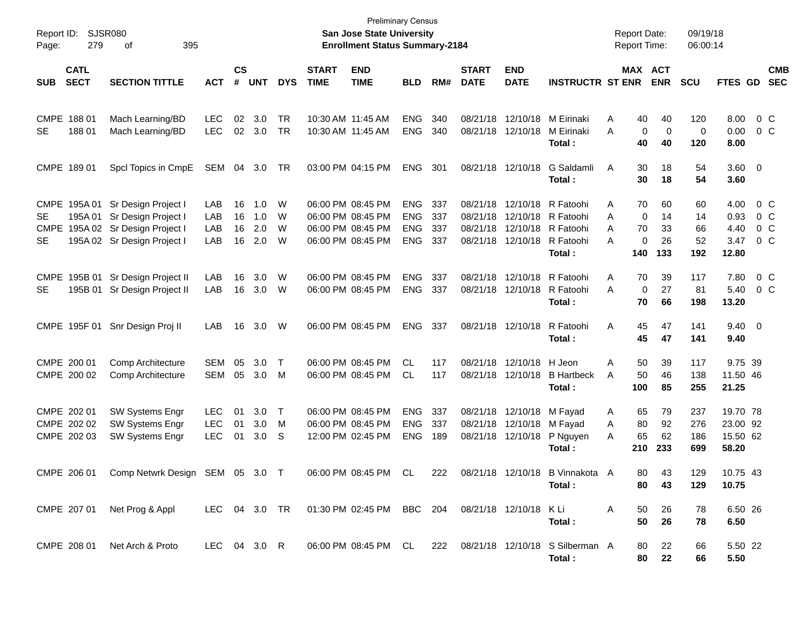| Report ID:<br>Page:      | 279                        | SJSR080<br>395<br>of                                                                                          |                                        |                             |                          |                  |                                        | <b>Preliminary Census</b><br>San Jose State University<br><b>Enrollment Status Summary-2184</b> |                                                      |                          |                                  |                                                       |                                                            | <b>Report Date:</b><br><b>Report Time:</b> |                           |                             | 09/19/18<br>06:00:14        |                                           |                              |
|--------------------------|----------------------------|---------------------------------------------------------------------------------------------------------------|----------------------------------------|-----------------------------|--------------------------|------------------|----------------------------------------|-------------------------------------------------------------------------------------------------|------------------------------------------------------|--------------------------|----------------------------------|-------------------------------------------------------|------------------------------------------------------------|--------------------------------------------|---------------------------|-----------------------------|-----------------------------|-------------------------------------------|------------------------------|
| <b>SUB</b>               | <b>CATL</b><br><b>SECT</b> | <b>SECTION TITTLE</b>                                                                                         | <b>ACT</b>                             | $\mathsf{cs}$<br>$\pmb{\#}$ | <b>UNT</b>               | <b>DYS</b>       | <b>START</b><br><b>TIME</b>            | <b>END</b><br><b>TIME</b>                                                                       | <b>BLD</b>                                           | RM#                      | <b>START</b><br><b>DATE</b>      | <b>END</b><br><b>DATE</b>                             | <b>INSTRUCTR ST ENR</b>                                    |                                            |                           | MAX ACT<br><b>ENR</b>       | <b>SCU</b>                  | <b>FTES GD</b>                            | <b>CMB</b><br><b>SEC</b>     |
| CMPE 188 01<br><b>SE</b> | 18801                      | Mach Learning/BD<br>Mach Learning/BD                                                                          | LEC.<br><b>LEC</b>                     | 02<br>02                    | 3.0<br>3.0               | TR<br>TR         | 10:30 AM 11:45 AM<br>10:30 AM 11:45 AM |                                                                                                 | <b>ENG</b><br><b>ENG</b>                             | 340<br>340               | 08/21/18<br>08/21/18             | 12/10/18<br>12/10/18                                  | M Eirinaki<br>M Eirinaki<br>Total:                         | A<br>A                                     | 40<br>0<br>40             | 40<br>$\mathbf 0$<br>40     | 120<br>0<br>120             | 8.00<br>0.00<br>8.00                      | $0\,$ C<br>0 C               |
| CMPE 189 01              |                            | Spcl Topics in CmpE                                                                                           | SEM                                    | 04                          | 3.0                      | TR               |                                        | 03:00 PM 04:15 PM                                                                               | <b>ENG</b>                                           | 301                      | 08/21/18                         | 12/10/18                                              | G Saldamli<br>Total:                                       | Α                                          | 30<br>30                  | 18<br>18                    | 54<br>54                    | 3.60 0<br>3.60                            |                              |
| <b>SE</b><br><b>SE</b>   | CMPE 195A 01<br>195A 01    | Sr Design Project I<br>Sr Design Project I<br>CMPE 195A 02 Sr Design Project I<br>195A 02 Sr Design Project I | LAB<br>LAB<br>LAB<br>LAB               | 16<br>16<br>16<br>16        | 1.0<br>1.0<br>2.0<br>2.0 | W<br>W<br>W<br>W |                                        | 06:00 PM 08:45 PM<br>06:00 PM 08:45 PM<br>06:00 PM 08:45 PM<br>06:00 PM 08:45 PM                | <b>ENG</b><br><b>ENG</b><br><b>ENG</b><br><b>ENG</b> | 337<br>337<br>337<br>337 | 08/21/18<br>08/21/18<br>08/21/18 | 12/10/18<br>12/10/18<br>12/10/18<br>08/21/18 12/10/18 | R Fatoohi<br>R Fatoohi<br>R Fatoohi<br>R Fatoohi<br>Total: | A<br>A<br>A<br>A                           | 70<br>0<br>70<br>0<br>140 | 60<br>14<br>33<br>26<br>133 | 60<br>14<br>66<br>52<br>192 | 4.00<br>0.93<br>4.40<br>3.47<br>12.80     | 0 C<br>0 C<br>$0\,$ C<br>0 C |
| <b>CMPE</b><br><b>SE</b> |                            | 195B 01 Sr Design Project II<br>195B 01 Sr Design Project II                                                  | LAB<br>LAB                             | 16<br>16                    | 3.0<br>3.0               | W<br>W           |                                        | 06:00 PM 08:45 PM<br>06:00 PM 08:45 PM                                                          | <b>ENG</b><br><b>ENG</b>                             | 337<br>337               | 08/21/18                         | 12/10/18<br>08/21/18 12/10/18                         | R Fatoohi<br>R Fatoohi<br>Total:                           | A<br>A                                     | 70<br>$\mathbf 0$<br>70   | 39<br>27<br>66              | 117<br>81<br>198            | 7.80<br>5.40<br>13.20                     | $0\,C$<br>0 C                |
|                          | CMPE 195F 01               | Snr Design Proj II                                                                                            | LAB                                    | 16                          | 3.0                      | W                |                                        | 06:00 PM 08:45 PM                                                                               | <b>ENG</b>                                           | 337                      |                                  | 08/21/18 12/10/18                                     | R Fatoohi<br>Total:                                        | Α                                          | 45<br>45                  | 47<br>47                    | 141<br>141                  | $9.40 \quad 0$<br>9.40                    |                              |
| CMPE 200 01              | CMPE 200 02                | Comp Architecture<br>Comp Architecture                                                                        | <b>SEM</b><br>SEM                      | 05<br>05                    | 3.0<br>3.0               | $\top$<br>M      |                                        | 06:00 PM 08:45 PM<br>06:00 PM 08:45 PM                                                          | CL<br>CL                                             | 117<br>117               |                                  | 08/21/18 12/10/18<br>08/21/18 12/10/18                | H Jeon<br><b>B</b> Hartbeck<br>Total:                      | Α<br>A                                     | 50<br>50<br>100           | 39<br>46<br>85              | 117<br>138<br>255           | 9.75 39<br>11.50 46<br>21.25              |                              |
| CMPE 202 01              | CMPE 202 02<br>CMPE 202 03 | <b>SW Systems Engr</b><br>SW Systems Engr<br>SW Systems Engr                                                  | <b>LEC</b><br><b>LEC</b><br><b>LEC</b> | 01<br>01<br>01              | 3.0<br>3.0<br>3.0        | Т<br>M<br>S      |                                        | 06:00 PM 08:45 PM<br>06:00 PM 08:45 PM<br>12:00 PM 02:45 PM                                     | <b>ENG</b><br><b>ENG</b><br><b>ENG</b>               | 337<br>337<br>189        | 08/21/18                         | 08/21/18 12/10/18<br>12/10/18<br>08/21/18 12/10/18    | M Fayad<br>M Fayad<br>P Nguyen<br>Total:                   | A<br>A<br>A                                | 65<br>80<br>65<br>210     | 79<br>92<br>62<br>233       | 237<br>276<br>186<br>699    | 19.70 78<br>23.00 92<br>15.50 62<br>58.20 |                              |
|                          | CMPE 206 01                | Comp Netwrk Design SEM 05 3.0 T                                                                               |                                        |                             |                          |                  |                                        | 06:00 PM 08:45 PM                                                                               | CL                                                   | 222                      |                                  | 08/21/18 12/10/18                                     | B Vinnakota A<br>Total:                                    |                                            | 80.<br>80                 | 43.<br>43                   | 129<br>129                  | 10.75 43<br>10.75                         |                              |
|                          | CMPE 207 01                | Net Prog & Appl                                                                                               |                                        |                             |                          |                  |                                        | LEC 04 3.0 TR  01:30 PM 02:45 PM BBC 204                                                        |                                                      |                          |                                  | 08/21/18 12/10/18 KLi                                 | Total:                                                     | A                                          | 50<br>50                  | 26<br>26                    | 78<br>78                    | 6.50 26<br>6.50                           |                              |
|                          | CMPE 208 01                | Net Arch & Proto                                                                                              | LEC 04 3.0 R                           |                             |                          |                  |                                        | 06:00 PM 08:45 PM CL                                                                            |                                                      |                          |                                  |                                                       | 222 08/21/18 12/10/18 S Silberman A<br>Total:              |                                            | 80<br>80                  | 22<br>22                    | 66<br>66                    | 5.50 22<br>5.50                           |                              |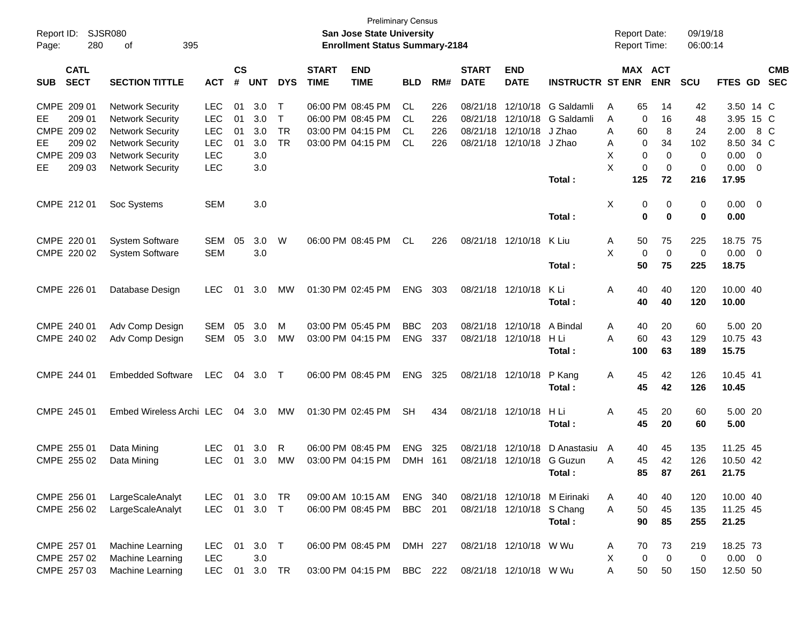| Report ID:<br>Page:                       | 280                        | <b>SJSR080</b><br>395<br>οf                                                                              |                                               |                      |                          |                                  |                             | <b>Preliminary Census</b><br><b>San Jose State University</b><br><b>Enrollment Status Summary-2184</b> |                          |                          |                                              |                                                  |                                              | <b>Report Date:</b><br><b>Report Time:</b> |                                  | 09/19/18<br>06:00:14  |                                             |                                            |                          |
|-------------------------------------------|----------------------------|----------------------------------------------------------------------------------------------------------|-----------------------------------------------|----------------------|--------------------------|----------------------------------|-----------------------------|--------------------------------------------------------------------------------------------------------|--------------------------|--------------------------|----------------------------------------------|--------------------------------------------------|----------------------------------------------|--------------------------------------------|----------------------------------|-----------------------|---------------------------------------------|--------------------------------------------|--------------------------|
| <b>SUB</b>                                | <b>CATL</b><br><b>SECT</b> | <b>SECTION TITTLE</b>                                                                                    | <b>ACT</b>                                    | $\mathsf{cs}$<br>#   | <b>UNT</b>               | <b>DYS</b>                       | <b>START</b><br><b>TIME</b> | <b>END</b><br><b>TIME</b>                                                                              | <b>BLD</b>               | RM#                      | <b>START</b><br><b>DATE</b>                  | <b>END</b><br><b>DATE</b>                        | <b>INSTRUCTR ST ENR</b>                      |                                            | MAX ACT<br><b>ENR</b>            | <b>SCU</b>            | FTES GD                                     |                                            | <b>CMB</b><br><b>SEC</b> |
| CMPE 209 01<br>EE<br>CMPE 209 02<br>EE    | 209 01<br>209 02           | <b>Network Security</b><br><b>Network Security</b><br><b>Network Security</b><br><b>Network Security</b> | LEC<br><b>LEC</b><br><b>LEC</b><br><b>LEC</b> | 01<br>01<br>01<br>01 | 3.0<br>3.0<br>3.0<br>3.0 | Т<br>T<br><b>TR</b><br><b>TR</b> |                             | 06:00 PM 08:45 PM<br>06:00 PM 08:45 PM<br>03:00 PM 04:15 PM<br>03:00 PM 04:15 PM                       | СL<br>CL<br>CL<br>CL     | 226<br>226<br>226<br>226 | 08/21/18<br>08/21/18<br>08/21/18<br>08/21/18 | 12/10/18<br>12/10/18<br>12/10/18<br>12/10/18     | G Saldamli<br>G Saldamli<br>J Zhao<br>J Zhao | 65<br>Α<br>Α<br>Α<br>60<br>Α               | 14<br>16<br>0<br>8<br>34<br>0    | 42<br>48<br>24<br>102 | 3.50 14 C<br>3.95 15 C<br>2.00<br>8.50 34 C |                                            | 8 C                      |
| <b>CMPE</b><br>EЕ                         | 209 03<br>209 03           | <b>Network Security</b><br><b>Network Security</b>                                                       | <b>LEC</b><br><b>LEC</b>                      |                      | 3.0<br>3.0               |                                  |                             |                                                                                                        |                          |                          |                                              |                                                  | Total:                                       | Χ<br>X<br>125                              | 0<br>0<br>0<br>$\mathbf 0$<br>72 | 0<br>0<br>216         | 0.00<br>0.00<br>17.95                       | $\overline{0}$<br>$\overline{\phantom{0}}$ |                          |
| CMPE 212 01                               |                            | Soc Systems                                                                                              | <b>SEM</b>                                    |                      | 3.0                      |                                  |                             |                                                                                                        |                          |                          |                                              |                                                  | Total:                                       | X                                          | 0<br>0<br>0<br>0                 | 0<br>0                | $0.00 \t 0$<br>0.00                         |                                            |                          |
| CMPE 220 01<br>CMPE 220 02                |                            | <b>System Software</b><br><b>System Software</b>                                                         | <b>SEM</b><br><b>SEM</b>                      | 05                   | 3.0<br>3.0               | W                                |                             | 06:00 PM 08:45 PM                                                                                      | CL                       | 226                      |                                              | 08/21/18 12/10/18                                | K Liu<br>Total:                              | Α<br>50<br>X<br>50                         | 75<br>$\mathbf 0$<br>0<br>75     | 225<br>0<br>225       | 18.75 75<br>$0.00 \t 0$<br>18.75            |                                            |                          |
| CMPE 226 01                               |                            | Database Design                                                                                          | <b>LEC</b>                                    | 01                   | 3.0                      | МW                               | 01:30 PM 02:45 PM           |                                                                                                        | <b>ENG</b>               | 303                      | 08/21/18 12/10/18                            |                                                  | K Li<br>Total:                               | 40<br>Α<br>40                              | 40<br>40                         | 120<br>120            | 10.00 40<br>10.00                           |                                            |                          |
| CMPE 240 01<br>CMPE 240 02                |                            | Adv Comp Design<br>Adv Comp Design                                                                       | <b>SEM</b><br><b>SEM</b>                      | 05<br>05             | 3.0<br>3.0               | M<br>MW                          | 03:00 PM 04:15 PM           | 03:00 PM 05:45 PM                                                                                      | <b>BBC</b><br><b>ENG</b> | 203<br>337               | 08/21/18<br>08/21/18                         | 12/10/18<br>12/10/18                             | A Bindal<br>H Li<br>Total:                   | Α<br>40<br>Α<br>60<br>100                  | 20<br>43<br>63                   | 60<br>129<br>189      | 5.00 20<br>10.75 43<br>15.75                |                                            |                          |
| CMPE 244 01                               |                            | <b>Embedded Software</b>                                                                                 | <b>LEC</b>                                    | 04                   | 3.0                      | $\top$                           |                             | 06:00 PM 08:45 PM                                                                                      | <b>ENG</b>               | 325                      |                                              | 08/21/18 12/10/18                                | P Kang<br>Total:                             | 45<br>Α<br>45                              | 42<br>42                         | 126<br>126            | 10.45 41<br>10.45                           |                                            |                          |
| CMPE 245 01                               |                            | Embed Wireless Archi LEC                                                                                 |                                               | 04                   | 3.0                      | МW                               | 01:30 PM 02:45 PM           |                                                                                                        | <b>SH</b>                | 434                      |                                              | 08/21/18 12/10/18                                | H Li<br>Total:                               | 45<br>Α<br>45                              | 20<br>20                         | 60<br>60              | 5.00 20<br>5.00                             |                                            |                          |
| CMPE 255 01<br>CMPE 255 02                |                            | Data Mining<br>Data Mining                                                                               | <b>LEC</b><br><b>LEC</b>                      | 01<br>01             | 3.0<br>3.0               | R<br>MW                          | 03:00 PM 04:15 PM           | 06:00 PM 08:45 PM                                                                                      | <b>ENG</b><br>DMH 161    | 325                      | 08/21/18<br>08/21/18                         | 12/10/18<br>12/10/18                             | D Anastasiu<br>G Guzun<br>Total:             | A<br>40<br>45<br>Α                         | 45<br>42<br>85<br>87             | 135<br>126<br>261     | 11.25 45<br>10.50 42<br>21.75               |                                            |                          |
| CMPE 256 01<br>CMPE 256 02                |                            | LargeScaleAnalyt<br>LargeScaleAnalyt                                                                     | <b>LEC</b><br><b>LEC</b>                      | 01                   | 3.0<br>01 3.0            | TR<br>$\top$                     |                             | 09:00 AM 10:15 AM<br>06:00 PM 08:45 PM                                                                 | ENG 340<br><b>BBC</b>    | 201                      |                                              | 08/21/18 12/10/18 S Chang                        | 08/21/18 12/10/18 M Eirinaki<br>Total:       | 40<br>A<br>Α<br>50<br>90                   | 40<br>45<br>85                   | 120<br>135<br>255     | 10.00 40<br>11.25 45<br>21.25               |                                            |                          |
| CMPE 257 01<br>CMPE 257 02<br>CMPE 257 03 |                            | Machine Learning<br>Machine Learning<br>Machine Learning                                                 | <b>LEC</b><br><b>LEC</b><br><b>LEC</b>        | 01<br>01             | $3.0$ T<br>3.0<br>3.0 TR |                                  |                             | 06:00 PM 08:45 PM<br>03:00 PM 04:15 PM                                                                 | DMH 227<br><b>BBC</b>    | 222                      |                                              | 08/21/18 12/10/18 W Wu<br>08/21/18 12/10/18 W Wu |                                              | 70<br>A<br>Χ<br>Α<br>50                    | 73<br>0<br>$\mathbf 0$<br>50     | 219<br>0<br>150       | 18.25 73<br>$0.00 \t 0$<br>12.50 50         |                                            |                          |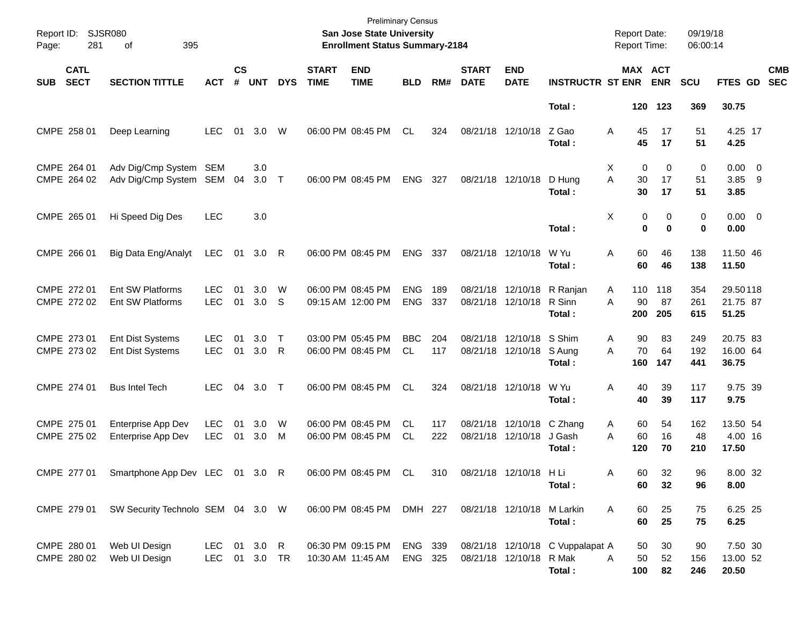| Report ID:<br>Page: | <b>SJSR080</b><br>281      | 395<br>of                                   |                               |                    |            |                   |                             | <b>Preliminary Census</b><br>San Jose State University<br><b>Enrollment Status Summary-2184</b> |                          |            |                             |                            |                                            | <b>Report Date:</b><br>Report Time: |                  | 09/19/18<br>06:00:14 |                               |                          |
|---------------------|----------------------------|---------------------------------------------|-------------------------------|--------------------|------------|-------------------|-----------------------------|-------------------------------------------------------------------------------------------------|--------------------------|------------|-----------------------------|----------------------------|--------------------------------------------|-------------------------------------|------------------|----------------------|-------------------------------|--------------------------|
| <b>SUB</b>          | <b>CATL</b><br><b>SECT</b> | <b>SECTION TITTLE</b>                       | <b>ACT</b>                    | $\mathsf{cs}$<br># | <b>UNT</b> | <b>DYS</b>        | <b>START</b><br><b>TIME</b> | <b>END</b><br><b>TIME</b>                                                                       | <b>BLD</b>               | RM#        | <b>START</b><br><b>DATE</b> | <b>END</b><br><b>DATE</b>  | <b>INSTRUCTR ST ENR</b>                    | <b>MAX ACT</b>                      | <b>ENR</b>       | <b>SCU</b>           | FTES GD                       | <b>CMB</b><br><b>SEC</b> |
|                     |                            |                                             |                               |                    |            |                   |                             |                                                                                                 |                          |            |                             |                            | Total:                                     |                                     | 120 123          | 369                  | 30.75                         |                          |
|                     | CMPE 258 01                | Deep Learning                               | <b>LEC</b>                    | 01                 | 3.0        | W                 |                             | 06:00 PM 08:45 PM                                                                               | CL                       | 324        | 08/21/18                    | 12/10/18                   | Z Gao<br>Total:                            | A<br>45<br>45                       | 17<br>17         | 51<br>51             | 4.25 17<br>4.25               |                          |
|                     | CMPE 264 01<br>CMPE 264 02 | Adv Dig/Cmp System<br>Adv Dig/Cmp System    | SEM<br>SEM                    | 04                 | 3.0<br>3.0 | $\top$            |                             | 06:00 PM 08:45 PM                                                                               | <b>ENG</b>               | 327        | 08/21/18 12/10/18           |                            | D Hung<br>Total:                           | Χ<br>0<br>A<br>30<br>30             | 0<br>17<br>17    | 0<br>51<br>51        | $0.00 \t 0$<br>3.85 9<br>3.85 |                          |
|                     | CMPE 265 01                | Hi Speed Dig Des                            | <b>LEC</b>                    |                    | 3.0        |                   |                             |                                                                                                 |                          |            |                             |                            | Total:                                     | Χ<br>0<br>$\bf{0}$                  | 0<br>$\mathbf 0$ | 0<br>0               | $0.00 \t 0$<br>0.00           |                          |
|                     | CMPE 266 01                | Big Data Eng/Analyt                         | <b>LEC</b>                    | 01                 | 3.0        | - R               |                             | 06:00 PM 08:45 PM                                                                               | <b>ENG</b>               | 337        | 08/21/18 12/10/18           |                            | W Yu<br>Total:                             | 60<br>A<br>60                       | 46<br>46         | 138<br>138           | 11.50 46<br>11.50             |                          |
|                     | CMPE 272 01<br>CMPE 272 02 | Ent SW Platforms<br>Ent SW Platforms        | <b>LEC</b><br><b>LEC</b>      | 01<br>01           | 3.0<br>3.0 | W<br><sub>S</sub> |                             | 06:00 PM 08:45 PM<br>09:15 AM 12:00 PM                                                          | <b>ENG</b><br><b>ENG</b> | 189<br>337 | 08/21/18<br>08/21/18        | 12/10/18<br>12/10/18       | R Ranjan<br>R Sinn<br>Total:               | 110<br>A<br>90<br>A<br>200          | 118<br>87<br>205 | 354<br>261<br>615    | 29.50118<br>21.75 87<br>51.25 |                          |
|                     | CMPE 273 01<br>CMPE 273 02 | <b>Ent Dist Systems</b><br>Ent Dist Systems | <b>LEC</b><br><b>LEC</b>      | 01<br>01           | 3.0<br>3.0 | $\mathsf{T}$<br>R |                             | 03:00 PM 05:45 PM<br>06:00 PM 08:45 PM                                                          | <b>BBC</b><br>CL         | 204<br>117 | 08/21/18<br>08/21/18        | 12/10/18<br>12/10/18       | S Shim<br>S Aung<br>Total:                 | 90<br>Α<br>70<br>A<br>160           | 83<br>64<br>147  | 249<br>192<br>441    | 20.75 83<br>16.00 64<br>36.75 |                          |
|                     | CMPE 274 01                | <b>Bus Intel Tech</b>                       | <b>LEC</b>                    | 04                 | 3.0        | $\top$            |                             | 06:00 PM 08:45 PM                                                                               | CL                       | 324        | 08/21/18 12/10/18           |                            | W Yu<br>Total:                             | A<br>40<br>40                       | 39<br>39         | 117<br>117           | 9.75 39<br>9.75               |                          |
|                     | CMPE 275 01<br>CMPE 275 02 | Enterprise App Dev<br>Enterprise App Dev    | <b>LEC</b><br><b>LEC</b>      | 01<br>01           | 3.0<br>3.0 | W<br>M            |                             | 06:00 PM 08:45 PM<br>06:00 PM 08:45 PM                                                          | CL<br><b>CL</b>          | 117<br>222 | 08/21/18<br>08/21/18        | 12/10/18<br>12/10/18       | C Zhang<br>J Gash<br>Total:                | 60<br>A<br>A<br>60<br>120           | 54<br>16<br>70   | 162<br>48<br>210     | 13.50 54<br>4.00 16<br>17.50  |                          |
|                     |                            | CMPE 277 01 Smartphone App Dev LEC 01 3.0 R |                               |                    |            |                   |                             | 06:00 PM 08:45 PM CL                                                                            |                          |            | 310 08/21/18 12/10/18 H Li  |                            | Total:                                     | 60<br>Α<br>60                       | 32<br>32         | 96<br>96             | 8.00 32<br>8.00               |                          |
|                     | CMPE 279 01                | SW Security Technolo SEM 04 3.0 W           |                               |                    |            |                   |                             | 06:00 PM 08:45 PM DMH 227                                                                       |                          |            |                             | 08/21/18 12/10/18 M Larkin | Total:                                     | Α<br>60<br>60                       | 25<br>25         | 75<br>75             | 6.25 25<br>6.25               |                          |
|                     | CMPE 280 01<br>CMPE 280 02 | Web UI Design<br>Web UI Design              | LEC 01 3.0 R<br>LEC 01 3.0 TR |                    |            |                   |                             | 06:30 PM 09:15 PM<br>10:30 AM 11:45 AM                                                          | ENG 339<br>ENG 325       |            | 08/21/18 12/10/18 R Mak     |                            | 08/21/18 12/10/18 C Vuppalapat A<br>Total: | 50<br>50<br>A<br>100                | 30<br>52<br>82   | 90<br>156<br>246     | 7.50 30<br>13.00 52<br>20.50  |                          |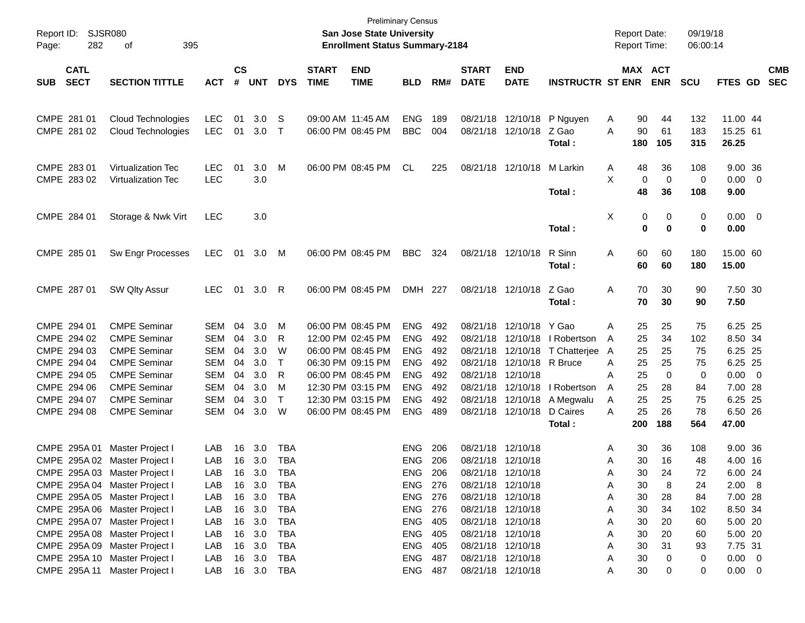| Report ID: SJSR080<br>282<br>Page:       | 395<br>of                                       |                          |                    |            |             |                             | San Jose State University<br><b>Enrollment Status Summary-2184</b> | <b>Preliminary Census</b> |            |                             |                           |                                      | <b>Report Date:</b><br><b>Report Time:</b> |                       | 09/19/18<br>06:00:14 |                      |                          |
|------------------------------------------|-------------------------------------------------|--------------------------|--------------------|------------|-------------|-----------------------------|--------------------------------------------------------------------|---------------------------|------------|-----------------------------|---------------------------|--------------------------------------|--------------------------------------------|-----------------------|----------------------|----------------------|--------------------------|
| <b>CATL</b><br><b>SECT</b><br><b>SUB</b> | <b>SECTION TITTLE</b>                           | <b>ACT</b>               | $\mathsf{cs}$<br># | <b>UNT</b> | <b>DYS</b>  | <b>START</b><br><b>TIME</b> | <b>END</b><br><b>TIME</b>                                          | <b>BLD</b>                | RM#        | <b>START</b><br><b>DATE</b> | <b>END</b><br><b>DATE</b> | <b>INSTRUCTR ST ENR</b>              |                                            | MAX ACT<br><b>ENR</b> | <b>SCU</b>           | FTES GD              | <b>CMB</b><br><b>SEC</b> |
| CMPE 281 01<br>CMPE 281 02               | Cloud Technologies<br><b>Cloud Technologies</b> | <b>LEC</b><br><b>LEC</b> | 01<br>01           | 3.0<br>3.0 | S<br>$\top$ | 09:00 AM 11:45 AM           | 06:00 PM 08:45 PM                                                  | <b>ENG</b><br><b>BBC</b>  | 189<br>004 | 08/21/18<br>08/21/18        | 12/10/18<br>12/10/18      | P Nguyen<br>Z Gao                    | A<br>90<br>A                               | 90<br>44<br>61        | 132<br>183           | 11.00 44<br>15.25 61 |                          |
| CMPE 283 01                              | <b>Virtualization Tec</b>                       | LEC.                     | 01                 | 3.0        | M           |                             | 06:00 PM 08:45 PM                                                  | CL                        | 225        |                             | 08/21/18 12/10/18         | Total:<br>M Larkin                   | 180<br>48<br>A                             | 105<br>36             | 315<br>108           | 26.25<br>9.00 36     |                          |
| CMPE 283 02                              | <b>Virtualization Tec</b>                       | <b>LEC</b>               |                    | 3.0        |             |                             |                                                                    |                           |            |                             |                           | Total:                               | X<br>48                                    | 0<br>0<br>36          | 0<br>108             | $0.00 \t 0$<br>9.00  |                          |
| CMPE 284 01                              | Storage & Nwk Virt                              | <b>LEC</b>               |                    | 3.0        |             |                             |                                                                    |                           |            |                             |                           | Total:                               | Χ                                          | 0<br>0<br>0<br>0      | 0<br>0               | $0.00 \t 0$<br>0.00  |                          |
| CMPE 285 01                              | Sw Engr Processes                               | <b>LEC</b>               | 01                 | 3.0        | M           | 06:00 PM 08:45 PM           |                                                                    | <b>BBC</b>                | 324        |                             | 08/21/18 12/10/18         | R Sinn<br>Total:                     | Α<br>60<br>60                              | 60<br>60              | 180<br>180           | 15.00 60<br>15.00    |                          |
| CMPE 287 01                              | SW Qlty Assur                                   | <b>LEC</b>               | 01                 | 3.0        | R           |                             | 06:00 PM 08:45 PM                                                  | DMH 227                   |            |                             | 08/21/18 12/10/18         | Z Gao<br>Total:                      | Α<br>70<br>70                              | 30<br>30              | 90<br>90             | 7.50 30<br>7.50      |                          |
| CMPE 294 01                              | <b>CMPE Seminar</b>                             | <b>SEM</b>               | 04                 | 3.0        | M           |                             | 06:00 PM 08:45 PM                                                  | <b>ENG</b>                | 492        | 08/21/18                    | 12/10/18 Y Gao            |                                      | 25<br>A                                    | 25                    | 75                   | 6.25 25              |                          |
| CMPE 294 02<br>CMPE 294 03               | <b>CMPE Seminar</b><br><b>CMPE Seminar</b>      | <b>SEM</b><br><b>SEM</b> | 04<br>04           | 3.0<br>3.0 | R<br>W      |                             | 12:00 PM 02:45 PM<br>06:00 PM 08:45 PM                             | <b>ENG</b><br><b>ENG</b>  | 492<br>492 | 08/21/18<br>08/21/18        | 12/10/18                  | 12/10/18   Robertson<br>T Chatterjee | 25<br>A<br>25<br>A                         | 34<br>25              | 102<br>75            | 8.50 34<br>6.25 25   |                          |
| CMPE 294 04                              | <b>CMPE Seminar</b>                             | <b>SEM</b>               | 04                 | 3.0        | $\top$      |                             | 06:30 PM 09:15 PM                                                  | <b>ENG</b>                | 492        | 08/21/18                    | 12/10/18 R Bruce          |                                      | 25<br>A                                    | 25                    | 75                   | 6.25 25              |                          |
| CMPE 294 05                              | <b>CMPE Seminar</b>                             | <b>SEM</b>               | 04                 | 3.0        | R           |                             | 06:00 PM 08:45 PM                                                  | <b>ENG</b>                | 492        | 08/21/18                    | 12/10/18                  |                                      | 25<br>A                                    | 0                     | 0                    | $0.00 \t 0$          |                          |
| CMPE 294 06                              | <b>CMPE Seminar</b>                             | <b>SEM</b>               | 04                 | 3.0        | M           |                             | 12:30 PM 03:15 PM                                                  | <b>ENG</b>                | 492        | 08/21/18                    | 12/10/18                  | I Robertson                          | 25<br>A                                    | 28                    | 84                   | 7.00 28              |                          |
| CMPE 294 07                              | <b>CMPE Seminar</b>                             | <b>SEM</b>               | 04                 | 3.0        | $\top$      |                             | 12:30 PM 03:15 PM                                                  | <b>ENG</b>                | 492        | 08/21/18                    | 12/10/18                  | A Megwalu                            | 25<br>A                                    | 25                    | 75                   | 6.25 25              |                          |
| CMPE 294 08                              | <b>CMPE Seminar</b>                             | <b>SEM</b>               | 04                 | 3.0        | W           |                             | 06:00 PM 08:45 PM                                                  | <b>ENG</b>                | 489        | 08/21/18                    | 12/10/18                  | D Caires                             | 25<br>Α                                    | 26                    | 78                   | 6.50 26              |                          |
|                                          |                                                 |                          |                    |            |             |                             |                                                                    |                           |            |                             |                           | Total:                               | 200                                        | 188                   | 564                  | 47.00                |                          |
| CMPE 295A 01                             | Master Project I                                | LAB                      | 16                 | 3.0        | TBA         |                             |                                                                    | <b>ENG</b>                | 206        | 08/21/18 12/10/18           |                           |                                      | 30<br>A                                    | 36                    | 108                  | 9.00 36              |                          |
| CMPE 295A 02 Master Project I            |                                                 | LAB                      | 16                 | 3.0        | <b>TBA</b>  |                             |                                                                    | <b>ENG</b>                | 206        | 08/21/18 12/10/18           |                           |                                      | 30<br>A                                    | 16                    | 48                   | 4.00 16              |                          |
|                                          | CMPE 295A 03 Master Project I                   | LAB.                     |                    | 16 3.0     | TBA         |                             |                                                                    | ENG                       | 206        |                             | 08/21/18 12/10/18         |                                      | Α                                          | 30<br>24              | 72                   | 6.00 24              |                          |
| CMPE 295A 04 Master Project I            |                                                 | LAB                      |                    | 16 3.0     | TBA         |                             |                                                                    | ENG 276                   |            | 08/21/18 12/10/18           |                           |                                      | 30<br>Α                                    | 8                     | 24                   | 2.00 8               |                          |
|                                          | CMPE 295A 05 Master Project I                   | LAB                      | 16                 | 3.0        | <b>TBA</b>  |                             |                                                                    | <b>ENG 276</b>            |            |                             | 08/21/18 12/10/18         |                                      | 30<br>Α                                    | 28                    | 84                   | 7.00 28              |                          |
|                                          | CMPE 295A 06 Master Project I                   | LAB                      | 16                 | 3.0        | TBA         |                             |                                                                    | ENG 276                   |            |                             | 08/21/18 12/10/18         |                                      | 30<br>Α                                    | 34                    | 102                  | 8.50 34              |                          |
|                                          | CMPE 295A 07 Master Project I                   | LAB                      | 16                 | 3.0        | TBA         |                             |                                                                    | ENG 405                   |            |                             | 08/21/18 12/10/18         |                                      | 30<br>Α                                    | 20                    | 60                   | 5.00 20              |                          |
|                                          | CMPE 295A 08 Master Project I                   | LAB                      | 16                 | 3.0        | TBA         |                             |                                                                    | ENG 405                   |            |                             | 08/21/18 12/10/18         |                                      | 30<br>Α                                    | 20                    | 60                   | 5.00 20              |                          |
|                                          | CMPE 295A 09 Master Project I                   | LAB                      | 16                 | 3.0        | TBA         |                             |                                                                    | ENG 405                   |            |                             | 08/21/18 12/10/18         |                                      | 30<br>Α                                    | 31                    | 93                   | 7.75 31              |                          |
|                                          | CMPE 295A 10 Master Project I                   | LAB                      | 16                 | 3.0        | TBA         |                             |                                                                    | ENG 487                   |            |                             | 08/21/18 12/10/18         |                                      | 30<br>Α                                    | 0                     | 0                    | $0.00 \t 0$          |                          |
|                                          | CMPE 295A 11 Master Project I                   | LAB                      |                    | 16 3.0 TBA |             |                             |                                                                    | <b>ENG 487</b>            |            |                             | 08/21/18 12/10/18         |                                      | 30<br>Α                                    | 0                     | 0                    | $0.00 \t 0$          |                          |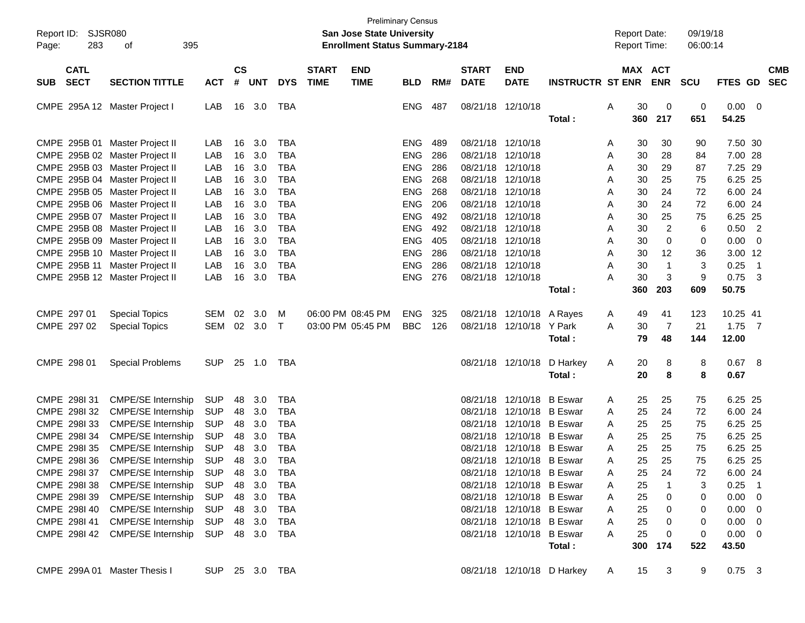| Report ID:<br>283<br>Page:    | SJSR080<br>395<br>οf            |                |                        |            |            |              | <b>San Jose State University</b><br><b>Enrollment Status Summary-2184</b> | <b>Preliminary Census</b> |     |              |                           |                            |    | <b>Report Date:</b><br><b>Report Time:</b> |                | 09/19/18<br>06:00:14 |             |                         |            |
|-------------------------------|---------------------------------|----------------|------------------------|------------|------------|--------------|---------------------------------------------------------------------------|---------------------------|-----|--------------|---------------------------|----------------------------|----|--------------------------------------------|----------------|----------------------|-------------|-------------------------|------------|
| <b>CATL</b>                   |                                 |                | $\mathbf{c}\mathbf{s}$ |            |            | <b>START</b> | <b>END</b>                                                                |                           |     | <b>START</b> | <b>END</b>                |                            |    |                                            | MAX ACT        |                      |             |                         | <b>CMB</b> |
| <b>SECT</b><br><b>SUB</b>     | <b>SECTION TITTLE</b>           | <b>ACT</b>     | #                      | <b>UNT</b> | <b>DYS</b> | <b>TIME</b>  | <b>TIME</b>                                                               | <b>BLD</b>                | RM# | <b>DATE</b>  | <b>DATE</b>               | <b>INSTRUCTR ST ENR</b>    |    |                                            | <b>ENR</b>     | <b>SCU</b>           | FTES GD     |                         | <b>SEC</b> |
| CMPE 295A 12 Master Project I |                                 | LAB            | 16                     | 3.0        | TBA        |              |                                                                           | ENG                       | 487 | 08/21/18     | 12/10/18                  |                            | Α  | 30                                         | 0              | 0                    | 0.00        | - 0                     |            |
|                               |                                 |                |                        |            |            |              |                                                                           |                           |     |              |                           | Total:                     |    | 360                                        | 217            | 651                  | 54.25       |                         |            |
| CMPE 295B 01                  | Master Project II               | LAB            | 16                     | 3.0        | <b>TBA</b> |              |                                                                           | <b>ENG</b>                | 489 | 08/21/18     | 12/10/18                  |                            | A  | 30                                         | 30             | 90                   | 7.50 30     |                         |            |
|                               | CMPE 295B 02 Master Project II  | LAB            | 16                     | 3.0        | <b>TBA</b> |              |                                                                           | <b>ENG</b>                | 286 | 08/21/18     | 12/10/18                  |                            | Α  | 30                                         | 28             | 84                   | 7.00 28     |                         |            |
|                               | CMPE 295B 03 Master Project II  | LAB            | 16                     | 3.0        | <b>TBA</b> |              |                                                                           | <b>ENG</b>                | 286 | 08/21/18     | 12/10/18                  |                            | Α  | 30                                         | 29             | 87                   | 7.25        | -29                     |            |
|                               | CMPE 295B 04 Master Project II  | LAB            | 16                     | 3.0        | <b>TBA</b> |              |                                                                           | <b>ENG</b>                | 268 | 08/21/18     | 12/10/18                  |                            | Α  | 30                                         | 25             | 75                   | 6.25        | -25                     |            |
|                               | CMPE 295B 05 Master Project II  | LAB            | 16                     | 3.0        | <b>TBA</b> |              |                                                                           | <b>ENG</b>                | 268 | 08/21/18     | 12/10/18                  |                            | Α  | 30                                         | 24             | 72                   | 6.00 24     |                         |            |
|                               | CMPE 295B 06 Master Project II  | LAB            | 16                     | 3.0        | <b>TBA</b> |              |                                                                           | <b>ENG</b>                | 206 | 08/21/18     | 12/10/18                  |                            | Α  | 30                                         | 24             | 72                   | 6.00        | -24                     |            |
|                               | CMPE 295B 07 Master Project II  | LAB            | 16                     | 3.0        | <b>TBA</b> |              |                                                                           | <b>ENG</b>                | 492 | 08/21/18     | 12/10/18                  |                            | Α  | 30                                         | 25             | 75                   | 6.25        | -25                     |            |
|                               | CMPE 295B 08 Master Project II  | LAB            | 16                     | 3.0        | <b>TBA</b> |              |                                                                           | <b>ENG</b>                | 492 | 08/21/18     | 12/10/18                  |                            | Α  | 30                                         | $\overline{2}$ | 6                    | 0.50        | $\overline{2}$          |            |
|                               | CMPE 295B 09 Master Project II  | LAB            | 16                     | 3.0        | <b>TBA</b> |              |                                                                           | <b>ENG</b>                | 405 | 08/21/18     | 12/10/18                  |                            | Α  | 30                                         | 0              | 0                    | 0.00        | 0                       |            |
|                               | CMPE 295B 10 Master Project II  | LAB            | 16                     | 3.0        | <b>TBA</b> |              |                                                                           | <b>ENG</b>                | 286 | 08/21/18     | 12/10/18                  |                            | Α  | 30                                         | 12             | 36                   | 3.00 12     |                         |            |
| CMPE 295B 11                  | Master Project II               | LAB            | 16                     | 3.0        | <b>TBA</b> |              |                                                                           | <b>ENG</b>                | 286 | 08/21/18     | 12/10/18                  |                            | Α  | 30                                         | $\mathbf 1$    | 3                    | 0.25        | $\overline{\mathbf{1}}$ |            |
|                               | CMPE 295B 12 Master Project II  | LAB            | 16                     | 3.0        | <b>TBA</b> |              |                                                                           | <b>ENG</b>                | 276 | 08/21/18     | 12/10/18                  |                            | Α  | 30                                         | 3              | 9                    | 0.75        | -3                      |            |
|                               |                                 |                |                        |            |            |              |                                                                           |                           |     |              |                           | Total:                     |    | 360                                        | 203            | 609                  | 50.75       |                         |            |
| CMPE 297 01                   | <b>Special Topics</b>           | <b>SEM</b>     | 02                     | 3.0        | м          |              | 06:00 PM 08:45 PM                                                         | ENG                       | 325 | 08/21/18     | 12/10/18                  | A Rayes                    | A  | 49                                         | 41             | 123                  | 10.25 41    |                         |            |
| CMPE 297 02                   | <b>Special Topics</b>           | <b>SEM</b>     | 02                     | 3.0        | $\top$     |              | 03:00 PM 05:45 PM                                                         | <b>BBC</b>                | 126 | 08/21/18     | 12/10/18                  | Y Park                     | A  | 30                                         | 7              | 21                   | 1.75        | $\overline{7}$          |            |
|                               |                                 |                |                        |            |            |              |                                                                           |                           |     |              |                           | Total:                     |    | 79                                         | 48             | 144                  | 12.00       |                         |            |
| CMPE 298 01                   | <b>Special Problems</b>         | <b>SUP</b>     | 25                     | 1.0        | TBA        |              |                                                                           |                           |     |              | 08/21/18 12/10/18         | D Harkey                   | A  | 20                                         | 8              | 8                    | 0.67        | - 8                     |            |
|                               |                                 |                |                        |            |            |              |                                                                           |                           |     |              |                           | Total:                     |    | 20                                         | 8              | 8                    | 0.67        |                         |            |
| CMPE 298131                   | <b>CMPE/SE Internship</b>       | <b>SUP</b>     | 48                     | 3.0        | <b>TBA</b> |              |                                                                           |                           |     | 08/21/18     | 12/10/18                  | <b>B</b> Eswar             | A  | 25                                         | 25             | 75                   | 6.25 25     |                         |            |
| CMPE 298132                   | <b>CMPE/SE Internship</b>       | <b>SUP</b>     | 48                     | 3.0        | <b>TBA</b> |              |                                                                           |                           |     | 08/21/18     | 12/10/18                  | B Eswar                    | A  | 25                                         | 24             | 72                   | 6.00 24     |                         |            |
| CMPE 298133                   | <b>CMPE/SE Internship</b>       | <b>SUP</b>     | 48                     | 3.0        | <b>TBA</b> |              |                                                                           |                           |     | 08/21/18     | 12/10/18                  | <b>B</b> Eswar             | A  | 25                                         | 25             | 75                   | 6.25        | -25                     |            |
| CMPE 298134                   | <b>CMPE/SE Internship</b>       | <b>SUP</b>     | 48                     | 3.0        | <b>TBA</b> |              |                                                                           |                           |     | 08/21/18     | 12/10/18                  | <b>B</b> Eswar             | A  | 25                                         | 25             | 75                   | 6.25        | -25                     |            |
| CMPE 2981 35                  | <b>CMPE/SE Internship</b>       | <b>SUP</b>     | 48                     | 3.0        | <b>TBA</b> |              |                                                                           |                           |     | 08/21/18     | 12/10/18                  | <b>B</b> Eswar             | A  | 25                                         | 25             | 75                   | 6.25        | -25                     |            |
| CMPE 2981 36                  | <b>CMPE/SE Internship</b>       | <b>SUP</b>     | 48                     | 3.0        | <b>TBA</b> |              |                                                                           |                           |     |              | 08/21/18 12/10/18 B Eswar |                            | A  | 25                                         | 25             | 75                   | 6.25 25     |                         |            |
| CMPE 298I 37                  | <b>CMPE/SE Internship</b>       | <b>SUP</b>     | 48                     | 3.0        | <b>TBA</b> |              |                                                                           |                           |     |              | 08/21/18 12/10/18 B Eswar |                            | A  | 25                                         | 24             | 72                   | 6.00 24     |                         |            |
| CMPE 298138                   | <b>CMPE/SE Internship</b>       | SUP 48 3.0     |                        |            | TBA        |              |                                                                           |                           |     |              | 08/21/18 12/10/18 B Eswar |                            | A  | 25                                         |                | 3                    | $0.25$ 1    |                         |            |
| CMPE 298I 39                  | <b>CMPE/SE Internship</b>       | SUP            |                        | 48 3.0     | TBA        |              |                                                                           |                           |     |              | 08/21/18 12/10/18 B Eswar |                            | A  | 25                                         | $\mathbf 0$    | 0                    | $0.00 \t 0$ |                         |            |
| CMPE 298140                   | <b>CMPE/SE Internship</b>       | SUP            |                        | 48 3.0     | TBA        |              |                                                                           |                           |     |              | 08/21/18 12/10/18 B Eswar |                            | A  | 25                                         | $\mathbf 0$    | 0                    | $0.00 \t 0$ |                         |            |
| CMPE 298I 41                  | <b>CMPE/SE Internship</b>       | SUP            |                        | 48 3.0     | TBA        |              |                                                                           |                           |     |              | 08/21/18 12/10/18 B Eswar |                            | A  | 25                                         | 0              | 0                    | $0.00 \ 0$  |                         |            |
|                               | CMPE 2981 42 CMPE/SE Internship | SUP 48 3.0     |                        |            | TBA        |              |                                                                           |                           |     |              | 08/21/18 12/10/18 B Eswar |                            | A  | 25                                         | 0              | 0                    | $0.00 \ 0$  |                         |            |
|                               |                                 |                |                        |            |            |              |                                                                           |                           |     |              |                           | Total:                     |    | 300                                        | 174            | 522                  | 43.50       |                         |            |
| CMPE 299A 01 Master Thesis I  |                                 | SUP 25 3.0 TBA |                        |            |            |              |                                                                           |                           |     |              |                           | 08/21/18 12/10/18 D Harkey | A. | 15                                         | 3              | 9                    | $0.75$ 3    |                         |            |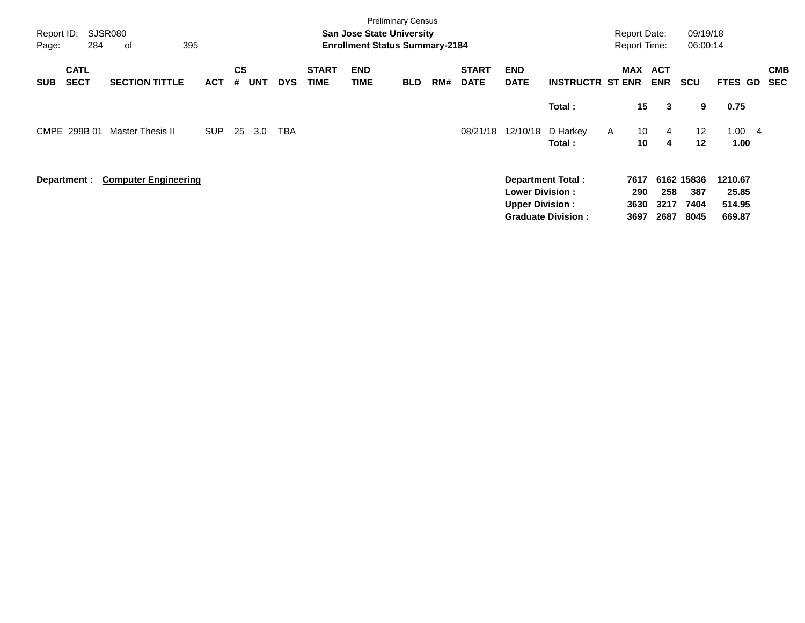| Report ID:<br>Page: | 284                        | SJSR080<br>395<br>οf              |            |                |            |            |                             | <b>San Jose State University</b><br><b>Enrollment Status Summary-2184</b> | <b>Preliminary Census</b> |     |                             |                                                  |                           | <b>Report Date:</b><br><b>Report Time:</b> |                                 | 09/19/18<br>06:00:14         |                            |                          |  |
|---------------------|----------------------------|-----------------------------------|------------|----------------|------------|------------|-----------------------------|---------------------------------------------------------------------------|---------------------------|-----|-----------------------------|--------------------------------------------------|---------------------------|--------------------------------------------|---------------------------------|------------------------------|----------------------------|--------------------------|--|
| <b>SUB</b>          | <b>CATL</b><br><b>SECT</b> | <b>SECTION TITTLE</b>             | <b>ACT</b> | <b>CS</b><br># | <b>UNT</b> | <b>DYS</b> | <b>START</b><br><b>TIME</b> | <b>END</b><br>TIME                                                        | <b>BLD</b>                | RM# | <b>START</b><br><b>DATE</b> | <b>END</b><br><b>DATE</b>                        | <b>INSTRUCTR ST ENR</b>   |                                            | MAX ACT<br><b>ENR</b>           | <b>SCU</b>                   | FTES GD                    | <b>CMB</b><br><b>SEC</b> |  |
|                     |                            |                                   |            |                |            |            |                             |                                                                           |                           |     |                             |                                                  | Total:                    |                                            | 15 <sub>1</sub><br>3            | 9                            | 0.75                       |                          |  |
|                     | CMPE 299B 01               | <b>Master Thesis II</b>           | <b>SUP</b> | -25            | 3.0        | <b>TBA</b> |                             |                                                                           |                           |     | 08/21/18                    | 12/10/18                                         | D Harkey<br>Total:        | $\mathsf{A}$                               | 10 <sup>°</sup><br>4<br>10<br>4 | $12 \overline{ }$<br>$12 \,$ | 1.004<br>1.00              |                          |  |
|                     |                            | Department : Computer Engineering |            |                |            |            |                             |                                                                           |                           |     |                             | <b>Lower Division:</b><br><b>Upper Division:</b> | <b>Department Total:</b>  | 7617<br>290<br>3630                        | 258<br>3217                     | 6162 15836<br>387<br>7404    | 1210.67<br>25.85<br>514.95 |                          |  |
|                     |                            |                                   |            |                |            |            |                             |                                                                           |                           |     |                             |                                                  | <b>Graduate Division:</b> | 3697                                       | 2687                            | 8045                         | 669.87                     |                          |  |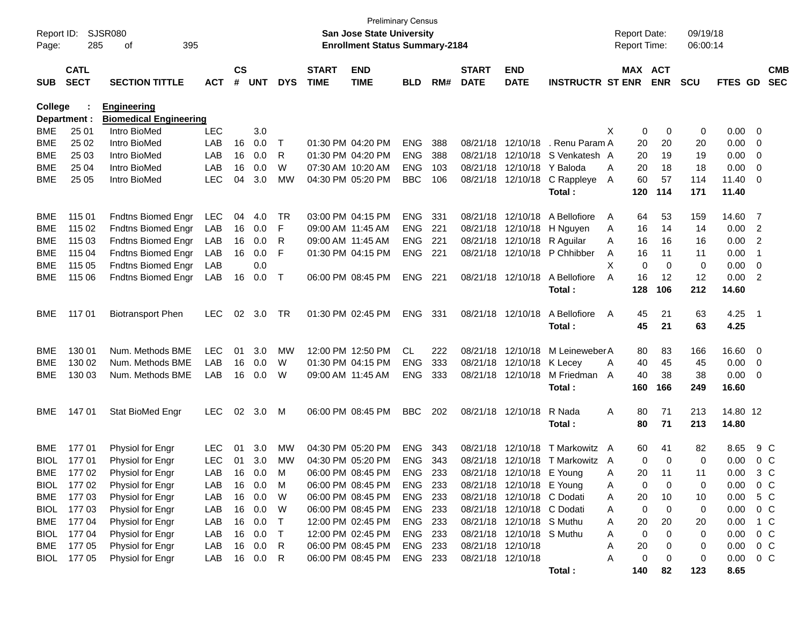| Report ID:<br>Page: | 285                        | <b>SJSR080</b><br>395<br>οf   |            |                    |            |            |                             | <b>Preliminary Census</b><br><b>San Jose State University</b><br><b>Enrollment Status Summary-2184</b> |            |      |                             |                             |                              |                | <b>Report Date:</b><br>Report Time: |            | 09/19/18<br>06:00:14 |          |                         |                          |
|---------------------|----------------------------|-------------------------------|------------|--------------------|------------|------------|-----------------------------|--------------------------------------------------------------------------------------------------------|------------|------|-----------------------------|-----------------------------|------------------------------|----------------|-------------------------------------|------------|----------------------|----------|-------------------------|--------------------------|
| <b>SUB</b>          | <b>CATL</b><br><b>SECT</b> | <b>SECTION TITTLE</b>         | <b>ACT</b> | $\mathsf{cs}$<br># | <b>UNT</b> | <b>DYS</b> | <b>START</b><br><b>TIME</b> | <b>END</b><br><b>TIME</b>                                                                              | <b>BLD</b> | RM#  | <b>START</b><br><b>DATE</b> | <b>END</b><br><b>DATE</b>   | <b>INSTRUCTR ST ENR</b>      |                | MAX ACT                             | <b>ENR</b> | <b>SCU</b>           | FTES GD  |                         | <b>CMB</b><br><b>SEC</b> |
| College             |                            | <b>Engineering</b>            |            |                    |            |            |                             |                                                                                                        |            |      |                             |                             |                              |                |                                     |            |                      |          |                         |                          |
|                     | Department :               | <b>Biomedical Engineering</b> |            |                    |            |            |                             |                                                                                                        |            |      |                             |                             |                              |                |                                     |            |                      |          |                         |                          |
| <b>BME</b>          | 25 01                      | Intro BioMed                  | <b>LEC</b> |                    | 3.0        |            |                             |                                                                                                        |            |      |                             |                             |                              | X              | 0                                   | 0          | 0                    | 0.00     | $\mathbf{0}$            |                          |
| BME                 | 25 02                      | Intro BioMed                  | LAB        | 16                 | 0.0        | Т          |                             | 01:30 PM 04:20 PM                                                                                      | <b>ENG</b> | 388  |                             | 08/21/18 12/10/18           | . Renu Param A               |                | 20                                  | 20         | 20                   | 0.00     | 0                       |                          |
| BME                 | 25 03                      | Intro BioMed                  | LAB        | 16                 | 0.0        | R          |                             | 01:30 PM 04:20 PM                                                                                      | <b>ENG</b> | 388  |                             | 08/21/18 12/10/18           | S Venkatesh A                |                | 20                                  | 19         | 19                   | 0.00     | 0                       |                          |
| BME                 | 25 04                      | Intro BioMed                  | LAB        | 16                 | 0.0        | W          |                             | 07:30 AM 10:20 AM                                                                                      | <b>ENG</b> | 103  |                             | 08/21/18 12/10/18 Y Baloda  |                              | A              | 20                                  | 18         | 18                   | 0.00     | 0                       |                          |
| BME                 | 25 05                      | Intro BioMed                  | <b>LEC</b> | 04                 | 3.0        | MW         |                             | 04:30 PM 05:20 PM                                                                                      | <b>BBC</b> | 106  |                             |                             | 08/21/18 12/10/18 C Rappleye | A              | 60                                  | 57         | 114                  | 11.40    | 0                       |                          |
|                     |                            |                               |            |                    |            |            |                             |                                                                                                        |            |      |                             |                             | Total:                       |                | 120                                 | 114        | 171                  | 11.40    |                         |                          |
| BME                 | 115 01                     | <b>Fndtns Biomed Engr</b>     | LEC        | 04                 | 4.0        | TR         |                             | 03:00 PM 04:15 PM                                                                                      | <b>ENG</b> | 331  |                             | 08/21/18 12/10/18           | A Bellofiore                 | A              | 64                                  | 53         | 159                  | 14.60    | $\overline{7}$          |                          |
| BME                 | 115 02                     | <b>Fndtns Biomed Engr</b>     | LAB        | 16                 | 0.0        | F          |                             | 09:00 AM 11:45 AM                                                                                      | <b>ENG</b> | 221  |                             | 08/21/18 12/10/18           | H Nguyen                     | A              | 16                                  | 14         | 14                   | 0.00     | 2                       |                          |
| BME                 | 115 03                     | <b>Fndtns Biomed Engr</b>     | LAB        | 16                 | 0.0        | R          | 09:00 AM 11:45 AM           |                                                                                                        | <b>ENG</b> | -221 |                             | 08/21/18 12/10/18 R Aguilar |                              | A              | 16                                  | 16         | 16                   | 0.00     | 2                       |                          |
| BME                 | 115 04                     | <b>Fndtns Biomed Engr</b>     | LAB        | 16                 | 0.0        | F          |                             | 01:30 PM 04:15 PM                                                                                      | ENG        | 221  |                             |                             | 08/21/18 12/10/18 P Chhibber | A              | 16                                  | 11         | 11                   | 0.00     | $\overline{1}$          |                          |
| BME                 | 115 05                     | <b>Fndtns Biomed Engr</b>     | LAB        |                    | 0.0        |            |                             |                                                                                                        |            |      |                             |                             |                              | X              | 0                                   | $\Omega$   | 0                    | 0.00     | 0                       |                          |
| BME                 | 115 06                     | <b>Fndtns Biomed Engr</b>     | LAB        | 16                 | 0.0        | $\top$     |                             | 06:00 PM 08:45 PM                                                                                      | <b>ENG</b> | 221  |                             | 08/21/18 12/10/18           | A Bellofiore                 | A              | 16                                  | 12         | 12                   | 0.00     | 2                       |                          |
|                     |                            |                               |            |                    |            |            |                             |                                                                                                        |            |      |                             |                             | Total:                       |                | 128                                 | 106        | 212                  | 14.60    |                         |                          |
| <b>BME</b>          | 11701                      | <b>Biotransport Phen</b>      | <b>LEC</b> | 02                 | 3.0        | TR         |                             | 01:30 PM 02:45 PM                                                                                      | ENG        | 331  |                             | 08/21/18 12/10/18           | A Bellofiore                 | A              | 45                                  | 21         | 63                   | 4.25     | - 1                     |                          |
|                     |                            |                               |            |                    |            |            |                             |                                                                                                        |            |      |                             |                             | Total:                       |                | 45                                  | 21         | 63                   | 4.25     |                         |                          |
| <b>BME</b>          | 130 01                     | Num. Methods BME              | <b>LEC</b> | 01                 | 3.0        | MW         |                             | 12:00 PM 12:50 PM                                                                                      | CL         | 222  |                             | 08/21/18 12/10/18           | M Leineweber A               |                | 80                                  | 83         | 166                  | 16.60    | $\overline{\mathbf{0}}$ |                          |
| BME                 | 130 02                     | Num. Methods BME              | LAB        | 16                 | 0.0        | W          |                             | 01:30 PM 04:15 PM                                                                                      | <b>ENG</b> | 333  |                             | 08/21/18 12/10/18           | K Lecev                      | A              | 40                                  | 45         | 45                   | 0.00     | $\mathbf{0}$            |                          |
| BME                 | 130 03                     | Num. Methods BME              | LAB        | 16                 | 0.0        | W          |                             | 09:00 AM 11:45 AM                                                                                      | <b>ENG</b> | 333  |                             | 08/21/18 12/10/18           | M Friedman                   | $\overline{A}$ | 40                                  | 38         | 38                   | 0.00     | 0                       |                          |
|                     |                            |                               |            |                    |            |            |                             |                                                                                                        |            |      |                             |                             | Total:                       |                | 160                                 | 166        | 249                  | 16.60    |                         |                          |
|                     |                            |                               |            |                    |            |            |                             |                                                                                                        |            |      |                             |                             |                              |                |                                     |            |                      |          |                         |                          |
| <b>BME</b>          | 147 01                     | Stat BioMed Engr              | LEC.       |                    | 02 3.0     | M          |                             | 06:00 PM 08:45 PM                                                                                      | <b>BBC</b> | 202  |                             | 08/21/18 12/10/18           | R Nada                       | A              | 80                                  | 71         | 213                  | 14.80 12 |                         |                          |
|                     |                            |                               |            |                    |            |            |                             |                                                                                                        |            |      |                             |                             | Total :                      |                | 80                                  | 71         | 213                  | 14.80    |                         |                          |
| BME                 | 17701                      | Physiol for Engr              | <b>LEC</b> | 01                 | 3.0        | МW         |                             | 04:30 PM 05:20 PM                                                                                      | <b>ENG</b> | 343  |                             | 08/21/18 12/10/18           | T Markowitz A                |                | 60                                  | 41         | 82                   | 8.65     |                         | 9 C                      |
| <b>BIOL</b>         | 17701                      | Physiol for Engr              | <b>LEC</b> | 01                 | 3.0        | MW         |                             | 04:30 PM 05:20 PM                                                                                      | <b>ENG</b> | 343  |                             | 08/21/18 12/10/18           | T Markowitz A                |                | 0                                   | 0          | 0                    | 0.00     |                         | 0 <sup>C</sup>           |
| BME                 | 17702                      | Physiol for Engr              | LAB        |                    | 16 0.0     | M          |                             | 06:00 PM 08:45 PM                                                                                      | ENG        | 233  |                             | 08/21/18 12/10/18 E Young   |                              | A              | 20                                  | 11         | 11                   | 0.00     |                         | 3 C                      |
| <b>BIOL</b>         | 17702                      | Physiol for Engr              | LAB        |                    | 16 0.0     | M          |                             | 06:00 PM 08:45 PM                                                                                      | ENG 233    |      |                             | 08/21/18 12/10/18 E Young   |                              | A              | 0                                   | 0          | 0                    | 0.00     | $0\,C$                  |                          |
| BME                 | 17703                      | Physiol for Engr              | LAB        | 16                 | 0.0        | W          |                             | 06:00 PM 08:45 PM                                                                                      | ENG 233    |      |                             | 08/21/18 12/10/18 C Dodati  |                              | A              | 20                                  | 10         | 10                   | 0.00     |                         | 5 C                      |
| <b>BIOL</b>         | 177 03                     | Physiol for Engr              | LAB        | 16                 | 0.0        | W          |                             | 06:00 PM 08:45 PM                                                                                      | ENG 233    |      |                             | 08/21/18 12/10/18 C Dodati  |                              | A              | 0                                   | 0          | 0                    | 0.00     | $0\,C$                  |                          |
| BME                 | 17704                      | Physiol for Engr              | LAB        | 16                 | 0.0        | Τ          |                             | 12:00 PM 02:45 PM                                                                                      | ENG 233    |      |                             | 08/21/18 12/10/18 S Muthu   |                              | A              | 20                                  | 20         | 20                   | 0.00     |                         | 1 C                      |
| <b>BIOL</b>         | 17704                      | Physiol for Engr              | LAB        | 16                 | 0.0        | Τ          |                             | 12:00 PM 02:45 PM                                                                                      | ENG 233    |      |                             | 08/21/18 12/10/18 S Muthu   |                              | Α              | 0                                   | 0          | 0                    | 0.00     |                         | $0\,C$                   |
| BME                 | 17705                      | Physiol for Engr              | LAB        | 16                 | 0.0        | R          |                             | 06:00 PM 08:45 PM                                                                                      | ENG 233    |      |                             | 08/21/18 12/10/18           |                              | Α              | 20                                  | 0          | 0                    | 0.00     | 0 C                     |                          |
| <b>BIOL</b>         | 17705                      | Physiol for Engr              | LAB        |                    | 16 0.0     | R          |                             | 06:00 PM 08:45 PM                                                                                      | ENG 233    |      | 08/21/18 12/10/18           |                             |                              | A              | 0                                   | 0          | 0                    | 0.00     | 0 C                     |                          |
|                     |                            |                               |            |                    |            |            |                             |                                                                                                        |            |      |                             |                             | Total:                       |                | 140                                 | 82         | 123                  | 8.65     |                         |                          |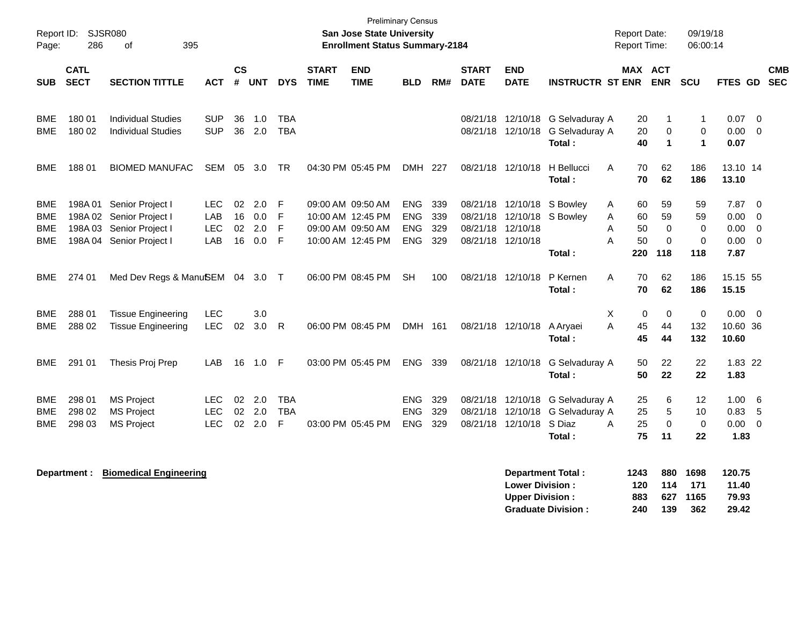| Page:                    | Report ID: SJSR080<br>286  | 395<br>of                                                                                    |                                  |                      |                                   |                               |                             | <b>Preliminary Census</b><br><b>San Jose State University</b><br><b>Enrollment Status Summary-2184</b> |                                         |                          |                                        |                                                  |                                                              | <b>Report Date:</b><br>Report Time:        |                                           | 09/19/18<br>06:00:14              |                                      |                                                   |                          |
|--------------------------|----------------------------|----------------------------------------------------------------------------------------------|----------------------------------|----------------------|-----------------------------------|-------------------------------|-----------------------------|--------------------------------------------------------------------------------------------------------|-----------------------------------------|--------------------------|----------------------------------------|--------------------------------------------------|--------------------------------------------------------------|--------------------------------------------|-------------------------------------------|-----------------------------------|--------------------------------------|---------------------------------------------------|--------------------------|
| <b>SUB</b>               | <b>CATL</b><br><b>SECT</b> | <b>SECTION TITTLE</b>                                                                        | <b>ACT</b>                       | <b>CS</b><br>#       | <b>UNT</b>                        | <b>DYS</b>                    | <b>START</b><br><b>TIME</b> | <b>END</b><br><b>TIME</b>                                                                              | <b>BLD</b>                              | RM#                      | <b>START</b><br><b>DATE</b>            | <b>END</b><br><b>DATE</b>                        | <b>INSTRUCTR ST ENR</b>                                      | MAX ACT                                    | <b>ENR</b>                                | <b>SCU</b>                        | <b>FTES GD</b>                       |                                                   | <b>CMB</b><br><b>SEC</b> |
| BME<br><b>BME</b>        | 180 01<br>180 02           | <b>Individual Studies</b><br><b>Individual Studies</b>                                       | <b>SUP</b><br><b>SUP</b>         | 36<br>36             | 1.0<br>2.0                        | TBA<br><b>TBA</b>             |                             |                                                                                                        |                                         |                          |                                        | 08/21/18 12/10/18<br>08/21/18 12/10/18           | G Selvaduray A<br>G Selvaduray A<br>Total:                   | 20<br>20<br>40                             | -1<br>$\mathbf 0$<br>$\blacktriangleleft$ | $\mathbf{1}$<br>0<br>$\mathbf{1}$ | 0.07<br>0.00<br>0.07                 | - 0<br>$\overline{0}$                             |                          |
| <b>BME</b>               | 18801                      | <b>BIOMED MANUFAC</b>                                                                        | <b>SEM</b>                       | 05                   | 3.0                               | TR                            |                             | 04:30 PM 05:45 PM                                                                                      | <b>DMH</b>                              | 227                      |                                        | 08/21/18 12/10/18                                | H Bellucci<br>A<br>Total:                                    | 70<br>70                                   | 62<br>62                                  | 186<br>186                        | 13.10 14<br>13.10                    |                                                   |                          |
| BME<br>BME<br>BME<br>BME | 198A01<br>198A03           | Senior Project I<br>198A 02 Senior Project I<br>Senior Project I<br>198A 04 Senior Project I | <b>LEC</b><br>LAB<br>LEC<br>LAB  | 02<br>16<br>02<br>16 | 2.0<br>0.0<br>2.0<br>0.0          | F<br>F<br>F<br>F              |                             | 09:00 AM 09:50 AM<br>10:00 AM 12:45 PM<br>09:00 AM 09:50 AM<br>10:00 AM 12:45 PM                       | ENG.<br><b>ENG</b><br>ENG<br><b>ENG</b> | 339<br>339<br>329<br>329 | 08/21/18 12/10/18<br>08/21/18 12/10/18 | 08/21/18 12/10/18                                | S Bowley<br>08/21/18 12/10/18 S Bowley<br>Α<br>Total:        | 60<br>A<br>60<br>50<br>Α<br>50<br>А<br>220 | 59<br>59<br>$\Omega$<br>$\Omega$<br>118   | 59<br>59<br>$\Omega$<br>0<br>118  | 7.87<br>0.00<br>0.00<br>0.00<br>7.87 | $\overline{0}$<br>$\mathbf 0$<br>$\mathbf 0$<br>0 |                          |
| BME                      | 274 01                     | Med Dev Regs & ManuSEM 04 3.0                                                                |                                  |                      |                                   | $\top$                        |                             | 06:00 PM 08:45 PM                                                                                      | <b>SH</b>                               | 100                      |                                        | 08/21/18 12/10/18                                | P Kernen<br>Total:                                           | А<br>70<br>70                              | 62<br>62                                  | 186<br>186                        | 15.15 55<br>15.15                    |                                                   |                          |
| BME<br>BME               | 288 01<br>288 02           | <b>Tissue Engineering</b><br><b>Tissue Engineering</b>                                       | LEC<br><b>LEC</b>                | 02                   | 3.0<br>3.0                        | $\mathsf{R}$                  |                             | 06:00 PM 08:45 PM                                                                                      | DMH 161                                 |                          |                                        | 08/21/18 12/10/18                                | A Aryaei<br>Total:                                           | X<br>0<br>A<br>45<br>45                    | 0<br>44<br>44                             | $\mathbf 0$<br>132<br>132         | 0.00<br>10.60 36<br>10.60            | $\overline{0}$                                    |                          |
| BME                      | 291 01                     | Thesis Proj Prep                                                                             | LAB                              | 16                   | 1.0                               | -F                            |                             | 03:00 PM 05:45 PM                                                                                      | ENG.                                    | 339                      |                                        | 08/21/18 12/10/18                                | G Selvaduray A<br>Total:                                     | 50<br>50                                   | 22<br>22                                  | 22<br>22                          | 1.83 22<br>1.83                      |                                                   |                          |
| BME<br>BME<br>BME        | 298 01<br>298 02<br>298 03 | <b>MS Project</b><br><b>MS Project</b><br><b>MS Project</b>                                  | LEC.<br><b>LEC</b><br><b>LEC</b> | 02                   | $02 \quad 2.0$<br>2.0<br>$02$ 2.0 | <b>TBA</b><br><b>TBA</b><br>F |                             | 03:00 PM 05:45 PM                                                                                      | <b>ENG</b><br><b>ENG</b><br><b>ENG</b>  | 329<br>329<br>329        |                                        | 08/21/18 12/10/18<br>08/21/18 12/10/18 S Diaz    | 08/21/18 12/10/18 G Selvaduray A<br>G Selvaduray A<br>Total: | 25<br>25<br>25<br>А<br>75                  | 6<br>5<br>$\mathbf 0$<br>11               | 12<br>10<br>$\mathbf 0$<br>22     | 1.00<br>0.83<br>0.00<br>1.83         | - 6<br>5<br>$\mathbf 0$                           |                          |
|                          | Department :               | <b>Biomedical Engineering</b>                                                                |                                  |                      |                                   |                               |                             |                                                                                                        |                                         |                          |                                        | <b>Lower Division:</b><br><b>Upper Division:</b> | <b>Department Total:</b><br><b>Graduate Division:</b>        | 1243<br>120<br>883<br>240                  | 880<br>114<br>627<br>139                  | 1698<br>171<br>1165<br>362        | 120.75<br>11.40<br>79.93<br>29.42    |                                                   |                          |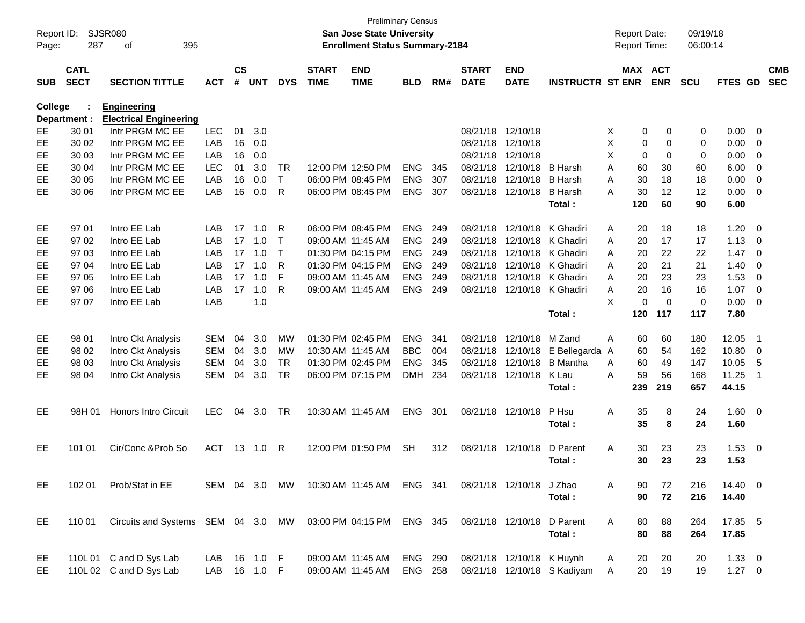| Report ID:<br>Page: | 287                        | SJSR080<br>395<br>оf                             |               |                |            |             |                             | San Jose State University<br><b>Enrollment Status Summary-2184</b> | <b>Preliminary Census</b> |     |                             |                           |                             | <b>Report Date:</b><br>Report Time: |             |                       | 09/19/18<br>06:00:14 |                |                          |                          |
|---------------------|----------------------------|--------------------------------------------------|---------------|----------------|------------|-------------|-----------------------------|--------------------------------------------------------------------|---------------------------|-----|-----------------------------|---------------------------|-----------------------------|-------------------------------------|-------------|-----------------------|----------------------|----------------|--------------------------|--------------------------|
| <b>SUB</b>          | <b>CATL</b><br><b>SECT</b> | <b>SECTION TITTLE</b>                            | <b>ACT</b>    | <b>CS</b><br># | <b>UNT</b> | <b>DYS</b>  | <b>START</b><br><b>TIME</b> | <b>END</b><br><b>TIME</b>                                          | <b>BLD</b>                | RM# | <b>START</b><br><b>DATE</b> | <b>END</b><br><b>DATE</b> | <b>INSTRUCTR ST ENR</b>     |                                     |             | MAX ACT<br><b>ENR</b> | <b>SCU</b>           | <b>FTES GD</b> |                          | <b>CMB</b><br><b>SEC</b> |
| College             |                            | <b>Engineering</b>                               |               |                |            |             |                             |                                                                    |                           |     |                             |                           |                             |                                     |             |                       |                      |                |                          |                          |
| EЕ                  | Department :<br>30 01      | <b>Electrical Engineering</b><br>Intr PRGM MC EE | <b>LEC</b>    | 01             | 3.0        |             |                             |                                                                    |                           |     |                             | 08/21/18 12/10/18         |                             | Χ                                   | 0           | 0                     |                      | 0.00           | 0                        |                          |
| EE                  | 30 02                      | Intr PRGM MC EE                                  | LAB           | 16             | 0.0        |             |                             |                                                                    |                           |     | 08/21/18                    | 12/10/18                  |                             | X                                   | 0           | 0                     | 0<br>0               | 0.00           | 0                        |                          |
| EE                  | 30 03                      | Intr PRGM MC EE                                  | LAB           | 16             | 0.0        |             |                             |                                                                    |                           |     | 08/21/18                    | 12/10/18                  |                             | X                                   | $\mathbf 0$ | 0                     | 0                    | 0.00           | 0                        |                          |
| EE                  | 30 04                      | Intr PRGM MC EE                                  | LEC           | 01             | 3.0        | <b>TR</b>   |                             | 12:00 PM 12:50 PM                                                  | <b>ENG</b>                | 345 | 08/21/18                    | 12/10/18                  | <b>B</b> Harsh              | Α                                   | 60          | 30                    | 60                   | 6.00           | 0                        |                          |
| EE                  | 30 05                      | Intr PRGM MC EE                                  | LAB           | 16             | 0.0        | T           |                             | 06:00 PM 08:45 PM                                                  | <b>ENG</b>                | 307 | 08/21/18                    | 12/10/18                  | <b>B</b> Harsh              | Α                                   | 30          | 18                    | 18                   | 0.00           | 0                        |                          |
| EE                  | 30 06                      | Intr PRGM MC EE                                  | LAB           | 16             | 0.0        | R           |                             | 06:00 PM 08:45 PM                                                  | <b>ENG</b>                | 307 |                             | 08/21/18 12/10/18         | <b>B</b> Harsh              | А                                   | 30          | 12                    | 12                   | 0.00           | 0                        |                          |
|                     |                            |                                                  |               |                |            |             |                             |                                                                    |                           |     |                             |                           | Total:                      |                                     | 120         | 60                    | 90                   | 6.00           |                          |                          |
| EE                  | 97 01                      | Intro EE Lab                                     | LAB           | 17             | 1.0        | R           |                             | 06:00 PM 08:45 PM                                                  | <b>ENG</b>                | 249 | 08/21/18                    | 12/10/18                  | K Ghadiri                   | A                                   | 20          | 18                    | 18                   | 1.20           | 0                        |                          |
| EE                  | 97 02                      | Intro EE Lab                                     | LAB           | 17             | 1.0        | $\mathsf T$ |                             | 09:00 AM 11:45 AM                                                  | <b>ENG</b>                | 249 | 08/21/18                    |                           | 12/10/18 K Ghadiri          | A                                   | 20          | 17                    | 17                   | 1.13           | 0                        |                          |
| EE                  | 97 03                      | Intro EE Lab                                     | LAB           | 17             | 1.0        | $\mathsf T$ |                             | 01:30 PM 04:15 PM                                                  | <b>ENG</b>                | 249 | 08/21/18                    |                           | 12/10/18 K Ghadiri          | A                                   | 20          | 22                    | 22                   | 1.47           | $\overline{0}$           |                          |
| EE                  | 97 04                      | Intro EE Lab                                     | LAB           | 17             | 1.0        | R           |                             | 01:30 PM 04:15 PM                                                  | <b>ENG</b>                | 249 | 08/21/18                    |                           | 12/10/18 K Ghadiri          | A                                   | 20          | 21                    | 21                   | 1.40           | 0                        |                          |
| EE                  | 97 05                      | Intro EE Lab                                     | LAB           | 17             | 1.0        | F           |                             | 09:00 AM 11:45 AM                                                  | <b>ENG</b>                | 249 | 08/21/18                    |                           | 12/10/18 K Ghadiri          | Α                                   | 20          | 23                    | 23                   | 1.53           | 0                        |                          |
| EE                  | 97 06                      | Intro EE Lab                                     | LAB           | 17             | 1.0        | R           |                             | 09:00 AM 11:45 AM                                                  | <b>ENG</b>                | 249 |                             |                           | 08/21/18 12/10/18 K Ghadiri | Α                                   | 20          | 16                    | 16                   | 1.07           | $\overline{0}$           |                          |
| EE                  | 97 07                      | Intro EE Lab                                     | LAB           |                | 1.0        |             |                             |                                                                    |                           |     |                             |                           |                             | X                                   | $\mathbf 0$ | $\Omega$              | $\mathbf 0$          | 0.00           | $\overline{0}$           |                          |
|                     |                            |                                                  |               |                |            |             |                             |                                                                    |                           |     |                             |                           | Total:                      |                                     | 120         | 117                   | 117                  | 7.80           |                          |                          |
| EE                  | 98 01                      | Intro Ckt Analysis                               | <b>SEM</b>    | 04             | 3.0        | MW          |                             | 01:30 PM 02:45 PM                                                  | <b>ENG</b>                | 341 |                             | 08/21/18 12/10/18         | M Zand                      | A                                   | 60          | 60                    | 180                  | 12.05          | -1                       |                          |
| EE                  | 98 02                      | Intro Ckt Analysis                               | <b>SEM</b>    | 04             | 3.0        | MW          |                             | 10:30 AM 11:45 AM                                                  | <b>BBC</b>                | 004 | 08/21/18                    | 12/10/18                  | E Bellegarda                | A                                   | 60          | 54                    | 162                  | 10.80          | 0                        |                          |
| EE                  | 98 03                      | Intro Ckt Analysis                               | <b>SEM</b>    | 04             | 3.0        | <b>TR</b>   |                             | 01:30 PM 02:45 PM                                                  | <b>ENG</b>                | 345 | 08/21/18                    | 12/10/18                  | <b>B</b> Mantha             | A                                   | 60          | 49                    | 147                  | 10.05          | 5                        |                          |
| EE                  | 98 04                      | Intro Ckt Analysis                               | <b>SEM</b>    | 04             | 3.0        | <b>TR</b>   |                             | 06:00 PM 07:15 PM                                                  | <b>DMH</b>                | 234 |                             | 08/21/18 12/10/18         | K Lau                       | A                                   | 59          | 56                    | 168                  | 11.25          | -1                       |                          |
|                     |                            |                                                  |               |                |            |             |                             |                                                                    |                           |     |                             |                           | Total:                      |                                     | 239         | 219                   | 657                  | 44.15          |                          |                          |
| EE                  | 98H 01                     | <b>Honors Intro Circuit</b>                      | <b>LEC</b>    | 04             | 3.0        | <b>TR</b>   |                             | 10:30 AM 11:45 AM                                                  | <b>ENG</b>                | 301 |                             | 08/21/18 12/10/18         | P Hsu                       | Α                                   | 35          | 8                     | 24                   | $1.60 \t 0$    |                          |                          |
|                     |                            |                                                  |               |                |            |             |                             |                                                                    |                           |     |                             |                           | Total:                      |                                     | 35          | 8                     | 24                   | 1.60           |                          |                          |
| EE                  | 101 01                     | Cir/Conc & Prob So                               | <b>ACT</b>    |                | 13 1.0     | R           |                             | 12:00 PM 01:50 PM                                                  | <b>SH</b>                 | 312 |                             | 08/21/18 12/10/18         | D Parent                    | A                                   | 30          | 23                    | 23                   | 1.53           | $\overline{\phantom{0}}$ |                          |
|                     |                            |                                                  |               |                |            |             |                             |                                                                    |                           |     |                             |                           | Total:                      |                                     | 30          | 23                    | 23                   | 1.53           |                          |                          |
| EE                  | 102 01                     | Prob/Stat in EE                                  | SEM 04 3.0 MW |                |            |             |                             | 10:30 AM 11:45 AM ENG 341                                          |                           |     |                             | 08/21/18 12/10/18 J Zhao  |                             | Α                                   | 90          | 72                    | 216                  | 14.40 0        |                          |                          |
|                     |                            |                                                  |               |                |            |             |                             |                                                                    |                           |     |                             |                           | Total:                      |                                     | 90          | 72                    | 216                  | 14.40          |                          |                          |
| EE                  | 110 01                     | Circuits and Systems SEM 04 3.0 MW               |               |                |            |             |                             | 03:00 PM 04:15 PM                                                  | ENG 345                   |     |                             | 08/21/18 12/10/18         | D Parent                    | Α                                   | 80          | 88                    | 264                  | 17.85 5        |                          |                          |
|                     |                            |                                                  |               |                |            |             |                             |                                                                    |                           |     |                             |                           | Total:                      |                                     | 80          | 88                    | 264                  | 17.85          |                          |                          |
| EE                  |                            | 110L 01 C and D Sys Lab                          | LAB           |                | 16 1.0 F   |             |                             | 09:00 AM 11:45 AM                                                  | <b>ENG 290</b>            |     |                             | 08/21/18 12/10/18 K Huynh |                             | A                                   | 20          | 20                    | 20                   | $1.33 \ 0$     |                          |                          |
| EE.                 |                            | 110L 02 C and D Sys Lab                          | LAB           |                | 16  1.0  F |             |                             | 09:00 AM 11:45 AM                                                  | ENG 258                   |     |                             |                           | 08/21/18 12/10/18 S Kadiyam | A                                   | 20          | 19                    | 19                   | $1.27 \t 0$    |                          |                          |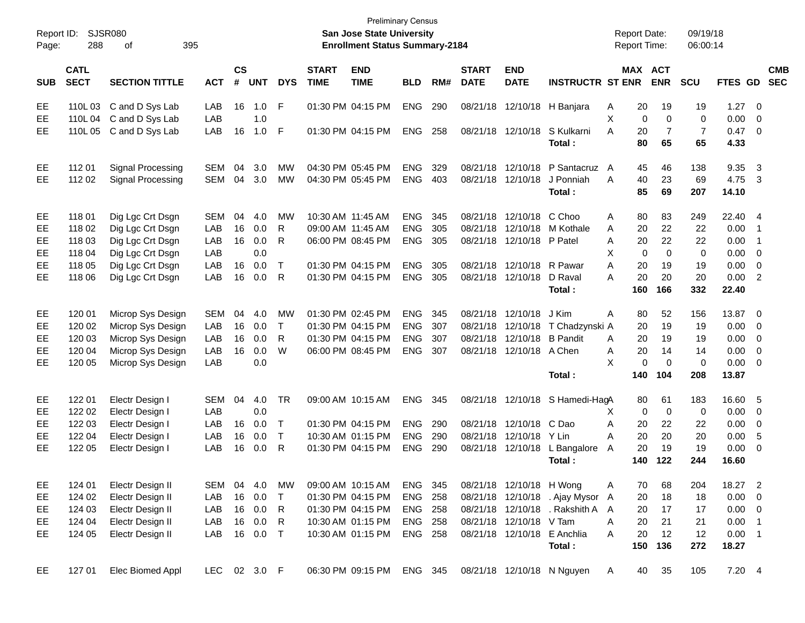| Report ID:<br>Page: | 288                        | <b>SJSR080</b><br>395<br>оf |              |                |            |              |                             | <b>Preliminary Census</b><br><b>San Jose State University</b><br><b>Enrollment Status Summary-2184</b> |                |     |                             |                            |                                  |    | <b>Report Date:</b><br>Report Time: |             | 09/19/18<br>06:00:14 |             |                          |                          |
|---------------------|----------------------------|-----------------------------|--------------|----------------|------------|--------------|-----------------------------|--------------------------------------------------------------------------------------------------------|----------------|-----|-----------------------------|----------------------------|----------------------------------|----|-------------------------------------|-------------|----------------------|-------------|--------------------------|--------------------------|
| <b>SUB</b>          | <b>CATL</b><br><b>SECT</b> | <b>SECTION TITTLE</b>       | <b>ACT</b>   | <b>CS</b><br># | <b>UNT</b> | <b>DYS</b>   | <b>START</b><br><b>TIME</b> | <b>END</b><br><b>TIME</b>                                                                              | <b>BLD</b>     | RM# | <b>START</b><br><b>DATE</b> | <b>END</b><br><b>DATE</b>  | <b>INSTRUCTR ST ENR</b>          |    | <b>MAX ACT</b>                      | <b>ENR</b>  | SCU                  | FTES GD     |                          | <b>CMB</b><br><b>SEC</b> |
| EE                  | 110L 03                    | C and D Sys Lab             | LAB          | 16             | 1.0        | F            |                             | 01:30 PM 04:15 PM                                                                                      | <b>ENG</b>     | 290 |                             |                            | 08/21/18 12/10/18 H Banjara      | Α  | 20                                  | 19          | 19                   | 1.27        | $\overline{\mathbf{0}}$  |                          |
| EE                  |                            | 110L04 C and D Sys Lab      | LAB          |                | 1.0        |              |                             |                                                                                                        |                |     |                             |                            |                                  | X  | $\mathbf 0$                         | $\mathbf 0$ | 0                    | 0.00        | 0                        |                          |
| EE.                 | 110L 05                    | C and D Sys Lab             | LAB          | 16             | 1.0        | -F           |                             | 01:30 PM 04:15 PM                                                                                      | <b>ENG</b>     | 258 |                             | 08/21/18 12/10/18          | S Kulkarni                       | A  | 20                                  | 7           | $\overline{7}$       | 0.47        | - 0                      |                          |
|                     |                            |                             |              |                |            |              |                             |                                                                                                        |                |     |                             |                            | Total :                          |    | 80                                  | 65          | 65                   | 4.33        |                          |                          |
| EE                  | 11201                      | Signal Processing           | <b>SEM</b>   | 04             | 3.0        | МW           |                             | 04:30 PM 05:45 PM                                                                                      | <b>ENG</b>     | 329 |                             | 08/21/18 12/10/18          | P Santacruz A                    |    | 45                                  | 46          | 138                  | 9.35        | $\overline{\mathbf{3}}$  |                          |
| EE.                 | 112 02                     | Signal Processing           | <b>SEM</b>   | 04             | 3.0        | <b>MW</b>    |                             | 04:30 PM 05:45 PM                                                                                      | <b>ENG</b>     | 403 |                             | 08/21/18 12/10/18          | J Ponniah                        | A  | 40                                  | 23          | 69                   | 4.75        | 3                        |                          |
|                     |                            |                             |              |                |            |              |                             |                                                                                                        |                |     |                             |                            | Total:                           |    | 85                                  | 69          | 207                  | 14.10       |                          |                          |
| EE                  | 11801                      | Dig Lgc Crt Dsgn            | <b>SEM</b>   | 04             | 4.0        | <b>MW</b>    |                             | 10:30 AM 11:45 AM                                                                                      | <b>ENG</b>     | 345 |                             | 08/21/18 12/10/18          | C Choo                           | Α  | 80                                  | 83          | 249                  | 22.40 4     |                          |                          |
| EE                  | 118 02                     | Dig Lgc Crt Dsgn            | LAB          | 16             | 0.0        | R            |                             | 09:00 AM 11:45 AM                                                                                      | <b>ENG</b>     | 305 |                             |                            | 08/21/18 12/10/18 M Kothale      | A  | 20                                  | 22          | 22                   | 0.00        | -1                       |                          |
| EE                  | 118 03                     | Dig Lgc Crt Dsgn            | LAB          | 16             | 0.0        | R            |                             | 06:00 PM 08:45 PM                                                                                      | <b>ENG</b>     | 305 |                             | 08/21/18 12/10/18 P Patel  |                                  | A  | 20                                  | 22          | 22                   | 0.00        | -1                       |                          |
| EE                  | 118 04                     | Dig Lgc Crt Dsgn            | LAB          |                | 0.0        |              |                             |                                                                                                        |                |     |                             |                            |                                  | X  | $\mathbf 0$                         | $\mathbf 0$ | 0                    | 0.00        | 0                        |                          |
| EE                  | 118 05                     | Dig Lgc Crt Dsgn            | LAB          | 16             | 0.0        | $\mathsf{T}$ |                             | 01:30 PM 04:15 PM                                                                                      | <b>ENG</b>     | 305 |                             | 08/21/18 12/10/18 R Pawar  |                                  | A  | 20                                  | 19          | 19                   | 0.00        | $\mathbf 0$              |                          |
| EE.                 | 118 06                     | Dig Lgc Crt Dsgn            | LAB          | 16             | 0.0        | R            |                             | 01:30 PM 04:15 PM                                                                                      | <b>ENG</b>     | 305 |                             | 08/21/18 12/10/18          | D Raval                          | A  | 20                                  | 20          | 20                   | 0.00        | $\overline{2}$           |                          |
|                     |                            |                             |              |                |            |              |                             |                                                                                                        |                |     |                             |                            | Total:                           |    | 160                                 | 166         | 332                  | 22.40       |                          |                          |
| EE                  | 120 01                     | Microp Sys Design           | <b>SEM</b>   | 04             | 4.0        | MW           |                             | 01:30 PM 02:45 PM                                                                                      | <b>ENG</b>     | 345 |                             | 08/21/18 12/10/18          | J Kim                            | Α  | 80                                  | 52          | 156                  | 13.87       | - 0                      |                          |
| EE                  | 120 02                     | Microp Sys Design           | LAB          | 16             | 0.0        | $\mathsf{T}$ |                             | 01:30 PM 04:15 PM                                                                                      | <b>ENG</b>     | 307 |                             | 08/21/18 12/10/18          | T Chadzynski A                   |    | 20                                  | 19          | 19                   | 0.00        | 0                        |                          |
| EE                  | 120 03                     | Microp Sys Design           | LAB          | 16             | 0.0        | $\mathsf{R}$ |                             | 01:30 PM 04:15 PM                                                                                      | <b>ENG</b>     | 307 |                             | 08/21/18 12/10/18 B Pandit |                                  | A  | 20                                  | 19          | 19                   | 0.00        | 0                        |                          |
| EE                  | 120 04                     | Microp Sys Design           | LAB          | 16             | 0.0        | W            |                             | 06:00 PM 08:45 PM                                                                                      | <b>ENG</b>     | 307 |                             | 08/21/18 12/10/18 A Chen   |                                  | A  | 20                                  | 14          | 14                   | 0.00        | $\mathbf 0$              |                          |
| EE.                 | 120 05                     | Microp Sys Design           | LAB          |                | 0.0        |              |                             |                                                                                                        |                |     |                             |                            |                                  | X. | $\mathbf 0$                         | $\mathbf 0$ | 0                    | 0.00        | $\overline{0}$           |                          |
|                     |                            |                             |              |                |            |              |                             |                                                                                                        |                |     |                             |                            | Total:                           |    | 140                                 | 104         | 208                  | 13.87       |                          |                          |
| EE                  | 122 01                     | Electr Design I             | <b>SEM</b>   | 04             | 4.0        | <b>TR</b>    |                             | 09:00 AM 10:15 AM                                                                                      | <b>ENG</b>     | 345 |                             |                            | 08/21/18 12/10/18 S Hamedi-HagA  |    | 80                                  | 61          | 183                  | 16.60       | - 5                      |                          |
| EE                  | 122 02                     | Electr Design I             | LAB          |                | 0.0        |              |                             |                                                                                                        |                |     |                             |                            |                                  | X  | $\mathbf 0$                         | $\mathbf 0$ | 0                    | 0.00        | 0                        |                          |
| EE                  | 122 03                     | Electr Design I             | LAB          | 16             | 0.0        | $\mathsf{T}$ |                             | 01:30 PM 04:15 PM                                                                                      | <b>ENG</b>     | 290 |                             | 08/21/18 12/10/18          | C Dao                            | Α  | 20                                  | 22          | 22                   | 0.00        | 0                        |                          |
| EE                  | 122 04                     | Electr Design I             | LAB          | 16             | 0.0        | $\mathsf{T}$ |                             | 10:30 AM 01:15 PM                                                                                      | <b>ENG</b>     | 290 |                             | 08/21/18 12/10/18 Y Lin    |                                  | A  | 20                                  | 20          | 20                   | 0.00        | -5                       |                          |
| EE.                 | 122 05                     | Electr Design I             | LAB          | 16             | 0.0        | R            |                             | 01:30 PM 04:15 PM                                                                                      | <b>ENG</b>     | 290 |                             | 08/21/18 12/10/18          | L Bangalore                      | A  | 20                                  | 19          | 19                   | 0.00        | 0                        |                          |
|                     |                            |                             |              |                |            |              |                             |                                                                                                        |                |     |                             |                            | Total :                          |    | 140                                 | 122         | 244                  | 16.60       |                          |                          |
| EE                  | 124 01                     | Electr Design II            | <b>SEM</b>   | 04             | 4.0        | MW           |                             | 09:00 AM 10:15 AM                                                                                      | ENG 345        |     |                             | 08/21/18 12/10/18 H Wong   |                                  | A  | 70                                  | 68          | 204                  | 18.27 2     |                          |                          |
| EE                  | 124 02                     | Electr Design II            | LAB          | 16             | 0.0        | $\top$       |                             | 01:30 PM 04:15 PM                                                                                      | ENG            | 258 |                             |                            | 08/21/18 12/10/18 . Ajay Mysor   | A  | 20                                  | 18          | 18                   | 0.00        | $\overline{\phantom{0}}$ |                          |
| EE                  | 124 03                     | Electr Design II            | LAB          | 16             | 0.0        | R            |                             | 01:30 PM 04:15 PM                                                                                      | <b>ENG 258</b> |     |                             |                            | 08/21/18 12/10/18 . Rakshith A A |    | 20                                  | 17          | 17                   | $0.00 \t 0$ |                          |                          |
| EE                  | 124 04                     | Electr Design II            | LAB          | 16             | 0.0        | R            |                             | 10:30 AM 01:15 PM                                                                                      | <b>ENG 258</b> |     |                             | 08/21/18 12/10/18 V Tam    |                                  | Α  | 20                                  | 21          | 21                   | $0.00$ 1    |                          |                          |
| EE                  | 124 05                     | Electr Design II            | LAB          |                | 16  0.0  T |              |                             | 10:30 AM 01:15 PM                                                                                      | <b>ENG 258</b> |     |                             |                            | 08/21/18 12/10/18 E Anchlia      | A  | 20                                  | 12          | 12                   | $0.00$ 1    |                          |                          |
|                     |                            |                             |              |                |            |              |                             |                                                                                                        |                |     |                             |                            | Total:                           |    | 150                                 | 136         | 272                  | 18.27       |                          |                          |
| EE                  | 127 01                     | Elec Biomed Appl            | LEC 02 3.0 F |                |            |              |                             | 06:30 PM 09:15 PM                                                                                      | ENG 345        |     |                             |                            | 08/21/18 12/10/18 N Nguyen       | A  | 40                                  | 35          | 105                  | 7.20 4      |                          |                          |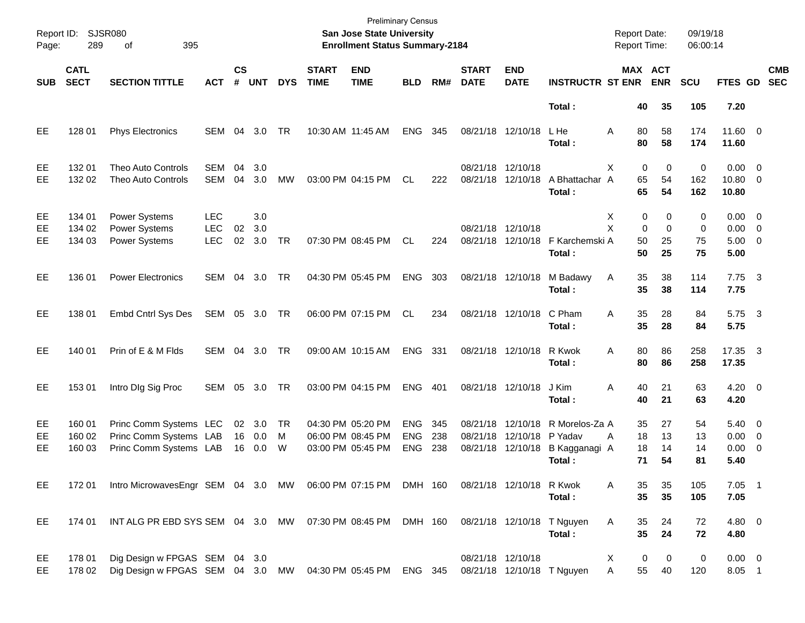| Page:           | Report ID: SJSR080<br>289  | 395<br>of                                                                                   |                                        |                    |                          |                     |                             | <b>Preliminary Census</b><br><b>San Jose State University</b><br><b>Enrollment Status Summary-2184</b> |                                        |                   |                             |                                           |                                                      | <b>Report Date:</b><br><b>Report Time:</b> |                           | 09/19/18<br>06:00:14 |                                                   |                          |            |
|-----------------|----------------------------|---------------------------------------------------------------------------------------------|----------------------------------------|--------------------|--------------------------|---------------------|-----------------------------|--------------------------------------------------------------------------------------------------------|----------------------------------------|-------------------|-----------------------------|-------------------------------------------|------------------------------------------------------|--------------------------------------------|---------------------------|----------------------|---------------------------------------------------|--------------------------|------------|
| <b>SUB</b>      | <b>CATL</b><br><b>SECT</b> | <b>SECTION TITTLE</b>                                                                       | <b>ACT</b>                             | $\mathsf{cs}$<br># | <b>UNT</b>               | <b>DYS</b>          | <b>START</b><br><b>TIME</b> | <b>END</b><br><b>TIME</b>                                                                              | <b>BLD</b>                             | RM#               | <b>START</b><br><b>DATE</b> | <b>END</b><br><b>DATE</b>                 | <b>INSTRUCTR ST ENR</b>                              |                                            | MAX ACT<br><b>ENR</b>     | <b>SCU</b>           | FTES GD                                           | <b>SEC</b>               | <b>CMB</b> |
|                 |                            |                                                                                             |                                        |                    |                          |                     |                             |                                                                                                        |                                        |                   |                             |                                           | Total:                                               | 40                                         | 35                        | 105                  | 7.20                                              |                          |            |
| EE              | 128 01                     | <b>Phys Electronics</b>                                                                     | <b>SEM</b>                             | 04                 | 3.0                      | TR                  |                             | 10:30 AM 11:45 AM                                                                                      | <b>ENG</b>                             | 345               | 08/21/18 12/10/18           |                                           | L He<br>Total:                                       | 80<br>A<br>80                              | 58<br>58                  | 174<br>174           | 11.60 0<br>11.60                                  |                          |            |
| EE<br><b>EE</b> | 132 01<br>132 02           | <b>Theo Auto Controls</b><br>Theo Auto Controls                                             | <b>SEM</b><br><b>SEM</b>               | 04<br>04           | 3.0<br>3.0               | MW                  |                             | 03:00 PM 04:15 PM                                                                                      | CL.                                    | 222               | 08/21/18 12/10/18           | 08/21/18 12/10/18                         | A Bhattachar A<br>Total:                             | $\mathbf 0$<br>X<br>65<br>65               | $\mathbf 0$<br>54<br>54   | 0<br>162<br>162      | $0.00 \t 0$<br>10.80 0<br>10.80                   |                          |            |
| EE<br>EE<br>EE  | 134 01<br>134 02<br>134 03 | Power Systems<br>Power Systems<br>Power Systems                                             | <b>LEC</b><br><b>LEC</b><br><b>LEC</b> | 02<br>02           | 3.0<br>3.0<br>3.0        | <b>TR</b>           |                             | 07:30 PM 08:45 PM                                                                                      | CL.                                    | 224               | 08/21/18 12/10/18           | 08/21/18 12/10/18                         | F Karchemski A<br>Total:                             | 0<br>X<br>X<br>$\Omega$<br>50<br>50        | 0<br>$\Omega$<br>25<br>25 | 0<br>0<br>75<br>75   | $0.00 \t 0$<br>$0.00 \t 0$<br>$5.00 \t 0$<br>5.00 |                          |            |
| EE              | 136 01                     | <b>Power Electronics</b>                                                                    | SEM                                    | 04                 | 3.0                      | TR                  |                             | 04:30 PM 05:45 PM                                                                                      | <b>ENG</b>                             | 303               | 08/21/18 12/10/18           |                                           | M Badawy<br>Total:                                   | 35<br>Α<br>35                              | 38<br>38                  | 114<br>114           | $7.75 \quad 3$<br>7.75                            |                          |            |
| EE              | 138 01                     | Embd Cntrl Sys Des                                                                          | SEM                                    |                    | 05 3.0 TR                |                     |                             | 06:00 PM 07:15 PM                                                                                      | CL                                     | 234               |                             | 08/21/18 12/10/18                         | C Pham<br>Total:                                     | 35<br>A<br>35                              | 28<br>28                  | 84<br>84             | 5.75 3<br>5.75                                    |                          |            |
| EE              | 140 01                     | Prin of E & M Flds                                                                          | SEM                                    | 04                 | 3.0                      | TR                  |                             | 09:00 AM 10:15 AM                                                                                      | <b>ENG</b>                             | 331               |                             | 08/21/18 12/10/18                         | R Kwok<br>Total:                                     | 80<br>A<br>80                              | 86<br>86                  | 258<br>258           | 17.35 3<br>17.35                                  |                          |            |
| EE              | 153 01                     | Intro DIg Sig Proc                                                                          | <b>SEM</b>                             | 05                 | 3.0                      | TR                  |                             | 03:00 PM 04:15 PM                                                                                      | <b>ENG</b>                             | 401               | 08/21/18 12/10/18           |                                           | J Kim<br>Total:                                      | Α<br>40<br>40                              | 21<br>21                  | 63<br>63             | $4.20 \ 0$<br>4.20                                |                          |            |
| EE<br>EE<br>EE. | 160 01<br>160 02<br>160 03 | Princ Comm Systems LEC<br>Princ Comm Systems LAB<br>Princ Comm Systems LAB                  |                                        | 16                 | 02 3.0<br>16  0.0<br>0.0 | <b>TR</b><br>M<br>W |                             | 04:30 PM 05:20 PM<br>06:00 PM 08:45 PM<br>03:00 PM 05:45 PM                                            | <b>ENG</b><br><b>ENG</b><br><b>ENG</b> | 345<br>238<br>238 | 08/21/18<br>08/21/18        | 12/10/18<br>12/10/18<br>08/21/18 12/10/18 | R Morelos-Za A<br>P Yadav<br>B Kagganagi A<br>Total: | 35<br>18<br>Α<br>18<br>71                  | 27<br>13<br>14<br>54      | 54<br>13<br>14<br>81 | $5.40 \ 0$<br>$0.00 \t 0$<br>0.00<br>5.40         | $\overline{\phantom{0}}$ |            |
| EE              | 172 01                     | Intro MicrowavesEngr SEM 04 3.0 MW 06:00 PM 07:15 PM DMH 160 08/21/18 12/10/18 R Kwok       |                                        |                    |                          |                     |                             |                                                                                                        |                                        |                   |                             |                                           | Total:                                               | 35<br>A<br>35                              | 35<br>35                  | 105<br>105           | $7.05$ 1<br>7.05                                  |                          |            |
| EE              | 174 01                     | INT ALG PR EBD SYS SEM 04 3.0 MW 07:30 PM 08:45 PM DMH 160                                  |                                        |                    |                          |                     |                             |                                                                                                        |                                        |                   |                             |                                           | 08/21/18 12/10/18 T Nguyen<br>Total:                 | Α<br>35<br>35                              | 24<br>24                  | 72<br>72             | 4.80 0<br>4.80                                    |                          |            |
| EE<br>EE.       | 178 01<br>178 02           | Dig Design w FPGAS SEM 04 3.0<br>Dig Design w FPGAS SEM 04 3.0 MW 04:30 PM 05:45 PM ENG 345 |                                        |                    |                          |                     |                             |                                                                                                        |                                        |                   | 08/21/18 12/10/18           |                                           | 08/21/18 12/10/18 T Nguyen                           | 0<br>X<br>55<br>Α                          | 0<br>40                   | 0<br>120             | $0.00 \t 0$<br>8.05 1                             |                          |            |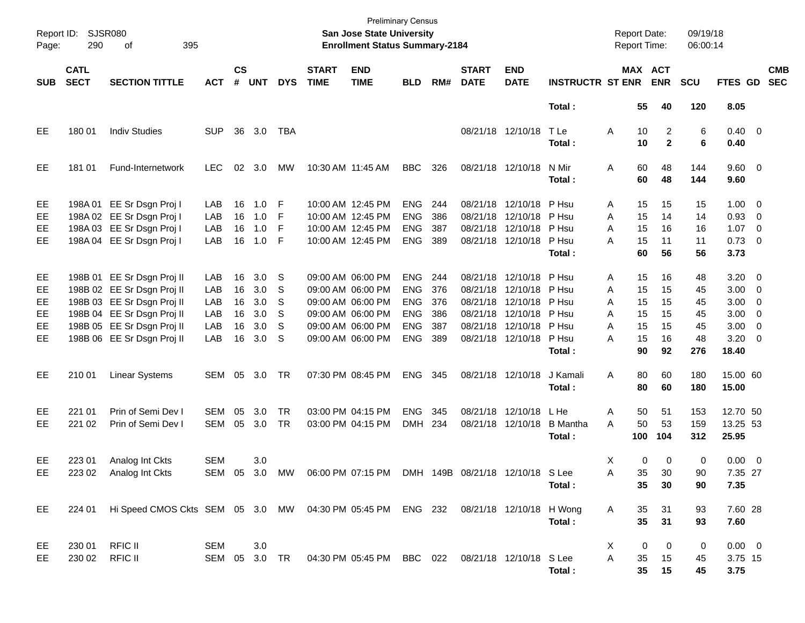| Page:                              | Report ID: SJSR080<br>290  | 395<br>of                                                                                                                                                                        |                                        |                                  |                                        |                                       |                             | <b>Preliminary Census</b><br><b>San Jose State University</b><br><b>Enrollment Status Summary-2184</b>                     |                                                                                  |                                        |                             |                                                                                                                                  |                                                     | <b>Report Date:</b><br><b>Report Time:</b>                           |                                        | 09/19/18<br>06:00:14                    |                                                                                           |                          |                          |
|------------------------------------|----------------------------|----------------------------------------------------------------------------------------------------------------------------------------------------------------------------------|----------------------------------------|----------------------------------|----------------------------------------|---------------------------------------|-----------------------------|----------------------------------------------------------------------------------------------------------------------------|----------------------------------------------------------------------------------|----------------------------------------|-----------------------------|----------------------------------------------------------------------------------------------------------------------------------|-----------------------------------------------------|----------------------------------------------------------------------|----------------------------------------|-----------------------------------------|-------------------------------------------------------------------------------------------|--------------------------|--------------------------|
| <b>SUB</b>                         | <b>CATL</b><br><b>SECT</b> | <b>SECTION TITTLE</b>                                                                                                                                                            | <b>ACT</b>                             | $\mathsf{cs}$<br>#               | <b>UNT</b>                             | <b>DYS</b>                            | <b>START</b><br><b>TIME</b> | <b>END</b><br><b>TIME</b>                                                                                                  | <b>BLD</b>                                                                       | RM#                                    | <b>START</b><br><b>DATE</b> | <b>END</b><br><b>DATE</b>                                                                                                        | <b>INSTRUCTR ST ENR</b>                             | MAX ACT                                                              | <b>ENR</b>                             | <b>SCU</b>                              | FTES GD                                                                                   |                          | <b>CMB</b><br><b>SEC</b> |
|                                    |                            |                                                                                                                                                                                  |                                        |                                  |                                        |                                       |                             |                                                                                                                            |                                                                                  |                                        |                             |                                                                                                                                  | Total:                                              | 55                                                                   | 40                                     | 120                                     | 8.05                                                                                      |                          |                          |
| EE                                 | 180 01                     | <b>Indiv Studies</b>                                                                                                                                                             | <b>SUP</b>                             | 36                               | 3.0                                    | TBA                                   |                             |                                                                                                                            |                                                                                  |                                        |                             | 08/21/18 12/10/18                                                                                                                | T Le<br>Total:                                      | Α<br>10<br>10                                                        | $\overline{2}$<br>$\overline{2}$       | 6<br>6                                  | $0.40 \quad 0$<br>0.40                                                                    |                          |                          |
| EE                                 | 181 01                     | Fund-Internetwork                                                                                                                                                                | <b>LEC</b>                             | 02                               | 3.0                                    | МW                                    |                             | 10:30 AM 11:45 AM                                                                                                          | BBC                                                                              | 326                                    |                             | 08/21/18 12/10/18                                                                                                                | N Mir<br>Total:                                     | 60<br>A<br>60                                                        | 48<br>48                               | 144<br>144                              | 9.60 0<br>9.60                                                                            |                          |                          |
| EE<br>EE<br><b>EE</b><br><b>EE</b> |                            | 198A 01 EE Sr Dsgn Proj I<br>198A 02 EE Sr Dsgn Proj I<br>198A 03 EE Sr Dsgn Proj I<br>198A 04 EE Sr Dsgn Proj I                                                                 | LAB<br>LAB<br>LAB<br>LAB               | 16<br>16<br>16<br>16             | 1.0<br>1.0<br>1.0<br>1.0               | -F<br>F<br>F<br>-F                    |                             | 10:00 AM 12:45 PM<br>10:00 AM 12:45 PM<br>10:00 AM 12:45 PM<br>10:00 AM 12:45 PM                                           | <b>ENG</b><br><b>ENG</b><br><b>ENG</b><br><b>ENG</b>                             | 244<br>386<br>387<br>389               |                             | 08/21/18 12/10/18<br>08/21/18 12/10/18<br>08/21/18 12/10/18<br>08/21/18 12/10/18                                                 | P Hsu<br>P Hsu<br>P Hsu<br>P Hsu<br>Total:          | 15<br>Α<br>A<br>15<br>A<br>15<br>A<br>15<br>60                       | 15<br>14<br>16<br>11<br>56             | 15<br>14<br>16<br>11<br>56              | $1.00 \t 0$<br>0.93<br>$1.07 \t 0$<br>$0.73 \quad 0$<br>3.73                              | $\overline{\phantom{0}}$ |                          |
| EE<br>EE<br>EE<br>EE<br>EE<br>EE.  |                            | 198B 01 EE Sr Dsgn Proj II<br>198B 02 EE Sr Dsgn Proj II<br>198B 03 EE Sr Dsgn Proj II<br>198B 04 EE Sr Dsgn Proj II<br>198B 05 EE Sr Dsgn Proj II<br>198B 06 EE Sr Dsgn Proj II | LAB<br>LAB<br>LAB<br>LAB<br>LAB<br>LAB | 16<br>16<br>16<br>16<br>16<br>16 | 3.0<br>3.0<br>3.0<br>3.0<br>3.0<br>3.0 | <sub>S</sub><br>S<br>S<br>S<br>S<br>S |                             | 09:00 AM 06:00 PM<br>09:00 AM 06:00 PM<br>09:00 AM 06:00 PM<br>09:00 AM 06:00 PM<br>09:00 AM 06:00 PM<br>09:00 AM 06:00 PM | <b>ENG</b><br><b>ENG</b><br><b>ENG</b><br><b>ENG</b><br><b>ENG</b><br><b>ENG</b> | 244<br>376<br>376<br>386<br>387<br>389 |                             | 08/21/18 12/10/18<br>08/21/18 12/10/18<br>08/21/18 12/10/18<br>08/21/18 12/10/18<br>08/21/18 12/10/18<br>08/21/18 12/10/18 P Hsu | P Hsu<br>P Hsu<br>P Hsu<br>P Hsu<br>P Hsu<br>Total: | 15<br>Α<br>A<br>15<br>15<br>A<br>15<br>A<br>A<br>15<br>15<br>A<br>90 | 16<br>15<br>15<br>15<br>15<br>16<br>92 | 48<br>45<br>45<br>45<br>45<br>48<br>276 | $3.20 \ 0$<br>$3.00 \ 0$<br>$3.00 \ 0$<br>$3.00 \ 0$<br>$3.00 \ 0$<br>$3.20 \ 0$<br>18.40 |                          |                          |
| EE                                 | 210 01                     | <b>Linear Systems</b>                                                                                                                                                            | SEM                                    | 05                               | 3.0                                    | TR                                    |                             | 07:30 PM 08:45 PM                                                                                                          | <b>ENG</b>                                                                       | 345                                    |                             | 08/21/18 12/10/18                                                                                                                | J Kamali<br>Total:                                  | 80<br>A<br>80                                                        | 60<br>60                               | 180<br>180                              | 15.00 60<br>15.00                                                                         |                          |                          |
| EE.<br>EE                          | 221 01<br>221 02           | Prin of Semi Dev I<br>Prin of Semi Dev I                                                                                                                                         | SEM<br><b>SEM</b>                      | 05<br>05                         | 3.0<br>3.0                             | <b>TR</b><br><b>TR</b>                |                             | 03:00 PM 04:15 PM<br>03:00 PM 04:15 PM                                                                                     | <b>ENG</b><br><b>DMH</b>                                                         | 345<br>234                             |                             | 08/21/18 12/10/18<br>08/21/18 12/10/18                                                                                           | L He<br><b>B</b> Mantha<br>Total:                   | 50<br>Α<br>50<br>A<br>100                                            | 51<br>53<br>104                        | 153<br>159<br>312                       | 12.70 50<br>13.25 53<br>25.95                                                             |                          |                          |
| EE.<br>EE                          | 223 01                     | Analog Int Ckts<br>223 02 Analog Int Ckts                                                                                                                                        | <b>SEM</b>                             |                                  | 3.0                                    |                                       |                             | SEM 05 3.0 MW 06:00 PM 07:15 PM DMH 149B 08/21/18 12/10/18 S Lee                                                           |                                                                                  |                                        |                             |                                                                                                                                  | Total:                                              | Χ<br>0<br>35<br>Α<br>35                                              | 0<br>30<br>30                          | 0<br>90<br>90                           | $0.00 \t 0$<br>7.35 27<br>7.35                                                            |                          |                          |
| EE                                 | 224 01                     | Hi Speed CMOS Ckts SEM 05 3.0 MW 04:30 PM 05:45 PM ENG 232 08/21/18 12/10/18 H Wong                                                                                              |                                        |                                  |                                        |                                       |                             |                                                                                                                            |                                                                                  |                                        |                             |                                                                                                                                  | Total:                                              | 35<br>Α<br>35                                                        | 31<br>31                               | 93<br>93                                | 7.60 28<br>7.60                                                                           |                          |                          |
| EE<br>EE                           | 230 01<br>230 02           | <b>RFIC II</b><br><b>RFIC II</b>                                                                                                                                                 | SEM<br>SEM 05 3.0 TR                   |                                  | 3.0                                    |                                       |                             | 04:30 PM 05:45 PM BBC 022 08/21/18 12/10/18 S Lee                                                                          |                                                                                  |                                        |                             |                                                                                                                                  | Total:                                              | 0<br>X<br>A<br>35<br>35                                              | 0<br>15<br>15                          | 0<br>45<br>45                           | $0.00 \t 0$<br>3.75 15<br>3.75                                                            |                          |                          |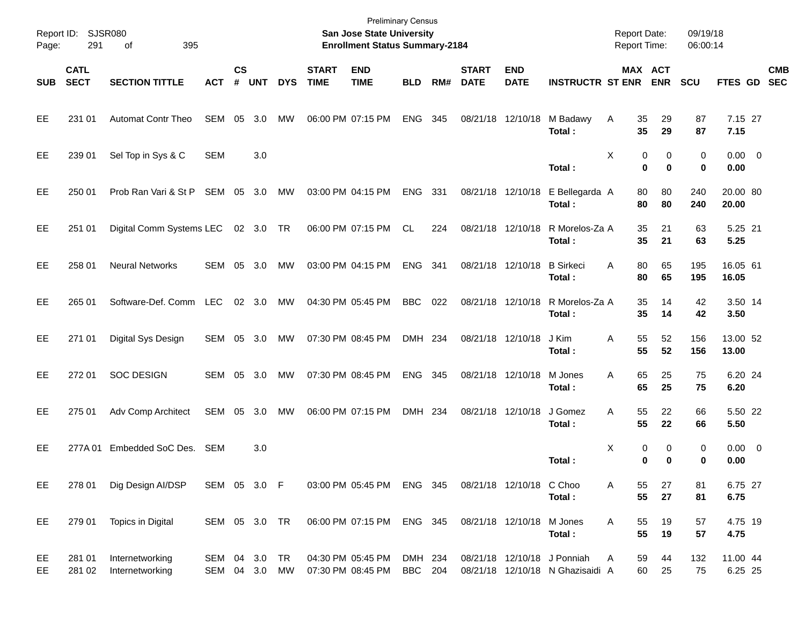| Page:      | Report ID: SJSR080<br>291  | 395<br>οf                          |                          |                |            |            |                             | <b>Preliminary Census</b><br>San Jose State University<br><b>Enrollment Status Summary-2184</b> |                           |       |                             |                           |                                                                 | <b>Report Date:</b><br><b>Report Time:</b> |                            | 09/19/18<br>06:00:14 |                     |            |
|------------|----------------------------|------------------------------------|--------------------------|----------------|------------|------------|-----------------------------|-------------------------------------------------------------------------------------------------|---------------------------|-------|-----------------------------|---------------------------|-----------------------------------------------------------------|--------------------------------------------|----------------------------|----------------------|---------------------|------------|
| <b>SUB</b> | <b>CATL</b><br><b>SECT</b> | <b>SECTION TITTLE</b>              | <b>ACT</b>               | <b>CS</b><br># | <b>UNT</b> | <b>DYS</b> | <b>START</b><br><b>TIME</b> | <b>END</b><br><b>TIME</b>                                                                       | <b>BLD</b>                | RM#   | <b>START</b><br><b>DATE</b> | <b>END</b><br><b>DATE</b> | <b>INSTRUCTR ST ENR</b>                                         |                                            | MAX ACT<br><b>ENR</b>      | SCU                  | FTES GD SEC         | <b>CMB</b> |
| <b>EE</b>  | 231 01                     | <b>Automat Contr Theo</b>          | SEM                      | 05             | 3.0        | MW         |                             | 06:00 PM 07:15 PM                                                                               | <b>ENG</b>                | 345   |                             | 08/21/18 12/10/18         | M Badawy<br>Total:                                              | 35<br>A<br>35                              | 29<br>29                   | 87<br>87             | 7.15 27<br>7.15     |            |
| <b>EE</b>  | 239 01                     | Sel Top in Sys & C                 | <b>SEM</b>               |                | 3.0        |            |                             |                                                                                                 |                           |       |                             |                           | Total:                                                          | X                                          | 0<br>0<br>0<br>$\mathbf 0$ | 0<br>0               | $0.00 \t 0$<br>0.00 |            |
| <b>EE</b>  | 250 01                     | Prob Ran Vari & St P               | SEM 05                   |                | 3.0        | MW         |                             | 03:00 PM 04:15 PM                                                                               | ENG                       | 331   |                             | 08/21/18 12/10/18         | E Bellegarda A<br>Total:                                        | 80<br>80                                   | 80<br>80                   | 240<br>240           | 20.00 80<br>20.00   |            |
| <b>EE</b>  | 251 01                     | Digital Comm Systems LEC 02 3.0 TR |                          |                |            |            |                             | 06:00 PM 07:15 PM                                                                               | CL.                       | 224   |                             | 08/21/18 12/10/18         | R Morelos-Za A<br>Total:                                        | 35<br>35                                   | 21<br>21                   | 63<br>63             | 5.25 21<br>5.25     |            |
| <b>EE</b>  | 258 01                     | <b>Neural Networks</b>             | SEM 05 3.0               |                |            | MW         |                             | 03:00 PM 04:15 PM                                                                               | ENG                       | - 341 |                             | 08/21/18 12/10/18         | <b>B</b> Sirkeci<br>Total:                                      | A<br>80<br>80                              | 65<br>65                   | 195<br>195           | 16.05 61<br>16.05   |            |
| <b>EE</b>  | 265 01                     | Software-Def. Comm LEC             |                          |                | 02 3.0     | MW         |                             | 04:30 PM 05:45 PM                                                                               | <b>BBC</b>                | 022   |                             | 08/21/18 12/10/18         | R Morelos-Za A<br>Total:                                        | 35<br>35                                   | 14<br>14                   | 42<br>42             | 3.50 14<br>3.50     |            |
| <b>EE</b>  | 271 01                     | Digital Sys Design                 | SEM 05 3.0               |                |            | MW         |                             | 07:30 PM 08:45 PM                                                                               | DMH 234                   |       |                             | 08/21/18 12/10/18         | J Kim<br>Total :                                                | 55<br>Α<br>55                              | 52<br>52                   | 156<br>156           | 13.00 52<br>13.00   |            |
| <b>EE</b>  | 272 01                     | <b>SOC DESIGN</b>                  | SEM 05 3.0               |                |            | MW         |                             | 07:30 PM 08:45 PM                                                                               | <b>ENG</b>                | 345   |                             | 08/21/18 12/10/18         | M Jones<br>Total:                                               | 65<br>A<br>65                              | 25<br>25                   | 75<br>75             | 6.20 24<br>6.20     |            |
| EE         | 275 01                     | Adv Comp Architect                 | SEM 05 3.0               |                |            | MW         |                             | 06:00 PM 07:15 PM                                                                               | DMH 234                   |       |                             | 08/21/18 12/10/18         | J Gomez<br>Total:                                               | A<br>55<br>55                              | 22<br>22                   | 66<br>66             | 5.50 22<br>5.50     |            |
| EE         | 277A01                     | Embedded SoC Des.                  | SEM                      |                | 3.0        |            |                             |                                                                                                 |                           |       |                             |                           | Total:                                                          | X<br>0                                     | 0<br>0<br>$\bf{0}$         | 0<br>0               | $0.00 \t 0$<br>0.00 |            |
| EE         | 278 01                     | Dig Design AI/DSP                  | SEM 05 3.0 F             |                |            |            |                             | 03:00 PM 05:45 PM ENG 345                                                                       |                           |       |                             | 08/21/18 12/10/18 C Choo  | Total:                                                          | 55<br>A<br>55                              | 27<br>27                   | 81<br>81             | 6.75 27<br>6.75     |            |
| EE         | 279 01                     | Topics in Digital                  | SEM 05 3.0 TR            |                |            |            |                             | 06:00 PM 07:15 PM ENG 345                                                                       |                           |       | 08/21/18 12/10/18           |                           | M Jones<br>Total:                                               | A<br>55<br>55                              | 19<br>19                   | 57<br>57             | 4.75 19<br>4.75     |            |
| EE<br>EE   | 281 01<br>281 02           | Internetworking<br>Internetworking | SEM 04 3.0<br>SEM 04 3.0 |                |            | TR<br>MW   |                             | 04:30 PM 05:45 PM<br>07:30 PM 08:45 PM                                                          | DMH 234<br><b>BBC</b> 204 |       |                             |                           | 08/21/18 12/10/18 J Ponniah<br>08/21/18 12/10/18 N Ghazisaidi A | A<br>59<br>60                              | 44<br>25                   | 132<br>75            | 11.00 44<br>6.25 25 |            |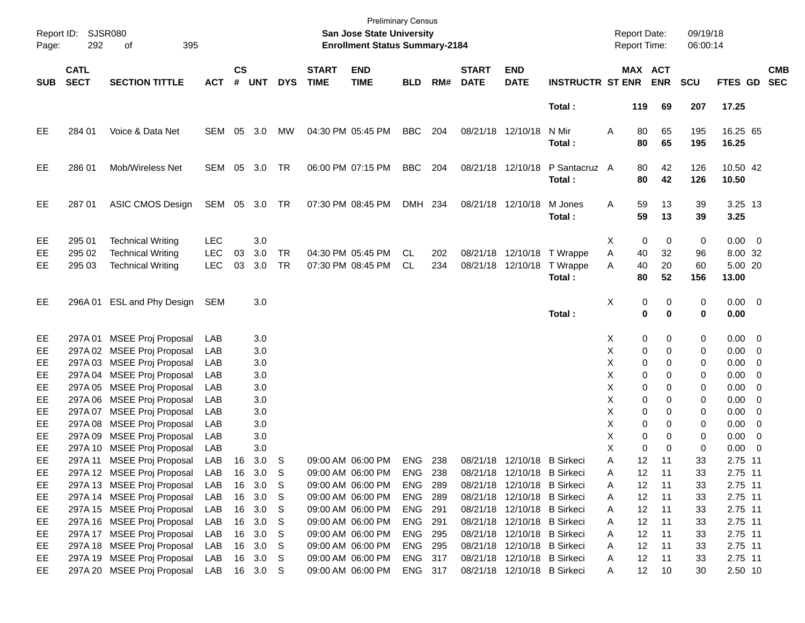| Page:      | Report ID: SJSR080<br>292  | 395<br>оf                                            |                   |               |               |                        |                             | <b>Preliminary Census</b><br><b>San Jose State University</b><br><b>Enrollment Status Summary-2184</b> |                |            |                             |                             |                                                                    |        | <b>Report Date:</b><br>Report Time: |                       | 09/19/18<br>06:00:14 |                             |                          |
|------------|----------------------------|------------------------------------------------------|-------------------|---------------|---------------|------------------------|-----------------------------|--------------------------------------------------------------------------------------------------------|----------------|------------|-----------------------------|-----------------------------|--------------------------------------------------------------------|--------|-------------------------------------|-----------------------|----------------------|-----------------------------|--------------------------|
| <b>SUB</b> | <b>CATL</b><br><b>SECT</b> | <b>SECTION TITTLE</b>                                | <b>ACT</b>        | $\mathsf{cs}$ | # UNT         | <b>DYS</b>             | <b>START</b><br><b>TIME</b> | <b>END</b><br><b>TIME</b>                                                                              | <b>BLD</b>     | RM#        | <b>START</b><br><b>DATE</b> | <b>END</b><br><b>DATE</b>   | <b>INSTRUCTR ST ENR</b>                                            |        |                                     | MAX ACT<br><b>ENR</b> | <b>SCU</b>           | <b>FTES GD</b>              | <b>CMB</b><br><b>SEC</b> |
|            |                            |                                                      |                   |               |               |                        |                             |                                                                                                        |                |            |                             |                             | Total:                                                             |        | 119                                 | 69                    | 207                  | 17.25                       |                          |
| EE         | 284 01                     | Voice & Data Net                                     | SEM               | 05            | 3.0           | МW                     |                             | 04:30 PM 05:45 PM                                                                                      | <b>BBC</b>     | 204        |                             | 08/21/18 12/10/18           | N Mir<br>Total:                                                    | Α      | 80<br>80                            | 65<br>65              | 195<br>195           | 16.25 65<br>16.25           |                          |
| EE         | 286 01                     | Mob/Wireless Net                                     | SEM               | 05            | 3.0           | TR                     |                             | 06:00 PM 07:15 PM                                                                                      | BBC            | 204        |                             | 08/21/18 12/10/18           | P Santacruz A<br>Total:                                            |        | 80<br>80                            | 42<br>42              | 126<br>126           | 10.50 42<br>10.50           |                          |
| EE         | 287 01                     | ASIC CMOS Design                                     | SEM 05 3.0        |               |               | TR                     |                             | 07:30 PM 08:45 PM                                                                                      | DMH 234        |            |                             | 08/21/18 12/10/18           | M Jones<br>Total:                                                  | Α      | 59<br>59                            | 13<br>13              | 39<br>39             | 3.25 13<br>3.25             |                          |
| EE         | 295 01                     | <b>Technical Writing</b>                             | <b>LEC</b>        |               | 3.0           |                        |                             |                                                                                                        |                |            |                             |                             |                                                                    | X      | 0                                   | 0                     | 0                    | $0.00 \t 0$                 |                          |
| EE<br>EЕ   | 295 02<br>295 03           | <b>Technical Writing</b><br><b>Technical Writing</b> | <b>LEC</b><br>LEC | 03<br>03      | 3.0<br>3.0    | <b>TR</b><br><b>TR</b> |                             | 04:30 PM 05:45 PM<br>07:30 PM 08:45 PM                                                                 | CL<br>CL.      | 202<br>234 |                             |                             | 08/21/18 12/10/18 T Wrappe<br>08/21/18 12/10/18 T Wrappe<br>Total: | Α<br>A | 40<br>40<br>80                      | 32<br>20<br>52        | 96<br>60<br>156      | 8.00 32<br>5.00 20<br>13.00 |                          |
| EE         |                            | 296A 01 ESL and Phy Design                           | SEM               |               | 3.0           |                        |                             |                                                                                                        |                |            |                             |                             | Total:                                                             | Χ      | 0<br>0                              | 0<br>0                | 0<br>0               | $0.00 \t 0$<br>0.00         |                          |
| EE         |                            | 297A 01 MSEE Proj Proposal                           | LAB               |               | 3.0           |                        |                             |                                                                                                        |                |            |                             |                             |                                                                    | X      | 0                                   | 0                     | 0                    | $0.00 \t 0$                 |                          |
| EE         |                            | 297A 02 MSEE Proj Proposal                           | LAB               |               | 3.0           |                        |                             |                                                                                                        |                |            |                             |                             |                                                                    | Χ      | 0                                   | 0                     | 0                    | $0.00 \t 0$                 |                          |
| EE         |                            | 297A 03 MSEE Proj Proposal                           | LAB               |               | 3.0           |                        |                             |                                                                                                        |                |            |                             |                             |                                                                    | X      | 0                                   | 0                     | 0                    | $0.00 \t 0$                 |                          |
| EE         |                            | 297A 04 MSEE Proj Proposal                           | LAB               |               | 3.0           |                        |                             |                                                                                                        |                |            |                             |                             |                                                                    | X      | 0                                   | 0                     | 0                    | 0.00                        | $\overline{\phantom{0}}$ |
| EE         |                            | 297A 05 MSEE Proj Proposal                           | LAB               |               | 3.0           |                        |                             |                                                                                                        |                |            |                             |                             |                                                                    | Χ      | 0                                   | 0                     | 0                    | $0.00 \t 0$                 |                          |
| EE         |                            | 297A 06 MSEE Proj Proposal                           | LAB               |               | 3.0           |                        |                             |                                                                                                        |                |            |                             |                             |                                                                    | X      | 0                                   | 0                     | 0                    | $0.00 \t 0$                 |                          |
| EE         |                            | 297A 07 MSEE Proj Proposal                           | LAB               |               | 3.0           |                        |                             |                                                                                                        |                |            |                             |                             |                                                                    | X      | 0                                   | 0                     | 0                    | 0.00                        | $\overline{\phantom{0}}$ |
| EE         |                            | 297A 08 MSEE Proj Proposal                           | LAB               |               | 3.0           |                        |                             |                                                                                                        |                |            |                             |                             |                                                                    | х      | 0                                   | 0                     | 0                    | $0.00 \t 0$                 |                          |
| EE         |                            | 297A 09 MSEE Proj Proposal                           | LAB               |               | 3.0           |                        |                             |                                                                                                        |                |            |                             |                             |                                                                    | х<br>X | 0<br>0                              | 0<br>$\Omega$         | 0                    | $0.00 \t 0$                 |                          |
| EE<br>EE   |                            | 297A 10 MSEE Proj Proposal                           | LAB               |               | 3.0           |                        |                             | 09:00 AM 06:00 PM                                                                                      | ENG 238        |            |                             | 08/21/18 12/10/18 B Sirkeci |                                                                    | Α      | 12                                  | 11                    | 0<br>33              | 0.00<br>2.75 11             | $\overline{\phantom{0}}$ |
| EE         | 297A 11                    | MSEE Proj Proposal<br>297A 12 MSEE Proj Proposal     | LAB<br>LAB        | 16            | 3.0<br>16 3.0 | S<br>-S                |                             | 09:00 AM 06:00 PM                                                                                      | ENG 238        |            |                             | 08/21/18 12/10/18 B Sirkeci |                                                                    |        | 12                                  | 11                    | 33                   | 2.75 11                     |                          |
| EE         |                            | 297A 13 MSEE Proj Proposal                           | LAB               |               | 16 3.0        | S                      |                             | 09:00 AM 06:00 PM                                                                                      | ENG 289        |            |                             | 08/21/18 12/10/18 B Sirkeci |                                                                    | A      | 12                                  | 11                    | 33                   | 2.75 11                     |                          |
| EE         |                            | 297A 14 MSEE Proj Proposal                           | LAB               |               | 16 3.0        | S                      |                             | 09:00 AM 06:00 PM                                                                                      | <b>ENG 289</b> |            |                             | 08/21/18 12/10/18 B Sirkeci |                                                                    | Α<br>Α | 12                                  | 11                    | 33                   | 2.75 11                     |                          |
| EE         |                            | 297A 15 MSEE Proj Proposal                           | LAB               |               | 16 3.0        | S                      |                             | 09:00 AM 06:00 PM                                                                                      | ENG 291        |            |                             | 08/21/18 12/10/18 B Sirkeci |                                                                    | Α      | 12                                  | 11                    | 33                   | 2.75 11                     |                          |
| EE         |                            | 297A 16 MSEE Proj Proposal                           | LAB               |               | 16 3.0        | S                      |                             | 09:00 AM 06:00 PM                                                                                      | ENG 291        |            |                             | 08/21/18 12/10/18 B Sirkeci |                                                                    | Α      | 12                                  | 11                    | 33                   | 2.75 11                     |                          |
| EE         |                            | 297A 17 MSEE Proj Proposal                           | LAB               |               | 16 3.0        | S                      |                             | 09:00 AM 06:00 PM                                                                                      | ENG 295        |            |                             | 08/21/18 12/10/18 B Sirkeci |                                                                    | Α      | 12                                  | 11                    | 33                   | 2.75 11                     |                          |
| EE         |                            | 297A 18 MSEE Proj Proposal                           | LAB               |               | 16 3.0        | S                      |                             | 09:00 AM 06:00 PM                                                                                      | <b>ENG 295</b> |            |                             | 08/21/18 12/10/18 B Sirkeci |                                                                    | Α      | 12                                  | 11                    | 33                   | 2.75 11                     |                          |
| EE.        |                            | 297A 19 MSEE Proj Proposal                           | LAB               |               | 16 3.0        | S                      |                             | 09:00 AM 06:00 PM                                                                                      | ENG 317        |            |                             | 08/21/18 12/10/18 B Sirkeci |                                                                    | Α      | 12                                  | 11                    | 33                   | 2.75 11                     |                          |
| EE.        |                            | 297A 20 MSEE Proj Proposal                           | LAB               |               | 16 3.0 S      |                        |                             | 09:00 AM 06:00 PM                                                                                      | ENG 317        |            |                             | 08/21/18 12/10/18 B Sirkeci |                                                                    | Α      | 12 <sub>2</sub>                     | 10                    | 30                   | 2.50 10                     |                          |
|            |                            |                                                      |                   |               |               |                        |                             |                                                                                                        |                |            |                             |                             |                                                                    |        |                                     |                       |                      |                             |                          |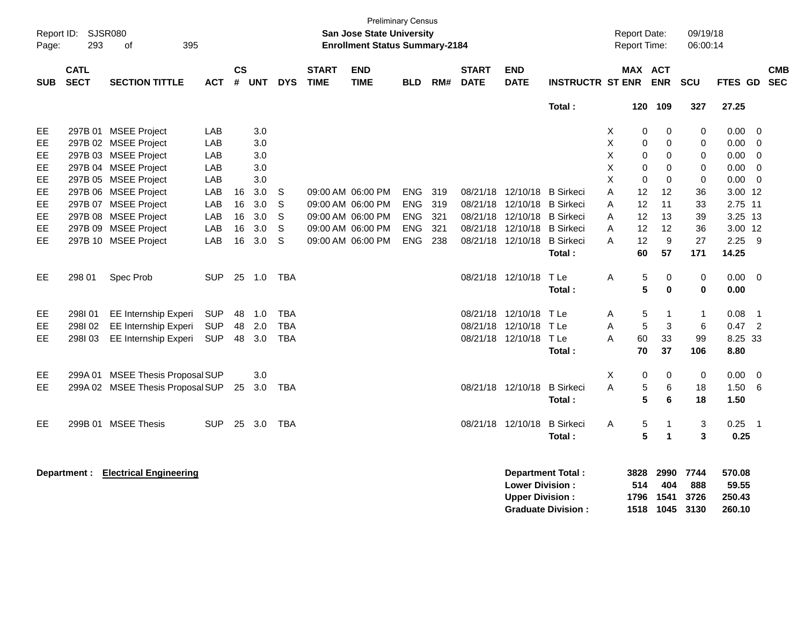| Page:      | Report ID: SJSR080<br>293  | 395<br>of                           |            |                    |        |            |                             | <b>Preliminary Census</b><br>San Jose State University<br><b>Enrollment Status Summary-2184</b> |            |     |                             |                                                  |                                                       |   | <b>Report Date:</b><br>Report Time: |                             | 09/19/18<br>06:00:14        |                                     |                          |            |
|------------|----------------------------|-------------------------------------|------------|--------------------|--------|------------|-----------------------------|-------------------------------------------------------------------------------------------------|------------|-----|-----------------------------|--------------------------------------------------|-------------------------------------------------------|---|-------------------------------------|-----------------------------|-----------------------------|-------------------------------------|--------------------------|------------|
| <b>SUB</b> | <b>CATL</b><br><b>SECT</b> | <b>SECTION TITTLE</b>               | ACT        | $\mathsf{cs}$<br># | UNT    | <b>DYS</b> | <b>START</b><br><b>TIME</b> | <b>END</b><br><b>TIME</b>                                                                       | <b>BLD</b> | RM# | <b>START</b><br><b>DATE</b> | <b>END</b><br><b>DATE</b>                        | <b>INSTRUCTR ST ENR</b>                               |   | MAX ACT                             | <b>ENR</b>                  | <b>SCU</b>                  | FTES GD SEC                         |                          | <b>CMB</b> |
|            |                            |                                     |            |                    |        |            |                             |                                                                                                 |            |     |                             |                                                  | Total:                                                |   | 120                                 | 109                         | 327                         | 27.25                               |                          |            |
| EЕ         |                            | 297B 01 MSEE Project                | LAB        |                    | 3.0    |            |                             |                                                                                                 |            |     |                             |                                                  |                                                       | Х | 0                                   | 0                           | 0                           | 0.00                                | 0                        |            |
| EE.        |                            | 297B 02 MSEE Project                | LAB        |                    | 3.0    |            |                             |                                                                                                 |            |     |                             |                                                  |                                                       | X | 0                                   | $\mathbf 0$                 | 0                           | $0.00 \ 0$                          |                          |            |
| EE         |                            | 297B 03 MSEE Project                | LAB        |                    | 3.0    |            |                             |                                                                                                 |            |     |                             |                                                  |                                                       | X | 0                                   | 0                           | 0                           | 0.00                                | $\overline{\mathbf{0}}$  |            |
| EE         |                            | 297B 04 MSEE Project                | LAB        |                    | 3.0    |            |                             |                                                                                                 |            |     |                             |                                                  |                                                       | Χ | $\mathbf 0$                         | 0                           | 0                           | 0.00                                | $\overline{0}$           |            |
| EE         |                            | 297B 05 MSEE Project                | LAB        |                    | 3.0    |            |                             |                                                                                                 |            |     |                             |                                                  |                                                       | X | $\Omega$                            | $\Omega$                    | $\mathbf 0$                 | 0.00                                | $\overline{0}$           |            |
| EE         |                            | 297B 06 MSEE Project                | LAB        | 16                 | 3.0    | S          |                             | 09:00 AM 06:00 PM                                                                               | <b>ENG</b> | 319 |                             | 08/21/18 12/10/18                                | <b>B</b> Sirkeci                                      | A | 12                                  | 12                          | 36                          | 3.00 12                             |                          |            |
| EE         |                            | 297B 07 MSEE Project                | LAB        | 16                 | 3.0    | S          |                             | 09:00 AM 06:00 PM                                                                               | ENG        | 319 |                             | 08/21/18 12/10/18 B Sirkeci                      |                                                       | A | 12                                  | 11                          | 33                          | 2.75 11                             |                          |            |
| EE.        |                            | 297B 08 MSEE Project                | LAB        | 16                 | 3.0    | S          |                             | 09:00 AM 06:00 PM                                                                               | <b>ENG</b> | 321 |                             | 08/21/18 12/10/18                                | <b>B</b> Sirkeci                                      | A | 12                                  | 13                          | 39                          | 3.25 13                             |                          |            |
| EE         |                            | 297B 09 MSEE Project                | LAB        | 16                 | 3.0    | S          |                             | 09:00 AM 06:00 PM                                                                               | ENG        | 321 |                             | 08/21/18 12/10/18                                | <b>B</b> Sirkeci                                      | A | 12                                  | 12                          | 36                          | 3.00 12                             |                          |            |
| EE         |                            | 297B 10 MSEE Project                | LAB        | 16                 | 3.0    | S          |                             | 09:00 AM 06:00 PM                                                                               | ENG        | 238 |                             | 08/21/18 12/10/18                                | <b>B</b> Sirkeci                                      | A | 12                                  | 9                           | 27                          | $2.25$ 9                            |                          |            |
|            |                            |                                     |            |                    |        |            |                             |                                                                                                 |            |     |                             |                                                  | Total:                                                |   | 60                                  | 57                          | 171                         | 14.25                               |                          |            |
| EE         | 298 01                     | Spec Prob                           | <b>SUP</b> |                    | 25 1.0 | TBA        |                             |                                                                                                 |            |     |                             | 08/21/18 12/10/18                                | T Le                                                  | A | 5                                   | 0                           | 0                           | $0.00 \t 0$                         |                          |            |
|            |                            |                                     |            |                    |        |            |                             |                                                                                                 |            |     |                             |                                                  | Total:                                                |   | 5                                   | $\bf{0}$                    | $\mathbf 0$                 | 0.00                                |                          |            |
|            |                            |                                     |            |                    |        |            |                             |                                                                                                 |            |     |                             |                                                  |                                                       |   |                                     |                             |                             |                                     |                          |            |
| EE         | 298101                     | EE Internship Experi                | <b>SUP</b> | 48                 | 1.0    | <b>TBA</b> |                             |                                                                                                 |            |     |                             | 08/21/18 12/10/18                                | T Le                                                  | Α | 5                                   | $\mathbf{1}$                | $\mathbf{1}$                | 0.08                                | $\overline{1}$           |            |
| EЕ         | 298I02                     | EE Internship Experi                | <b>SUP</b> |                    | 48 2.0 | <b>TBA</b> |                             |                                                                                                 |            |     |                             | 08/21/18 12/10/18                                | TLe                                                   | A | 5                                   | 3                           | 6                           | 0.47                                | $\overline{\phantom{a}}$ |            |
| EE.        | 298103                     | EE Internship Experi                | <b>SUP</b> | 48                 | 3.0    | <b>TBA</b> |                             |                                                                                                 |            |     |                             | 08/21/18 12/10/18 TLe                            |                                                       | A | 60                                  | 33                          | 99                          | 8.25 33                             |                          |            |
|            |                            |                                     |            |                    |        |            |                             |                                                                                                 |            |     |                             |                                                  | Total:                                                |   | 70                                  | 37                          | 106                         | 8.80                                |                          |            |
| EE.        |                            | 299A 01 MSEE Thesis Proposal SUP    |            |                    | 3.0    |            |                             |                                                                                                 |            |     |                             |                                                  |                                                       | X | 0                                   | 0                           | 0                           | 0.00                                | $\overline{0}$           |            |
| EE         |                            | 299A 02 MSEE Thesis Proposal SUP    |            | 25                 | 3.0    | <b>TBA</b> |                             |                                                                                                 |            |     |                             | 08/21/18 12/10/18                                | <b>B</b> Sirkeci                                      | A | 5                                   | $6\phantom{1}6$             | 18                          | 1.50                                | 6                        |            |
|            |                            |                                     |            |                    |        |            |                             |                                                                                                 |            |     |                             |                                                  | Total:                                                |   | 5                                   | 6                           | 18                          | 1.50                                |                          |            |
| EE         |                            | 299B 01 MSEE Thesis                 | <b>SUP</b> | 25                 | 3.0    | TBA        |                             |                                                                                                 |            |     |                             | 08/21/18 12/10/18                                | <b>B</b> Sirkeci                                      | Α | 5                                   | $\mathbf{1}$                | 3                           | $0.25$ 1                            |                          |            |
|            |                            |                                     |            |                    |        |            |                             |                                                                                                 |            |     |                             |                                                  | Total:                                                |   | 5                                   | $\blacktriangleleft$        | 3                           | 0.25                                |                          |            |
|            |                            | Department : Electrical Engineering |            |                    |        |            |                             |                                                                                                 |            |     |                             | <b>Lower Division:</b><br><b>Upper Division:</b> | <b>Department Total:</b><br><b>Graduate Division:</b> |   | 3828<br>514<br>1796<br>1518         | 2990<br>404<br>1541<br>1045 | 7744<br>888<br>3726<br>3130 | 570.08<br>59.55<br>250.43<br>260.10 |                          |            |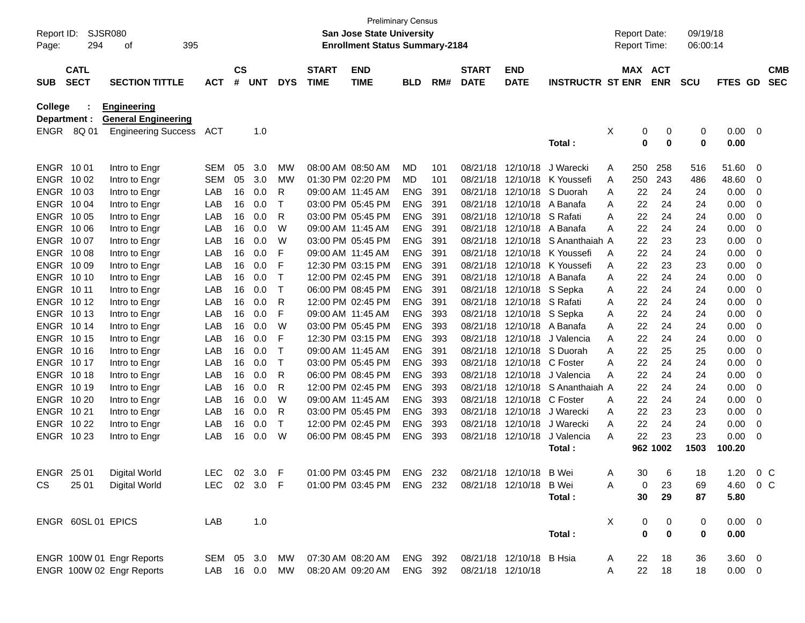| Report ID:<br>Page:            | SJSR080<br>294             | 395<br>оf                                                                      |            |                    |          |              |                             | <b>Preliminary Census</b><br>San Jose State University<br><b>Enrollment Status Summary-2184</b> |            |     |                             |                           |                         |   | <b>Report Date:</b><br>Report Time: |                                 | 09/19/18<br>06:00:14 |                      |             |                          |
|--------------------------------|----------------------------|--------------------------------------------------------------------------------|------------|--------------------|----------|--------------|-----------------------------|-------------------------------------------------------------------------------------------------|------------|-----|-----------------------------|---------------------------|-------------------------|---|-------------------------------------|---------------------------------|----------------------|----------------------|-------------|--------------------------|
| <b>SUB</b>                     | <b>CATL</b><br><b>SECT</b> | <b>SECTION TITTLE</b>                                                          | <b>ACT</b> | $\mathsf{cs}$<br># | UNT      | <b>DYS</b>   | <b>START</b><br><b>TIME</b> | <b>END</b><br><b>TIME</b>                                                                       | <b>BLD</b> | RM# | <b>START</b><br><b>DATE</b> | <b>END</b><br><b>DATE</b> | <b>INSTRUCTR ST ENR</b> |   | MAX ACT                             | <b>ENR</b>                      | <b>SCU</b>           | FTES GD              |             | <b>CMB</b><br><b>SEC</b> |
| <b>College</b><br>Department : | ENGR 8Q 01                 | <b>Engineering</b><br><b>General Engineering</b><br><b>Engineering Success</b> | ACT        |                    | 1.0      |              |                             |                                                                                                 |            |     |                             |                           | Total:                  | Х | 0<br>0                              | 0<br>$\mathbf 0$                | 0<br>$\bf{0}$        | 0.00<br>0.00         | $\mathbf 0$ |                          |
| ENGR 1001                      |                            | Intro to Engr                                                                  | <b>SEM</b> | 05                 | 3.0      | МW           |                             | 08:00 AM 08:50 AM                                                                               | MD         | 101 | 08/21/18                    | 12/10/18                  | J Warecki               | A | 250                                 | 258                             | 516                  | 51.60                | $\mathbf 0$ |                          |
| ENGR 1002                      |                            | Intro to Engr                                                                  | <b>SEM</b> | 05                 | 3.0      | МW           |                             | 01:30 PM 02:20 PM                                                                               | MD         | 101 | 08/21/18                    | 12/10/18                  | K Youssefi              | A | 250                                 | 243                             | 486                  | 48.60                | 0           |                          |
| ENGR 1003                      |                            | Intro to Engr                                                                  | LAB        | 16                 | 0.0      | R            | 09:00 AM 11:45 AM           |                                                                                                 | <b>ENG</b> | 391 | 08/21/18                    | 12/10/18                  | S Duorah                | A | 22                                  | 24                              | 24                   | 0.00                 | 0           |                          |
| ENGR 1004                      |                            | Intro to Engr                                                                  | LAB        | 16                 | 0.0      | т            |                             | 03:00 PM 05:45 PM                                                                               | <b>ENG</b> | 391 | 08/21/18                    | 12/10/18                  | A Banafa                | A | 22                                  | 24                              | 24                   | 0.00                 | 0           |                          |
| ENGR 1005                      |                            | Intro to Engr                                                                  | LAB        | 16                 | 0.0      | R            |                             | 03:00 PM 05:45 PM                                                                               | <b>ENG</b> | 391 | 08/21/18                    | 12/10/18 S Rafati         |                         | A | 22                                  | 24                              | 24                   | 0.00                 | 0           |                          |
| ENGR 1006                      |                            | Intro to Engr                                                                  | LAB        | 16                 | 0.0      | W            | 09:00 AM 11:45 AM           |                                                                                                 | <b>ENG</b> | 391 | 08/21/18                    | 12/10/18                  | A Banafa                | Α | 22                                  | 24                              | 24                   | 0.00                 | 0           |                          |
| ENGR 1007                      |                            | Intro to Engr                                                                  | LAB        | 16                 | 0.0      | W            |                             | 03:00 PM 05:45 PM                                                                               | <b>ENG</b> | 391 | 08/21/18                    | 12/10/18                  | S Ananthaiah A          |   | 22                                  | 23                              | 23                   | 0.00                 | 0           |                          |
| ENGR 1008                      |                            | Intro to Engr                                                                  | LAB        | 16                 | 0.0      | F            | 09:00 AM 11:45 AM           |                                                                                                 | <b>ENG</b> | 391 | 08/21/18                    | 12/10/18                  | K Youssefi              | A | 22                                  | 24                              | 24                   | 0.00                 | 0           |                          |
| ENGR 1009                      |                            | Intro to Engr                                                                  | LAB        | 16                 | 0.0      | F            |                             | 12:30 PM 03:15 PM                                                                               | <b>ENG</b> | 391 | 08/21/18                    | 12/10/18                  | K Youssefi              | A | 22                                  | 23                              | 23                   | 0.00                 | 0           |                          |
| ENGR 1010                      |                            | Intro to Engr                                                                  | LAB        | 16                 | 0.0      | т            |                             | 12:00 PM 02:45 PM                                                                               | <b>ENG</b> | 391 | 08/21/18                    | 12/10/18                  | A Banafa                | A | 22                                  | 24                              | 24                   | 0.00                 | 0           |                          |
| ENGR 1011                      |                            | Intro to Engr                                                                  | LAB        | 16                 | 0.0      | т            |                             | 06:00 PM 08:45 PM                                                                               | <b>ENG</b> | 391 | 08/21/18                    | 12/10/18 S Sepka          |                         | A | 22                                  | 24                              | 24                   | 0.00                 | 0           |                          |
| ENGR 1012                      |                            | Intro to Engr                                                                  | LAB        | 16                 | 0.0      | R            |                             | 12:00 PM 02:45 PM                                                                               | <b>ENG</b> | 391 | 08/21/18                    | 12/10/18 S Rafati         |                         | A | 22                                  | 24                              | 24                   | 0.00                 | 0           |                          |
| ENGR 1013                      |                            | Intro to Engr                                                                  | LAB        | 16                 | 0.0      | F            | 09:00 AM 11:45 AM           |                                                                                                 | <b>ENG</b> | 393 | 08/21/18                    | 12/10/18 S Sepka          |                         | A | 22                                  | 24                              | 24                   | 0.00                 | 0           |                          |
| ENGR 1014                      |                            | Intro to Engr                                                                  | LAB        | 16                 | 0.0      | W            |                             | 03:00 PM 05:45 PM                                                                               | <b>ENG</b> | 393 | 08/21/18                    |                           | 12/10/18 A Banafa       | A | 22                                  | 24                              | 24                   | 0.00                 | 0           |                          |
| ENGR 1015                      |                            | Intro to Engr                                                                  | LAB        | 16                 | 0.0      | F            |                             | 12:30 PM 03:15 PM                                                                               | <b>ENG</b> | 393 | 08/21/18                    | 12/10/18                  | J Valencia              | A | 22                                  | 24                              | 24                   | 0.00                 | 0           |                          |
| ENGR 1016                      |                            | Intro to Engr                                                                  | LAB        | 16                 | 0.0      | т            | 09:00 AM 11:45 AM           |                                                                                                 | <b>ENG</b> | 391 | 08/21/18                    | 12/10/18                  | S Duorah                | A | 22                                  | 25                              | 25                   | 0.00                 | 0           |                          |
| ENGR 1017                      |                            | Intro to Engr                                                                  | LAB        | 16                 | 0.0      | т            |                             | 03:00 PM 05:45 PM                                                                               | <b>ENG</b> | 393 | 08/21/18                    | 12/10/18 C Foster         |                         | Α | 22                                  | 24                              | 24                   | 0.00                 | 0           |                          |
| <b>ENGR 1018</b>               |                            | Intro to Engr                                                                  | LAB        | 16                 | 0.0      | R            |                             | 06:00 PM 08:45 PM                                                                               | <b>ENG</b> | 393 | 08/21/18                    | 12/10/18                  | J Valencia              | Α | 22                                  | 24                              | 24                   | 0.00                 | 0           |                          |
| ENGR 1019                      |                            | Intro to Engr                                                                  | LAB        | 16                 | 0.0      | R            |                             | 12:00 PM 02:45 PM                                                                               | <b>ENG</b> | 393 | 08/21/18                    | 12/10/18                  | S Ananthaiah A          |   | 22                                  | 24                              | 24                   | 0.00                 | 0           |                          |
| ENGR 10 20                     |                            | Intro to Engr                                                                  | LAB        | 16                 | 0.0      | W            | 09:00 AM 11:45 AM           |                                                                                                 | <b>ENG</b> | 393 | 08/21/18                    | 12/10/18                  | C Foster                | A | 22                                  | 24                              | 24                   | 0.00                 | 0           |                          |
| ENGR 1021                      |                            | Intro to Engr                                                                  | LAB        | 16                 | 0.0      | R            |                             | 03:00 PM 05:45 PM                                                                               | <b>ENG</b> | 393 | 08/21/18                    | 12/10/18                  | J Warecki               | A | 22                                  | 23                              | 23                   | 0.00                 | 0           |                          |
| <b>ENGR 1022</b>               |                            | Intro to Engr                                                                  | LAB        | 16                 | 0.0      | $\mathsf{T}$ |                             | 12:00 PM 02:45 PM                                                                               | <b>ENG</b> | 393 | 08/21/18                    | 12/10/18                  | J Warecki               | A | 22                                  | 24                              | 24                   | 0.00                 | 0           |                          |
| ENGR 1023                      |                            | Intro to Engr                                                                  | LAB        | 16                 | 0.0      | W            |                             | 06:00 PM 08:45 PM                                                                               | <b>ENG</b> | 393 | 08/21/18                    | 12/10/18                  | J Valencia              | A | 22                                  | 23                              | 23                   | 0.00                 | 0           |                          |
|                                |                            |                                                                                |            |                    |          |              |                             |                                                                                                 |            |     |                             |                           | Total:                  |   |                                     | 962 1002                        | 1503                 | 100.20               |             |                          |
| ENGR 25 01                     |                            | Digital World                                                                  | <b>LEC</b> |                    | 02 3.0 F |              |                             | 01:00 PM 03:45 PM ENG 232                                                                       |            |     |                             | 08/21/18 12/10/18 B Wei   |                         | A | 30                                  | 6                               | 18                   | 1.20 $0 \, \text{C}$ |             |                          |
| CS                             | 25 01                      | Digital World                                                                  | LEC        |                    | 02 3.0 F |              |                             | 01:00 PM 03:45 PM ENG 232                                                                       |            |     |                             | 08/21/18 12/10/18         | B Wei                   | Α | 0                                   | 23                              | 69                   | 4.60                 | $0\,$ C     |                          |
|                                |                            |                                                                                |            |                    |          |              |                             |                                                                                                 |            |     |                             |                           | Total:                  |   | 30                                  | 29                              | 87                   | 5.80                 |             |                          |
|                                | ENGR 60SL 01 EPICS         |                                                                                | LAB        |                    | 1.0      |              |                             |                                                                                                 |            |     |                             |                           |                         | X | 0                                   |                                 | 0                    | $0.00 \t 0$          |             |                          |
|                                |                            |                                                                                |            |                    |          |              |                             |                                                                                                 |            |     |                             |                           | Total:                  |   | $\bf{0}$                            | $\boldsymbol{0}$<br>$\mathbf 0$ | 0                    | 0.00                 |             |                          |
|                                |                            |                                                                                |            |                    |          |              |                             |                                                                                                 |            |     |                             |                           |                         |   |                                     |                                 |                      |                      |             |                          |
|                                |                            | ENGR 100W 01 Engr Reports                                                      | SEM 05 3.0 |                    |          | MW           |                             | 07:30 AM 08:20 AM                                                                               | ENG 392    |     |                             | 08/21/18 12/10/18 B Hsia  |                         | A | 22                                  | 18                              | 36                   | $3.60 \ 0$           |             |                          |
|                                |                            | ENGR 100W 02 Engr Reports                                                      | LAB        |                    | 16  0.0  | MW           |                             | 08:20 AM 09:20 AM                                                                               | ENG 392    |     | 08/21/18 12/10/18           |                           |                         | Α | 22                                  | 18                              | 18                   | $0.00 \t 0$          |             |                          |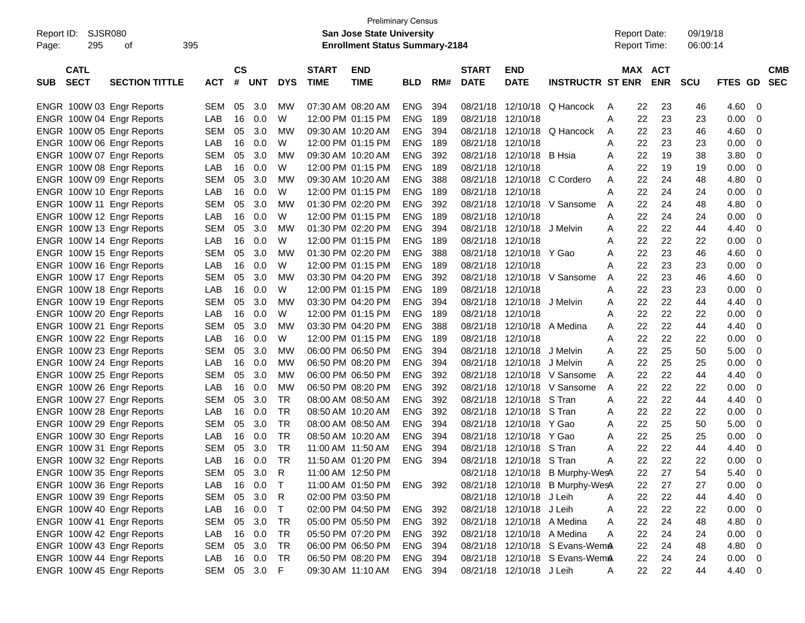|                           |                       |            |           |            |              |                   | <b>Preliminary Census</b>             |            |     |              |                            |                                 |                     |         |            |            |         |             |
|---------------------------|-----------------------|------------|-----------|------------|--------------|-------------------|---------------------------------------|------------|-----|--------------|----------------------------|---------------------------------|---------------------|---------|------------|------------|---------|-------------|
| Report ID:                | <b>SJSR080</b>        |            |           |            |              |                   | <b>San Jose State University</b>      |            |     |              |                            |                                 | <b>Report Date:</b> |         |            | 09/19/18   |         |             |
| 295<br>Page:              | 395<br>οf             |            |           |            |              |                   | <b>Enrollment Status Summary-2184</b> |            |     |              |                            |                                 | <b>Report Time:</b> |         |            | 06:00:14   |         |             |
|                           |                       |            |           |            |              |                   |                                       |            |     |              |                            |                                 |                     |         |            |            |         |             |
| <b>CATL</b>               |                       |            | <b>CS</b> |            |              | <b>START</b>      | <b>END</b>                            |            |     | <b>START</b> | <b>END</b>                 |                                 |                     | MAX ACT |            |            |         | <b>CMB</b>  |
| <b>SECT</b><br><b>SUB</b> | <b>SECTION TITTLE</b> | <b>ACT</b> | #         | <b>UNT</b> | <b>DYS</b>   | <b>TIME</b>       | <b>TIME</b>                           | <b>BLD</b> | RM# | <b>DATE</b>  | <b>DATE</b>                | <b>INSTRUCTR ST ENR</b>         |                     |         | <b>ENR</b> | <b>SCU</b> | FTES GD | <b>SEC</b>  |
|                           |                       |            |           |            |              |                   |                                       |            |     |              |                            |                                 |                     |         |            |            |         |             |
| ENGR 100W 03 Engr Reports |                       | <b>SEM</b> | 05        | 3.0        | MW           |                   | 07:30 AM 08:20 AM                     | ENG        | 394 | 08/21/18     | 12/10/18                   | Q Hancock                       | A                   | 22      | 23         | 46         | 4.60    | 0           |
| ENGR 100W 04 Engr Reports |                       | LAB        | 16        | 0.0        | W            |                   | 12:00 PM 01:15 PM                     | <b>ENG</b> | 189 | 08/21/18     | 12/10/18                   |                                 | Α                   | 22      | 23         | 23         | 0.00    | 0           |
| ENGR 100W 05 Engr Reports |                       | <b>SEM</b> | 05        | 3.0        | MW           |                   | 09:30 AM 10:20 AM                     | <b>ENG</b> | 394 | 08/21/18     | 12/10/18                   | Q Hancock                       | Α                   | 22      | 23         | 46         | 4.60    | 0           |
| ENGR 100W 06 Engr Reports |                       | LAB        | 16        | 0.0        | W            |                   | 12:00 PM 01:15 PM                     | <b>ENG</b> | 189 | 08/21/18     | 12/10/18                   |                                 | Α                   | 22      | 23         | 23         | 0.00    | 0           |
| ENGR 100W 07 Engr Reports |                       | <b>SEM</b> | 05        | 3.0        | МW           |                   | 09:30 AM 10:20 AM                     | <b>ENG</b> | 392 | 08/21/18     | 12/10/18                   | B Hsia                          | Α                   | 22      | 19         | 38         | 3.80    | 0           |
| ENGR 100W 08 Engr Reports |                       | LAB        | 16        | 0.0        | W            |                   | 12:00 PM 01:15 PM                     | <b>ENG</b> | 189 | 08/21/18     | 12/10/18                   |                                 | А                   | 22      | 19         | 19         | 0.00    | 0           |
| ENGR 100W 09 Engr Reports |                       | <b>SEM</b> | 05        | 3.0        | МW           |                   | 09:30 AM 10:20 AM                     | <b>ENG</b> | 388 | 08/21/18     | 12/10/18                   | C Cordero                       | Α                   | 22      | 24         | 48         | 4.80    | 0           |
| ENGR 100W 10 Engr Reports |                       | LAB        | 16        | 0.0        | W            |                   | 12:00 PM 01:15 PM                     | <b>ENG</b> | 189 | 08/21/18     | 12/10/18                   |                                 | A                   | 22      | 24         | 24         | 0.00    | 0           |
| ENGR 100W 11 Engr Reports |                       | <b>SEM</b> | 05        | 3.0        | МW           |                   | 01:30 PM 02:20 PM                     | <b>ENG</b> | 392 | 08/21/18     | 12/10/18                   | V Sansome                       | A                   | 22      | 24         | 48         | 4.80    | 0           |
| ENGR 100W 12 Engr Reports |                       | LAB        | 16        | 0.0        | W            |                   | 12:00 PM 01:15 PM                     | <b>ENG</b> | 189 | 08/21/18     | 12/10/18                   |                                 | Α                   | 22      | 24         | 24         | 0.00    | 0           |
| ENGR 100W 13 Engr Reports |                       | <b>SEM</b> | 05        | 3.0        | МW           |                   | 01:30 PM 02:20 PM                     | <b>ENG</b> | 394 | 08/21/18     | 12/10/18                   | J Melvin                        | Α                   | 22      | 22         | 44         | 4.40    | 0           |
| ENGR 100W 14 Engr Reports |                       | LAB        | 16        | 0.0        | W            |                   | 12:00 PM 01:15 PM                     | <b>ENG</b> | 189 | 08/21/18     | 12/10/18                   |                                 | Α                   | 22      | 22         | 22         | 0.00    | 0           |
| ENGR 100W 15 Engr Reports |                       | <b>SEM</b> | 05        | 3.0        | МW           |                   | 01:30 PM 02:20 PM                     | <b>ENG</b> | 388 | 08/21/18     | 12/10/18                   | Y Gao                           | A                   | 22      | 23         | 46         | 4.60    | 0           |
| ENGR 100W 16 Engr Reports |                       | LAB        | 16        | 0.0        | W            |                   | 12:00 PM 01:15 PM                     | <b>ENG</b> | 189 | 08/21/18     | 12/10/18                   |                                 | Α                   | 22      | 23         | 23         | 0.00    | 0           |
| ENGR 100W 17 Engr Reports |                       | <b>SEM</b> | 05        | 3.0        | МW           |                   | 03:30 PM 04:20 PM                     | <b>ENG</b> | 392 | 08/21/18     | 12/10/18                   | V Sansome                       | Α                   | 22      | 23         | 46         | 4.60    | 0           |
| ENGR 100W 18 Engr Reports |                       | LAB        | 16        | 0.0        | W            |                   | 12:00 PM 01:15 PM                     | <b>ENG</b> | 189 | 08/21/18     | 12/10/18                   |                                 | Α                   | 22      | 23         | 23         | 0.00    | 0           |
| ENGR 100W 19 Engr Reports |                       | <b>SEM</b> | 05        | 3.0        | МW           |                   | 03:30 PM 04:20 PM                     | <b>ENG</b> | 394 | 08/21/18     | 12/10/18                   | J Melvin                        | Α                   | 22      | 22         | 44         | 4.40    | 0           |
| ENGR 100W 20 Engr Reports |                       | LAB        | 16        | 0.0        | W            |                   | 12:00 PM 01:15 PM                     | <b>ENG</b> | 189 | 08/21/18     | 12/10/18                   |                                 | Α                   | 22      | 22         | 22         | 0.00    | 0           |
| ENGR 100W 21 Engr Reports |                       | <b>SEM</b> | 05        | 3.0        | МW           |                   | 03:30 PM 04:20 PM                     | <b>ENG</b> | 388 | 08/21/18     | 12/10/18                   | A Medina                        | Α                   | 22      | 22         | 44         | 4.40    | 0           |
| ENGR 100W 22 Engr Reports |                       | LAB        | 16        | 0.0        | W            |                   | 12:00 PM 01:15 PM                     | <b>ENG</b> | 189 | 08/21/18     | 12/10/18                   |                                 | Α                   | 22      | 22         | 22         | 0.00    | 0           |
| ENGR 100W 23 Engr Reports |                       | <b>SEM</b> | 05        | 3.0        | MW           |                   | 06:00 PM 06:50 PM                     | <b>ENG</b> | 394 | 08/21/18     | 12/10/18                   | J Melvin                        | A                   | 22      | 25         | 50         | 5.00    | 0           |
| ENGR 100W 24 Engr Reports |                       | LAB        | 16        | 0.0        | <b>MW</b>    |                   | 06:50 PM 08:20 PM                     | <b>ENG</b> | 394 | 08/21/18     | 12/10/18                   | J Melvin                        | Α                   | 22      | 25         | 25         | 0.00    | 0           |
| ENGR 100W 25 Engr Reports |                       | <b>SEM</b> | 05        | 3.0        | <b>MW</b>    |                   | 06:00 PM 06:50 PM                     | <b>ENG</b> | 392 | 08/21/18     | 12/10/18                   | V Sansome                       | A                   | 22      | 22         | 44         | 4.40    | 0           |
| ENGR 100W 26 Engr Reports |                       | LAB        | 16        | 0.0        | <b>MW</b>    |                   | 06:50 PM 08:20 PM                     | <b>ENG</b> | 392 | 08/21/18     | 12/10/18                   | V Sansome                       | A                   | 22      | 22         | 22         | 0.00    | 0           |
| ENGR 100W 27 Engr Reports |                       | <b>SEM</b> | 05        | 3.0        | <b>TR</b>    |                   | 08:00 AM 08:50 AM                     | <b>ENG</b> | 392 | 08/21/18     | 12/10/18                   | S Tran                          | Α                   | 22      | 22         | 44         | 4.40    | 0           |
| ENGR 100W 28 Engr Reports |                       | LAB        | 16        | 0.0        | <b>TR</b>    |                   | 08:50 AM 10:20 AM                     | <b>ENG</b> | 392 | 08/21/18     | 12/10/18                   | S Tran                          | Α                   | 22      | 22         | 22         | 0.00    | 0           |
| ENGR 100W 29 Engr Reports |                       | <b>SEM</b> | 05        | 3.0        | <b>TR</b>    |                   | 08:00 AM 08:50 AM                     | <b>ENG</b> | 394 | 08/21/18     | 12/10/18                   | Y Gao                           | Α                   | 22      | 25         | 50         | 5.00    | 0           |
| ENGR 100W 30 Engr Reports |                       | LAB        | 16        | 0.0        | <b>TR</b>    |                   | 08:50 AM 10:20 AM                     | <b>ENG</b> | 394 | 08/21/18     | 12/10/18                   | Y Gao                           | Α                   | 22      | 25         | 25         | 0.00    | 0           |
| ENGR 100W 31 Engr Reports |                       | <b>SEM</b> | 05        | 3.0        | <b>TR</b>    | 11:00 AM 11:50 AM |                                       | <b>ENG</b> | 394 | 08/21/18     | 12/10/18                   | S Tran                          | Α                   | 22      | 22         | 44         | 4.40    | 0           |
| ENGR 100W 32 Engr Reports |                       | LAB        | 16        | 0.0        | <b>TR</b>    |                   | 11:50 AM 01:20 PM                     | <b>ENG</b> | 394 |              | 08/21/18 12/10/18 S Tran   |                                 | A                   | 22      | 22         | 22         | 0.00    | 0           |
| ENGR 100W 35 Engr Reports |                       | <b>SEM</b> | 05        | 3.0        | $\mathsf{R}$ |                   | 11:00 AM 12:50 PM                     |            |     |              |                            | 08/21/18 12/10/18 B Murphy-WesA |                     | 22      | 27         | 54         | 5.40    | $\mathbf 0$ |
| ENGR 100W 36 Engr Reports |                       | LAB        | 16        | 0.0        | $\top$       |                   | 11:00 AM 01:50 PM                     | ENG 392    |     |              |                            | 08/21/18 12/10/18 B Murphy-WesA |                     | 22      | 27         | 27         | 0.00    | 0           |
| ENGR 100W 39 Engr Reports |                       | <b>SEM</b> | 05        | 3.0        | R            |                   | 02:00 PM 03:50 PM                     |            |     |              | 08/21/18 12/10/18 J Leih   |                                 | Α                   | 22      | 22         | 44         | 4.40    | 0           |
| ENGR 100W 40 Engr Reports |                       | LAB        | 16        | 0.0        | $\top$       |                   | 02:00 PM 04:50 PM                     | ENG        | 392 |              | 08/21/18 12/10/18 J Leih   |                                 | Α                   | 22      | 22         | 22         | 0.00    | 0           |
|                           |                       |            | 05        | 3.0        | TR           |                   | 05:00 PM 05:50 PM                     | ENG 392    |     |              | 08/21/18 12/10/18 A Medina |                                 |                     | 22      | 24         | 48         | 4.80    | 0           |
| ENGR 100W 41 Engr Reports |                       | <b>SEM</b> | 16        | 0.0        | TR           |                   | 05:50 PM 07:20 PM                     | ENG 392    |     |              | 08/21/18 12/10/18 A Medina |                                 | Α<br>Α              | 22      | 24         | 24         | 0.00    | $\mathbf 0$ |
| ENGR 100W 42 Engr Reports |                       | LAB        |           |            |              |                   | 06:00 PM 06:50 PM                     |            |     |              |                            |                                 |                     |         | 24         |            |         |             |
| ENGR 100W 43 Engr Reports |                       | <b>SEM</b> | 05        | 3.0        | TR           |                   |                                       | ENG 394    |     |              |                            | 08/21/18 12/10/18 S Evans-WemA  |                     | 22      |            | 48         | 4.80    | $\mathbf 0$ |
| ENGR 100W 44 Engr Reports |                       | LAB        | 16        | 0.0        | TR           |                   | 06:50 PM 08:20 PM                     | ENG 394    |     | 08/21/18     |                            | 12/10/18 S Evans-WemA           |                     | 22      | 24         | 24         | 0.00    | $\mathbf 0$ |
| ENGR 100W 45 Engr Reports |                       | SEM        |           | 05 3.0 F   |              |                   | 09:30 AM 11:10 AM                     | ENG 394    |     |              | 08/21/18 12/10/18 J Leih   |                                 | A                   | 22      | 22         | 44         | 4.40    | 0           |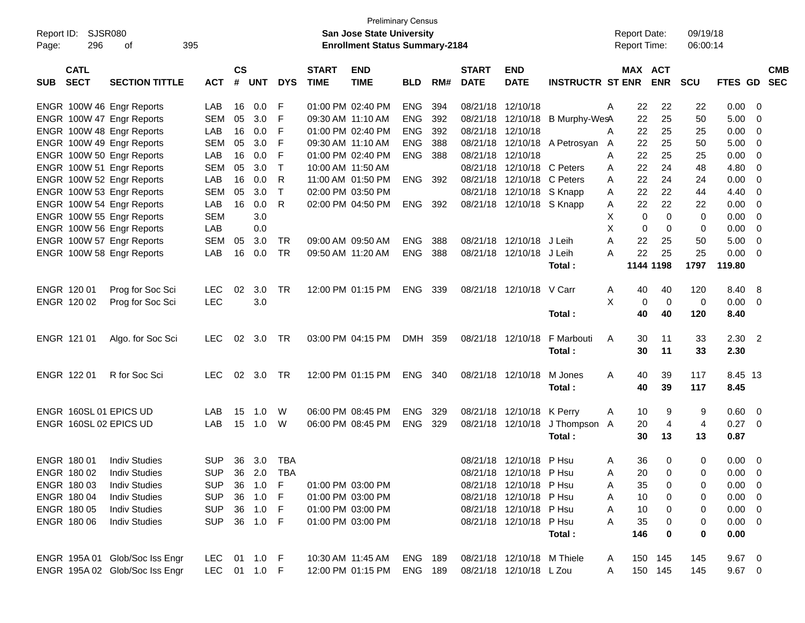|                           |                                |                |                 |            |            |              |                                       | <b>Preliminary Census</b> |       |              |                            |                                 |   |                     |             |            |             |                         |            |
|---------------------------|--------------------------------|----------------|-----------------|------------|------------|--------------|---------------------------------------|---------------------------|-------|--------------|----------------------------|---------------------------------|---|---------------------|-------------|------------|-------------|-------------------------|------------|
| Report ID:                | <b>SJSR080</b>                 |                |                 |            |            |              | <b>San Jose State University</b>      |                           |       |              |                            |                                 |   | <b>Report Date:</b> |             | 09/19/18   |             |                         |            |
| 296<br>Page:              | 395<br>οf                      |                |                 |            |            |              | <b>Enrollment Status Summary-2184</b> |                           |       |              |                            |                                 |   | Report Time:        |             | 06:00:14   |             |                         |            |
| <b>CATL</b>               |                                |                | $\mathsf{cs}$   |            |            | <b>START</b> | <b>END</b>                            |                           |       | <b>START</b> | <b>END</b>                 |                                 |   | MAX ACT             |             |            |             |                         | <b>CMB</b> |
| <b>SECT</b><br><b>SUB</b> | <b>SECTION TITTLE</b>          | <b>ACT</b>     | #               | <b>UNT</b> | <b>DYS</b> | <b>TIME</b>  | <b>TIME</b>                           | <b>BLD</b>                | RM#   | <b>DATE</b>  | <b>DATE</b>                | <b>INSTRUCTR ST ENR</b>         |   |                     | <b>ENR</b>  | <b>SCU</b> | FTES GD SEC |                         |            |
| ENGR 100W 46 Engr Reports |                                | LAB            | 16              | 0.0        | F          |              | 01:00 PM 02:40 PM                     | ENG                       | 394   |              | 08/21/18 12/10/18          |                                 | A | 22                  | 22          | 22         | 0.00        | - 0                     |            |
| ENGR 100W 47 Engr Reports |                                | <b>SEM</b>     | 05              | 3.0        | F          |              | 09:30 AM 11:10 AM                     | <b>ENG</b>                | 392   |              | 08/21/18 12/10/18          | B Murphy-WesA                   |   | 22                  | 25          | 50         | 5.00        | $\overline{0}$          |            |
| ENGR 100W 48 Engr Reports |                                | LAB            | 16              | 0.0        | F          |              | 01:00 PM 02:40 PM                     | <b>ENG</b>                | 392   |              | 08/21/18 12/10/18          |                                 | A | 22                  | 25          | 25         | 0.00        | 0                       |            |
| ENGR 100W 49 Engr Reports |                                | <b>SEM</b>     | 05              | 3.0        | F          |              | 09:30 AM 11:10 AM                     | <b>ENG</b>                | 388   |              |                            | 08/21/18 12/10/18 A Petrosyan A |   | 22                  | 25          | 50         | 5.00        | 0                       |            |
| ENGR 100W 50 Engr Reports |                                | LAB            | 16              | 0.0        | F          |              | 01:00 PM 02:40 PM                     | <b>ENG</b>                | 388   |              | 08/21/18 12/10/18          |                                 | A | 22                  | 25          | 25         | 0.00        | 0                       |            |
| ENGR 100W 51 Engr Reports |                                | <b>SEM</b>     | 05              | 3.0        | $\top$     |              | 10:00 AM 11:50 AM                     |                           |       |              | 08/21/18 12/10/18 C Peters |                                 | A | 22                  | 24          | 48         | 4.80        | 0                       |            |
| ENGR 100W 52 Engr Reports |                                | LAB            | 16              | 0.0        | R          |              | 11:00 AM 01:50 PM                     | <b>ENG</b>                | - 392 |              | 08/21/18 12/10/18          | C Peters                        | A | 22                  | 24          | 24         | 0.00        | 0                       |            |
| ENGR 100W 53 Engr Reports |                                | <b>SEM</b>     | 05              | 3.0        | $\top$     |              | 02:00 PM 03:50 PM                     |                           |       |              | 08/21/18 12/10/18 S Knapp  |                                 | A | 22                  | 22          | 44         | 4.40        | 0                       |            |
| ENGR 100W 54 Engr Reports |                                | LAB            | 16              | 0.0        | R          |              | 02:00 PM 04:50 PM                     | ENG 392                   |       |              | 08/21/18 12/10/18 S Knapp  |                                 | A | 22                  | 22          | 22         | 0.00        | 0                       |            |
| ENGR 100W 55 Engr Reports |                                | <b>SEM</b>     |                 | 3.0        |            |              |                                       |                           |       |              |                            |                                 | X | 0                   | $\Omega$    | 0          | 0.00        | 0                       |            |
| ENGR 100W 56 Engr Reports |                                | LAB            |                 | 0.0        |            |              |                                       |                           |       |              |                            |                                 | X | 0                   | 0           | 0          | 0.00        | 0                       |            |
| ENGR 100W 57 Engr Reports |                                | SEM            | 05              | 3.0        | TR         |              | 09:00 AM 09:50 AM                     | <b>ENG</b>                | 388   |              | 08/21/18 12/10/18          | J Leih                          | Α | 22                  | 25          | 50         | 5.00        | 0                       |            |
| ENGR 100W 58 Engr Reports |                                | LAB            | 16              | 0.0        | <b>TR</b>  |              | 09:50 AM 11:20 AM                     | <b>ENG</b>                | 388   |              | 08/21/18 12/10/18          | J Leih                          | A | 22                  | 25          | 25         | 0.00        | $\overline{0}$          |            |
|                           |                                |                |                 |            |            |              |                                       |                           |       |              |                            | Total:                          |   |                     | 1144 1198   | 1797       | 119.80      |                         |            |
|                           |                                |                |                 |            |            |              |                                       |                           |       |              |                            |                                 |   |                     |             |            |             |                         |            |
| ENGR 120 01               | Prog for Soc Sci               | <b>LEC</b>     | 02              | 3.0        | TR         |              | 12:00 PM 01:15 PM                     | ENG                       | 339   |              | 08/21/18 12/10/18 V Carr   |                                 | A | 40                  | 40          | 120        | 8.40        | - 8                     |            |
| ENGR 120 02               | Prog for Soc Sci               | <b>LEC</b>     |                 | 3.0        |            |              |                                       |                           |       |              |                            |                                 | X | 0                   | $\mathbf 0$ | 0          | 0.00        | $\overline{\mathbf{0}}$ |            |
|                           |                                |                |                 |            |            |              |                                       |                           |       |              |                            | Total:                          |   | 40                  | 40          | 120        | 8.40        |                         |            |
|                           |                                |                |                 |            |            |              |                                       |                           |       |              |                            |                                 |   |                     |             |            |             |                         |            |
| ENGR 121 01               | Algo. for Soc Sci              | <b>LEC</b>     | 02              | 3.0        | TR         |              | 03:00 PM 04:15 PM                     | DMH 359                   |       |              | 08/21/18 12/10/18          | F Marbouti                      | A | 30                  | 11          | 33         | $2.30$ 2    |                         |            |
|                           |                                |                |                 |            |            |              |                                       |                           |       |              |                            | Total:                          |   | 30                  | 11          | 33         | 2.30        |                         |            |
|                           |                                |                |                 |            |            |              |                                       |                           |       |              |                            |                                 |   |                     |             |            |             |                         |            |
| ENGR 122 01               | R for Soc Sci                  | <b>LEC</b>     | 02 <sub>o</sub> | 3.0        | TR         |              | 12:00 PM 01:15 PM                     | ENG 340                   |       |              | 08/21/18 12/10/18          | M Jones                         | A | 40                  | 39          | 117        | 8.45 13     |                         |            |
|                           |                                |                |                 |            |            |              |                                       |                           |       |              |                            | Total:                          |   | 40                  | 39          | 117        | 8.45        |                         |            |
|                           |                                |                |                 |            |            |              |                                       |                           |       |              |                            |                                 |   |                     |             |            |             |                         |            |
| ENGR 160SL 01 EPICS UD    |                                | LAB            | 15              | 1.0        | W          |              | 06:00 PM 08:45 PM                     | <b>ENG</b>                | 329   |              | 08/21/18 12/10/18 K Perry  |                                 | A | 10                  | 9           | 9          | 0.60        | $\overline{\mathbf{0}}$ |            |
| ENGR 160SL 02 EPICS UD    |                                | LAB            | 15              | 1.0        | W          |              | 06:00 PM 08:45 PM                     | <b>ENG</b>                | 329   |              | 08/21/18 12/10/18          | J Thompson                      | A | 20                  | 4           | 4          | 0.27        | $\overline{\mathbf{0}}$ |            |
|                           |                                |                |                 |            |            |              |                                       |                           |       |              |                            | Total:                          |   | 30                  | 13          | 13         | 0.87        |                         |            |
|                           |                                |                |                 |            |            |              |                                       |                           |       |              |                            |                                 |   |                     |             |            |             |                         |            |
| ENGR 180 01               | <b>Indiv Studies</b>           | <b>SUP</b>     |                 | 36 3.0     | TBA        |              |                                       |                           |       |              | 08/21/18 12/10/18 P Hsu    |                                 | A | 36                  | 0           | 0          | 0.00        | - 0                     |            |
| ENGR 180 02 Indiv Studies |                                | SUP 36 2.0 TBA |                 |            |            |              |                                       |                           |       |              | 08/21/18 12/10/18 P Hsu    |                                 | Α | 20                  | $\mathbf 0$ | 0          | $0.00 \t 0$ |                         |            |
| ENGR 180 03               | <b>Indiv Studies</b>           | <b>SUP</b>     | 36              | 1.0        | F          |              | 01:00 PM 03:00 PM                     |                           |       |              | 08/21/18 12/10/18 PHsu     |                                 | A | 35                  | 0           | 0          | $0.00 \t 0$ |                         |            |
| ENGR 180 04               | <b>Indiv Studies</b>           | <b>SUP</b>     | 36              | 1.0        | - F        |              | 01:00 PM 03:00 PM                     |                           |       |              | 08/21/18 12/10/18 P Hsu    |                                 | Α | 10                  | 0           | 0          | $0.00 \t 0$ |                         |            |
| ENGR 180 05               | <b>Indiv Studies</b>           | <b>SUP</b>     | 36              | 1.0        | - F        |              | 01:00 PM 03:00 PM                     |                           |       |              | 08/21/18 12/10/18 P Hsu    |                                 | Α | 10                  | 0           | 0          | $0.00 \t 0$ |                         |            |
| ENGR 180 06               | <b>Indiv Studies</b>           | <b>SUP</b>     |                 | 36 1.0 F   |            |              | 01:00 PM 03:00 PM                     |                           |       |              | 08/21/18 12/10/18 P Hsu    |                                 | Α | 35                  | 0           | 0          | $0.00 \t 0$ |                         |            |
|                           |                                |                |                 |            |            |              |                                       |                           |       |              |                            | Total:                          |   | 146                 | 0           | 0          | 0.00        |                         |            |
|                           |                                |                |                 |            |            |              |                                       |                           |       |              |                            |                                 |   |                     |             |            |             |                         |            |
|                           | ENGR 195A 01 Glob/Soc Iss Engr | LEC.           |                 | 01 1.0 F   |            |              | 10:30 AM 11:45 AM                     | ENG 189                   |       |              | 08/21/18 12/10/18 M Thiele |                                 | A |                     | 150 145     | 145        | $9.67$ 0    |                         |            |
|                           | ENGR 195A 02 Glob/Soc Iss Engr | LEC 01 1.0 F   |                 |            |            |              | 12:00 PM 01:15 PM                     | ENG 189                   |       |              | 08/21/18 12/10/18 L Zou    |                                 | A |                     | 150 145     | 145        | $9.67$ 0    |                         |            |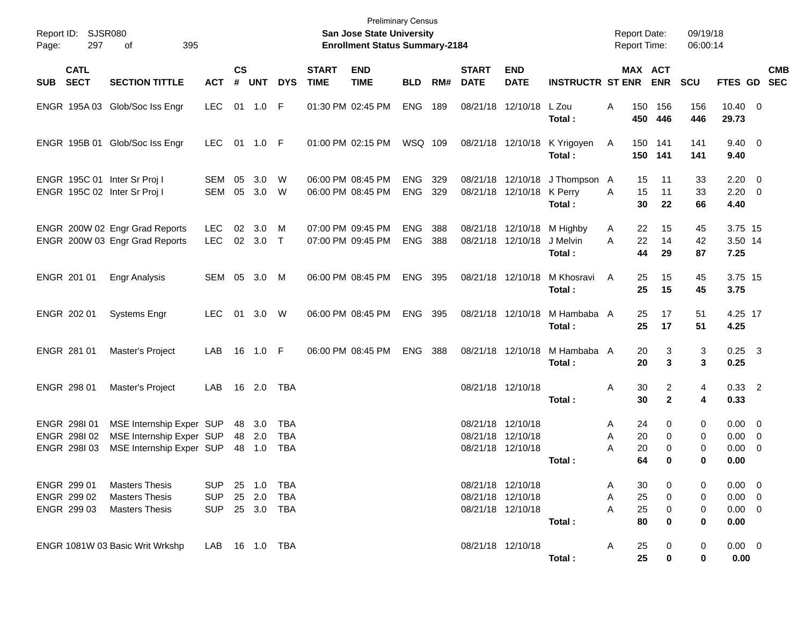| Report ID:<br>297<br>Page:                                   | SJSR080<br>395<br>οf                                                             |                                        |                |                                |                                        |                             | <b>Preliminary Census</b><br>San Jose State University<br><b>Enrollment Status Summary-2184</b> |                          |            |                             |                                                             |                                          | <b>Report Date:</b><br>Report Time: |                                  | 09/19/18<br>06:00:14 |                                                   |            |
|--------------------------------------------------------------|----------------------------------------------------------------------------------|----------------------------------------|----------------|--------------------------------|----------------------------------------|-----------------------------|-------------------------------------------------------------------------------------------------|--------------------------|------------|-----------------------------|-------------------------------------------------------------|------------------------------------------|-------------------------------------|----------------------------------|----------------------|---------------------------------------------------|------------|
| <b>CATL</b><br><b>SECT</b><br><b>SUB</b>                     | <b>SECTION TITTLE</b>                                                            | <b>ACT</b>                             | <b>CS</b><br># | <b>UNT</b>                     | <b>DYS</b>                             | <b>START</b><br><b>TIME</b> | <b>END</b><br><b>TIME</b>                                                                       | <b>BLD</b>               | RM#        | <b>START</b><br><b>DATE</b> | <b>END</b><br><b>DATE</b>                                   | <b>INSTRUCTR ST ENR</b>                  |                                     | MAX ACT<br><b>ENR</b>            | <b>SCU</b>           | FTES GD SEC                                       | <b>CMB</b> |
|                                                              | ENGR 195A 03 Glob/Soc Iss Engr                                                   | <b>LEC</b>                             |                | 01 1.0 F                       |                                        |                             | 01:30 PM 02:45 PM                                                                               | <b>ENG</b>               | 189        |                             | 08/21/18 12/10/18                                           | L Zou<br>Total :                         | 150<br>A<br>450                     | 156<br>446                       | 156<br>446           | $10.40 \t 0$<br>29.73                             |            |
|                                                              | ENGR 195B 01 Glob/Soc Iss Engr                                                   | <b>LEC</b>                             |                | 01 1.0 F                       |                                        |                             | 01:00 PM 02:15 PM                                                                               | WSQ 109                  |            |                             |                                                             | 08/21/18 12/10/18 K Yrigoyen<br>Total:   | A<br>150                            | 150 141<br>141                   | 141<br>141           | $9.40 \quad 0$<br>9.40                            |            |
| ENGR 195C 01 Inter Sr Proj I<br>ENGR 195C 02 Inter Sr Proj I |                                                                                  | SEM<br>SEM                             | 05<br>05       | 3.0<br>3.0                     | W<br>- W                               |                             | 06:00 PM 08:45 PM<br>06:00 PM 08:45 PM                                                          | <b>ENG</b><br><b>ENG</b> | 329<br>329 |                             | 08/21/18 12/10/18 K Perry                                   | 08/21/18 12/10/18 J Thompson A<br>Total: | 15<br>15<br>A<br>30                 | 11<br>11<br>22                   | 33<br>33<br>66       | $2.20 \t 0$<br>$2.20 \t 0$<br>4.40                |            |
|                                                              | ENGR 200W 02 Engr Grad Reports<br>ENGR 200W 03 Engr Grad Reports                 | <b>LEC</b><br><b>LEC</b>               | 02             | 3.0<br>02 3.0                  | M<br>$\top$                            |                             | 07:00 PM 09:45 PM<br>07:00 PM 09:45 PM                                                          | <b>ENG</b><br><b>ENG</b> | 388<br>388 |                             | 08/21/18 12/10/18<br>08/21/18 12/10/18                      | M Highby<br>J Melvin<br>Total :          | 22<br>A<br>22<br>A<br>44            | 15<br>14<br>29                   | 45<br>42<br>87       | 3.75 15<br>3.50 14<br>7.25                        |            |
| ENGR 201 01                                                  | Engr Analysis                                                                    | SEM                                    | 05             | 3.0 M                          |                                        |                             | 06:00 PM 08:45 PM                                                                               | <b>ENG</b>               | 395        |                             | 08/21/18 12/10/18                                           | M Khosravi<br>Total:                     | 25<br>A<br>25                       | 15<br>15                         | 45<br>45             | 3.75 15<br>3.75                                   |            |
| ENGR 202 01                                                  | <b>Systems Engr</b>                                                              | <b>LEC</b>                             |                | 01 3.0                         | W                                      |                             | 06:00 PM 08:45 PM                                                                               | <b>ENG</b>               | 395        |                             | 08/21/18 12/10/18                                           | M Hambaba A<br>Total:                    | 25<br>25                            | 17<br>17                         | 51<br>51             | 4.25 17<br>4.25                                   |            |
| ENGR 281 01                                                  | Master's Project                                                                 | LAB                                    | 16             | 1.0 F                          |                                        |                             | 06:00 PM 08:45 PM                                                                               | <b>ENG</b>               | 388        |                             | 08/21/18 12/10/18                                           | M Hambaba A<br>Total:                    | 20<br>20                            | 3<br>3                           | 3<br>3               | $0.25 \quad 3$<br>0.25                            |            |
| ENGR 298 01                                                  | Master's Project                                                                 | LAB                                    |                | 16 2.0                         | TBA                                    |                             |                                                                                                 |                          |            |                             | 08/21/18 12/10/18                                           | Total :                                  | A<br>30<br>30                       | $\overline{2}$<br>$\overline{2}$ | 4<br>4               | $0.33$ 2<br>0.33                                  |            |
| ENGR 298101<br>ENGR 298102<br>ENGR 298103                    | MSE Internship Exper SUP<br>MSE Internship Exper SUP<br>MSE Internship Exper SUP |                                        |                | 48 3.0<br>48 2.0<br>48 1.0     | <b>TBA</b><br><b>TBA</b><br><b>TBA</b> |                             |                                                                                                 |                          |            |                             | 08/21/18 12/10/18<br>08/21/18 12/10/18<br>08/21/18 12/10/18 | Total:                                   | 24<br>A<br>20<br>A<br>20<br>Α<br>64 | 0<br>0<br>0<br>0                 | 0<br>0<br>0<br>0     | $0.00 \t 0$<br>$0.00 \t 0$<br>$0.00 \ 0$<br>0.00  |            |
| ENGR 299 01<br>ENGR 299 02<br>ENGR 299 03                    | <b>Masters Thesis</b><br><b>Masters Thesis</b><br><b>Masters Thesis</b>          | <b>SUP</b><br><b>SUP</b><br><b>SUP</b> |                | 25 1.0<br>25 2.0<br>25 3.0 TBA | TBA<br><b>TBA</b>                      |                             |                                                                                                 |                          |            |                             | 08/21/18 12/10/18<br>08/21/18 12/10/18<br>08/21/18 12/10/18 | Total:                                   | 30<br>Α<br>25<br>Α<br>25<br>Α<br>80 | 0<br>0<br>0<br>0                 | 0<br>0<br>0<br>0     | $0.00 \t 0$<br>$0.00 \t 0$<br>$0.00 \t 0$<br>0.00 |            |
|                                                              | ENGR 1081W 03 Basic Writ Wrkshp                                                  | LAB 16 1.0 TBA                         |                |                                |                                        |                             |                                                                                                 |                          |            |                             | 08/21/18 12/10/18                                           | Total:                                   | 25<br>A<br>25                       | 0<br>0                           | 0<br>0               | $0.00 \t 0$<br>0.00                               |            |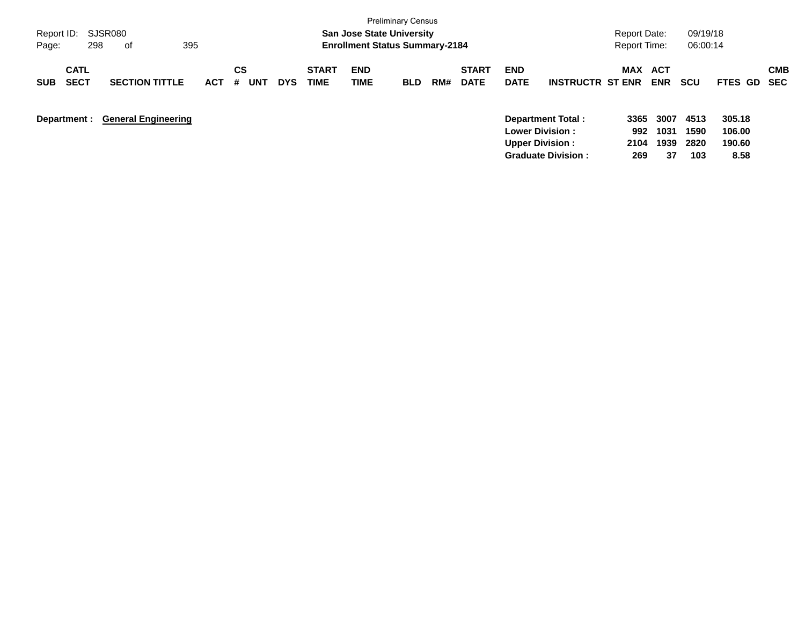| Report ID:<br>298<br>Page:               | SJSR080<br>395<br>of       |            |                       |            |                      | <b>San Jose State University</b><br><b>Enrollment Status Summary-2184</b> | <b>Preliminary Census</b> |     |                             |                           |                                                                       | Report Date:<br>Report Time: |                          | 09/19/18<br>06:00:14 |                            |                          |
|------------------------------------------|----------------------------|------------|-----------------------|------------|----------------------|---------------------------------------------------------------------------|---------------------------|-----|-----------------------------|---------------------------|-----------------------------------------------------------------------|------------------------------|--------------------------|----------------------|----------------------------|--------------------------|
| <b>CATL</b><br><b>SECT</b><br><b>SUB</b> | <b>SECTION TITTLE</b>      | <b>ACT</b> | CS<br>#<br><b>UNT</b> | <b>DYS</b> | <b>START</b><br>TIME | <b>END</b><br><b>TIME</b>                                                 | <b>BLD</b>                | RM# | <b>START</b><br><b>DATE</b> | <b>END</b><br><b>DATE</b> | <b>INSTRUCTR ST ENR</b>                                               | <b>MAX</b>                   | <b>ACT</b><br><b>ENR</b> | <b>SCU</b>           | <b>FTES GD</b>             | <b>CMB</b><br><b>SEC</b> |
| Department :                             | <b>General Engineering</b> |            |                       |            |                      |                                                                           |                           |     |                             |                           | Department Total:<br><b>Lower Division:</b><br><b>Upper Division:</b> | 3365<br>992<br>2104          | 3007<br>1031<br>1939     | 4513<br>1590<br>2820 | 305.18<br>106.00<br>190.60 |                          |

**Graduate Division : 269 37 103 8.58**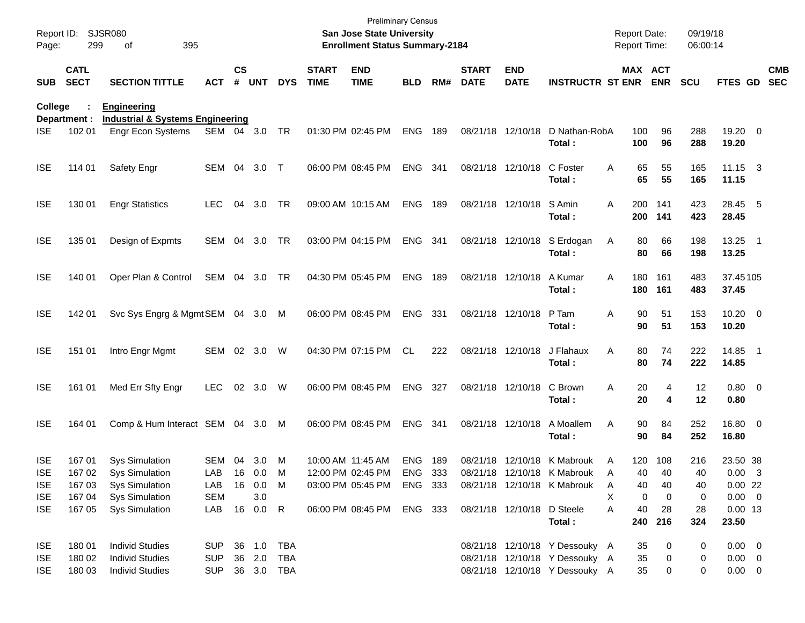| Report ID:<br>Page: | 299                        | <b>SJSR080</b><br>395<br>of                                       |              |               |            |            |                             | <b>Preliminary Census</b><br>San Jose State University<br><b>Enrollment Status Summary-2184</b> |            |       |                             |                            |                                |   | <b>Report Date:</b><br><b>Report Time:</b> |            | 09/19/18<br>06:00:14 |                       |                          |
|---------------------|----------------------------|-------------------------------------------------------------------|--------------|---------------|------------|------------|-----------------------------|-------------------------------------------------------------------------------------------------|------------|-------|-----------------------------|----------------------------|--------------------------------|---|--------------------------------------------|------------|----------------------|-----------------------|--------------------------|
| <b>SUB</b>          | <b>CATL</b><br><b>SECT</b> | <b>SECTION TITTLE</b>                                             | <b>ACT</b>   | $\mathsf{cs}$ | # UNT      | <b>DYS</b> | <b>START</b><br><b>TIME</b> | <b>END</b><br><b>TIME</b>                                                                       | <b>BLD</b> | RM#   | <b>START</b><br><b>DATE</b> | <b>END</b><br><b>DATE</b>  | <b>INSTRUCTR ST ENR</b>        |   | MAX ACT                                    | <b>ENR</b> | <b>SCU</b>           | FTES GD               | <b>CMB</b><br><b>SEC</b> |
| College             | Department :               | <b>Engineering</b><br><b>Industrial &amp; Systems Engineering</b> |              |               |            |            |                             |                                                                                                 |            |       |                             |                            |                                |   |                                            |            |                      |                       |                          |
| <b>ISE</b>          | 102 01                     | <b>Engr Econ Systems</b>                                          | SEM 04 3.0   |               |            | TR         |                             | 01:30 PM 02:45 PM                                                                               | <b>ENG</b> | 189   |                             | 08/21/18 12/10/18          | D Nathan-RobA<br>Total:        |   | 100<br>100                                 | 96<br>96   | 288<br>288           | 19.20 0<br>19.20      |                          |
| <b>ISE</b>          | 114 01                     | Safety Engr                                                       | SEM 04       |               | 3.0        | $\top$     |                             | 06:00 PM 08:45 PM                                                                               | ENG        | - 341 |                             | 08/21/18 12/10/18          | C Foster<br>Total:             | Α | 65<br>65                                   | 55<br>55   | 165<br>165           | $11.15$ 3<br>11.15    |                          |
| <b>ISE</b>          | 130 01                     | <b>Engr Statistics</b>                                            | <b>LEC</b>   | 04            | 3.0        | TR         |                             | 09:00 AM 10:15 AM                                                                               | <b>ENG</b> | 189   |                             | 08/21/18 12/10/18          | S Amin<br>Total:               | A | 200<br>200                                 | 141<br>141 | 423<br>423           | 28.45 5<br>28.45      |                          |
| <b>ISE</b>          | 135 01                     | Design of Expmts                                                  | SEM          | 04            | 3.0        | TR         |                             | 03:00 PM 04:15 PM                                                                               | ENG        | - 341 |                             | 08/21/18 12/10/18          | S Erdogan<br>Total:            | A | 80<br>80                                   | 66<br>66   | 198<br>198           | 13.25 1<br>13.25      |                          |
| <b>ISE</b>          | 140 01                     | Oper Plan & Control                                               | SEM 04 3.0   |               |            | TR         |                             | 04:30 PM 05:45 PM                                                                               | <b>ENG</b> | 189   |                             | 08/21/18 12/10/18          | A Kumar<br>Total:              | A | 180<br>180                                 | 161<br>161 | 483<br>483           | 37.45105<br>37.45     |                          |
| <b>ISE</b>          | 142 01                     | Svc Sys Engrg & Mgmt SEM 04 3.0                                   |              |               |            | M          |                             | 06:00 PM 08:45 PM                                                                               | ENG        | 331   |                             | 08/21/18 12/10/18          | P Tam<br>Total:                | Α | 90<br>90                                   | 51<br>51   | 153<br>153           | $10.20 \t 0$<br>10.20 |                          |
| <b>ISE</b>          | 151 01                     | Intro Engr Mgmt                                                   | SEM 02 3.0   |               |            | W          |                             | 04:30 PM 07:15 PM                                                                               | CL.        | 222   |                             | 08/21/18 12/10/18          | J Flahaux<br>Total:            | Α | 80<br>80                                   | 74<br>74   | 222<br>222           | 14.85 1<br>14.85      |                          |
| <b>ISE</b>          | 161 01                     | Med Err Sfty Engr                                                 | <b>LEC</b>   | 02            | 3.0        | W          |                             | 06:00 PM 08:45 PM                                                                               | ENG 327    |       |                             | 08/21/18 12/10/18          | C Brown<br>Total:              | Α | 20<br>20                                   | 4<br>4     | 12<br>12             | 0.80 0<br>0.80        |                          |
| <b>ISE</b>          | 164 01                     | Comp & Hum Interact SEM 04 3.0                                    |              |               |            | M          |                             | 06:00 PM 08:45 PM                                                                               | ENG 341    |       |                             | 08/21/18 12/10/18          | A Moallem<br>Total:            | Α | 90<br>90                                   | 84<br>84   | 252<br>252           | 16.80 0<br>16.80      |                          |
| <b>ISE</b>          | 16701                      | <b>Sys Simulation</b>                                             | SEM          | 04            | 3.0        | M          |                             | 10:00 AM 11:45 AM                                                                               | <b>ENG</b> | 189   |                             |                            | 08/21/18 12/10/18 K Mabrouk    | A | 120                                        | 108        | 216                  | 23.50 38              |                          |
| <b>ISE</b>          | 167 02                     | <b>Sys Simulation</b>                                             | LAB 16 0.0 M |               |            |            |                             | 12:00 PM 02:45 PM                                                                               | ENG 333    |       |                             |                            | 08/21/18 12/10/18 K Mabrouk    | A | 40                                         | 40         | 40                   | $0.00 \quad 3$        |                          |
| <b>ISE</b>          | 167 03                     | <b>Sys Simulation</b>                                             | LAB          |               | 16  0.0  M |            |                             | 03:00 PM 05:45 PM                                                                               | ENG 333    |       |                             |                            | 08/21/18 12/10/18 K Mabrouk    | A | 40                                         | 40         | 40                   | 0.0022                |                          |
| <b>ISE</b>          | 167 04                     | <b>Sys Simulation</b>                                             | <b>SEM</b>   |               | 3.0        |            |                             |                                                                                                 |            |       |                             |                            |                                | X | 0                                          | 0          | 0                    | $0.00 \t 0$           |                          |
| <b>ISE</b>          | 167 05                     | <b>Sys Simulation</b>                                             | LAB 16 0.0 R |               |            |            |                             | 06:00 PM 08:45 PM                                                                               | ENG 333    |       |                             | 08/21/18 12/10/18 D Steele |                                | A | 40                                         | 28         | 28                   | $0.00$ 13             |                          |
|                     |                            |                                                                   |              |               |            |            |                             |                                                                                                 |            |       |                             |                            | Total:                         |   | 240                                        | 216        | 324                  | 23.50                 |                          |
| <b>ISE</b>          | 18001                      | <b>Individ Studies</b>                                            | <b>SUP</b>   |               | 36 1.0     | TBA        |                             |                                                                                                 |            |       |                             |                            | 08/21/18 12/10/18 Y Dessouky A |   | 35                                         | 0          | 0                    | $0.00 \t 0$           |                          |
| <b>ISE</b>          | 180 02                     | <b>Individ Studies</b>                                            | <b>SUP</b>   |               | 36 2.0     | TBA        |                             |                                                                                                 |            |       |                             |                            | 08/21/18 12/10/18 Y Dessouky A |   | 35                                         | 0          | 0                    | $0.00 \t 0$           |                          |
| <b>ISE</b>          | 180 03                     | <b>Individ Studies</b>                                            | <b>SUP</b>   |               | 36 3.0 TBA |            |                             |                                                                                                 |            |       |                             |                            | 08/21/18 12/10/18 Y Dessouky A |   | 35                                         | 0          | 0                    | $0.00 \t 0$           |                          |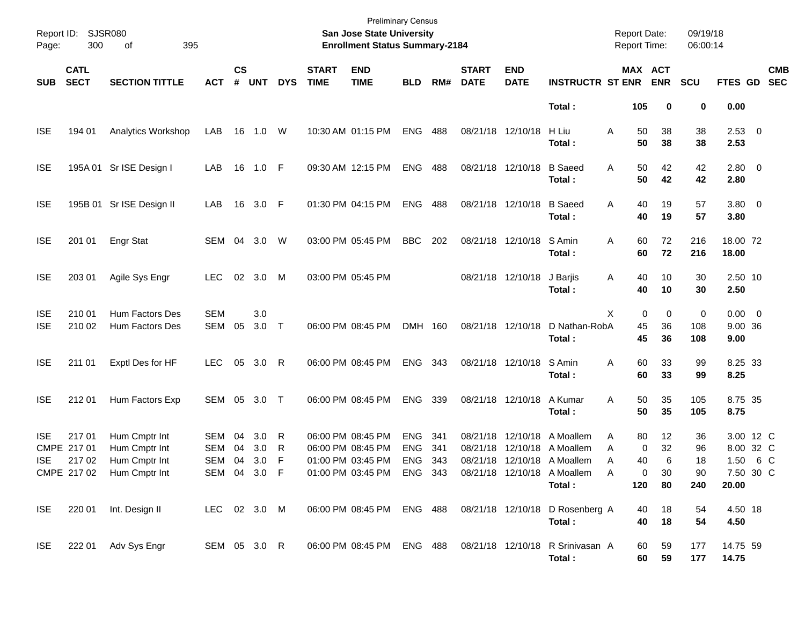| Report ID:<br>Page:      | 300                           | SJSR080<br>395<br>οf                                                         |                                          |                |                   |             |                             | <b>Preliminary Census</b><br>San Jose State University<br><b>Enrollment Status Summary-2184</b> |                                        |                   |                             |                           |                                                                                                                                            | <b>Report Date:</b><br><b>Report Time:</b> |                                     | 09/19/18<br>06:00:14        |                                                      |     |                          |
|--------------------------|-------------------------------|------------------------------------------------------------------------------|------------------------------------------|----------------|-------------------|-------------|-----------------------------|-------------------------------------------------------------------------------------------------|----------------------------------------|-------------------|-----------------------------|---------------------------|--------------------------------------------------------------------------------------------------------------------------------------------|--------------------------------------------|-------------------------------------|-----------------------------|------------------------------------------------------|-----|--------------------------|
| <b>SUB</b>               | <b>CATL</b><br><b>SECT</b>    | <b>SECTION TITTLE</b>                                                        | <b>ACT</b>                               | <b>CS</b><br># | <b>UNT</b>        | <b>DYS</b>  | <b>START</b><br><b>TIME</b> | <b>END</b><br><b>TIME</b>                                                                       | <b>BLD</b>                             | RM#               | <b>START</b><br><b>DATE</b> | <b>END</b><br><b>DATE</b> | <b>INSTRUCTR ST ENR</b>                                                                                                                    |                                            | MAX ACT<br><b>ENR</b>               | <b>SCU</b>                  | FTES GD                                              |     | <b>CMB</b><br><b>SEC</b> |
|                          |                               |                                                                              |                                          |                |                   |             |                             |                                                                                                 |                                        |                   |                             |                           | Total:                                                                                                                                     | 105                                        | 0                                   | 0                           | 0.00                                                 |     |                          |
| <b>ISE</b>               | 194 01                        | Analytics Workshop                                                           | LAB                                      | 16             | 1.0 W             |             |                             | 10:30 AM 01:15 PM                                                                               | ENG                                    | 488               | 08/21/18 12/10/18           |                           | H Liu<br>Total:                                                                                                                            | 50<br>A<br>50                              | 38<br>38                            | 38<br>38                    | $2.53$ 0<br>2.53                                     |     |                          |
| <b>ISE</b>               |                               | 195A 01 Sr ISE Design I                                                      | LAB                                      | 16             | $1.0$ F           |             |                             | 09:30 AM 12:15 PM                                                                               | ENG                                    | 488               |                             | 08/21/18 12/10/18         | <b>B</b> Saeed<br>Total:                                                                                                                   | 50<br>A<br>50                              | 42<br>42                            | 42<br>42                    | $2.80 \t 0$<br>2.80                                  |     |                          |
| <b>ISE</b>               |                               | 195B 01 Sr ISE Design II                                                     | LAB                                      | 16             | 3.0 F             |             |                             | 01:30 PM 04:15 PM                                                                               | ENG                                    | 488               |                             | 08/21/18 12/10/18         | <b>B</b> Saeed<br>Total:                                                                                                                   | 40<br>A<br>40                              | 19<br>19                            | 57<br>57                    | 3.80 0<br>3.80                                       |     |                          |
| <b>ISE</b>               | 201 01                        | Engr Stat                                                                    | SEM 04 3.0 W                             |                |                   |             |                             | 03:00 PM 05:45 PM                                                                               | <b>BBC</b>                             | 202               |                             | 08/21/18 12/10/18         | S Amin<br>Total:                                                                                                                           | Α<br>60<br>60                              | 72<br>72                            | 216<br>216                  | 18.00 72<br>18.00                                    |     |                          |
| <b>ISE</b>               | 203 01                        | Agile Sys Engr                                                               | <b>LEC</b>                               | 02             | 3.0               | M           |                             | 03:00 PM 05:45 PM                                                                               |                                        |                   |                             | 08/21/18 12/10/18         | J Barjis<br>Total:                                                                                                                         | 40<br>Α<br>40                              | 10<br>10                            | 30<br>30                    | 2.50 10<br>2.50                                      |     |                          |
| <b>ISE</b><br><b>ISE</b> | 210 01<br>210 02              | <b>Hum Factors Des</b><br>Hum Factors Des                                    | <b>SEM</b><br>SEM                        | 05             | 3.0<br>$3.0$ T    |             |                             | 06:00 PM 08:45 PM                                                                               | DMH 160                                |                   |                             | 08/21/18 12/10/18         | D Nathan-RobA<br>Total:                                                                                                                    | X<br>45<br>45                              | 0<br>0<br>36<br>36                  | 0<br>108<br>108             | $0.00 \t 0$<br>9.00 36<br>9.00                       |     |                          |
| <b>ISE</b>               | 211 01                        | Exptl Des for HF                                                             | <b>LEC</b>                               | 05             | 3.0               | R           |                             | 06:00 PM 08:45 PM                                                                               | <b>ENG</b>                             | 343               |                             | 08/21/18 12/10/18         | S Amin<br>Total:                                                                                                                           | 60<br>A<br>60                              | 33<br>33                            | 99<br>99                    | 8.25 33<br>8.25                                      |     |                          |
| <b>ISE</b>               | 21201                         | Hum Factors Exp                                                              | SEM 05                                   |                | 3.0 T             |             |                             | 06:00 PM 08:45 PM                                                                               | <b>ENG</b>                             | 339               |                             | 08/21/18 12/10/18         | A Kumar<br>Total:                                                                                                                          | 50<br>Α<br>50                              | 35<br>35                            | 105<br>105                  | 8.75 35<br>8.75                                      |     |                          |
| <b>ISE</b><br><b>ISE</b> | 21701<br>CMPE 217 01<br>21702 | Hum Cmptr Int<br>Hum Cmptr Int<br>Hum Cmptr Int<br>CMPE 217 02 Hum Cmptr Int | SEM<br><b>SEM</b><br>SEM<br>SEM 04 3.0 F | 04<br>04<br>04 | 3.0<br>3.0<br>3.0 | R<br>R<br>F |                             | 06:00 PM 08:45 PM<br>06:00 PM 08:45 PM<br>01:00 PM 03:45 PM                                     | <b>ENG</b><br><b>ENG</b><br><b>ENG</b> | 341<br>341<br>343 | 08/21/18                    | 12/10/18                  | 08/21/18 12/10/18 A Moallem<br>A Moallem<br>08/21/18 12/10/18 A Moallem<br>01:00 PM 03:45 PM ENG 343 08/21/18 12/10/18 A Moallem<br>Total: | 80<br>A<br>Α<br>40<br>Α<br>Α<br>120        | 12<br>0<br>32<br>6<br>0<br>30<br>80 | 36<br>96<br>18<br>90<br>240 | 3.00 12 C<br>8.00 32 C<br>1.50<br>7.50 30 C<br>20.00 | 6 C |                          |
| <b>ISE</b>               | 220 01                        | Int. Design II                                                               | LEC 02 3.0 M                             |                |                   |             |                             | 06:00 PM 08:45 PM ENG 488                                                                       |                                        |                   |                             |                           | 08/21/18 12/10/18 D Rosenberg A<br>Total :                                                                                                 | 40<br>40                                   | 18<br>18                            | 54<br>54                    | 4.50 18<br>4.50                                      |     |                          |
| <b>ISE</b>               | 222 01                        | Adv Sys Engr                                                                 | SEM 05 3.0 R                             |                |                   |             |                             | 06:00 PM 08:45 PM ENG 488                                                                       |                                        |                   |                             |                           | 08/21/18 12/10/18 R Srinivasan A<br>Total:                                                                                                 | 60                                         | 59<br>60<br>59                      | 177<br>177                  | 14.75 59<br>14.75                                    |     |                          |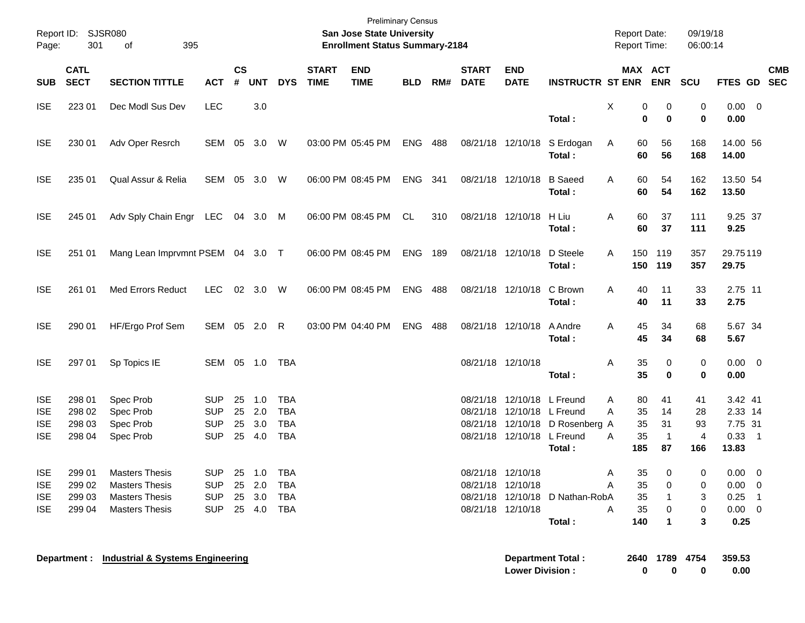| Page:                                                | Report ID: SJSR080<br>301            | 395<br>οf                                                                                        |                                                      |                      |                                |                                                      |                             | <b>Preliminary Census</b><br>San Jose State University<br><b>Enrollment Status Summary-2184</b> |                |     |                             |                                                                                        |                                           | <b>Report Date:</b><br>Report Time:        |                                            | 09/19/18<br>06:00:14                    |                                                               |            |
|------------------------------------------------------|--------------------------------------|--------------------------------------------------------------------------------------------------|------------------------------------------------------|----------------------|--------------------------------|------------------------------------------------------|-----------------------------|-------------------------------------------------------------------------------------------------|----------------|-----|-----------------------------|----------------------------------------------------------------------------------------|-------------------------------------------|--------------------------------------------|--------------------------------------------|-----------------------------------------|---------------------------------------------------------------|------------|
| <b>SUB</b>                                           | <b>CATL</b><br><b>SECT</b>           | <b>SECTION TITTLE</b>                                                                            | <b>ACT</b>                                           | <b>CS</b><br>$\#$    | <b>UNT</b>                     | <b>DYS</b>                                           | <b>START</b><br><b>TIME</b> | <b>END</b><br><b>TIME</b>                                                                       | <b>BLD</b>     | RM# | <b>START</b><br><b>DATE</b> | <b>END</b><br><b>DATE</b>                                                              | INSTRUCTR ST ENR ENR SCU                  |                                            | MAX ACT                                    |                                         | FTES GD SEC                                                   | <b>CMB</b> |
| <b>ISE</b>                                           | 223 01                               | Dec Modl Sus Dev                                                                                 | <b>LEC</b>                                           |                      | 3.0                            |                                                      |                             |                                                                                                 |                |     |                             |                                                                                        | Total:                                    | X<br>$\mathbf 0$                           | 0<br>0<br>$\bf{0}$                         | 0<br>0                                  | $0.00 \t 0$<br>0.00                                           |            |
| <b>ISE</b>                                           | 230 01                               | Adv Oper Resrch                                                                                  | SEM 05 3.0 W                                         |                      |                                |                                                      |                             | 03:00 PM 05:45 PM                                                                               | <b>ENG 488</b> |     |                             |                                                                                        | 08/21/18 12/10/18 S Erdogan<br>Total:     | 60<br>A<br>60                              | 56<br>56                                   | 168<br>168                              | 14.00 56<br>14.00                                             |            |
| <b>ISE</b>                                           | 235 01                               | Qual Assur & Relia                                                                               | SEM 05 3.0 W                                         |                      |                                |                                                      |                             | 06:00 PM 08:45 PM                                                                               | ENG 341        |     |                             | 08/21/18 12/10/18                                                                      | <b>B</b> Saeed<br>Total:                  | 60<br>A<br>60                              | 54<br>54                                   | 162<br>162                              | 13.50 54<br>13.50                                             |            |
| <b>ISE</b>                                           | 245 01                               | Adv Sply Chain Engr LEC 04 3.0                                                                   |                                                      |                      |                                | M                                                    |                             | 06:00 PM 08:45 PM                                                                               | CL             | 310 |                             | 08/21/18 12/10/18 H Liu                                                                | Total:                                    | A<br>60<br>60                              | 37<br>37                                   | 111<br>111                              | 9.25 37<br>9.25                                               |            |
| <b>ISE</b>                                           | 251 01                               | Mang Lean Imprvmnt PSEM 04 3.0 T                                                                 |                                                      |                      |                                |                                                      |                             | 06:00 PM 08:45 PM                                                                               | <b>ENG 189</b> |     |                             | 08/21/18 12/10/18                                                                      | D Steele<br>Total:                        | A                                          | 150 119<br>150 119                         | 357<br>357                              | 29.75119<br>29.75                                             |            |
| <b>ISE</b>                                           | 261 01                               | Med Errors Reduct                                                                                | <b>LEC</b>                                           |                      | 02 3.0 W                       |                                                      |                             | 06:00 PM 08:45 PM                                                                               | <b>ENG 488</b> |     |                             | 08/21/18 12/10/18 C Brown                                                              | Total:                                    | A<br>40<br>40                              | 11<br>11                                   | 33<br>33                                | 2.75 11<br>2.75                                               |            |
| <b>ISE</b>                                           | 290 01                               | HF/Ergo Prof Sem                                                                                 | SEM 05 2.0 R                                         |                      |                                |                                                      |                             | 03:00 PM 04:40 PM                                                                               | ENG            | 488 |                             | 08/21/18 12/10/18                                                                      | A Andre<br>Total:                         | 45<br>A<br>45                              | 34<br>34                                   | 68<br>68                                | 5.67 34<br>5.67                                               |            |
| <b>ISE</b>                                           | 297 01                               | Sp Topics IE                                                                                     | SEM 05 1.0 TBA                                       |                      |                                |                                                      |                             |                                                                                                 |                |     |                             | 08/21/18 12/10/18                                                                      | Total:                                    | 35<br>Α<br>35                              | 0<br>$\bf{0}$                              | 0<br>0                                  | $0.00 \t 0$<br>0.00                                           |            |
| <b>ISE</b><br><b>ISE</b><br><b>ISE</b><br><b>ISE</b> | 298 01<br>298 02<br>298 03<br>298 04 | Spec Prob<br>Spec Prob<br>Spec Prob<br>Spec Prob                                                 | <b>SUP</b><br><b>SUP</b><br><b>SUP</b><br><b>SUP</b> | 25<br>25<br>25<br>25 | 1.0<br>2.0<br>3.0<br>4.0       | <b>TBA</b><br><b>TBA</b><br><b>TBA</b><br><b>TBA</b> |                             |                                                                                                 |                |     |                             | 08/21/18 12/10/18 L Freund<br>08/21/18 12/10/18 L Freund<br>08/21/18 12/10/18 L Freund | 08/21/18 12/10/18 D Rosenberg A<br>Total: | 80<br>A<br>35<br>A<br>35<br>35<br>A<br>185 | 41<br>14<br>31<br>$\overline{1}$<br>87     | 41<br>28<br>93<br>$\overline{4}$<br>166 | 3.42 41<br>2.33 14<br>7.75 31<br>$0.33$ 1<br>13.83            |            |
| <b>ISE</b><br><b>ISE</b><br><b>ISE</b><br><b>ISE</b> | 299 01<br>299 02<br>299 03<br>299 04 | <b>Masters Thesis</b><br><b>Masters Thesis</b><br><b>Masters Thesis</b><br><b>Masters Thesis</b> | <b>SUP</b><br><b>SUP</b><br><b>SUP</b><br><b>SUP</b> | 25<br>25             | 1.0<br>2.0<br>25 3.0<br>25 4.0 | <b>TBA</b><br><b>TBA</b><br><b>TBA</b><br><b>TBA</b> |                             |                                                                                                 |                |     |                             | 08/21/18 12/10/18<br>08/21/18 12/10/18<br>08/21/18 12/10/18                            | 08/21/18 12/10/18 D Nathan-RobA<br>Total: | 35<br>A<br>35<br>Α<br>35<br>35<br>Α<br>140 | $\mathbf 0$<br>0<br>1<br>0<br>$\mathbf{1}$ | 0<br>0<br>3<br>0<br>3                   | $0.00 \t 0$<br>$0.00 \t 0$<br>$0.25$ 1<br>$0.00 \t 0$<br>0.25 |            |
|                                                      | Department :                         | <b>Industrial &amp; Systems Engineering</b>                                                      |                                                      |                      |                                |                                                      |                             |                                                                                                 |                |     |                             | <b>Lower Division:</b>                                                                 | <b>Department Total:</b>                  | 0                                          | 2640 1789<br>0                             | 4754<br>0                               | 359.53<br>0.00                                                |            |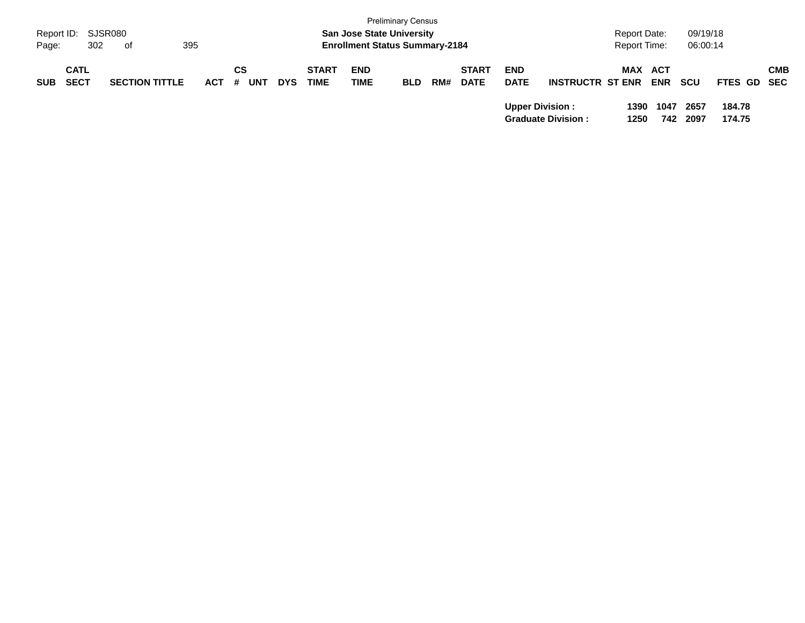| Report ID: SJSR080<br>Page: | 302                        | of                    | 395        |                |            |                             |                    | <b>Preliminary Census</b><br><b>San Jose State University</b><br><b>Enrollment Status Summary-2184</b> |     |                             |                           |                                                     | <b>Report Date:</b><br><b>Report Time:</b> |                   | 09/19/18<br>06:00:14 |                  |            |
|-----------------------------|----------------------------|-----------------------|------------|----------------|------------|-----------------------------|--------------------|--------------------------------------------------------------------------------------------------------|-----|-----------------------------|---------------------------|-----------------------------------------------------|--------------------------------------------|-------------------|----------------------|------------------|------------|
| <b>SUB</b>                  | <b>CATL</b><br><b>SECT</b> | <b>SECTION TITTLE</b> | <b>ACT</b> | СS<br>UN1<br># | <b>DYS</b> | <b>START</b><br><b>TIME</b> | <b>END</b><br>TIME | <b>BLD</b>                                                                                             | RM# | <b>START</b><br><b>DATE</b> | <b>END</b><br><b>DATE</b> | <b>INSTRUCTR ST ENR</b>                             | <b>MAX</b>                                 | ACT<br><b>ENR</b> | scu                  | FTES GD SEC      | <b>CMB</b> |
|                             |                            |                       |            |                |            |                             |                    |                                                                                                        |     |                             |                           | <b>Upper Division:</b><br><b>Graduate Division:</b> | 1390<br>1250                               | 1047<br>742       | 2657<br>2097         | 184.78<br>174.75 |            |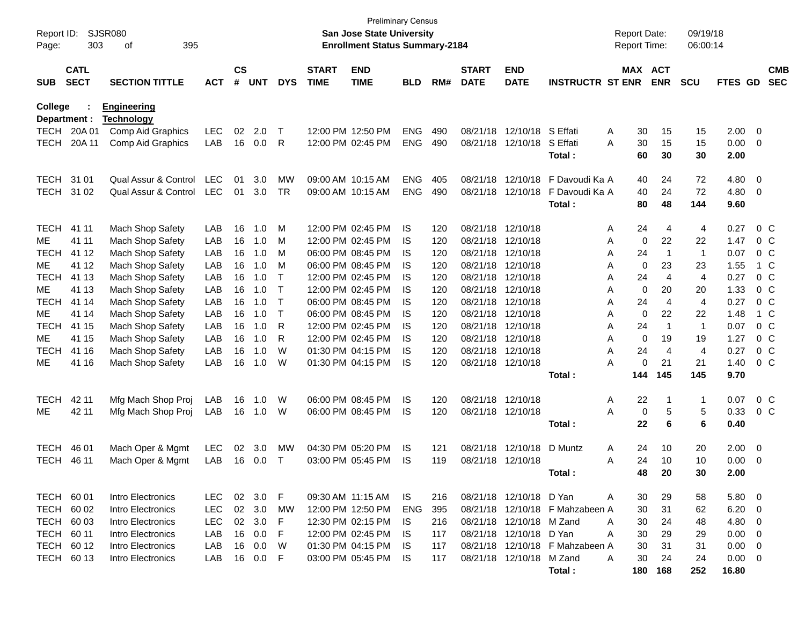| Report ID:<br>Page: | 303            | SJSR080<br>395<br>οf                    |            |                          |            |            |                   | <b>Preliminary Census</b><br><b>San Jose State University</b><br><b>Enrollment Status Summary-2184</b> |            |            |                      |                          |                                 | <b>Report Date:</b><br><b>Report Time:</b> |                | 09/19/18<br>06:00:14 |              |                                  |                |
|---------------------|----------------|-----------------------------------------|------------|--------------------------|------------|------------|-------------------|--------------------------------------------------------------------------------------------------------|------------|------------|----------------------|--------------------------|---------------------------------|--------------------------------------------|----------------|----------------------|--------------|----------------------------------|----------------|
|                     | <b>CATL</b>    |                                         |            | $\mathsf{CS}\phantom{0}$ |            |            | <b>START</b>      | <b>END</b>                                                                                             |            |            | <b>START</b>         | <b>END</b>               |                                 | MAX ACT                                    |                |                      |              |                                  | <b>CMB</b>     |
| <b>SUB</b>          | <b>SECT</b>    | <b>SECTION TITTLE</b>                   | <b>ACT</b> | #                        | <b>UNT</b> | <b>DYS</b> | <b>TIME</b>       | <b>TIME</b>                                                                                            | <b>BLD</b> | RM#        | <b>DATE</b>          | <b>DATE</b>              | <b>INSTRUCTR ST ENR</b>         |                                            | <b>ENR</b>     | <b>SCU</b>           | FTES GD      |                                  | <b>SEC</b>     |
| College             | Department :   | <b>Engineering</b><br><b>Technology</b> |            |                          |            |            |                   |                                                                                                        |            |            |                      |                          |                                 |                                            |                |                      |              |                                  |                |
| <b>TECH</b>         | 20A 01         | Comp Aid Graphics                       | LEC        | 02                       | 2.0        | $\top$     |                   | 12:00 PM 12:50 PM                                                                                      | <b>ENG</b> | 490        | 08/21/18             | 12/10/18 S Effati        |                                 | Α<br>30                                    | 15             | 15                   | 2.00         | $\overline{0}$                   |                |
| <b>TECH</b>         | 20A 11         | Comp Aid Graphics                       | LAB        | 16                       | 0.0        | R          |                   | 12:00 PM 02:45 PM                                                                                      | <b>ENG</b> | 490        | 08/21/18             | 12/10/18                 | S Effati                        | A<br>30                                    | 15             | 15                   | 0.00         | $\overline{0}$                   |                |
|                     |                |                                         |            |                          |            |            |                   |                                                                                                        |            |            |                      |                          | Total:                          | 60                                         | 30             | 30                   | 2.00         |                                  |                |
| <b>TECH</b>         | 31 01          | Qual Assur & Control                    | <b>LEC</b> | 01                       | 3.0        | MW         | 09:00 AM 10:15 AM |                                                                                                        | <b>ENG</b> | 405        | 08/21/18             | 12/10/18                 | F Davoudi Ka A                  | 40                                         | 24             | 72                   | 4.80         | $\overline{0}$                   |                |
| <b>TECH</b>         | 31 02          | Qual Assur & Control                    | <b>LEC</b> | 01                       | 3.0        | <b>TR</b>  | 09:00 AM 10:15 AM |                                                                                                        | <b>ENG</b> | 490        | 08/21/18             | 12/10/18                 | F Davoudi Ka A                  | 40                                         | 24             | 72                   | 4.80         | 0                                |                |
|                     |                |                                         |            |                          |            |            |                   |                                                                                                        |            |            |                      |                          | Total:                          | 80                                         | 48             | 144                  | 9.60         |                                  |                |
|                     |                |                                         |            |                          |            |            |                   |                                                                                                        |            |            |                      |                          |                                 |                                            |                |                      |              |                                  |                |
| <b>TECH</b><br>ME   | 41 11<br>41 11 | Mach Shop Safety<br>Mach Shop Safety    | LAB<br>LAB | 16<br>16                 | 1.0<br>1.0 | м<br>M     |                   | 12:00 PM 02:45 PM<br>12:00 PM 02:45 PM                                                                 | IS.<br>IS. | 120<br>120 | 08/21/18<br>08/21/18 | 12/10/18<br>12/10/18     |                                 | 24<br>Α<br>Α<br>0                          | 4<br>22        | 4<br>22              | 0.27<br>1.47 | 0 <sup>C</sup><br>0 <sup>C</sup> |                |
| <b>TECH</b>         | 41 12          | Mach Shop Safety                        | LAB        | 16                       | 1.0        | M          |                   | 06:00 PM 08:45 PM                                                                                      | IS.        | 120        | 08/21/18             | 12/10/18                 |                                 | 24<br>Α                                    | $\overline{1}$ | $\mathbf{1}$         | 0.07         | 0 <sup>C</sup>                   |                |
| ME                  | 41 12          | Mach Shop Safety                        | LAB        | 16                       | 1.0        | M          |                   | 06:00 PM 08:45 PM                                                                                      | IS.        | 120        | 08/21/18             | 12/10/18                 |                                 | Α<br>0                                     | 23             | 23                   | 1.55         |                                  | 1 C            |
| <b>TECH</b>         | 41 13          | Mach Shop Safety                        | LAB        | 16                       | 1.0        | т          |                   | 12:00 PM 02:45 PM                                                                                      | IS.        | 120        | 08/21/18             | 12/10/18                 |                                 | 24<br>Α                                    | $\overline{4}$ | $\overline{4}$       | 0.27         | 0 <sup>C</sup>                   |                |
| ME                  | 41 13          | Mach Shop Safety                        | LAB        | 16                       | 1.0        | Т          |                   | 12:00 PM 02:45 PM                                                                                      | IS         | 120        | 08/21/18             | 12/10/18                 |                                 | Α<br>0                                     | 20             | 20                   | 1.33         |                                  | 0 <sup>C</sup> |
| <b>TECH</b>         | 41 14          | Mach Shop Safety                        | LAB        | 16                       | 1.0        | Т          |                   | 06:00 PM 08:45 PM                                                                                      | IS         | 120        | 08/21/18             | 12/10/18                 |                                 | 24<br>Α                                    | $\overline{4}$ | $\overline{4}$       | 0.27         | 0 <sup>C</sup>                   |                |
| ME                  | 41 14          | Mach Shop Safety                        | LAB        | 16                       | 1.0        | т          |                   | 06:00 PM 08:45 PM                                                                                      | IS         | 120        | 08/21/18             | 12/10/18                 |                                 | 0<br>Α                                     | 22             | 22                   | 1.48         |                                  | $1\,C$         |
| <b>TECH</b>         | 41 15          | Mach Shop Safety                        | LAB        | 16                       | 1.0        | R          |                   | 12:00 PM 02:45 PM                                                                                      | IS         | 120        | 08/21/18             | 12/10/18                 |                                 | 24<br>Α                                    | $\overline{1}$ | $\mathbf{1}$         | 0.07         | 0 <sup>C</sup>                   |                |
| ME                  | 41 15          | Mach Shop Safety                        | LAB        | 16                       | 1.0        | R          |                   | 12:00 PM 02:45 PM                                                                                      | IS         | 120        | 08/21/18             | 12/10/18                 |                                 | Α<br>0                                     | 19             | 19                   | 1.27         | 0 <sup>C</sup>                   |                |
| <b>TECH</b>         | 41 16          | Mach Shop Safety                        | LAB        | 16                       | 1.0        | W          |                   | 01:30 PM 04:15 PM                                                                                      | IS         | 120        | 08/21/18             | 12/10/18                 |                                 | 24<br>Α                                    | $\overline{4}$ | $\overline{4}$       | 0.27         | 0 <sup>C</sup>                   |                |
| ME                  | 41 16          | Mach Shop Safety                        | LAB        | 16                       | 1.0        | W          |                   | 01:30 PM 04:15 PM                                                                                      | <b>IS</b>  | 120        | 08/21/18 12/10/18    |                          |                                 | 0<br>A                                     | 21             | 21                   | 1.40         | 0 <sup>C</sup>                   |                |
|                     |                |                                         |            |                          |            |            |                   |                                                                                                        |            |            |                      |                          | Total:                          | 144                                        | 145            | 145                  | 9.70         |                                  |                |
| <b>TECH</b>         | 42 11          | Mfg Mach Shop Proj                      | LAB        | 16                       | 1.0        | W          |                   | 06:00 PM 08:45 PM                                                                                      | IS.        | 120        | 08/21/18 12/10/18    |                          |                                 | 22<br>Α                                    | $\overline{1}$ | $\mathbf{1}$         | 0.07         |                                  | 0 <sup>C</sup> |
| ME                  | 42 11          | Mfg Mach Shop Proj                      | LAB        | 16                       | 1.0        | W          |                   | 06:00 PM 08:45 PM                                                                                      | IS.        | 120        | 08/21/18 12/10/18    |                          |                                 | A<br>0                                     | 5              | 5                    | 0.33         | 0 <sup>C</sup>                   |                |
|                     |                |                                         |            |                          |            |            |                   |                                                                                                        |            |            |                      |                          | Total:                          | 22                                         | 6              | 6                    | 0.40         |                                  |                |
|                     |                |                                         |            |                          |            |            |                   |                                                                                                        |            |            |                      |                          |                                 |                                            |                |                      |              |                                  |                |
| <b>TECH</b>         | 46 01          | Mach Oper & Mgmt                        | LEC        | 02                       | 3.0        | MW         |                   | 04:30 PM 05:20 PM                                                                                      | IS.        | 121        | 08/21/18             | 12/10/18                 | D Muntz                         | Α<br>24                                    | 10             | 20                   | 2.00         | 0                                |                |
| <b>TECH</b>         | 46 11          | Mach Oper & Mgmt                        | LAB        | 16                       | 0.0        | $\top$     |                   | 03:00 PM 05:45 PM                                                                                      | IS.        | 119        | 08/21/18             | 12/10/18                 |                                 | A<br>24                                    | 10             | 10                   | 0.00         | 0                                |                |
|                     |                |                                         |            |                          |            |            |                   |                                                                                                        |            |            |                      |                          | Total:                          | 48                                         | 20             | 30                   | 2.00         |                                  |                |
| TECH 60 01          |                | Intro Electronics                       | <b>LEC</b> | 02                       | 3.0        | F          | 09:30 AM 11:15 AM |                                                                                                        | IS.        | 216        |                      | 08/21/18 12/10/18 D Yan  |                                 | A<br>30                                    | 29             | 58                   | 5.80         | - 0                              |                |
| <b>TECH</b>         | 60 02          | Intro Electronics                       | <b>LEC</b> | 02                       | 3.0        | MW         |                   | 12:00 PM 12:50 PM                                                                                      | <b>ENG</b> | 395        |                      |                          | 08/21/18 12/10/18 F Mahzabeen A | 30                                         | 31             | 62                   | 6.20         | $\overline{\mathbf{0}}$          |                |
| <b>TECH</b>         | 60 03          | Intro Electronics                       | <b>LEC</b> | 02                       | 3.0        | F          |                   | 12:30 PM 02:15 PM                                                                                      | IS.        | 216        |                      | 08/21/18 12/10/18 M Zand |                                 | 30<br>A                                    | 24             | 48                   | 4.80         | $\overline{0}$                   |                |
| <b>TECH</b>         | 60 11          | Intro Electronics                       | LAB        | 16                       | 0.0        | F          |                   | 12:00 PM 02:45 PM                                                                                      | IS.        | 117        |                      | 08/21/18 12/10/18 D Yan  |                                 | Α<br>30                                    | 29             | 29                   | 0.00         | $\overline{0}$                   |                |
| TECH 60 12          |                | Intro Electronics                       | LAB        | 16                       | 0.0        | W          |                   | 01:30 PM 04:15 PM                                                                                      | IS.        | 117        |                      |                          | 08/21/18 12/10/18 F Mahzabeen A | 30                                         | 31             | 31                   | 0.00         | $\overline{0}$                   |                |
| TECH 60 13          |                | Intro Electronics                       | LAB        | 16                       | 0.0        | F          |                   | 03:00 PM 05:45 PM                                                                                      | IS         | 117        |                      | 08/21/18 12/10/18 M Zand |                                 | Α<br>30                                    | 24             | 24                   | 0.00         | $\overline{\mathbf{0}}$          |                |
|                     |                |                                         |            |                          |            |            |                   |                                                                                                        |            |            |                      |                          | Total:                          | 180                                        | 168            | 252                  | 16.80        |                                  |                |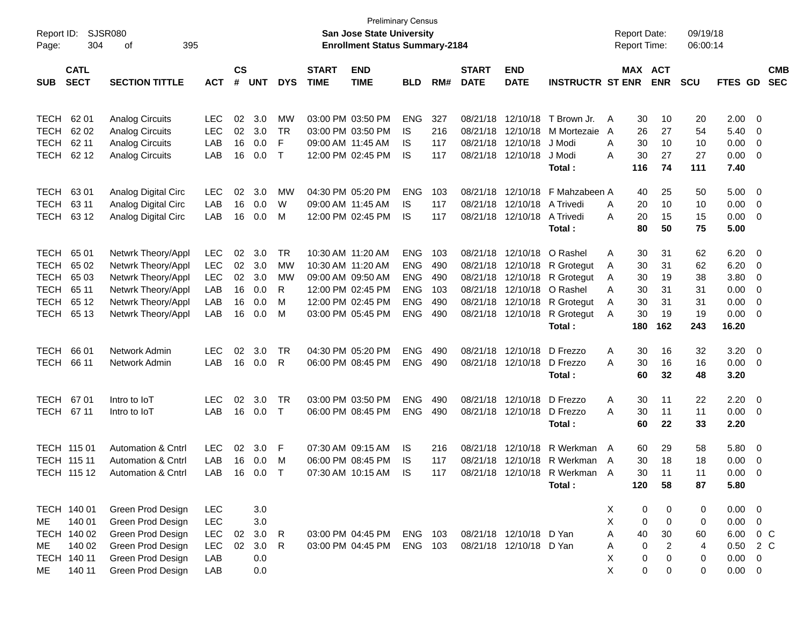| Report ID:<br>Page: | 304         | <b>SJSR080</b><br>395<br>οf   |              |               |     |              |              | <b>Preliminary Census</b><br><b>San Jose State University</b><br><b>Enrollment Status Summary-2184</b> |            |     |              |                         |                               | <b>Report Date:</b><br><b>Report Time:</b> |                | 09/19/18<br>06:00:14 |                |                          |            |
|---------------------|-------------|-------------------------------|--------------|---------------|-----|--------------|--------------|--------------------------------------------------------------------------------------------------------|------------|-----|--------------|-------------------------|-------------------------------|--------------------------------------------|----------------|----------------------|----------------|--------------------------|------------|
|                     |             |                               |              |               |     |              |              |                                                                                                        |            |     |              |                         |                               |                                            |                |                      |                |                          |            |
|                     | <b>CATL</b> |                               |              | $\mathsf{cs}$ |     |              | <b>START</b> | <b>END</b>                                                                                             |            |     | <b>START</b> | <b>END</b>              |                               | MAX ACT                                    |                |                      |                |                          | <b>CMB</b> |
| <b>SUB</b>          | <b>SECT</b> | <b>SECTION TITTLE</b>         | <b>ACT</b>   | #             | UNT | <b>DYS</b>   | <b>TIME</b>  | <b>TIME</b>                                                                                            | <b>BLD</b> | RM# | <b>DATE</b>  | <b>DATE</b>             | <b>INSTRUCTR ST ENR</b>       |                                            | <b>ENR</b>     | <b>SCU</b>           | <b>FTES GD</b> |                          | <b>SEC</b> |
|                     |             |                               |              |               |     |              |              |                                                                                                        |            |     |              |                         |                               |                                            |                |                      |                |                          |            |
| TECH                | 62 01       | <b>Analog Circuits</b>        | <b>LEC</b>   | 02            | 3.0 | MW           |              | 03:00 PM 03:50 PM                                                                                      | <b>ENG</b> | 327 | 08/21/18     | 12/10/18                | T Brown Jr.                   | 30<br>A                                    | 10             | 20                   | 2.00           | - 0                      |            |
| TECH                | 62 02       | <b>Analog Circuits</b>        | LEC          | 02            | 3.0 | <b>TR</b>    |              | 03:00 PM 03:50 PM                                                                                      | IS.        | 216 | 08/21/18     | 12/10/18                | M Mortezaie                   | 26<br>A                                    | 27             | 54                   | 5.40           | - 0                      |            |
| <b>TECH</b>         | 62 11       | <b>Analog Circuits</b>        | LAB          | 16            | 0.0 | F            |              | 09:00 AM 11:45 AM                                                                                      | IS         | 117 |              | 08/21/18 12/10/18       | J Modi                        | Α<br>30                                    | 10             | 10                   | 0.00           | $\overline{\mathbf{0}}$  |            |
| <b>TECH</b>         | 62 12       | <b>Analog Circuits</b>        | LAB          | 16            | 0.0 | $\mathsf{T}$ |              | 12:00 PM 02:45 PM                                                                                      | IS         | 117 |              | 08/21/18 12/10/18       | J Modi                        | Α<br>30                                    | 27             | 27                   | 0.00           | $\overline{0}$           |            |
|                     |             |                               |              |               |     |              |              |                                                                                                        |            |     |              |                         | Total :                       | 116                                        | 74             | 111                  | 7.40           |                          |            |
| <b>TECH</b>         | 6301        | Analog Digital Circ           | <b>LEC</b>   | 02            | 3.0 | MW           |              | 04:30 PM 05:20 PM                                                                                      | <b>ENG</b> | 103 | 08/21/18     | 12/10/18                | F Mahzabeen A                 | 40                                         | 25             | 50                   | 5.00           | $\overline{\mathbf{0}}$  |            |
| <b>TECH</b>         | 63 11       | Analog Digital Circ           | LAB          | 16            | 0.0 | W            |              | 09:00 AM 11:45 AM                                                                                      | IS.        | 117 |              | 08/21/18 12/10/18       | A Trivedi                     | 20<br>A                                    | 10             | 10                   | 0.00           | $\overline{\mathbf{0}}$  |            |
| <b>TECH</b>         | 63 12       | Analog Digital Circ           | LAB          | 16            | 0.0 | м            |              | 12:00 PM 02:45 PM                                                                                      | IS         | 117 |              | 08/21/18 12/10/18       | A Trivedi                     | Α<br>20                                    | 15             | 15                   | 0.00           | $\overline{0}$           |            |
|                     |             |                               |              |               |     |              |              |                                                                                                        |            |     |              |                         | Total:                        | 80                                         | 50             | 75                   | 5.00           |                          |            |
| <b>TECH</b>         | 65 01       | Netwrk Theory/Appl            | <b>LEC</b>   | 02            | 3.0 | TR           |              | 10:30 AM 11:20 AM                                                                                      | <b>ENG</b> | 103 |              | 08/21/18 12/10/18       | O Rashel                      | Α<br>30                                    | 31             | 62                   | 6.20           | - 0                      |            |
| <b>TECH</b>         | 65 02       | Netwrk Theory/Appl            | LEC          | 02            | 3.0 | МW           |              | 10:30 AM 11:20 AM                                                                                      | <b>ENG</b> | 490 |              | 08/21/18 12/10/18       | R Grotegut                    | 30<br>A                                    | 31             | 62                   | 6.20           | $\overline{\mathbf{0}}$  |            |
| <b>TECH</b>         | 65 03       | Netwrk Theory/Appl            | <b>LEC</b>   | 02            | 3.0 | МW           |              | 09:00 AM 09:50 AM                                                                                      | <b>ENG</b> | 490 | 08/21/18     | 12/10/18                | R Grotegut                    | 30<br>A                                    | 19             | 38                   | 3.80           | $\overline{\mathbf{0}}$  |            |
| <b>TECH</b>         | 65 11       | Netwrk Theory/Appl            | LAB          | 16            | 0.0 | R            |              | 12:00 PM 02:45 PM                                                                                      | <b>ENG</b> | 103 |              | 08/21/18 12/10/18       | O Rashel                      | 30<br>A                                    | 31             | 31                   | 0.00           | $\overline{0}$           |            |
| <b>TECH</b>         | 65 12       | Netwrk Theory/Appl            | LAB          | 16            | 0.0 | м            |              | 12:00 PM 02:45 PM                                                                                      | <b>ENG</b> | 490 |              | 08/21/18 12/10/18       | R Grotegut                    | 30<br>A                                    | 31             | 31                   | 0.00           | $\overline{0}$           |            |
| <b>TECH</b>         | 65 13       | Netwrk Theory/Appl            | LAB          | 16            | 0.0 | м            |              | 03:00 PM 05:45 PM                                                                                      | <b>ENG</b> | 490 |              |                         | 08/21/18 12/10/18 R Grotegut  | 30<br>A                                    | 19             | 19                   | 0.00           | $\overline{\phantom{0}}$ |            |
|                     |             |                               |              |               |     |              |              |                                                                                                        |            |     |              |                         | Total:                        | 180                                        | 162            | 243                  | 16.20          |                          |            |
| <b>TECH</b>         | 66 01       | Network Admin                 | <b>LEC</b>   | 02            | 3.0 | TR           |              | 04:30 PM 05:20 PM                                                                                      | <b>ENG</b> | 490 |              | 08/21/18 12/10/18       | D Frezzo                      | 30<br>Α                                    | 16             | 32                   | 3.20           | $\overline{\phantom{0}}$ |            |
| <b>TECH</b>         | 66 11       | Network Admin                 | LAB          | 16            | 0.0 | R            |              | 06:00 PM 08:45 PM                                                                                      | <b>ENG</b> | 490 |              | 08/21/18 12/10/18       | D Frezzo                      | 30<br>Α                                    | 16             | 16                   | 0.00           | $\overline{\phantom{0}}$ |            |
|                     |             |                               |              |               |     |              |              |                                                                                                        |            |     |              |                         | Total:                        | 60                                         | 32             | 48                   | 3.20           |                          |            |
| TECH                | 6701        | Intro to IoT                  | <b>LEC</b>   | 02            | 3.0 | TR           |              | 03:00 PM 03:50 PM                                                                                      | <b>ENG</b> | 490 |              | 08/21/18 12/10/18       | D Frezzo                      | 30                                         | 11             |                      | 2.20           | $\overline{\phantom{0}}$ |            |
| TECH 67 11          |             | Intro to IoT                  | LAB          | 16            | 0.0 | $\top$       |              | 06:00 PM 08:45 PM                                                                                      | <b>ENG</b> | 490 |              | 08/21/18 12/10/18       | D Frezzo                      | Α<br>30<br>Α                               | 11             | 22<br>11             | 0.00           | $\overline{\phantom{0}}$ |            |
|                     |             |                               |              |               |     |              |              |                                                                                                        |            |     |              |                         | Total:                        | 60                                         | 22             | 33                   | 2.20           |                          |            |
|                     |             |                               |              |               |     |              |              |                                                                                                        |            |     |              |                         |                               |                                            |                |                      |                |                          |            |
|                     | TECH 115 01 | <b>Automation &amp; Cntrl</b> | <b>LEC</b>   | 02            | 3.0 | F            |              | 07:30 AM 09:15 AM                                                                                      | 1S         | 216 | 08/21/18     | 12/10/18                | R Werkman                     | 60<br>A                                    | 29             | 58                   | 5.80           | $\overline{\phantom{0}}$ |            |
|                     | TECH 115 11 | <b>Automation &amp; Cntrl</b> | LAB          | 16            | 0.0 | м            |              | 06:00 PM 08:45 PM                                                                                      | <b>IS</b>  | 117 |              |                         | 08/21/18 12/10/18 R Werkman A | 30                                         | 18             | 18                   | 0.00           | $\overline{\mathbf{0}}$  |            |
|                     | TECH 115 12 | <b>Automation &amp; Cntrl</b> | LAB 16 0.0 T |               |     |              |              | 07:30 AM 10:15 AM IS                                                                                   |            | 117 |              |                         | 08/21/18 12/10/18 R Werkman A | 30                                         | 11             | 11                   | $0.00 \t 0$    |                          |            |
|                     |             |                               |              |               |     |              |              |                                                                                                        |            |     |              |                         | Total:                        | 120                                        | 58             | 87                   | 5.80           |                          |            |
|                     | TECH 140 01 | Green Prod Design             | LEC          |               | 3.0 |              |              |                                                                                                        |            |     |              |                         |                               | X<br>0                                     | 0              | 0                    | $0.00 \t 0$    |                          |            |
| ME                  | 140 01      | Green Prod Design             | LEC          |               | 3.0 |              |              |                                                                                                        |            |     |              |                         |                               | Χ<br>0                                     | 0              | 0                    | 0.00           | $\overline{\mathbf{0}}$  |            |
|                     | TECH 140 02 | Green Prod Design             | LEC          | 02            | 3.0 | $\mathsf{R}$ |              | 03:00 PM 04:45 PM                                                                                      | ENG 103    |     |              | 08/21/18 12/10/18 D Yan |                               | 40<br>Α                                    | $30\,$         | 60                   | 6.00 0 C       |                          |            |
| ME                  | 140 02      | Green Prod Design             | LEC          | 02            | 3.0 | R            |              | 03:00 PM 04:45 PM                                                                                      | ENG        | 103 |              | 08/21/18 12/10/18 D Yan |                               | Α<br>0                                     | $\overline{c}$ | 4                    | 0.50           | 2 C                      |            |
|                     | TECH 140 11 | Green Prod Design             | LAB          |               | 0.0 |              |              |                                                                                                        |            |     |              |                         |                               | X<br>0                                     | 0              | 0                    | $0.00 \t 0$    |                          |            |
| ME                  | 140 11      | Green Prod Design             | LAB          |               | 0.0 |              |              |                                                                                                        |            |     |              |                         |                               | X<br>0                                     | 0              | 0                    | $0.00 \t 0$    |                          |            |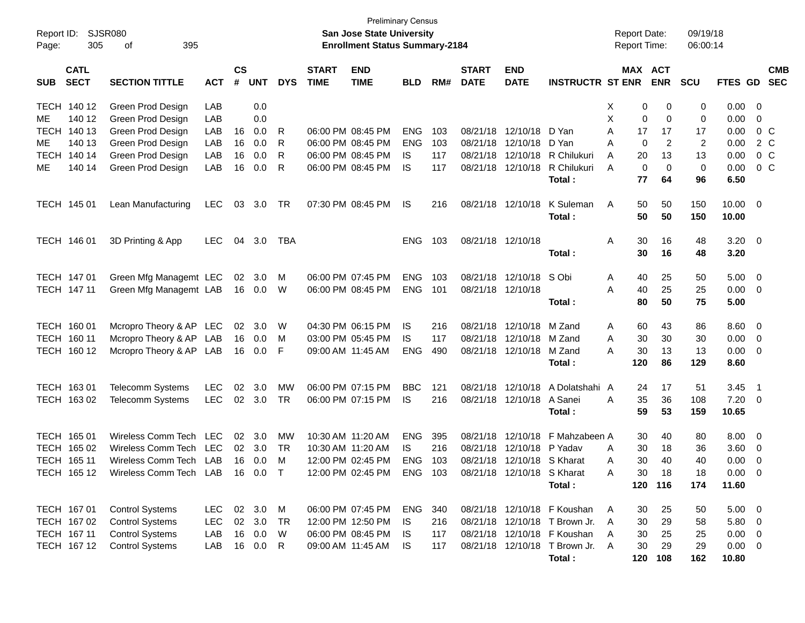| Report ID:<br>Page: | SJSR080<br>305             | 395<br>оf                       |            |                    |                |            |                             | <b>Preliminary Census</b><br>San Jose State University<br><b>Enrollment Status Summary-2184</b> |            |     |                             |                            |                                 | <b>Report Date:</b><br><b>Report Time:</b> |                | 09/19/18<br>06:00:14 |                       |                          |
|---------------------|----------------------------|---------------------------------|------------|--------------------|----------------|------------|-----------------------------|-------------------------------------------------------------------------------------------------|------------|-----|-----------------------------|----------------------------|---------------------------------|--------------------------------------------|----------------|----------------------|-----------------------|--------------------------|
| <b>SUB</b>          | <b>CATL</b><br><b>SECT</b> | <b>SECTION TITTLE</b>           | <b>ACT</b> | $\mathsf{cs}$<br># | <b>UNT</b>     | <b>DYS</b> | <b>START</b><br><b>TIME</b> | <b>END</b><br><b>TIME</b>                                                                       | <b>BLD</b> | RM# | <b>START</b><br><b>DATE</b> | <b>END</b><br><b>DATE</b>  | <b>INSTRUCTR ST ENR</b>         | MAX ACT                                    | <b>ENR</b>     | <b>SCU</b>           | FTES GD               | <b>CMB</b><br><b>SEC</b> |
|                     | TECH 140 12                | Green Prod Design               | LAB        |                    | 0.0            |            |                             |                                                                                                 |            |     |                             |                            |                                 | Х<br>0                                     | 0              | 0                    | $0.00 \quad 0$        |                          |
| ME.                 | 140 12                     | Green Prod Design               | LAB        |                    | 0.0            |            |                             |                                                                                                 |            |     |                             |                            |                                 | X<br>0                                     | $\mathbf 0$    | 0                    | 0.00                  | - 0                      |
| TECH                | 140 13                     | Green Prod Design               | LAB        | 16                 | 0.0            | R          |                             | 06:00 PM 08:45 PM                                                                               | <b>ENG</b> | 103 |                             | 08/21/18 12/10/18          | D Yan                           | Α<br>17                                    | 17             | 17                   | 0.00                  | 0 C                      |
| ME                  | 140 13                     | Green Prod Design               | LAB        | 16                 | 0.0            | R          |                             | 06:00 PM 08:45 PM                                                                               | <b>ENG</b> | 103 | 08/21/18                    | 12/10/18                   | D Yan                           | Α<br>0                                     | 2              | $\overline{2}$       | 0.00                  | 2 C                      |
| <b>TECH</b>         | 140 14                     | Green Prod Design               | LAB        | 16                 | 0.0            | R          |                             | 06:00 PM 08:45 PM                                                                               | IS         | 117 | 08/21/18                    | 12/10/18                   | R Chilukuri                     | A<br>20                                    | 13             | 13                   | 0.00                  | 0 <sup>o</sup>           |
| ME.                 | 140 14                     | Green Prod Design               | LAB        | 16                 | 0.0            | R          |                             | 06:00 PM 08:45 PM                                                                               | IS         | 117 | 08/21/18                    | 12/10/18                   | R Chilukuri<br>Total:           | $\mathbf 0$<br>A<br>77                     | $\Omega$<br>64 | 0<br>96              | 0.00<br>6.50          | $0\,C$                   |
|                     | TECH 145 01                | Lean Manufacturing              | <b>LEC</b> | 03                 | 3.0            | TR         | 07:30 PM 08:45 PM           |                                                                                                 | IS         | 216 |                             | 08/21/18 12/10/18          | K Suleman<br>Total:             | A<br>50<br>50                              | 50<br>50       | 150<br>150           | $10.00 \t 0$<br>10.00 |                          |
|                     | TECH 146 01                | 3D Printing & App               | <b>LEC</b> | 04                 | 3.0            | TBA        |                             |                                                                                                 | <b>ENG</b> | 103 | 08/21/18 12/10/18           |                            |                                 | Α<br>30                                    | 16             | 48                   | $3.20 \ 0$            |                          |
|                     |                            |                                 |            |                    |                |            |                             |                                                                                                 |            |     |                             |                            | Total:                          | 30                                         | 16             | 48                   | 3.20                  |                          |
|                     | TECH 147 01                | Green Mfg Managemt LEC          |            | 02                 | 3.0            | M          |                             | 06:00 PM 07:45 PM                                                                               | <b>ENG</b> | 103 |                             | 08/21/18 12/10/18          | S Obi                           | Α<br>40                                    | 25             | 50                   | $5.00 \t 0$           |                          |
|                     | TECH 147 11                | Green Mfg Managemt LAB          |            |                    | 16  0.0        | W          |                             | 06:00 PM 08:45 PM                                                                               | <b>ENG</b> | 101 | 08/21/18 12/10/18           |                            |                                 | 40<br>А                                    | 25             | 25                   | $0.00 \t 0$           |                          |
|                     |                            |                                 |            |                    |                |            |                             |                                                                                                 |            |     |                             |                            | Total:                          | 80                                         | 50             | 75                   | 5.00                  |                          |
|                     | TECH 160 01                | Mcropro Theory & AP LEC         |            | 02                 | 3.0            | W          |                             | 04:30 PM 06:15 PM                                                                               | IS         | 216 |                             | 08/21/18 12/10/18          | M Zand                          | A<br>60                                    | 43             | 86                   | $8.60 \quad 0$        |                          |
|                     | TECH 160 11                | Mcropro Theory & AP LAB         |            | 16                 | 0.0            | M          |                             | 03:00 PM 05:45 PM                                                                               | IS         | 117 | 08/21/18                    | 12/10/18                   | M Zand                          | Α<br>30                                    | 30             | 30                   | 0.00                  | $\overline{\phantom{0}}$ |
|                     | TECH 160 12                | Mcropro Theory & AP LAB         |            | 16                 | 0.0            | F          | 09:00 AM 11:45 AM           |                                                                                                 | <b>ENG</b> | 490 |                             | 08/21/18 12/10/18          | M Zand                          | 30<br>А                                    | 13             | 13                   | $0.00 \t 0$           |                          |
|                     |                            |                                 |            |                    |                |            |                             |                                                                                                 |            |     |                             |                            | Total:                          | 120                                        | 86             | 129                  | 8.60                  |                          |
|                     | TECH 163 01                | <b>Telecomm Systems</b>         | <b>LEC</b> | 02                 | 3.0            | MW         | 06:00 PM 07:15 PM           |                                                                                                 | <b>BBC</b> | 121 | 08/21/18                    | 12/10/18                   | A Dolatshahi A                  | 24                                         | 17             | 51                   | 3.45                  | $\overline{\phantom{1}}$ |
|                     | TECH 163 02                | <b>Telecomm Systems</b>         | <b>LEC</b> |                    | $02 \quad 3.0$ | <b>TR</b>  |                             | 06:00 PM 07:15 PM                                                                               | IS.        | 216 |                             | 08/21/18 12/10/18 A Sanei  | Total:                          | A<br>35<br>59                              | 36<br>53       | 108<br>159           | $7.20 \t 0$<br>10.65  |                          |
|                     | TECH 165 01                | Wireless Comm Tech LEC          |            | 02                 | 3.0            | MW         | 10:30 AM 11:20 AM           |                                                                                                 | <b>ENG</b> | 395 | 08/21/18                    | 12/10/18                   | F Mahzabeen A                   | 30                                         | 40             | 80                   | $8.00 \quad 0$        |                          |
|                     | TECH 165 02                | Wireless Comm Tech              | LEC        | 02                 | 3.0            | TR         | 10:30 AM 11:20 AM           |                                                                                                 | IS.        | 216 | 08/21/18                    | 12/10/18                   | P Yadav                         | 30<br>Α                                    | 18             | 36                   | 3.60 0                |                          |
|                     | TECH 165 11                | Wireless Comm Tech LAB          |            | 16                 | 0.0            | M          |                             | 12:00 PM 02:45 PM                                                                               | <b>ENG</b> | 103 |                             | 08/21/18 12/10/18 S Kharat |                                 | 30<br>A                                    | 40             | 40                   | 0.00                  | $\overline{\phantom{0}}$ |
|                     | TECH 165 12                | Wireless Comm Tech LAB 16 0.0 T |            |                    |                |            |                             | 12:00 PM 02:45 PM                                                                               | <b>ENG</b> | 103 |                             | 08/21/18 12/10/18 S Kharat |                                 | 30<br>Α                                    | 18             | 18                   | $0.00 \t 0$           |                          |
|                     |                            |                                 |            |                    |                |            |                             |                                                                                                 |            |     |                             |                            | Total:                          |                                            | 120 116        | 174                  | 11.60                 |                          |
|                     | TECH 167 01                | <b>Control Systems</b>          | <b>LEC</b> |                    | 02 3.0 M       |            |                             | 06:00 PM 07:45 PM                                                                               | ENG        | 340 |                             |                            | 08/21/18 12/10/18 F Koushan     | 30<br>A                                    | 25             | 50                   | $5.00 \t 0$           |                          |
|                     | TECH 167 02                | <b>Control Systems</b>          | LEC        | $02\,$             | 3.0            | TR         |                             | 12:00 PM 12:50 PM                                                                               | IS.        | 216 |                             |                            | 08/21/18 12/10/18 T Brown Jr.   | 30<br>A                                    | 29             | 58                   | 5.80 0                |                          |
|                     | TECH 167 11                | <b>Control Systems</b>          | LAB        | 16                 | 0.0            | W          |                             | 06:00 PM 08:45 PM                                                                               | IS.        | 117 |                             |                            | 08/21/18 12/10/18 F Koushan     | 30<br>A                                    | 25             | 25                   | $0.00 \t 0$           |                          |
|                     | TECH 167 12                | <b>Control Systems</b>          | LAB        | 16                 | 0.0            | R          |                             | 09:00 AM 11:45 AM                                                                               | IS.        | 117 |                             |                            | 08/21/18 12/10/18 T Brown Jr. A | 30                                         | 29             | 29                   | $0.00 \t 0$           |                          |
|                     |                            |                                 |            |                    |                |            |                             |                                                                                                 |            |     |                             |                            | Total:                          | 120                                        | 108            | 162                  | 10.80                 |                          |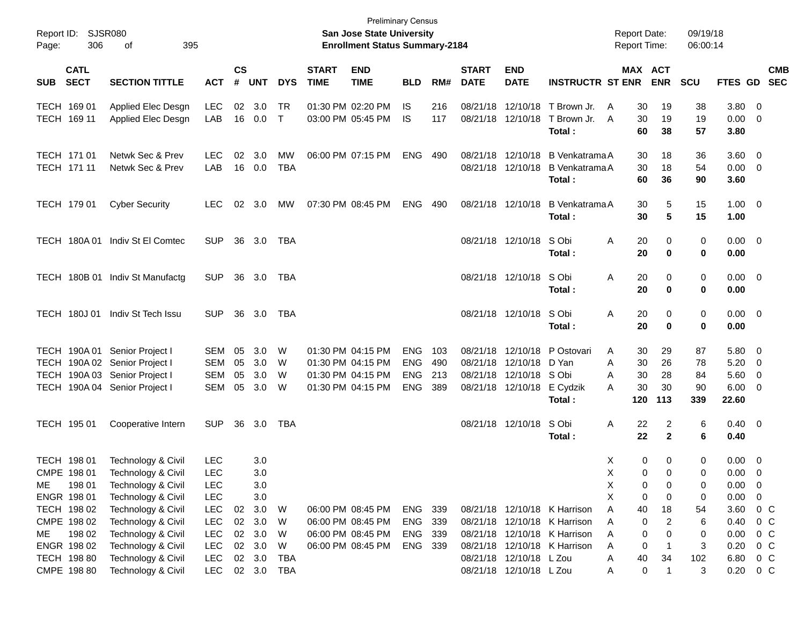| Report ID:<br>Page: | 306                        | SJSR080<br>395<br>οf            |            |                |            |            |                             | San Jose State University<br><b>Enrollment Status Summary-2184</b> | <b>Preliminary Census</b> |     |                             |                            |                                            | <b>Report Date:</b><br><b>Report Time:</b> |                   | 09/19/18<br>06:00:14 |                        |                          |            |
|---------------------|----------------------------|---------------------------------|------------|----------------|------------|------------|-----------------------------|--------------------------------------------------------------------|---------------------------|-----|-----------------------------|----------------------------|--------------------------------------------|--------------------------------------------|-------------------|----------------------|------------------------|--------------------------|------------|
| <b>SUB</b>          | <b>CATL</b><br><b>SECT</b> | <b>SECTION TITTLE</b>           | <b>ACT</b> | <b>CS</b><br># | <b>UNT</b> | <b>DYS</b> | <b>START</b><br><b>TIME</b> | <b>END</b><br><b>TIME</b>                                          | <b>BLD</b>                | RM# | <b>START</b><br><b>DATE</b> | <b>END</b><br><b>DATE</b>  | <b>INSTRUCTR ST ENR</b>                    | MAX ACT                                    | <b>ENR</b>        | <b>SCU</b>           | FTES GD SEC            |                          | <b>CMB</b> |
|                     | TECH 169 01                | Applied Elec Desgn              | <b>LEC</b> |                | 02 3.0     | TR         |                             | 01:30 PM 02:20 PM                                                  | IS                        | 216 |                             |                            | 08/21/18 12/10/18 T Brown Jr.              | A<br>30                                    | 19                | 38                   | 3.80                   | $\overline{\phantom{0}}$ |            |
|                     | TECH 169 11                | Applied Elec Desgn              | LAB        | 16             | 0.0        | $\top$     |                             | 03:00 PM 05:45 PM                                                  | IS                        | 117 |                             | 08/21/18 12/10/18          | T Brown Jr.<br>Total:                      | $\overline{A}$<br>30<br>60                 | 19<br>38          | 19<br>57             | 0.00<br>3.80           | $\overline{\mathbf{0}}$  |            |
|                     | TECH 171 01                | Netwk Sec & Prev                | <b>LEC</b> |                | 02 3.0     | MW         |                             | 06:00 PM 07:15 PM                                                  | <b>ENG</b>                | 490 |                             | 08/21/18 12/10/18          | B Venkatrama A                             | 30                                         | 18                | 36                   | $3.60 \ 0$             |                          |            |
|                     | TECH 171 11                | Netwk Sec & Prev                | LAB        |                | 16 0.0     | TBA        |                             |                                                                    |                           |     |                             |                            | 08/21/18 12/10/18 B Venkatrama A<br>Total: | 30<br>60                                   | 18<br>36          | 54<br>90             | $0.00 \t 0$<br>3.60    |                          |            |
|                     | TECH 179 01                | <b>Cyber Security</b>           | <b>LEC</b> |                | 02 3.0     | MW         |                             | 07:30 PM 08:45 PM                                                  | <b>ENG</b>                | 490 |                             | 08/21/18 12/10/18          | <b>B</b> Venkatrama A<br>Total:            | 30<br>30                                   | 5<br>5            | 15<br>15             | $1.00 \t 0$<br>1.00    |                          |            |
|                     |                            | TECH 180A 01 Indiv St El Comtec | <b>SUP</b> |                | 36 3.0     | TBA        |                             |                                                                    |                           |     |                             | 08/21/18 12/10/18          | S Obi<br>Total :                           | Α<br>20<br>20                              | 0<br>0            | 0<br>0               | $0.00 \t 0$<br>0.00    |                          |            |
|                     |                            | TECH 180B 01 Indiv St Manufactg | <b>SUP</b> |                | 36 3.0     | TBA        |                             |                                                                    |                           |     |                             | 08/21/18 12/10/18          | S Obi<br>Total :                           | Α<br>20<br>20                              | 0<br>0            | 0<br>0               | $0.00 \t 0$<br>0.00    |                          |            |
|                     | <b>TECH 180J01</b>         | Indiv St Tech Issu              | <b>SUP</b> |                | 36 3.0     | TBA        |                             |                                                                    |                           |     |                             | 08/21/18 12/10/18          | S Obi<br>Total :                           | Α<br>20<br>20                              | 0<br>$\mathbf 0$  | 0<br>0               | $0.00 \t 0$<br>0.00    |                          |            |
|                     |                            | TECH 190A 01 Senior Project I   | SEM        | 05             | 3.0        | W          |                             | 01:30 PM 04:15 PM                                                  | <b>ENG</b>                | 103 |                             |                            | 08/21/18 12/10/18 P Ostovari               | 30<br>A                                    | 29                | 87                   | 5.80                   | - 0                      |            |
|                     |                            | TECH 190A 02 Senior Project I   | SEM        | 05             | 3.0        | W          |                             | 01:30 PM 04:15 PM                                                  | <b>ENG</b>                | 490 |                             | 08/21/18 12/10/18 D Yan    |                                            | Α<br>30                                    | 26                | 78                   | 5.20                   | - 0                      |            |
|                     |                            | TECH 190A 03 Senior Project I   | <b>SEM</b> | 05             | 3.0        | W          |                             | 01:30 PM 04:15 PM                                                  | <b>ENG</b>                | 213 |                             | 08/21/18 12/10/18 SObi     |                                            | 30<br>A                                    | 28                | 84                   | 5.60                   | $\overline{\mathbf{0}}$  |            |
|                     |                            | TECH 190A 04 Senior Project I   | SEM        | 05             | 3.0        | W          |                             | 01:30 PM 04:15 PM                                                  | <b>ENG</b>                | 389 |                             | 08/21/18 12/10/18 E Cydzik | Total:                                     | 30<br>A<br>120                             | 30<br>113         | 90<br>339            | 6.00<br>22.60          | $\overline{0}$           |            |
|                     | TECH 195 01                | Cooperative Intern              | <b>SUP</b> | 36             | 3.0        | TBA        |                             |                                                                    |                           |     |                             | 08/21/18 12/10/18          | S Obi<br>Total:                            | Α<br>22<br>22                              | 2<br>$\mathbf{2}$ | 6<br>6               | $0.40 \quad 0$<br>0.40 |                          |            |
|                     | TECH 198 01                | Technology & Civil              | <b>LEC</b> |                | 3.0        |            |                             |                                                                    |                           |     |                             |                            |                                            | Χ<br>0                                     | 0                 | 0                    | 0.00                   | $\overline{\mathbf{0}}$  |            |
|                     | CMPE 198 01                | Technology & Civil              | LEC        |                | 3.0        |            |                             |                                                                    |                           |     |                             |                            |                                            | X.<br>$\mathbf{0}$                         | $\Omega$          | $\Omega$             | $0.00 \quad 0$         |                          |            |
| ME.                 | 198 01                     | Technology & Civil              | LEC        |                | 3.0        |            |                             |                                                                    |                           |     |                             |                            |                                            | х<br>0                                     | 0                 | 0                    | 0.00                   | $\overline{\mathbf{0}}$  |            |
|                     | ENGR 198 01                | Technology & Civil              | <b>LEC</b> |                | 3.0        |            |                             |                                                                    |                           |     |                             |                            |                                            | X<br>0                                     | 0                 | 0                    | 0.00                   | 0                        |            |
|                     | TECH 198 02                | Technology & Civil              | <b>LEC</b> |                | 02 3.0     | W          |                             | 06:00 PM 08:45 PM                                                  | ENG 339                   |     |                             |                            | 08/21/18 12/10/18 K Harrison               | A<br>40                                    | 18                | 54                   | 3.60                   | $0\,$ C                  |            |
|                     | CMPE 198 02                | Technology & Civil              | <b>LEC</b> |                | 02 3.0     | W          |                             | 06:00 PM 08:45 PM                                                  | <b>ENG</b>                | 339 |                             |                            | 08/21/18 12/10/18 K Harrison               | Α<br>0                                     | 2                 | 6                    | 0.40                   | $0\,$ C                  |            |
| ME.                 | 198 02                     | Technology & Civil              | <b>LEC</b> |                | 02 3.0     | W          |                             | 06:00 PM 08:45 PM                                                  | ENG 339                   |     |                             |                            | 08/21/18 12/10/18 K Harrison               | 0<br>Α                                     | 0                 | 0                    | 0.00                   | $0\,$ C                  |            |
|                     | ENGR 198 02                | Technology & Civil              | <b>LEC</b> |                | 02 3.0     | W          |                             | 06:00 PM 08:45 PM                                                  | ENG 339                   |     |                             |                            | 08/21/18 12/10/18 K Harrison               | Α<br>0                                     |                   | 3                    | 0.20                   | $0\,$ C                  |            |
|                     | TECH 198 80                | Technology & Civil              | <b>LEC</b> |                | 02 3.0     | TBA        |                             |                                                                    |                           |     |                             | 08/21/18 12/10/18 L Zou    |                                            | 40<br>A                                    | 34                | 102                  | 6.80                   | 0 <sup>o</sup>           |            |
|                     | CMPE 198 80                | Technology & Civil              | LEC        |                |            | 02 3.0 TBA |                             |                                                                    |                           |     |                             | 08/21/18 12/10/18 L Zou    |                                            | 0<br>A                                     | $\mathbf 1$       | 3                    | $0.20 \t 0 C$          |                          |            |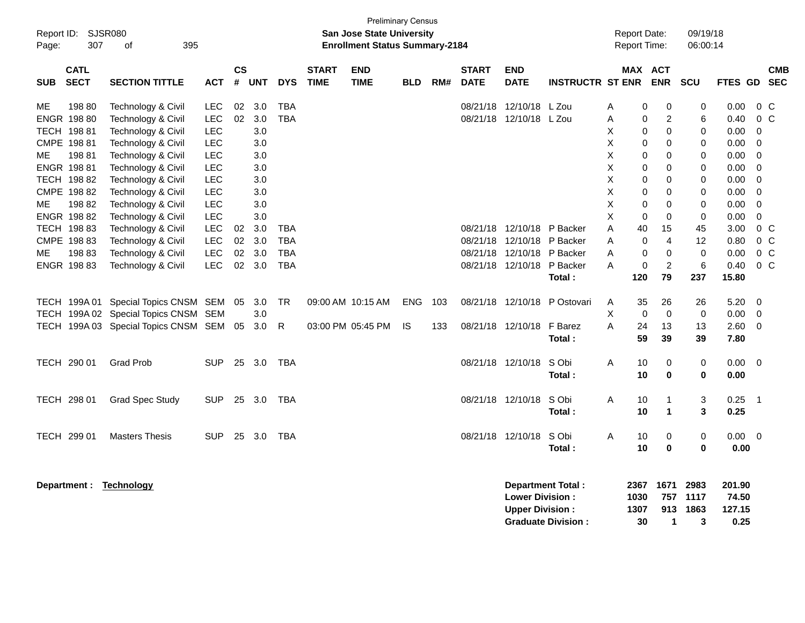| Page:      | Report ID: SJSR080<br>307   | 395<br>of                                |            |                    |            |                          |                             | <b>San Jose State University</b><br><b>Enrollment Status Summary-2184</b> | <b>Preliminary Census</b> |     |                             |                                                  |                                                |        | <b>Report Date:</b><br><b>Report Time:</b> |                         | 09/19/18<br>06:00:14      |                                   |                                  |                          |
|------------|-----------------------------|------------------------------------------|------------|--------------------|------------|--------------------------|-----------------------------|---------------------------------------------------------------------------|---------------------------|-----|-----------------------------|--------------------------------------------------|------------------------------------------------|--------|--------------------------------------------|-------------------------|---------------------------|-----------------------------------|----------------------------------|--------------------------|
| <b>SUB</b> | <b>CATL</b><br><b>SECT</b>  | <b>SECTION TITTLE</b>                    | <b>ACT</b> | $\mathsf{cs}$<br># | <b>UNT</b> | <b>DYS</b>               | <b>START</b><br><b>TIME</b> | <b>END</b><br><b>TIME</b>                                                 | <b>BLD</b>                | RM# | <b>START</b><br><b>DATE</b> | <b>END</b><br><b>DATE</b>                        | <b>INSTRUCTR ST ENR</b>                        |        | MAX ACT                                    | <b>ENR</b>              | <b>SCU</b>                | <b>FTES GD</b>                    |                                  | <b>CMB</b><br><b>SEC</b> |
| МE         | 19880<br><b>ENGR 198 80</b> | Technology & Civil<br>Technology & Civil | LEC<br>LEC | 02<br>02           | 3.0<br>3.0 | <b>TBA</b><br><b>TBA</b> |                             |                                                                           |                           |     | 08/21/18                    | 12/10/18 L Zou<br>08/21/18 12/10/18 L Zou        |                                                | Α<br>A | 0<br>$\mathbf 0$                           | 0<br>2                  | 0<br>6                    | 0.00<br>0.40                      | 0 <sup>o</sup><br>0 <sup>o</sup> |                          |
|            | TECH 198 81                 | Technology & Civil                       | <b>LEC</b> |                    | 3.0        |                          |                             |                                                                           |                           |     |                             |                                                  |                                                | X      | 0                                          | $\mathbf 0$             | 0                         | 0.00                              | $\mathbf 0$                      |                          |
|            | CMPE 198 81                 | Technology & Civil                       | <b>LEC</b> |                    | 3.0        |                          |                             |                                                                           |                           |     |                             |                                                  |                                                | X      | $\mathbf 0$                                | 0                       | 0                         | 0.00                              | $\mathbf 0$                      |                          |
| МE         | 19881                       | Technology & Civil                       | <b>LEC</b> |                    | 3.0        |                          |                             |                                                                           |                           |     |                             |                                                  |                                                | X      | 0                                          | $\mathbf 0$             | 0                         | 0.00                              | 0                                |                          |
|            | ENGR 19881                  | Technology & Civil                       | <b>LEC</b> |                    | 3.0        |                          |                             |                                                                           |                           |     |                             |                                                  |                                                | X      | $\mathbf 0$                                | $\Omega$                | 0                         | 0.00                              | $\Omega$                         |                          |
|            | TECH 198 82                 | Technology & Civil                       | <b>LEC</b> |                    | 3.0        |                          |                             |                                                                           |                           |     |                             |                                                  |                                                | X      | 0                                          | 0                       | 0                         | 0.00                              | $\mathbf 0$                      |                          |
|            | CMPE 198 82                 | Technology & Civil                       | <b>LEC</b> |                    | 3.0        |                          |                             |                                                                           |                           |     |                             |                                                  |                                                | X      | 0                                          | 0                       | 0                         | 0.00                              | $\mathbf 0$                      |                          |
| МE         | 198 82                      | Technology & Civil                       | <b>LEC</b> |                    | 3.0        |                          |                             |                                                                           |                           |     |                             |                                                  |                                                | Χ      | 0                                          | 0                       | 0                         | 0.00                              | $\mathbf 0$                      |                          |
|            | ENGR 198 82                 | Technology & Civil                       | <b>LEC</b> |                    | 3.0        |                          |                             |                                                                           |                           |     |                             |                                                  |                                                | X      | $\Omega$                                   | $\Omega$                | $\mathbf 0$               | 0.00                              | $\Omega$                         |                          |
|            | TECH 198 83                 | Technology & Civil                       | <b>LEC</b> | 02                 | 3.0        | <b>TBA</b>               |                             |                                                                           |                           |     | 08/21/18                    |                                                  | 12/10/18 P Backer                              | А      | 40                                         | 15                      | 45                        | 3.00                              | 0 <sup>o</sup>                   |                          |
|            | CMPE 198 83                 | Technology & Civil                       | <b>LEC</b> | 02                 | 3.0        | <b>TBA</b>               |                             |                                                                           |                           |     | 08/21/18                    | 12/10/18                                         | P Backer                                       | A      | 0                                          | $\overline{4}$          | 12                        | 0.80                              | 0 <sub>C</sub>                   |                          |
| МE         | 198 83                      | Technology & Civil                       | LEC        | 02                 | 3.0        | <b>TBA</b>               |                             |                                                                           |                           |     | 08/21/18                    | 12/10/18                                         | P Backer                                       | A      | $\mathbf 0$                                | $\pmb{0}$               | $\mathbf 0$               | 0.00                              | $0\,C$                           |                          |
|            | ENGR 198 83                 | Technology & Civil                       | <b>LEC</b> |                    | 02 3.0     | <b>TBA</b>               |                             |                                                                           |                           |     |                             | 08/21/18 12/10/18 P Backer                       |                                                | A      | $\mathbf 0$                                | $\overline{c}$          | 6                         | 0.40                              | 0 <sup>o</sup>                   |                          |
|            |                             |                                          |            |                    |            |                          |                             |                                                                           |                           |     |                             |                                                  | Total:                                         |        | 120                                        | 79                      | 237                       | 15.80                             |                                  |                          |
|            |                             | TECH 199A 01 Special Topics CNSM SEM 05  |            |                    | 3.0        | TR                       |                             | 09:00 AM 10:15 AM                                                         | ENG.                      | 103 |                             | 08/21/18 12/10/18                                | P Ostovari                                     | Α      | 35                                         | 26                      | 26                        | 5.20                              | 0                                |                          |
| TECH       |                             | 199A 02 Special Topics CNSM SEM          |            |                    | 3.0        |                          |                             |                                                                           |                           |     |                             |                                                  |                                                | Χ      | $\mathbf 0$                                | $\mathbf 0$             | $\mathbf 0$               | 0.00                              | 0                                |                          |
|            |                             | TECH 199A 03 Special Topics CNSM SEM 05  |            |                    | 3.0        | R                        |                             | 03:00 PM 05:45 PM                                                         | <b>IS</b>                 | 133 |                             | 08/21/18 12/10/18 F Barez                        |                                                | A      | 24                                         | 13                      | 13                        | 2.60                              | $\mathbf 0$                      |                          |
|            |                             |                                          |            |                    |            |                          |                             |                                                                           |                           |     |                             |                                                  | Total:                                         |        | 59                                         | 39                      | 39                        | 7.80                              |                                  |                          |
|            | TECH 290 01                 | <b>Grad Prob</b>                         | <b>SUP</b> |                    | 25 3.0     | <b>TBA</b>               |                             |                                                                           |                           |     |                             | 08/21/18 12/10/18                                | S Obi<br>Total:                                | Α      | 10<br>10                                   | 0<br>$\bf{0}$           | 0<br>0                    | 0.00<br>0.00                      | $\overline{0}$                   |                          |
|            |                             |                                          |            |                    |            |                          |                             |                                                                           |                           |     |                             |                                                  |                                                |        |                                            |                         |                           |                                   |                                  |                          |
|            | TECH 298 01                 | <b>Grad Spec Study</b>                   | <b>SUP</b> | 25                 | 3.0        | <b>TBA</b>               |                             |                                                                           |                           |     |                             | 08/21/18 12/10/18                                | S Obi                                          | A      | 10                                         | $\mathbf 1$             | 3                         | 0.25                              | $\overline{1}$                   |                          |
|            |                             |                                          |            |                    |            |                          |                             |                                                                           |                           |     |                             |                                                  | Total:                                         |        | 10                                         | 1                       | 3                         | 0.25                              |                                  |                          |
|            | TECH 299 01                 | <b>Masters Thesis</b>                    | <b>SUP</b> |                    | 25 3.0     | <b>TBA</b>               |                             |                                                                           |                           |     |                             | 08/21/18 12/10/18                                | S Obi                                          | A      | 10                                         | 0                       | 0                         | 0.00                              | $\overline{0}$                   |                          |
|            |                             |                                          |            |                    |            |                          |                             |                                                                           |                           |     |                             |                                                  | Total:                                         |        | 10                                         | $\bf{0}$                | 0                         | 0.00                              |                                  |                          |
|            | Department :                | <b>Technology</b>                        |            |                    |            |                          |                             |                                                                           |                           |     |                             | <b>Lower Division:</b><br><b>Upper Division:</b> | Department Total:<br><b>Graduate Division:</b> |        | 2367<br>1030<br>1307<br>30                 | 1671<br>757<br>913<br>1 | 2983<br>1117<br>1863<br>3 | 201.90<br>74.50<br>127.15<br>0.25 |                                  |                          |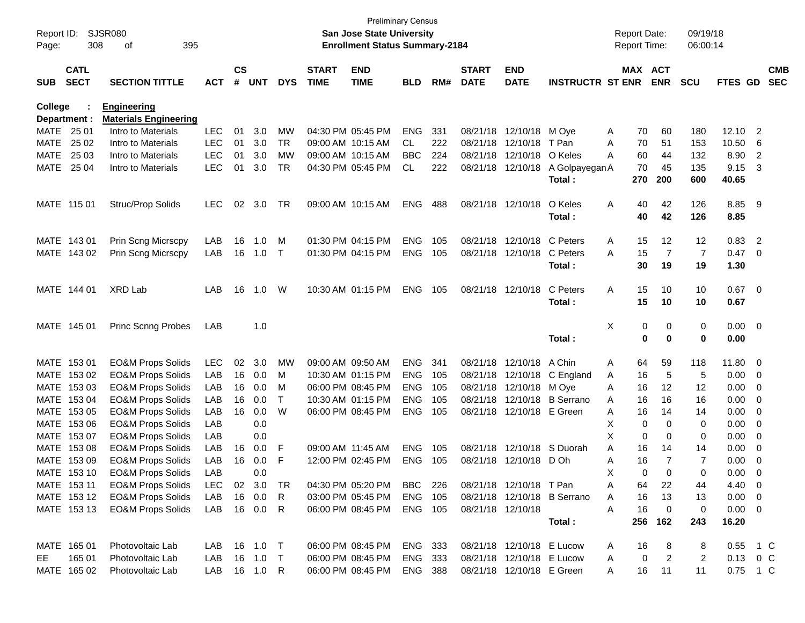| Report ID:<br>Page: | 308                        | SJSR080<br>395<br>οf         |            |                    |              |            |                             | <b>Preliminary Census</b><br><b>San Jose State University</b><br><b>Enrollment Status Summary-2184</b> |                |     |                             |                           |                             |   | <b>Report Date:</b><br>Report Time: |                | 09/19/18<br>06:00:14 |                |                          |                          |
|---------------------|----------------------------|------------------------------|------------|--------------------|--------------|------------|-----------------------------|--------------------------------------------------------------------------------------------------------|----------------|-----|-----------------------------|---------------------------|-----------------------------|---|-------------------------------------|----------------|----------------------|----------------|--------------------------|--------------------------|
| <b>SUB</b>          | <b>CATL</b><br><b>SECT</b> | <b>SECTION TITTLE</b>        | <b>ACT</b> | $\mathsf{cs}$<br># | <b>UNT</b>   | <b>DYS</b> | <b>START</b><br><b>TIME</b> | <b>END</b><br><b>TIME</b>                                                                              | <b>BLD</b>     | RM# | <b>START</b><br><b>DATE</b> | <b>END</b><br><b>DATE</b> | <b>INSTRUCTR ST ENR</b>     |   | MAX ACT                             | <b>ENR</b>     | <b>SCU</b>           | <b>FTES GD</b> |                          | <b>CMB</b><br><b>SEC</b> |
| College             |                            | <b>Engineering</b>           |            |                    |              |            |                             |                                                                                                        |                |     |                             |                           |                             |   |                                     |                |                      |                |                          |                          |
|                     | Department :               | <b>Materials Engineering</b> |            |                    |              |            |                             |                                                                                                        |                |     |                             |                           |                             |   |                                     |                |                      |                |                          |                          |
| MATE                | 25 01                      | Intro to Materials           | <b>LEC</b> | 01                 | 3.0          | MW         |                             | 04:30 PM 05:45 PM                                                                                      | <b>ENG</b>     | 331 |                             | 08/21/18 12/10/18         | M Oye                       | A | 70                                  | 60             | 180                  | 12.10          | $\overline{2}$           |                          |
| <b>MATE</b>         | 25 02                      | Intro to Materials           | <b>LEC</b> | 01                 | 3.0          | TR         |                             | 09:00 AM 10:15 AM                                                                                      | CL.            | 222 | 08/21/18                    | 12/10/18                  | T Pan                       | Α | 70                                  | 51             | 153                  | 10.50          | 6                        |                          |
| <b>MATE</b>         | 25 03                      | Intro to Materials           | <b>LEC</b> | 01                 | 3.0          | <b>MW</b>  |                             | 09:00 AM 10:15 AM                                                                                      | <b>BBC</b>     | 224 |                             | 08/21/18 12/10/18         | O Keles                     | A | 60                                  | 44             | 132                  | 8.90           | $\overline{2}$           |                          |
| <b>MATE</b>         | 25 04                      | Intro to Materials           | <b>LEC</b> | 01                 | 3.0          | TR         |                             | 04:30 PM 05:45 PM                                                                                      | CL             | 222 |                             | 08/21/18 12/10/18         | A Golpayegan A              |   | 70                                  | 45             | 135                  | 9.15           | 3                        |                          |
|                     |                            |                              |            |                    |              |            |                             |                                                                                                        |                |     |                             |                           | Total:                      |   | 270                                 | 200            | 600                  | 40.65          |                          |                          |
|                     | MATE 115 01                | Struc/Prop Solids            | <b>LEC</b> | 02                 | 3.0          | TR         |                             | 09:00 AM 10:15 AM                                                                                      | <b>ENG</b>     | 488 |                             | 08/21/18 12/10/18         | O Keles                     | Α | 40                                  | 42             | 126                  | 8.85           | - 9                      |                          |
|                     |                            |                              |            |                    |              |            |                             |                                                                                                        |                |     |                             |                           | Total:                      |   | 40                                  | 42             | 126                  | 8.85           |                          |                          |
|                     | MATE 143 01                | Prin Scng Micrscpy           | LAB        | 16                 | 1.0          | M          |                             | 01:30 PM 04:15 PM                                                                                      | <b>ENG</b>     | 105 | 08/21/18                    | 12/10/18                  | C Peters                    | Α | 15                                  | 12             | 12                   | 0.83           | $\overline{\phantom{a}}$ |                          |
|                     | MATE 143 02                | Prin Scng Micrscpy           | LAB        | 16                 | 1.0          | T          |                             | 01:30 PM 04:15 PM                                                                                      | <b>ENG</b>     | 105 |                             | 08/21/18 12/10/18         | C Peters                    | A | 15                                  | $\overline{7}$ | $\overline{7}$       | 0.47           | 0                        |                          |
|                     |                            |                              |            |                    |              |            |                             |                                                                                                        |                |     |                             |                           | Total:                      |   | 30                                  | 19             | 19                   | 1.30           |                          |                          |
|                     | MATE 144 01                | <b>XRD Lab</b>               | LAB        | 16                 | 1.0          | W          |                             | 10:30 AM 01:15 PM                                                                                      | <b>ENG</b>     | 105 |                             | 08/21/18 12/10/18         | C Peters                    | Α | 15                                  | 10             | 10                   | $0.67$ 0       |                          |                          |
|                     |                            |                              |            |                    |              |            |                             |                                                                                                        |                |     |                             |                           | Total:                      |   | 15                                  | 10             | 10                   | 0.67           |                          |                          |
|                     | MATE 145 01                | <b>Princ Scnng Probes</b>    | LAB        |                    | 1.0          |            |                             |                                                                                                        |                |     |                             |                           |                             | X | 0                                   | 0              | 0                    | $0.00 \t 0$    |                          |                          |
|                     |                            |                              |            |                    |              |            |                             |                                                                                                        |                |     |                             |                           | Total:                      |   | 0                                   | $\mathbf 0$    | 0                    | 0.00           |                          |                          |
|                     | MATE 153 01                | <b>EO&amp;M Props Solids</b> | LEC        | 02                 | 3.0          | <b>MW</b>  |                             | 09:00 AM 09:50 AM                                                                                      | <b>ENG</b>     | 341 |                             | 08/21/18 12/10/18         | A Chin                      | A | 64                                  | 59             | 118                  | 11.80          | - 0                      |                          |
| MATE                | 153 02                     | <b>EO&amp;M Props Solids</b> | LAB        | 16                 | 0.0          | M          |                             | 10:30 AM 01:15 PM                                                                                      | <b>ENG</b>     | 105 | 08/21/18                    | 12/10/18                  | C England                   | A | 16                                  | 5              | 5                    | 0.00           | $\overline{0}$           |                          |
| MATE                | 153 03                     | <b>EO&amp;M Props Solids</b> | LAB        | 16                 | 0.0          | M          |                             | 06:00 PM 08:45 PM                                                                                      | <b>ENG</b>     | 105 | 08/21/18                    | 12/10/18                  | M Ove                       | Α | 16                                  | 12             | 12                   | 0.00           | 0                        |                          |
| MATE                | 15304                      | <b>EO&amp;M Props Solids</b> | LAB        | 16                 | 0.0          | Т          |                             | 10:30 AM 01:15 PM                                                                                      | <b>ENG</b>     | 105 | 08/21/18                    | 12/10/18                  | <b>B</b> Serrano            | A | 16                                  | 16             | 16                   | 0.00           | 0                        |                          |
| MATE                | 153 05                     | <b>EO&amp;M Props Solids</b> | LAB        | 16                 | 0.0          | W          |                             | 06:00 PM 08:45 PM                                                                                      | <b>ENG</b>     | 105 |                             | 08/21/18 12/10/18 E Green |                             | Α | 16                                  | 14             | 14                   | 0.00           | 0                        |                          |
| <b>MATE</b>         | 153 06                     | <b>EO&amp;M Props Solids</b> | LAB        |                    | 0.0          |            |                             |                                                                                                        |                |     |                             |                           |                             | х | 0                                   | $\mathbf 0$    | 0                    | 0.00           | 0                        |                          |
| MATE                | 153 07                     | <b>EO&amp;M Props Solids</b> | LAB        |                    | 0.0          |            |                             |                                                                                                        |                |     |                             |                           |                             | X | 0                                   | 0              | 0                    | 0.00           | 0                        |                          |
| MATE                | 15308                      | <b>EO&amp;M Props Solids</b> | LAB        | 16                 | 0.0          | F          | 09:00 AM 11:45 AM           |                                                                                                        | <b>ENG</b>     | 105 | 08/21/18                    | 12/10/18                  | S Duorah                    | Α | 16                                  | 14             | 14                   | 0.00           | 0                        |                          |
|                     | MATE 153 09                | <b>EO&amp;M Props Solids</b> | LAB        | 16                 | 0.0          | F          |                             | 12:00 PM 02:45 PM                                                                                      | <b>ENG</b>     | 105 | 08/21/18                    | 12/10/18                  | D Oh                        | Α | 16                                  | $\overline{7}$ | $\overline{7}$       | 0.00           | 0                        |                          |
|                     | MATE 153 10                | <b>EO&amp;M Props Solids</b> | LAB        |                    | 0.0          |            |                             |                                                                                                        |                |     |                             |                           |                             | X | $\Omega$                            | 0              | $\Omega$             | 0.00           | $\Omega$                 |                          |
|                     | MATE 153 11                | <b>EO&amp;M Props Solids</b> | <b>LEC</b> |                    | 02 3.0       | TR         |                             | 04:30 PM 05:20 PM                                                                                      | BBC            | 226 |                             | 08/21/18 12/10/18 T Pan   |                             | Α | 64                                  | 22             | 44                   | $4.40 \quad 0$ |                          |                          |
|                     | MATE 153 12                | <b>EO&amp;M Props Solids</b> | LAB        |                    | 16 0.0       | R.         |                             | 03:00 PM 05:45 PM                                                                                      | ENG 105        |     |                             |                           | 08/21/18 12/10/18 B Serrano | Α | 16                                  | 13             | 13                   | $0.00 \t 0$    |                          |                          |
|                     | MATE 153 13                | <b>EO&amp;M Props Solids</b> | LAB        |                    | 16  0.0      | R          |                             | 06:00 PM 08:45 PM                                                                                      | <b>ENG 105</b> |     |                             | 08/21/18 12/10/18         |                             | Α | 16                                  | 0              | 0                    | $0.00 \t 0$    |                          |                          |
|                     |                            |                              |            |                    |              |            |                             |                                                                                                        |                |     |                             |                           | Total:                      |   | 256                                 | 162            | 243                  | 16.20          |                          |                          |
|                     | MATE 165 01                | Photovoltaic Lab             | LAB        |                    | 16  1.0  T   |            |                             | 06:00 PM 08:45 PM                                                                                      | ENG 333        |     |                             | 08/21/18 12/10/18 E Lucow |                             | A | 16                                  | 8              | 8                    | 0.55           | 1 C                      |                          |
| EE                  | 165 01                     | Photovoltaic Lab             | LAB        |                    | 16 1.0       | $\top$     |                             | 06:00 PM 08:45 PM                                                                                      | ENG 333        |     |                             | 08/21/18 12/10/18 E Lucow |                             | A | 0                                   | $\overline{2}$ | 2                    | 0.13           | $0\,$ C                  |                          |
|                     | MATE 165 02                | Photovoltaic Lab             |            |                    | LAB 16 1.0 R |            |                             | 06:00 PM 08:45 PM                                                                                      | <b>ENG 388</b> |     |                             | 08/21/18 12/10/18 E Green |                             | A | 16                                  | 11             | 11                   | 0.75 1 C       |                          |                          |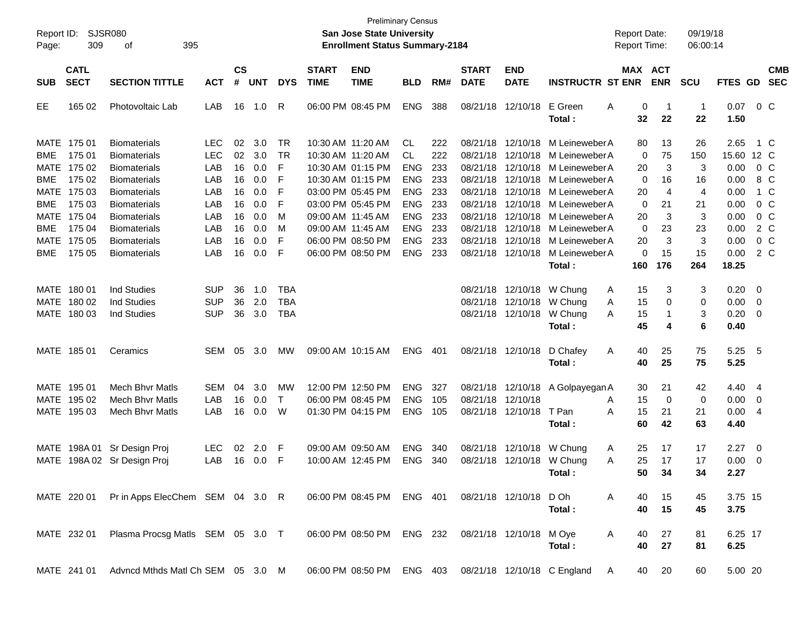| Report ID:<br>Page:                      | 309                                       | SJSR080<br>395<br>οf                                                                     |                                        |                      |                          |                                        |                             | <b>San Jose State University</b><br><b>Enrollment Status Summary-2184</b>        | <b>Preliminary Census</b>                            |                          |                                              |                                        |                                                                                                          | <b>Report Date:</b><br><b>Report Time:</b> |                      | 09/19/18<br>06:00:14 |                               |                                                            |                                  |
|------------------------------------------|-------------------------------------------|------------------------------------------------------------------------------------------|----------------------------------------|----------------------|--------------------------|----------------------------------------|-----------------------------|----------------------------------------------------------------------------------|------------------------------------------------------|--------------------------|----------------------------------------------|----------------------------------------|----------------------------------------------------------------------------------------------------------|--------------------------------------------|----------------------|----------------------|-------------------------------|------------------------------------------------------------|----------------------------------|
| <b>SUB</b>                               | <b>CATL</b><br><b>SECT</b>                | <b>SECTION TITTLE</b>                                                                    | <b>ACT</b>                             | $\mathsf{cs}$<br>#   | <b>UNT</b>               | <b>DYS</b>                             | <b>START</b><br><b>TIME</b> | <b>END</b><br><b>TIME</b>                                                        | <b>BLD</b>                                           | RM#                      | <b>START</b><br><b>DATE</b>                  | <b>END</b><br><b>DATE</b>              | <b>INSTRUCTR ST ENR</b>                                                                                  | MAX ACT                                    | <b>ENR</b>           | <b>SCU</b>           | FTES GD                       |                                                            | <b>CMB</b><br><b>SEC</b>         |
| EE                                       | 165 02                                    | Photovoltaic Lab                                                                         | LAB                                    | 16                   | 1.0                      | R                                      |                             | 06:00 PM 08:45 PM                                                                | <b>ENG</b>                                           | 388                      | 08/21/18                                     | 12/10/18                               | E Green<br>Total:                                                                                        | Α<br>0<br>32                               | -1<br>22             | $\mathbf{1}$<br>22   | 0.07<br>1.50                  |                                                            | 0 <sup>o</sup>                   |
| <b>BME</b><br>MATE                       | MATE 175 01<br>175 01<br>175 02           | <b>Biomaterials</b><br><b>Biomaterials</b><br><b>Biomaterials</b>                        | <b>LEC</b><br><b>LEC</b><br>LAB<br>LAB | 02<br>02<br>16       | 3.0<br>3.0<br>0.0        | <b>TR</b><br>TR<br>F                   |                             | 10:30 AM 11:20 AM<br>10:30 AM 11:20 AM<br>10:30 AM 01:15 PM<br>10:30 AM 01:15 PM | CL<br>CL.<br><b>ENG</b>                              | 222<br>222<br>233        | 08/21/18<br>08/21/18<br>08/21/18             |                                        | 12/10/18 M Leineweber A<br>12/10/18 M Leineweber A<br>12/10/18 M Leineweber A                            | 80<br>0<br>20                              | 13<br>75<br>3        | 26<br>150<br>3       | 2.65<br>15.60 12 C<br>0.00    |                                                            | 1 C<br>0 <sup>o</sup>            |
| <b>BME</b><br>MATE<br><b>BME</b><br>MATE | 175 02<br>175 03<br>175 03<br>175 04      | <b>Biomaterials</b><br><b>Biomaterials</b><br><b>Biomaterials</b><br><b>Biomaterials</b> | LAB<br>LAB<br>LAB                      | 16<br>16<br>16<br>16 | 0.0<br>0.0<br>0.0<br>0.0 | F<br>F<br>F<br>M                       |                             | 03:00 PM 05:45 PM<br>03:00 PM 05:45 PM<br>09:00 AM 11:45 AM                      | <b>ENG</b><br><b>ENG</b><br><b>ENG</b><br><b>ENG</b> | 233<br>233<br>233<br>233 | 08/21/18<br>08/21/18<br>08/21/18<br>08/21/18 |                                        | 12/10/18 M Leineweber A<br>12/10/18 M Leineweber A<br>12/10/18 M Leineweber A<br>12/10/18 M Leineweber A | 0<br>20<br>0<br>20                         | 16<br>4<br>21<br>3   | 16<br>4<br>21<br>3   | 0.00<br>0.00<br>0.00<br>0.00  |                                                            | 8 C<br>1 C<br>$0\,$ C<br>$0\,$ C |
| <b>BME</b><br>MATE<br><b>BME</b>         | 175 04<br>175 05<br>175 05                | <b>Biomaterials</b><br><b>Biomaterials</b><br><b>Biomaterials</b>                        | LAB<br>LAB<br>LAB                      | 16<br>16<br>16       | 0.0<br>0.0<br>0.0        | M<br>F<br>F                            |                             | 09:00 AM 11:45 AM<br>06:00 PM 08:50 PM<br>06:00 PM 08:50 PM                      | <b>ENG</b><br><b>ENG</b><br><b>ENG</b>               | 233<br>233<br>233        | 08/21/18<br>08/21/18<br>08/21/18             |                                        | 12/10/18 M Leineweber A<br>12/10/18 M Leineweber A<br>12/10/18 M Leineweber A<br>Total:                  | 0<br>20<br>0<br>160                        | 23<br>3<br>15<br>176 | 23<br>3<br>15<br>264 | 0.00<br>0.00<br>0.00<br>18.25 |                                                            | 2 C<br>0 <sup>o</sup><br>2 C     |
|                                          | MATE 180 01<br>MATE 180 02<br>MATE 180 03 | <b>Ind Studies</b><br>Ind Studies<br><b>Ind Studies</b>                                  | <b>SUP</b><br><b>SUP</b><br><b>SUP</b> | 36<br>36<br>36       | 1.0<br>2.0<br>3.0        | <b>TBA</b><br><b>TBA</b><br><b>TBA</b> |                             |                                                                                  |                                                      |                          |                                              | 08/21/18 12/10/18                      | 08/21/18 12/10/18 W Chung<br>08/21/18 12/10/18 W Chung<br>W Chung<br>Total:                              | 15<br>A<br>15<br>A<br>15<br>A<br>45        | 3<br>0<br>1<br>4     | 3<br>0<br>3<br>6     | 0.20<br>0.00<br>0.20<br>0.40  | $\overline{\phantom{0}}$<br>$\overline{\mathbf{0}}$<br>- 0 |                                  |
|                                          | MATE 185 01                               | Ceramics                                                                                 | SEM                                    | 05                   | 3.0                      | МW                                     |                             | 09:00 AM 10:15 AM                                                                | <b>ENG</b>                                           | 401                      |                                              | 08/21/18 12/10/18                      | D Chafey<br>Total:                                                                                       | Α<br>40<br>40                              | 25<br>25             | 75<br>75             | 5.25<br>5.25                  | - 5                                                        |                                  |
|                                          | MATE 195 01<br>MATE 195 02<br>MATE 195 03 | <b>Mech Bhyr Matls</b><br><b>Mech Bhyr Matls</b><br><b>Mech Bhyr Matls</b>               | SEM<br>LAB<br>LAB                      | 04<br>16<br>16       | 3.0<br>0.0<br>0.0        | МW<br>$\top$<br>W                      |                             | 12:00 PM 12:50 PM<br>06:00 PM 08:45 PM<br>01:30 PM 04:15 PM                      | <b>ENG</b><br><b>ENG</b><br><b>ENG</b>               | 327<br>105<br>105        |                                              | 08/21/18 12/10/18<br>08/21/18 12/10/18 | 08/21/18 12/10/18 A Golpayegan A<br>T Pan<br>Total :                                                     | 30<br>15<br>A<br>A<br>15<br>60             | 21<br>0<br>21<br>42  | 42<br>0<br>21<br>63  | 4.40<br>0.00<br>0.00<br>4.40  | $\overline{4}$<br>0<br>-4                                  |                                  |
|                                          |                                           | MATE 198A 01 Sr Design Proj<br>MATE 198A 02 Sr Design Proj                               | <b>LEC</b><br>LAB                      | 02<br>16             | 2.0<br>0.0               | -F<br>-F                               |                             | 09:00 AM 09:50 AM<br>10:00 AM 12:45 PM                                           | <b>ENG</b><br><b>ENG</b>                             | 340<br>340               |                                              | 08/21/18 12/10/18                      | 08/21/18 12/10/18 W Chung<br>W Chung<br>Total :                                                          | 25<br>A<br>25<br>A<br>50                   | 17<br>17<br>34       | 17<br>17<br>34       | 2.27<br>0.00<br>2.27          | $\overline{\phantom{0}}$<br>$\overline{\mathbf{0}}$        |                                  |
|                                          | MATE 220 01                               | Pr in Apps ElecChem SEM 04 3.0 R                                                         |                                        |                      |                          |                                        |                             | 06:00 PM 08:45 PM ENG 401                                                        |                                                      |                          |                                              | 08/21/18 12/10/18 D Oh                 | Total:                                                                                                   | A<br>40<br>40                              | 15<br>15             | 45<br>45             | 3.75 15<br>3.75               |                                                            |                                  |
|                                          | MATE 232 01                               | Plasma Procsg Matls SEM 05 3.0 T                                                         |                                        |                      |                          |                                        |                             | 06:00 PM 08:50 PM ENG 232                                                        |                                                      |                          |                                              | 08/21/18 12/10/18 M Oye                | Total:                                                                                                   | A<br>40<br>40                              | 27<br>27             | 81<br>81             | 6.25 17<br>6.25               |                                                            |                                  |
|                                          | MATE 241 01                               | Advncd Mthds Matl Ch SEM 05 3.0 M                                                        |                                        |                      |                          |                                        |                             |                                                                                  |                                                      |                          |                                              |                                        | 06:00 PM 08:50 PM ENG 403 08/21/18 12/10/18 C England                                                    | A<br>40                                    | 20                   | 60                   | 5.00 20                       |                                                            |                                  |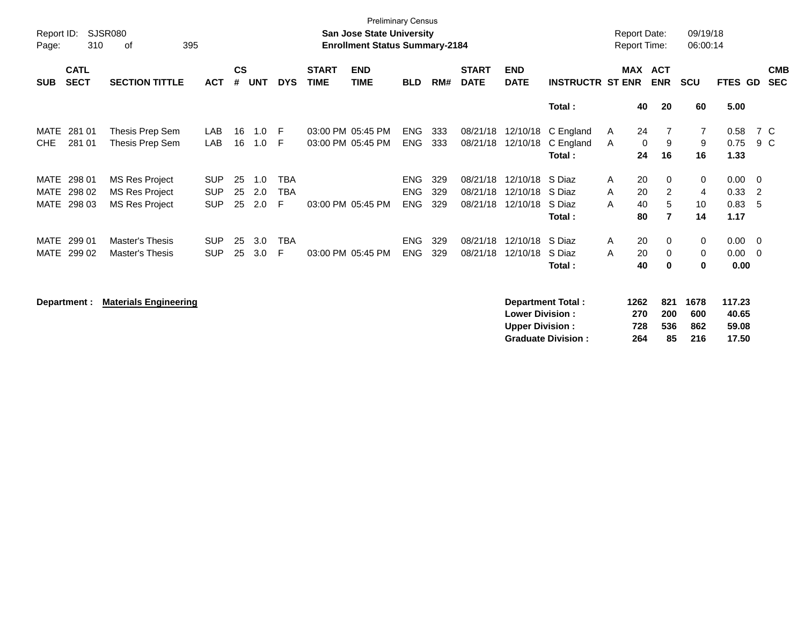| Page:      | <b>SJSR080</b><br>Report ID:<br>310<br>395<br>οf |                       |            |                    |            |            |                             | <b>Preliminary Census</b><br><b>San Jose State University</b><br><b>Enrollment Status Summary-2184</b> |            |     |                             |                           |                         | <b>Report Date:</b><br><b>Report Time:</b> |                   |                          | 09/19/18<br>06:00:14 |                |                          |                          |
|------------|--------------------------------------------------|-----------------------|------------|--------------------|------------|------------|-----------------------------|--------------------------------------------------------------------------------------------------------|------------|-----|-----------------------------|---------------------------|-------------------------|--------------------------------------------|-------------------|--------------------------|----------------------|----------------|--------------------------|--------------------------|
| <b>SUB</b> | <b>CATL</b><br><b>SECT</b>                       | <b>SECTION TITTLE</b> | <b>ACT</b> | $\mathsf{cs}$<br># | <b>UNT</b> | <b>DYS</b> | <b>START</b><br><b>TIME</b> | <b>END</b><br><b>TIME</b>                                                                              | <b>BLD</b> | RM# | <b>START</b><br><b>DATE</b> | <b>END</b><br><b>DATE</b> | <b>INSTRUCTR ST ENR</b> | MAX                                        |                   | <b>ACT</b><br><b>ENR</b> | <b>SCU</b>           | <b>FTES GD</b> |                          | <b>CMB</b><br><b>SEC</b> |
|            |                                                  |                       |            |                    |            |            |                             |                                                                                                        |            |     |                             |                           | Total:                  |                                            | 40                | 20                       | 60                   | 5.00           |                          |                          |
| MATE       | 281 01                                           | Thesis Prep Sem       | LAB        | 16                 | 1.0        | F          |                             | 03:00 PM 05:45 PM                                                                                      | ENG        | 333 | 08/21/18                    |                           | 12/10/18 C England      | A                                          | 24                |                          | $\overline{7}$       | 0.58           | 7 C                      |                          |
| <b>CHE</b> | 281 01                                           | Thesis Prep Sem       | LAB        | 16                 | 1.0        | E          |                             | 03:00 PM 05:45 PM                                                                                      | <b>ENG</b> | 333 | 08/21/18                    | 12/10/18                  | C England<br>Total:     | A                                          | $\mathbf 0$<br>24 | 9<br>16                  | 9<br>16              | 0.75<br>1.33   | 9 C                      |                          |
| MATE       | 298 01                                           | <b>MS Res Project</b> | <b>SUP</b> | 25                 | 1.0        | TBA        |                             |                                                                                                        | <b>ENG</b> | 329 | 08/21/18                    | 12/10/18                  | S Diaz                  | A                                          | 20                | $\mathbf{0}$             | 0                    | 0.00           | $\overline{\phantom{0}}$ |                          |
| MATE       | 298 02                                           | <b>MS Res Project</b> | <b>SUP</b> | 25                 | 2.0        | <b>TBA</b> |                             |                                                                                                        | <b>ENG</b> | 329 | 08/21/18                    | 12/10/18                  | S Diaz                  | A                                          | 20                | 2                        | 4                    | 0.33           | $\overline{2}$           |                          |
|            | MATE 298 03                                      | MS Res Project        | <b>SUP</b> | 25                 | 2.0        | F          | 03:00 PM 05:45 PM           |                                                                                                        | <b>ENG</b> | 329 | 08/21/18                    | 12/10/18                  | S Diaz                  | A                                          | 40                | 5                        | 10                   | 0.83           | - 5                      |                          |
|            |                                                  |                       |            |                    |            |            |                             |                                                                                                        |            |     |                             |                           | Total :                 |                                            | 80                | $\overline{7}$           | 14                   | 1.17           |                          |                          |
| MATE       | 299 01                                           | Master's Thesis       | <b>SUP</b> | 25                 | 3.0        | <b>TBA</b> |                             |                                                                                                        | <b>ENG</b> | 329 | 08/21/18                    | 12/10/18                  | S Diaz                  | A                                          | 20                | $\Omega$                 | $\mathbf 0$          | $0.00 \ 0$     |                          |                          |
| MATE       | 299 02                                           | Master's Thesis       | <b>SUP</b> | 25                 | 3.0        | F          | 03:00 PM 05:45 PM           |                                                                                                        | <b>ENG</b> | 329 | 08/21/18                    | 12/10/18                  | S Diaz                  | A                                          | 20                | $\Omega$                 | 0                    | 0.00           | - 0                      |                          |
|            |                                                  |                       |            |                    |            |            |                             |                                                                                                        |            |     |                             |                           | Total:                  |                                            | 40                | 0                        | 0                    | 0.00           |                          |                          |
|            |                                                  |                       |            |                    |            |            |                             |                                                                                                        |            |     |                             |                           |                         |                                            |                   |                          |                      |                |                          |                          |

Department : Materials Engineering **التي تي التي يتوجد التي تي التي يتوجد التي يتوجد التي يتوجد التي يتوجد التي**<br>270 200 600 40.65 Lower Division : 1262 270 200 600 40.65 **Lower Division : 270 200 600 40.65 Upper Division : 728 536 862<br>Graduate Division : 264 85 216 Graduate Division : 264 85 216 17.50**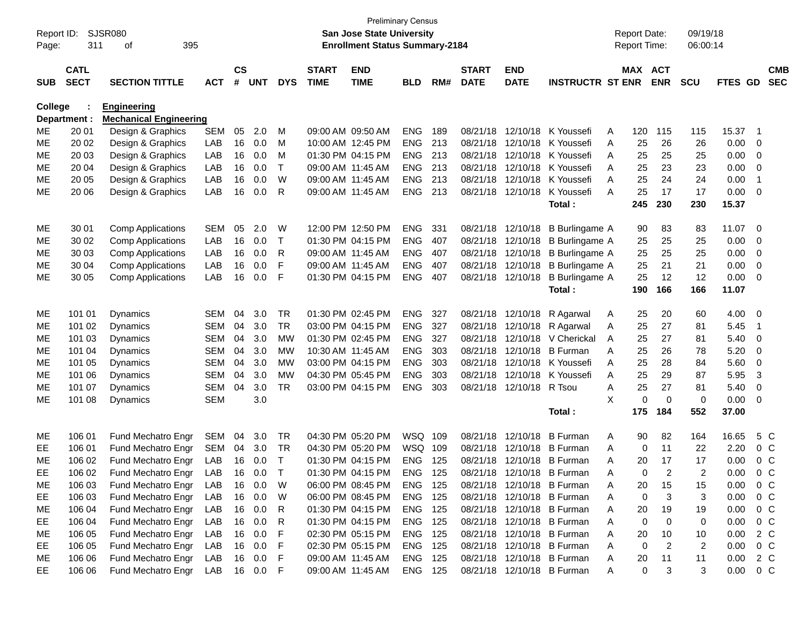| Report ID: |              | <b>SJSR080</b>                |              |               |            |                 |              | San Jose State University              | <b>Preliminary Census</b> |     |                      |                          |                              |   | <b>Report Date:</b> |                    | 09/19/18   |               |                          |            |
|------------|--------------|-------------------------------|--------------|---------------|------------|-----------------|--------------|----------------------------------------|---------------------------|-----|----------------------|--------------------------|------------------------------|---|---------------------|--------------------|------------|---------------|--------------------------|------------|
| Page:      | 311          | 395<br>οf                     |              |               |            |                 |              | <b>Enrollment Status Summary-2184</b>  |                           |     |                      |                          |                              |   | <b>Report Time:</b> |                    | 06:00:14   |               |                          |            |
|            | <b>CATL</b>  |                               |              | $\mathsf{cs}$ |            |                 | <b>START</b> | <b>END</b>                             |                           |     | <b>START</b>         | <b>END</b>               |                              |   | MAX ACT             |                    |            |               |                          | <b>CMB</b> |
| <b>SUB</b> | <b>SECT</b>  | <b>SECTION TITTLE</b>         | <b>ACT</b>   | #             | <b>UNT</b> | <b>DYS</b>      | <b>TIME</b>  | <b>TIME</b>                            | <b>BLD</b>                | RM# | <b>DATE</b>          | <b>DATE</b>              | <b>INSTRUCTR ST ENR</b>      |   |                     | <b>ENR</b>         | <b>SCU</b> | FTES GD       |                          | <b>SEC</b> |
| College    |              | <b>Engineering</b>            |              |               |            |                 |              |                                        |                           |     |                      |                          |                              |   |                     |                    |            |               |                          |            |
|            | Department : | <b>Mechanical Engineering</b> |              |               |            |                 |              |                                        |                           |     |                      |                          |                              |   |                     |                    |            |               |                          |            |
| MЕ         | 20 01        | Design & Graphics             | <b>SEM</b>   | 05            | 2.0        | м               |              | 09:00 AM 09:50 AM                      | <b>ENG</b>                | 189 |                      |                          | 08/21/18 12/10/18 K Youssefi | A | 120                 | 115                | 115        | 15.37         | - 1                      |            |
| МE         | 20 02        | Design & Graphics             | LAB          | 16            | 0.0        | м               |              | 10:00 AM 12:45 PM                      | <b>ENG</b>                | 213 | 08/21/18             |                          | 12/10/18 K Youssefi          | A | 25                  | 26                 | 26         | 0.00          | 0                        |            |
| MЕ         | 20 03        | Design & Graphics             | LAB          | 16            | 0.0        | м               |              | 01:30 PM 04:15 PM                      | ENG                       | 213 |                      |                          | 08/21/18 12/10/18 K Youssefi | A | 25                  | 25                 | 25         | 0.00          | 0                        |            |
| МE         | 20 04        | Design & Graphics             | LAB          | 16            | 0.0        | Τ               |              | 09:00 AM 11:45 AM                      | ENG                       | 213 |                      |                          | 08/21/18 12/10/18 K Youssefi | A | 25                  | 23                 | 23         | 0.00          | 0                        |            |
| MЕ         | 20 05        | Design & Graphics             | LAB          | 16            | 0.0        | W               |              | 09:00 AM 11:45 AM                      | <b>ENG</b>                | 213 |                      |                          | 08/21/18 12/10/18 K Youssefi | A | 25                  | 24                 | 24         | 0.00          | $\overline{\phantom{1}}$ |            |
| ME         | 20 06        | Design & Graphics             | LAB          | 16            | 0.0        | R               |              | 09:00 AM 11:45 AM                      | <b>ENG</b>                | 213 |                      | 08/21/18 12/10/18        | K Youssefi                   | A | 25                  | 17                 | 17         | 0.00          | 0                        |            |
|            |              |                               |              |               |            |                 |              |                                        |                           |     |                      |                          | Total:                       |   | 245                 | 230                | 230        | 15.37         |                          |            |
| MЕ         | 30 01        | <b>Comp Applications</b>      | <b>SEM</b>   | 05            | 2.0        | W               |              | 12:00 PM 12:50 PM                      | <b>ENG</b>                | 331 |                      | 08/21/18 12/10/18        | B Burlingame A               |   | 90                  | 83                 | 83         | 11.07         | 0                        |            |
| MЕ         | 30 02        | <b>Comp Applications</b>      | LAB          | 16            | 0.0        | Τ               |              | 01:30 PM 04:15 PM                      | <b>ENG</b>                | 407 |                      | 08/21/18 12/10/18        | B Burlingame A               |   | 25                  | 25                 | 25         | 0.00          | 0                        |            |
| МE         | 30 03        | <b>Comp Applications</b>      | LAB          | 16            | 0.0        | R               |              | 09:00 AM 11:45 AM                      | <b>ENG</b>                | 407 | 08/21/18             | 12/10/18                 | B Burlingame A               |   | 25                  | 25                 | 25         | 0.00          | 0                        |            |
| MЕ         | 30 04        | <b>Comp Applications</b>      | LAB          | 16            | 0.0        | F               |              | 09:00 AM 11:45 AM                      | <b>ENG</b>                | 407 |                      | 08/21/18 12/10/18        | <b>B</b> Burlingame A        |   | 25                  | 21                 | 21         | 0.00          | 0                        |            |
| MЕ         | 30 05        | <b>Comp Applications</b>      | LAB          | 16            | 0.0        | F               |              | 01:30 PM 04:15 PM                      | <b>ENG</b>                | 407 |                      | 08/21/18 12/10/18        | <b>B</b> Burlingame A        |   | 25                  | 12                 | 12         | 0.00          | $\mathbf 0$              |            |
|            |              |                               |              |               |            |                 |              |                                        |                           |     |                      |                          | Total:                       |   | 190                 | 166                | 166        | 11.07         |                          |            |
|            |              |                               |              |               |            |                 |              |                                        |                           |     |                      |                          |                              |   |                     |                    |            |               |                          |            |
| MЕ         | 101 01       | Dynamics                      | <b>SEM</b>   | 04            | 3.0        | <b>TR</b>       |              | 01:30 PM 02:45 PM                      | <b>ENG</b>                | 327 |                      | 08/21/18 12/10/18        | R Agarwal                    | A | 25                  | 20                 | 60         | 4.00          | 0                        |            |
| MЕ         | 101 02       | Dynamics                      | <b>SEM</b>   | 04            | 3.0        | <b>TR</b>       |              | 03:00 PM 04:15 PM                      | <b>ENG</b>                | 327 |                      |                          | 08/21/18 12/10/18 R Agarwal  | A | 25                  | 27                 | 81         | 5.45          | $\overline{\mathbf{1}}$  |            |
| МE         | 101 03       | Dynamics                      | <b>SEM</b>   | 04            | 3.0        | <b>MW</b>       |              | 01:30 PM 02:45 PM                      | <b>ENG</b>                | 327 | 08/21/18             |                          | 12/10/18 V Cherickal         | A | 25                  | 27                 | 81         | 5.40          | 0                        |            |
| MЕ         | 101 04       | Dynamics                      | <b>SEM</b>   | 04            | 3.0        | МW              |              | 10:30 AM 11:45 AM<br>03:00 PM 04:15 PM | <b>ENG</b>                | 303 | 08/21/18<br>08/21/18 |                          | 12/10/18 B Furman            | A | 25                  | 26                 | 78         | 5.20          | 0                        |            |
| MЕ         | 101 05       | Dynamics                      | <b>SEM</b>   | 04            | 3.0        | МW<br><b>MW</b> |              |                                        | <b>ENG</b>                | 303 |                      |                          | 12/10/18 K Youssefi          | A | 25                  | 28                 | 84         | 5.60          | 0                        |            |
| MЕ         | 101 06       | Dynamics                      | <b>SEM</b>   | 04            | 3.0        |                 |              | 04:30 PM 05:45 PM                      | <b>ENG</b>                | 303 | 08/21/18             |                          | 12/10/18 K Youssefi          | A | 25                  | 29                 | 87         | 5.95          | 3                        |            |
| MЕ         | 101 07       | Dynamics                      | <b>SEM</b>   | 04            | 3.0        | <b>TR</b>       |              | 03:00 PM 04:15 PM                      | <b>ENG</b>                | 303 |                      | 08/21/18 12/10/18 R Tsou |                              | Α | 25                  | 27                 | 81         | 5.40          | 0                        |            |
| MЕ         | 101 08       | Dynamics                      | <b>SEM</b>   |               | 3.0        |                 |              |                                        |                           |     |                      |                          | Total:                       | X | 0<br>175            | $\mathbf 0$<br>184 | 0<br>552   | 0.00<br>37.00 | $\mathbf 0$              |            |
|            |              |                               |              |               |            |                 |              |                                        |                           |     |                      |                          |                              |   |                     |                    |            |               |                          |            |
| ME         | 106 01       | Fund Mechatro Engr            | <b>SEM</b>   | 04            | 3.0        | TR              |              | 04:30 PM 05:20 PM                      | WSQ 109                   |     |                      | 08/21/18 12/10/18        | <b>B</b> Furman              | A | 90                  | 82                 | 164        | 16.65         | 5 C                      |            |
| EE         | 106 01       | Fund Mechatro Engr            | <b>SEM</b>   | 04            | 3.0        | TR              |              | 04:30 PM 05:20 PM                      | WSQ 109                   |     | 08/21/18             |                          | 12/10/18 B Furman            | A | 0                   | 11                 | 22         | 2.20          | $0\,C$                   |            |
| ME         | 106 02       | Fund Mechatro Engr            | LAB          | 16            | 0.0        | T               |              | 01:30 PM 04:15 PM                      | <b>ENG</b>                | 125 |                      |                          | 08/21/18 12/10/18 B Furman   | Α | 20                  | 17                 | 17         | 0.00          | 0 <sup>C</sup>           |            |
| <b>EE</b>  | 106 02       | Fund Mechatro Engr LAB        |              |               | 16 0.0     | $\top$          |              | 01:30 PM 04:15 PM                      | ENG 125                   |     |                      |                          | 08/21/18 12/10/18 B Furman   | A | $\Omega$            |                    |            | 0.00          |                          | $0\,C$     |
| МE         | 106 03       | Fund Mechatro Engr            | LAB          |               | 16 0.0     | W               |              | 06:00 PM 08:45 PM                      | ENG 125                   |     |                      |                          | 08/21/18 12/10/18 B Furman   | Α | 20                  | 15                 | 15         | 0.00          | 0 <sup>o</sup>           |            |
| EE         | 106 03       | Fund Mechatro Engr            | LAB          |               | 16 0.0     | W               |              | 06:00 PM 08:45 PM                      | ENG 125                   |     |                      |                          | 08/21/18 12/10/18 B Furman   | A | 0                   | 3                  | 3          | 0.00          | $0\,C$                   |            |
| ME         | 106 04       | Fund Mechatro Engr            | LAB          |               | 16 0.0     | R               |              | 01:30 PM 04:15 PM                      | ENG 125                   |     |                      |                          | 08/21/18 12/10/18 B Furman   | A | 20                  | 19                 | 19         | 0.00          | 0 C                      |            |
| EE         | 106 04       | Fund Mechatro Engr            | LAB          |               | 16 0.0     | R               |              | 01:30 PM 04:15 PM                      | ENG 125                   |     |                      |                          | 08/21/18 12/10/18 B Furman   | A | 0                   | 0                  | 0          | 0.00          | 0 C                      |            |
| ME         | 106 05       | Fund Mechatro Engr            | LAB          |               | 16 0.0     | F               |              | 02:30 PM 05:15 PM                      | ENG 125                   |     |                      |                          | 08/21/18 12/10/18 B Furman   | A | 20                  | 10                 | 10         | 0.00 2 C      |                          |            |
| EE         | 106 05       | Fund Mechatro Engr            | LAB          |               | 16 0.0     | F               |              | 02:30 PM 05:15 PM                      | ENG 125                   |     |                      |                          | 08/21/18 12/10/18 B Furman   | A | 0                   | $\overline{2}$     | 2          | 0.00          | $0\,C$                   |            |
| МE         | 106 06       | Fund Mechatro Engr            | LAB          |               | 16  0.0    | -F              |              | 09:00 AM 11:45 AM                      | ENG 125                   |     |                      |                          | 08/21/18 12/10/18 B Furman   | A | 20                  | 11                 | 11         | $0.00 \t 2 C$ |                          |            |
| EE         | 106 06       | Fund Mechatro Engr            | LAB 16 0.0 F |               |            |                 |              | 09:00 AM 11:45 AM                      | ENG 125                   |     |                      |                          | 08/21/18 12/10/18 B Furman   | A | 0                   | 3                  | 3          | $0.00 \t 0 C$ |                          |            |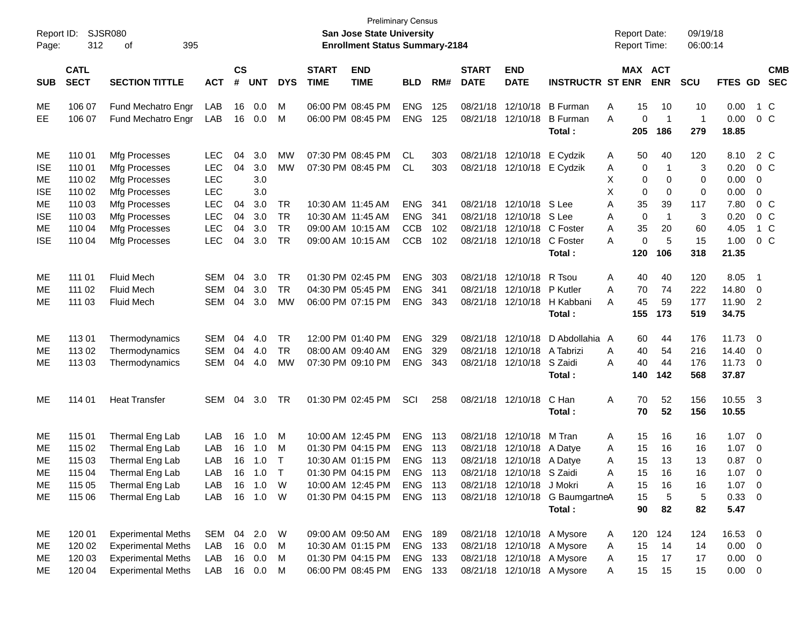| Page:      | SJSR080<br>Report ID:<br>312<br>395<br>οf |                           |            |                    |            |            |                             | San Jose State University<br><b>Enrollment Status Summary-2184</b> | <b>Preliminary Census</b> |     |                             |                             |                                  |   |                 | <b>Report Date:</b><br><b>Report Time:</b> | 09/19/18<br>06:00:14 |               |                          |                          |
|------------|-------------------------------------------|---------------------------|------------|--------------------|------------|------------|-----------------------------|--------------------------------------------------------------------|---------------------------|-----|-----------------------------|-----------------------------|----------------------------------|---|-----------------|--------------------------------------------|----------------------|---------------|--------------------------|--------------------------|
| <b>SUB</b> | <b>CATL</b><br><b>SECT</b>                | <b>SECTION TITTLE</b>     | <b>ACT</b> | $\mathsf{cs}$<br># | <b>UNT</b> | <b>DYS</b> | <b>START</b><br><b>TIME</b> | <b>END</b><br><b>TIME</b>                                          | <b>BLD</b>                | RM# | <b>START</b><br><b>DATE</b> | <b>END</b><br><b>DATE</b>   | <b>INSTRUCTR ST ENR</b>          |   |                 | MAX ACT<br><b>ENR</b>                      | <b>SCU</b>           | FTES GD       |                          | <b>CMB</b><br><b>SEC</b> |
| ME         | 106 07                                    | Fund Mechatro Engr        | LAB        | 16                 | 0.0        | M          |                             | 06:00 PM 08:45 PM                                                  | <b>ENG</b>                | 125 |                             |                             | 08/21/18 12/10/18 B Furman       | Α | 15              | 10                                         | 10                   | 0.00          | 1 C                      |                          |
| EЕ         | 106 07                                    | Fund Mechatro Engr        | LAB        | 16                 | 0.0        | M          |                             | 06:00 PM 08:45 PM                                                  | <b>ENG</b>                | 125 |                             | 08/21/18 12/10/18           | B Furman<br>Total :              | A | 0<br>205        | $\overline{1}$<br>186                      | $\mathbf 1$<br>279   | 0.00<br>18.85 | 0 <sup>o</sup>           |                          |
| ME         | 110 01                                    | Mfg Processes             | <b>LEC</b> | 04                 | 3.0        | МW         |                             | 07:30 PM 08:45 PM                                                  | CL.                       | 303 |                             | 08/21/18 12/10/18 E Cydzik  |                                  | A | 50              | 40                                         | 120                  | 8.10          | 2 C                      |                          |
| <b>ISE</b> | 110 01                                    | Mfg Processes             | <b>LEC</b> | 04                 | 3.0        | MW         |                             | 07:30 PM 08:45 PM                                                  | CL.                       | 303 |                             | 08/21/18 12/10/18 E Cydzik  |                                  | A | 0               | -1                                         | 3                    | 0.20          | 0 <sup>o</sup>           |                          |
| ME         | 110 02                                    | Mfg Processes             | <b>LEC</b> |                    | 3.0        |            |                             |                                                                    |                           |     |                             |                             |                                  | Χ | 0               | 0                                          | 0                    | 0.00          | - 0                      |                          |
| <b>ISE</b> | 110 02                                    | Mfg Processes             | <b>LEC</b> |                    | 3.0        |            |                             |                                                                    |                           |     |                             |                             |                                  | X | 0               | 0                                          | 0                    | 0.00          | 0                        |                          |
| ME         | 110 03                                    | Mfg Processes             | <b>LEC</b> | 04                 | 3.0        | <b>TR</b>  |                             | 10:30 AM 11:45 AM                                                  | <b>ENG</b>                | 341 |                             | 08/21/18 12/10/18 S Lee     |                                  | Α | 35              | 39                                         | 117                  | 7.80          | 0 <sup>o</sup>           |                          |
| <b>ISE</b> | 110 03                                    | Mfg Processes             | <b>LEC</b> | 04                 | 3.0        | TR         |                             | 10:30 AM 11:45 AM                                                  | <b>ENG</b>                | 341 |                             | 08/21/18 12/10/18 S Lee     |                                  | Α | $\mathbf 0$     | $\mathbf 1$                                | 3                    | 0.20          | 0 <sup>o</sup>           |                          |
| ME         | 110 04                                    | Mfg Processes             | <b>LEC</b> | 04                 | 3.0        | <b>TR</b>  |                             | 09:00 AM 10:15 AM                                                  | <b>CCB</b>                | 102 |                             | 08/21/18 12/10/18 C Foster  |                                  | A | 35              | 20                                         | 60                   | 4.05          |                          | 1 C                      |
| <b>ISE</b> | 110 04                                    | Mfg Processes             | LEC        | 04                 | 3.0        | TR         |                             | 09:00 AM 10:15 AM                                                  | <b>CCB</b>                | 102 |                             | 08/21/18 12/10/18 C Foster  |                                  | A | 0               | 5                                          | 15                   | 1.00          | 0 <sup>o</sup>           |                          |
|            |                                           |                           |            |                    |            |            |                             |                                                                    |                           |     |                             |                             | Total :                          |   | 120             | 106                                        | 318                  | 21.35         |                          |                          |
| ME         | 111 01                                    | <b>Fluid Mech</b>         | SEM        | 04                 | 3.0        | <b>TR</b>  |                             | 01:30 PM 02:45 PM                                                  | <b>ENG</b>                | 303 |                             | 08/21/18 12/10/18 R Tsou    |                                  | Α | 40              | 40                                         | 120                  | 8.05          | $\overline{\phantom{1}}$ |                          |
| ME         | 111 02                                    | <b>Fluid Mech</b>         | <b>SEM</b> | 04                 | 3.0        | <b>TR</b>  |                             | 04:30 PM 05:45 PM                                                  | <b>ENG</b>                | 341 |                             | 08/21/18 12/10/18 P Kutler  |                                  | A | 70              | 74                                         | 222                  | 14.80         | $\overline{\phantom{0}}$ |                          |
| ME         | 111 03                                    | <b>Fluid Mech</b>         | SEM        | 04                 | 3.0        | МW         |                             | 06:00 PM 07:15 PM                                                  | <b>ENG</b>                | 343 |                             |                             | 08/21/18 12/10/18 H Kabbani      | A | 45              | 59                                         | 177                  | 11.90 2       |                          |                          |
|            |                                           |                           |            |                    |            |            |                             |                                                                    |                           |     |                             |                             | Total :                          |   | 155             | 173                                        | 519                  | 34.75         |                          |                          |
| ME         | 11301                                     | Thermodynamics            | SEM        | 04                 | 4.0        | <b>TR</b>  |                             | 12:00 PM 01:40 PM                                                  | <b>ENG</b>                | 329 |                             |                             | 08/21/18 12/10/18 D Abdollahia A |   | 60              | 44                                         | 176                  | $11.73$ 0     |                          |                          |
| ME         | 113 02                                    | Thermodynamics            | <b>SEM</b> | 04                 | 4.0        | <b>TR</b>  |                             | 08:00 AM 09:40 AM                                                  | <b>ENG</b>                | 329 |                             | 08/21/18 12/10/18 A Tabrizi |                                  | A | 40              | 54                                         | 216                  | $14.40 \ 0$   |                          |                          |
| ME         | 113 03                                    | Thermodynamics            | SEM        | 04                 | 4.0        | MW         |                             | 07:30 PM 09:10 PM                                                  | <b>ENG</b>                | 343 |                             | 08/21/18 12/10/18 S Zaidi   |                                  | A | 40              | 44                                         | 176                  | $11.73$ 0     |                          |                          |
|            |                                           |                           |            |                    |            |            |                             |                                                                    |                           |     |                             |                             | Total:                           |   | 140             | 142                                        | 568                  | 37.87         |                          |                          |
| ME         | 114 01                                    | <b>Heat Transfer</b>      | SEM        | 04                 | 3.0        | TR         |                             | 01:30 PM 02:45 PM                                                  | SCI                       | 258 |                             | 08/21/18 12/10/18           | C Han                            | Α | 70              | 52                                         | 156                  | 10.55         | $\overline{\mathbf{3}}$  |                          |
|            |                                           |                           |            |                    |            |            |                             |                                                                    |                           |     |                             |                             | Total :                          |   | 70              | 52                                         | 156                  | 10.55         |                          |                          |
| ME         | 115 01                                    | Thermal Eng Lab           | LAB        | 16                 | 1.0        | M          |                             | 10:00 AM 12:45 PM                                                  | <b>ENG</b>                | 113 |                             | 08/21/18 12/10/18 M Tran    |                                  | A | 15              | 16                                         | 16                   | $1.07 \t 0$   |                          |                          |
| ME         | 115 02                                    | Thermal Eng Lab           | LAB        | 16                 | 1.0        | M          |                             | 01:30 PM 04:15 PM                                                  | <b>ENG</b>                | 113 |                             | 08/21/18 12/10/18 A Datye   |                                  | A | 15              | 16                                         | 16                   | 1.07          | $\overline{\mathbf{0}}$  |                          |
| ME         | 115 03                                    | Thermal Eng Lab           | LAB        | 16                 | 1.0        | $\top$     |                             | 10:30 AM 01:15 PM                                                  | <b>ENG</b>                | 113 |                             | 08/21/18 12/10/18 A Datye   |                                  | Α | 15              | 13                                         | 13                   | 0.87          | $\overline{\mathbf{0}}$  |                          |
| ME         | 115 04                                    | Thermal Eng Lab           | LAB        |                    | 16 1.0     | $\top$     |                             | 01:30 PM 04:15 PM                                                  | ENG 113                   |     |                             | 08/21/18 12/10/18 S Zaidi   |                                  | A | 15              | 16                                         | 16                   | 1.07          | - 0                      |                          |
| ME         | 115 05                                    | Thermal Eng Lab           | LAB        | 16                 | 1.0        | W          |                             | 10:00 AM 12:45 PM                                                  | ENG 113                   |     |                             | 08/21/18 12/10/18 J Mokri   |                                  | Α | 15              | 16                                         | 16                   | $1.07 \t 0$   |                          |                          |
| ME         | 115 06                                    | Thermal Eng Lab           | LAB        |                    | 16 1.0     | <b>W</b>   |                             | 01:30 PM 04:15 PM                                                  | ENG 113                   |     |                             |                             | 08/21/18 12/10/18 G BaumgartneA  |   | 15              | 5                                          | 5                    | 0.33 0        |                          |                          |
|            |                                           |                           |            |                    |            |            |                             |                                                                    |                           |     |                             |                             | Total:                           |   | 90              | 82                                         | 82                   | 5.47          |                          |                          |
| ME         | 120 01                                    | <b>Experimental Meths</b> | SEM        |                    | 04 2.0     | <b>W</b>   |                             | 09:00 AM 09:50 AM                                                  | ENG 189                   |     |                             |                             | 08/21/18 12/10/18 A Mysore       | A | 120             | 124                                        | 124                  | 16.53 0       |                          |                          |
| ME         | 120 02                                    | <b>Experimental Meths</b> | LAB        | 16                 | 0.0        | M          |                             | 10:30 AM 01:15 PM                                                  | ENG 133                   |     |                             | 08/21/18 12/10/18 A Mysore  |                                  | A | 15              | 14                                         | 14                   | $0.00 \t 0$   |                          |                          |
| ME         | 120 03                                    | <b>Experimental Meths</b> | LAB        |                    | 16 0.0     | M          |                             | 01:30 PM 04:15 PM                                                  | ENG 133                   |     |                             |                             | 08/21/18 12/10/18 A Mysore       | A | 15              | 17                                         | 17                   | $0.00 \t 0$   |                          |                          |
| ME         | 120 04                                    | <b>Experimental Meths</b> | LAB        |                    | 16  0.0  M |            |                             | 06:00 PM 08:45 PM                                                  | ENG 133                   |     |                             |                             | 08/21/18 12/10/18 A Mysore       | A | 15 <sub>1</sub> | 15                                         | 15                   | $0.00 \t 0$   |                          |                          |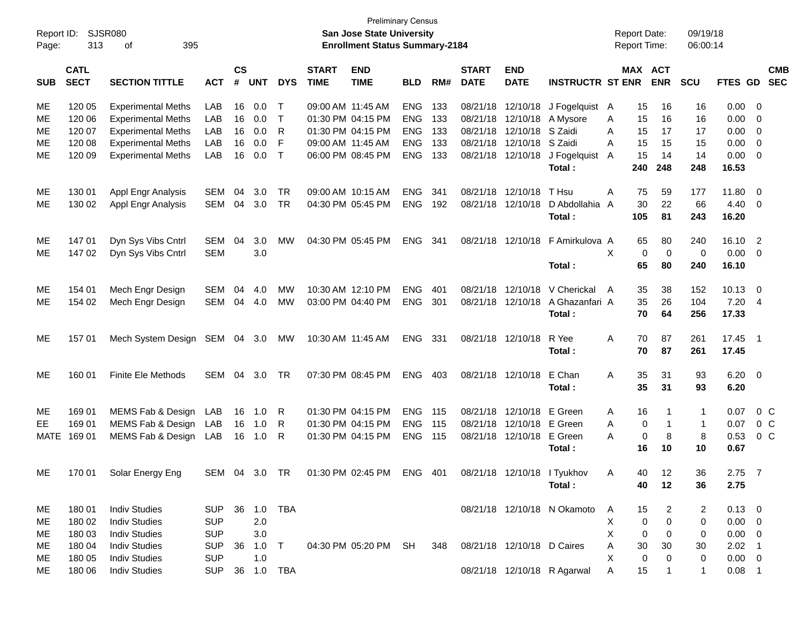| Report ID: |                            | SJSR080                   |            |                    |            |              |                             | <b>Preliminary Census</b><br>San Jose State University                    |                |     |                             |                            |                             |   |             | <b>Report Date:</b>          | 09/19/18     |             |                          |                          |
|------------|----------------------------|---------------------------|------------|--------------------|------------|--------------|-----------------------------|---------------------------------------------------------------------------|----------------|-----|-----------------------------|----------------------------|-----------------------------|---|-------------|------------------------------|--------------|-------------|--------------------------|--------------------------|
| Page:      | 313                        | 395<br>of                 |            |                    |            |              |                             | <b>Enrollment Status Summary-2184</b>                                     |                |     |                             |                            |                             |   |             | <b>Report Time:</b>          | 06:00:14     |             |                          |                          |
| <b>SUB</b> | <b>CATL</b><br><b>SECT</b> | <b>SECTION TITTLE</b>     | <b>ACT</b> | $\mathsf{cs}$<br># | <b>UNT</b> | <b>DYS</b>   | <b>START</b><br><b>TIME</b> | <b>END</b><br><b>TIME</b>                                                 | <b>BLD</b>     | RM# | <b>START</b><br><b>DATE</b> | <b>END</b><br><b>DATE</b>  | <b>INSTRUCTR ST ENR</b>     |   |             | <b>MAX ACT</b><br><b>ENR</b> | SCU          | FTES GD     |                          | <b>CMB</b><br><b>SEC</b> |
| ME         | 120 05                     | <b>Experimental Meths</b> | LAB        | 16                 | 0.0        | т            | 09:00 AM 11:45 AM           |                                                                           | <b>ENG</b>     | 133 | 08/21/18                    | 12/10/18                   | J Fogelquist A              |   | 15          | 16                           | 16           | 0.00        | - 0                      |                          |
| МE         | 120 06                     | <b>Experimental Meths</b> | LAB        | 16                 | 0.0        | $\top$       |                             | 01:30 PM 04:15 PM                                                         | <b>ENG</b>     | 133 | 08/21/18                    | 12/10/18                   | A Mysore                    | A | 15          | 16                           | 16           | 0.00        | - 0                      |                          |
| МE         | 120 07                     | <b>Experimental Meths</b> | LAB        | 16                 | 0.0        | R            |                             | 01:30 PM 04:15 PM                                                         | <b>ENG</b>     | 133 | 08/21/18                    | 12/10/18                   | S Zaidi                     | A | 15          | 17                           | 17           | 0.00        | $\overline{0}$           |                          |
| ME         | 120 08                     | <b>Experimental Meths</b> | LAB        | 16                 | 0.0        | F            | 09:00 AM 11:45 AM           |                                                                           | <b>ENG</b>     | 133 | 08/21/18                    | 12/10/18                   | S Zaidi                     | A | 15          | 15                           | 15           | 0.00        | $\overline{0}$           |                          |
| ME         | 120 09                     | <b>Experimental Meths</b> | LAB        | 16                 | 0.0        | $\mathsf{T}$ |                             | 06:00 PM 08:45 PM                                                         | <b>ENG</b>     | 133 | 08/21/18                    | 12/10/18                   | J Fogelquist                | A | 15          | 14                           | 14           | 0.00        | 0                        |                          |
|            |                            |                           |            |                    |            |              |                             |                                                                           |                |     |                             |                            | Total:                      |   | 240         | 248                          | 248          | 16.53       |                          |                          |
| ME         | 130 01                     | Appl Engr Analysis        | <b>SEM</b> | 04                 | 3.0        | TR.          | 09:00 AM 10:15 AM           |                                                                           | <b>ENG</b>     | 341 | 08/21/18                    | 12/10/18                   | T Hsu                       | A | 75          | 59                           | 177          | 11.80       | - 0                      |                          |
| ME         | 130 02                     | Appl Engr Analysis        | <b>SEM</b> | 04                 | 3.0        | <b>TR</b>    |                             | 04:30 PM 05:45 PM                                                         | <b>ENG</b>     | 192 | 08/21/18                    | 12/10/18                   | D Abdollahia A              |   | 30          | 22                           | 66           | 4.40        | - 0                      |                          |
|            |                            |                           |            |                    |            |              |                             |                                                                           |                |     |                             |                            | Total:                      |   | 105         | 81                           | 243          | 16.20       |                          |                          |
| ME         | 14701                      | Dyn Sys Vibs Cntrl        | <b>SEM</b> | 04                 | 3.0        | <b>MW</b>    |                             | 04:30 PM 05:45 PM                                                         | <b>ENG</b>     | 341 | 08/21/18                    | 12/10/18                   | F Amirkulova A              |   | 65          | 80                           | 240          | 16.10       | $\overline{2}$           |                          |
| МE         | 147 02                     | Dyn Sys Vibs Cntrl        | <b>SEM</b> |                    | 3.0        |              |                             |                                                                           |                |     |                             |                            |                             | X | $\mathbf 0$ | $\mathbf 0$                  | $\mathbf 0$  | 0.00        | - 0                      |                          |
|            |                            |                           |            |                    |            |              |                             |                                                                           |                |     |                             |                            | Total:                      |   | 65          | 80                           | 240          | 16.10       |                          |                          |
| ME         | 154 01                     | Mech Engr Design          | <b>SEM</b> | 04                 | 4.0        | <b>MW</b>    |                             | 10:30 AM 12:10 PM                                                         | <b>ENG</b>     | 401 | 08/21/18                    | 12/10/18                   | V Cherickal                 | A | 35          | 38                           | 152          | 10.13       | - 0                      |                          |
| МE         | 154 02                     | Mech Engr Design          | SEM        | 04                 | 4.0        | <b>MW</b>    |                             | 03:00 PM 04:40 PM                                                         | <b>ENG</b>     | 301 | 08/21/18                    | 12/10/18                   | A Ghazanfari A              |   | 35          | 26                           | 104          | 7.20        | -4                       |                          |
|            |                            |                           |            |                    |            |              |                             |                                                                           |                |     |                             |                            | Total:                      |   | 70          | 64                           | 256          | 17.33       |                          |                          |
| ME         | 157 01                     | Mech System Design        | SEM 04 3.0 |                    |            | МW           | 10:30 AM 11:45 AM           |                                                                           | ENG            | 331 |                             | 08/21/18 12/10/18          | R Yee                       | A | 70          | 87                           | 261          | 17.45       | $\overline{\phantom{1}}$ |                          |
|            |                            |                           |            |                    |            |              |                             |                                                                           |                |     |                             |                            | Total:                      |   | 70          | 87                           | 261          | 17.45       |                          |                          |
| ME         | 160 01                     | <b>Finite Ele Methods</b> | <b>SEM</b> | 04                 | 3.0        | <b>TR</b>    |                             | 07:30 PM 08:45 PM                                                         | ENG 403        |     |                             | 08/21/18 12/10/18          | E Chan                      | A | 35          | 31                           | 93           | 6.20        | $\overline{\phantom{0}}$ |                          |
|            |                            |                           |            |                    |            |              |                             |                                                                           |                |     |                             |                            | Total:                      |   | 35          | 31                           | 93           | 6.20        |                          |                          |
| ME         | 169 01                     | MEMS Fab & Design LAB     |            | 16                 | 1.0        | R            |                             | 01:30 PM 04:15 PM                                                         | <b>ENG</b>     | 115 | 08/21/18                    | 12/10/18                   | E Green                     | A | 16          | $\mathbf{1}$                 | 1            | 0.07        | $0\,C$                   |                          |
| EE         | 169 01                     | MEMS Fab & Design LAB     |            | 16                 | 1.0        | R            |                             | 01:30 PM 04:15 PM                                                         | <b>ENG</b>     | 115 | 08/21/18                    | 12/10/18                   | E Green                     | A | $\mathbf 0$ | $\overline{1}$               | $\mathbf{1}$ | 0.07        | $0\,C$                   |                          |
|            | MATE 169 01                | MEMS Fab & Design LAB     |            | 16                 | 1.0        | R            |                             | 01:30 PM 04:15 PM                                                         | <b>ENG 115</b> |     |                             | 08/21/18 12/10/18 E Green  |                             | A | $\mathbf 0$ | 8                            | 8            | 0.53        | $0\quad C$               |                          |
|            |                            |                           |            |                    |            |              |                             |                                                                           |                |     |                             |                            | Total:                      |   | 16          | 10                           | 10           | 0.67        |                          |                          |
| ME         |                            | 170 01 Solar Energy Eng   |            |                    |            |              |                             | SEM 04 3.0 TR  01:30 PM 02:45 PM  ENG  401  08/21/18  12/10/18  I Tyukhov |                |     |                             |                            |                             | Α |             | 40 12                        | 36           | 2.75        | $\overline{7}$           |                          |
|            |                            |                           |            |                    |            |              |                             |                                                                           |                |     |                             |                            | Total:                      |   | 40          | 12                           | 36           | 2.75        |                          |                          |
| ME         | 180 01                     | <b>Indiv Studies</b>      | <b>SUP</b> |                    | 36 1.0 TBA |              |                             |                                                                           |                |     |                             |                            | 08/21/18 12/10/18 N Okamoto | A | 15          | 2                            | 2            | $0.13 \ 0$  |                          |                          |
| ME         | 180 02                     | <b>Indiv Studies</b>      | <b>SUP</b> |                    | 2.0        |              |                             |                                                                           |                |     |                             |                            |                             | X | $\mathbf 0$ | $\pmb{0}$                    | 0            | $0.00 \t 0$ |                          |                          |
| ME         | 180 03                     | <b>Indiv Studies</b>      | <b>SUP</b> |                    | 3.0        |              |                             |                                                                           |                |     |                             |                            |                             | X | $\mathbf 0$ | $\mathbf 0$                  | 0            | $0.00 \t 0$ |                          |                          |
| ME         | 180 04                     | <b>Indiv Studies</b>      | <b>SUP</b> |                    | 36 1.0     | $\top$       |                             | 04:30 PM 05:20 PM SH                                                      |                | 348 |                             | 08/21/18 12/10/18 D Caires |                             | A | 30          | 30                           | 30           | $2.02$ 1    |                          |                          |
| ME         | 180 05                     | <b>Indiv Studies</b>      | <b>SUP</b> |                    | 1.0        |              |                             |                                                                           |                |     |                             |                            |                             | X | $\mathbf 0$ | $\pmb{0}$                    | 0            | $0.00 \t 0$ |                          |                          |
| ME         | 180 06                     | <b>Indiv Studies</b>      | <b>SUP</b> |                    | 36 1.0 TBA |              |                             |                                                                           |                |     |                             |                            | 08/21/18 12/10/18 R Agarwal | A | 15          | $\overline{1}$               | $\mathbf{1}$ | $0.08$ 1    |                          |                          |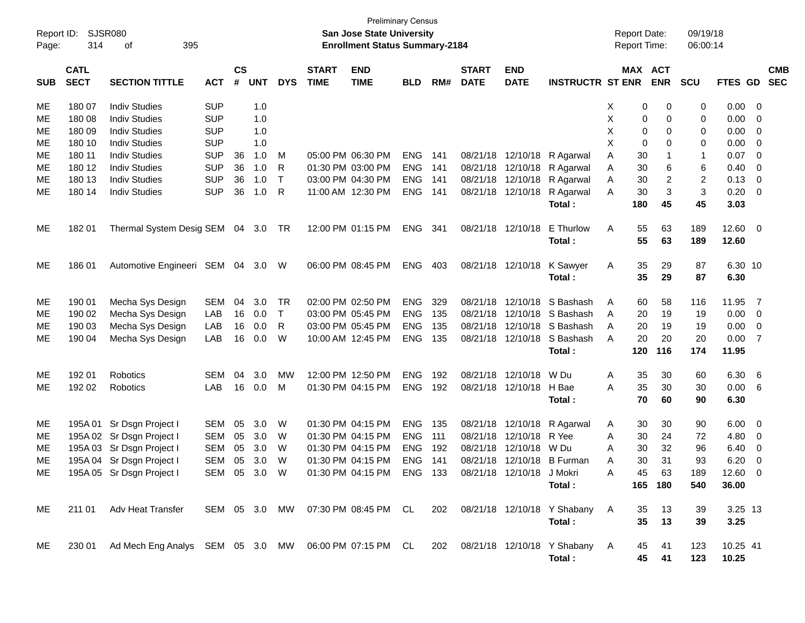| Page:      | 314                        | <b>Preliminary Census</b><br>Report ID: SJSR080<br>San Jose State University<br>395<br><b>Enrollment Status Summary-2184</b><br>οf |            |                |            |              |                             |                                                                        |            |     |                             |                           | <b>Report Date:</b><br><b>Report Time:</b>                           |                | 09/19/18<br>06:00:14         |                |                       |                          |
|------------|----------------------------|------------------------------------------------------------------------------------------------------------------------------------|------------|----------------|------------|--------------|-----------------------------|------------------------------------------------------------------------|------------|-----|-----------------------------|---------------------------|----------------------------------------------------------------------|----------------|------------------------------|----------------|-----------------------|--------------------------|
| <b>SUB</b> | <b>CATL</b><br><b>SECT</b> | <b>SECTION TITTLE</b>                                                                                                              | <b>ACT</b> | <b>CS</b><br># | <b>UNT</b> | <b>DYS</b>   | <b>START</b><br><b>TIME</b> | <b>END</b><br><b>TIME</b>                                              | <b>BLD</b> | RM# | <b>START</b><br><b>DATE</b> | <b>END</b><br><b>DATE</b> | <b>INSTRUCTR ST ENR</b>                                              |                | <b>MAX ACT</b><br><b>ENR</b> | <b>SCU</b>     | FTES GD               | <b>CMB</b><br><b>SEC</b> |
| ME         | 180 07                     | <b>Indiv Studies</b>                                                                                                               | <b>SUP</b> |                | 1.0        |              |                             |                                                                        |            |     |                             |                           |                                                                      | 0<br>Х         | 0                            | 0              | $0.00 \t 0$           |                          |
| ME         | 180 08                     | <b>Indiv Studies</b>                                                                                                               | <b>SUP</b> |                | 1.0        |              |                             |                                                                        |            |     |                             |                           |                                                                      | Χ<br>0         | 0                            | 0              | 0.00                  | $\overline{\phantom{0}}$ |
| ME         | 180 09                     | <b>Indiv Studies</b>                                                                                                               | <b>SUP</b> |                | 1.0        |              |                             |                                                                        |            |     |                             |                           |                                                                      | Χ<br>0         | 0                            | 0              | 0.00                  | $\overline{\phantom{0}}$ |
| ME         | 180 10                     | <b>Indiv Studies</b>                                                                                                               | <b>SUP</b> |                | 1.0        |              |                             |                                                                        |            |     |                             |                           |                                                                      | X<br>0         | 0                            | 0              | 0.00                  | $\overline{\phantom{0}}$ |
| ME         | 180 11                     | <b>Indiv Studies</b>                                                                                                               | <b>SUP</b> | 36             | 1.0        | м            |                             | 05:00 PM 06:30 PM                                                      | <b>ENG</b> | 141 |                             |                           | 08/21/18 12/10/18 R Agarwal                                          | Α<br>30        |                              | 1              | 0.07                  | $\overline{\phantom{0}}$ |
| ME         | 180 12                     | <b>Indiv Studies</b>                                                                                                               | <b>SUP</b> | 36             | 1.0        | R            |                             | 01:30 PM 03:00 PM                                                      | ENG        | 141 |                             |                           | 08/21/18 12/10/18 R Agarwal                                          | 30<br>Α        | 6                            | 6              | 0.40                  | $\overline{\mathbf{0}}$  |
| ME         | 180 13                     | <b>Indiv Studies</b>                                                                                                               | <b>SUP</b> | 36             | 1.0        | $\mathsf{T}$ |                             | 03:00 PM 04:30 PM                                                      | <b>ENG</b> | 141 |                             |                           | 08/21/18 12/10/18 R Agarwal                                          | 30<br>Α        | $\overline{\mathbf{c}}$      | $\overline{c}$ | 0.13                  | $\overline{\phantom{0}}$ |
| ME         | 180 14                     | <b>Indiv Studies</b>                                                                                                               | <b>SUP</b> | 36             | 1.0        | R            |                             | 11:00 AM 12:30 PM                                                      | <b>ENG</b> | 141 |                             |                           | 08/21/18 12/10/18 R Agarwal<br>Total:                                | 30<br>Α<br>180 | 3<br>45                      | 3<br>45        | 0.20<br>3.03          | $\overline{\phantom{0}}$ |
| ME         | 18201                      | Thermal System Desig SEM 04 3.0                                                                                                    |            |                |            | TR           |                             | 12:00 PM 01:15 PM                                                      | <b>ENG</b> | 341 |                             | 08/21/18 12/10/18         | E Thurlow<br>Total:                                                  | 55<br>A<br>55  | 63<br>63                     | 189<br>189     | $12.60 \t 0$<br>12.60 |                          |
| ME         | 186 01                     | Automotive Engineeri SEM 04 3.0 W                                                                                                  |            |                |            |              |                             | 06:00 PM 08:45 PM                                                      | ENG        | 403 |                             | 08/21/18 12/10/18         | K Sawyer<br>Total:                                                   | 35<br>A<br>35  | 29<br>29                     | 87<br>87       | 6.30 10<br>6.30       |                          |
| ME         | 190 01                     | Mecha Sys Design                                                                                                                   | <b>SEM</b> | 04             | 3.0        | TR           |                             | 02:00 PM 02:50 PM                                                      | <b>ENG</b> | 329 | 08/21/18                    | 12/10/18                  | S Bashash                                                            | 60<br>A        | 58                           | 116            | 11.95                 | $\overline{7}$           |
| ME         | 190 02                     | Mecha Sys Design                                                                                                                   | LAB        | 16             | 0.0        | $\top$       |                             | 03:00 PM 05:45 PM                                                      | <b>ENG</b> | 135 | 08/21/18                    |                           | 12/10/18 S Bashash                                                   | 20<br>A        | 19                           | 19             | $0.00 \t 0$           |                          |
| ME         | 190 03                     | Mecha Sys Design                                                                                                                   | LAB        | 16             | 0.0        | R            |                             | 03:00 PM 05:45 PM                                                      | <b>ENG</b> | 135 |                             |                           | 08/21/18 12/10/18 S Bashash                                          | 20<br>A        | 19                           | 19             | 0.00                  | $\overline{\phantom{0}}$ |
| ME         | 190 04                     | Mecha Sys Design                                                                                                                   | LAB        | 16             | 0.0        | W            |                             | 10:00 AM 12:45 PM                                                      | <b>ENG</b> | 135 |                             |                           | 08/21/18 12/10/18 S Bashash                                          | 20<br>A        | 20                           | 20             | 0.00                  | $\overline{7}$           |
|            |                            |                                                                                                                                    |            |                |            |              |                             |                                                                        |            |     |                             |                           | Total:                                                               | 120            | 116                          | 174            | 11.95                 |                          |
| ME         | 192 01                     | Robotics                                                                                                                           | SEM        | 04             | 3.0        | MW           |                             | 12:00 PM 12:50 PM                                                      | <b>ENG</b> | 192 | 08/21/18                    | 12/10/18                  | W Du                                                                 | 35<br>A        | 30                           | 60             | 6.30                  | $6\overline{6}$          |
| ME         | 192 02                     | Robotics                                                                                                                           | LAB        | 16             | 0.0        | М            |                             | 01:30 PM 04:15 PM                                                      | <b>ENG</b> | 192 |                             | 08/21/18 12/10/18         | H Bae                                                                | 35<br>Α        | 30                           | 30             | 0.00 6                |                          |
|            |                            |                                                                                                                                    |            |                |            |              |                             |                                                                        |            |     |                             |                           | Total:                                                               | 70             | 60                           | 90             | 6.30                  |                          |
| ME         |                            | 195A 01 Sr Dsgn Project I                                                                                                          | SEM        | 05             | 3.0        | W            |                             | 01:30 PM 04:15 PM                                                      | ENG        | 135 |                             |                           | 08/21/18 12/10/18 R Agarwal                                          | 30<br>A        | 30                           | 90             | 6.00                  | $\overline{\phantom{0}}$ |
| ME         |                            | 195A 02 Sr Dsgn Project I                                                                                                          | SEM        | 05             | 3.0        | W            |                             | 01:30 PM 04:15 PM                                                      | <b>ENG</b> | 111 | 08/21/18                    | 12/10/18                  | R Yee                                                                | Α<br>30        | 24                           | 72             | $4.80\ 0$             |                          |
| ME         |                            | 195A 03 Sr Dsgn Project I                                                                                                          | <b>SEM</b> | 05             | 3.0        | W            |                             | 01:30 PM 04:15 PM                                                      | <b>ENG</b> | 192 | 08/21/18                    | 12/10/18                  | W Du                                                                 | 30<br>Α        | 32                           | 96             | 6.40                  | $\overline{\mathbf{0}}$  |
| ME         |                            | 195A 04 Sr Dsgn Project I                                                                                                          | SEM        | 05             | 3.0        | W            |                             | 01:30 PM 04:15 PM                                                      | <b>ENG</b> | 141 |                             |                           | 08/21/18 12/10/18 B Furman                                           | 30<br>Α        | 31                           | 93             | 6.20                  | $\overline{0}$           |
| ME         |                            | 195A 05 Sr Dsgn Project I                                                                                                          |            |                |            |              |                             | SEM 05 3.0 W  01:30 PM 04:15 PM  ENG  133  08/21/18  12/10/18  J Mokri |            |     |                             |                           |                                                                      | A              | 45<br>63                     | 189            | $12.60$ 0             |                          |
|            |                            |                                                                                                                                    |            |                |            |              |                             |                                                                        |            |     |                             |                           | Total:                                                               |                | 165 180                      | 540            | 36.00                 |                          |
| ME.        |                            | 211 01 Adv Heat Transfer                                                                                                           |            |                |            |              |                             |                                                                        |            |     |                             |                           | SEM 05 3.0 MW 07:30 PM 08:45 PM CL 202 08/21/18 12/10/18 Y Shabany A | 35             | 13                           | 39             | 3.25 13               |                          |
|            |                            |                                                                                                                                    |            |                |            |              |                             |                                                                        |            |     |                             |                           | Total:                                                               | 35             | 13                           | 39             | 3.25                  |                          |
| ME.        |                            | 230 01 Ad Mech Eng Analys SEM 05 3.0 MW 06:00 PM 07:15 PM CL 202 08/21/18 12/10/18 Y Shabany A                                     |            |                |            |              |                             |                                                                        |            |     |                             |                           | Total:                                                               | 45<br>45       | 41<br>41                     | 123<br>123     | 10.25 41<br>10.25     |                          |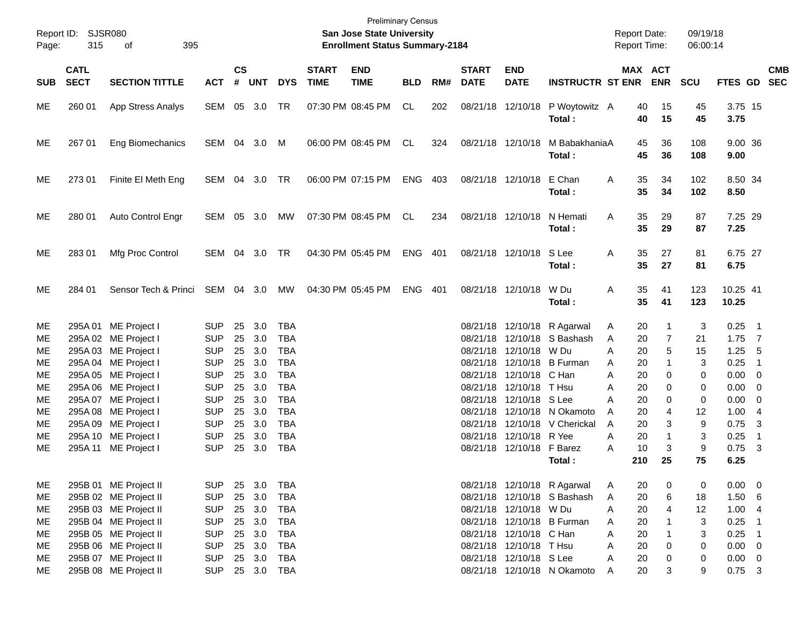| Page:                                                                  | Report ID:<br><b>SJSR080</b><br>315<br>395<br>οf |                                                                                                                                                                                                                                                                      |                                                                                                                                                        |                                                                |                                                                           |                                                                                                                                                        |                             | <b>Preliminary Census</b><br><b>San Jose State University</b><br><b>Enrollment Status Summary-2184</b> |            |     |                             |                                                                                                                                                                 |                                                                                                                                                                    | <b>Report Date:</b><br>Report Time:                                                                                          |                                                                                                     | 09/19/18<br>06:00:14                                         |                                                                                                                        |                                                                                                        |            |
|------------------------------------------------------------------------|--------------------------------------------------|----------------------------------------------------------------------------------------------------------------------------------------------------------------------------------------------------------------------------------------------------------------------|--------------------------------------------------------------------------------------------------------------------------------------------------------|----------------------------------------------------------------|---------------------------------------------------------------------------|--------------------------------------------------------------------------------------------------------------------------------------------------------|-----------------------------|--------------------------------------------------------------------------------------------------------|------------|-----|-----------------------------|-----------------------------------------------------------------------------------------------------------------------------------------------------------------|--------------------------------------------------------------------------------------------------------------------------------------------------------------------|------------------------------------------------------------------------------------------------------------------------------|-----------------------------------------------------------------------------------------------------|--------------------------------------------------------------|------------------------------------------------------------------------------------------------------------------------|--------------------------------------------------------------------------------------------------------|------------|
| <b>SUB</b>                                                             | <b>CATL</b><br><b>SECT</b>                       | <b>SECTION TITTLE</b>                                                                                                                                                                                                                                                | <b>ACT</b>                                                                                                                                             | <b>CS</b><br>#                                                 | UNT                                                                       | <b>DYS</b>                                                                                                                                             | <b>START</b><br><b>TIME</b> | <b>END</b><br><b>TIME</b>                                                                              | <b>BLD</b> | RM# | <b>START</b><br><b>DATE</b> | <b>END</b><br><b>DATE</b>                                                                                                                                       | <b>INSTRUCTR ST ENR ENR</b>                                                                                                                                        |                                                                                                                              | MAX ACT                                                                                             | <b>SCU</b>                                                   | FTES GD SEC                                                                                                            |                                                                                                        | <b>CMB</b> |
| ME                                                                     | 260 01                                           | App Stress Analys                                                                                                                                                                                                                                                    | SEM 05 3.0                                                                                                                                             |                                                                |                                                                           | TR                                                                                                                                                     |                             | 07:30 PM 08:45 PM                                                                                      | CL         | 202 |                             |                                                                                                                                                                 | 08/21/18 12/10/18 P Woytowitz A<br>Total:                                                                                                                          | 40<br>40                                                                                                                     | 15<br>15                                                                                            | 45<br>45                                                     | 3.75 15<br>3.75                                                                                                        |                                                                                                        |            |
| ME                                                                     | 267 01                                           | Eng Biomechanics                                                                                                                                                                                                                                                     | SEM 04 3.0 M                                                                                                                                           |                                                                |                                                                           |                                                                                                                                                        |                             | 06:00 PM 08:45 PM                                                                                      | CL         | 324 |                             | 08/21/18 12/10/18                                                                                                                                               | M BabakhaniaA<br>Total:                                                                                                                                            | 45<br>45                                                                                                                     | 36<br>36                                                                                            | 108<br>108                                                   | 9.00 36<br>9.00                                                                                                        |                                                                                                        |            |
| ME                                                                     | 27301                                            | Finite El Meth Eng                                                                                                                                                                                                                                                   | SEM 04 3.0 TR                                                                                                                                          |                                                                |                                                                           |                                                                                                                                                        |                             | 06:00 PM 07:15 PM                                                                                      | <b>ENG</b> | 403 |                             | 08/21/18 12/10/18 E Chan                                                                                                                                        | Total:                                                                                                                                                             | 35<br>A<br>35                                                                                                                | 34<br>34                                                                                            | 102<br>102                                                   | 8.50 34<br>8.50                                                                                                        |                                                                                                        |            |
| ME                                                                     | 280 01                                           | Auto Control Engr                                                                                                                                                                                                                                                    | SEM 05 3.0                                                                                                                                             |                                                                |                                                                           | MW                                                                                                                                                     |                             | 07:30 PM 08:45 PM                                                                                      | CL         | 234 |                             | 08/21/18 12/10/18                                                                                                                                               | N Hemati<br>Total:                                                                                                                                                 | 35<br>A<br>35                                                                                                                | 29<br>29                                                                                            | 87<br>87                                                     | 7.25 29<br>7.25                                                                                                        |                                                                                                        |            |
| ME                                                                     | 28301                                            | Mfg Proc Control                                                                                                                                                                                                                                                     | SEM 04 3.0                                                                                                                                             |                                                                |                                                                           | TR                                                                                                                                                     |                             | 04:30 PM 05:45 PM                                                                                      | <b>ENG</b> | 401 |                             | 08/21/18 12/10/18 S Lee                                                                                                                                         | Total:                                                                                                                                                             | 35<br>A<br>35                                                                                                                | 27<br>27                                                                                            | 81<br>81                                                     | 6.75 27<br>6.75                                                                                                        |                                                                                                        |            |
| ME.                                                                    | 284 01                                           | Sensor Tech & Princi SEM 04 3.0                                                                                                                                                                                                                                      |                                                                                                                                                        |                                                                |                                                                           | <b>MW</b>                                                                                                                                              |                             | 04:30 PM 05:45 PM                                                                                      | <b>ENG</b> | 401 |                             | 08/21/18 12/10/18                                                                                                                                               | W Du<br>Total:                                                                                                                                                     | 35<br>A<br>35                                                                                                                | 41<br>41                                                                                            | 123<br>123                                                   | 10.25 41<br>10.25                                                                                                      |                                                                                                        |            |
| ME.<br>ME.<br>ME.<br>MЕ<br>ME.<br>ME.<br>MЕ<br>ME.<br>ME.<br>ME.<br>ME |                                                  | 295A 01 ME Project I<br>295A 02 ME Project I<br>295A 03 ME Project I<br>295A 04 ME Project I<br>295A 05 ME Project I<br>295A 06 ME Project I<br>295A 07 ME Project I<br>295A 08 ME Project I<br>295A 09 ME Project I<br>295A 10 ME Project I<br>295A 11 ME Project I | <b>SUP</b><br><b>SUP</b><br><b>SUP</b><br><b>SUP</b><br><b>SUP</b><br><b>SUP</b><br><b>SUP</b><br><b>SUP</b><br><b>SUP</b><br><b>SUP</b><br><b>SUP</b> | 25<br>25<br>25<br>25<br>25<br>25<br>25<br>25<br>25<br>25<br>25 | 3.0<br>3.0<br>3.0<br>3.0<br>3.0<br>3.0<br>3.0<br>3.0<br>3.0<br>3.0<br>3.0 | <b>TBA</b><br><b>TBA</b><br><b>TBA</b><br><b>TBA</b><br><b>TBA</b><br><b>TBA</b><br><b>TBA</b><br><b>TBA</b><br><b>TBA</b><br><b>TBA</b><br><b>TBA</b> |                             |                                                                                                        |            |     |                             | 08/21/18 12/10/18 W Du<br>08/21/18 12/10/18 C Han<br>08/21/18 12/10/18 T Hsu<br>08/21/18 12/10/18 S Lee<br>08/21/18 12/10/18 R Yee<br>08/21/18 12/10/18 F Barez | 08/21/18 12/10/18 R Agarwal<br>08/21/18 12/10/18 S Bashash<br>08/21/18 12/10/18 B Furman<br>08/21/18 12/10/18 N Okamoto<br>08/21/18 12/10/18 V Cherickal<br>Total: | 20<br>A<br>20<br>A<br>20<br>A<br>20<br>A<br>Α<br>20<br>Α<br>20<br>Α<br>20<br>20<br>A<br>20<br>A<br>20<br>Α<br>10<br>Α<br>210 | 1<br>$\overline{7}$<br>5<br>$\mathbf{1}$<br>0<br>0<br>$\Omega$<br>4<br>3<br>$\mathbf{1}$<br>3<br>25 | 3<br>21<br>15<br>3<br>0<br>0<br>0<br>12<br>9<br>3<br>9<br>75 | 0.25<br>$1.75$ 7<br>1.25<br>0.25<br>$0.00 \t 0$<br>$0.00 \t 0$<br>$0.00 \t 0$<br>1.004<br>0.75<br>0.25<br>0.75<br>6.25 | $\blacksquare$ 1<br>- 5<br>$\overline{\phantom{1}}$<br>-3<br>$\overline{1}$<br>$\overline{\mathbf{3}}$ |            |
| ME<br>ME<br>ME<br>ME<br>ME<br>ME<br>ME<br>ME                           |                                                  | 295B 01 ME Project II<br>295B 02 ME Project II<br>295B 03 ME Project II<br>295B 04 ME Project II<br>295B 05 ME Project II<br>295B 06 ME Project II<br>295B 07 ME Project II<br>295B 08 ME Project II                                                                 | <b>SUP</b><br><b>SUP</b><br><b>SUP</b><br><b>SUP</b><br><b>SUP</b><br><b>SUP</b><br><b>SUP</b><br><b>SUP</b>                                           |                                                                | 25 3.0<br>25 3.0<br>25 3.0<br>25 3.0<br>25 3.0<br>25 3.0<br>25 3.0        | <b>TBA</b><br><b>TBA</b><br><b>TBA</b><br>TBA<br>TBA<br>TBA<br>TBA<br>25 3.0 TBA                                                                       |                             |                                                                                                        |            |     |                             | 08/21/18 12/10/18 W Du<br>08/21/18 12/10/18 C Han<br>08/21/18 12/10/18 T Hsu<br>08/21/18 12/10/18 S Lee                                                         | 08/21/18 12/10/18 R Agarwal<br>08/21/18 12/10/18 S Bashash<br>08/21/18 12/10/18 B Furman<br>08/21/18 12/10/18 N Okamoto                                            | 20<br>A<br>20<br>A<br>20<br>A<br>20<br>A<br>20<br>A<br>20<br>Α<br>20<br>A<br>20<br>A                                         | 0<br>6<br>$\overline{4}$<br>$\mathbf{1}$<br>1<br>0<br>0<br>3                                        | 0<br>18<br>12<br>3<br>3<br>0<br>0<br>9                       | $0.00 \t 0$<br>1.506<br>1.004<br>0.25<br>0.25<br>$0.00 \t 0$<br>$0.00 \t 0$<br>$0.75$ 3                                | $\overline{\phantom{1}}$<br>$\blacksquare$ 1                                                           |            |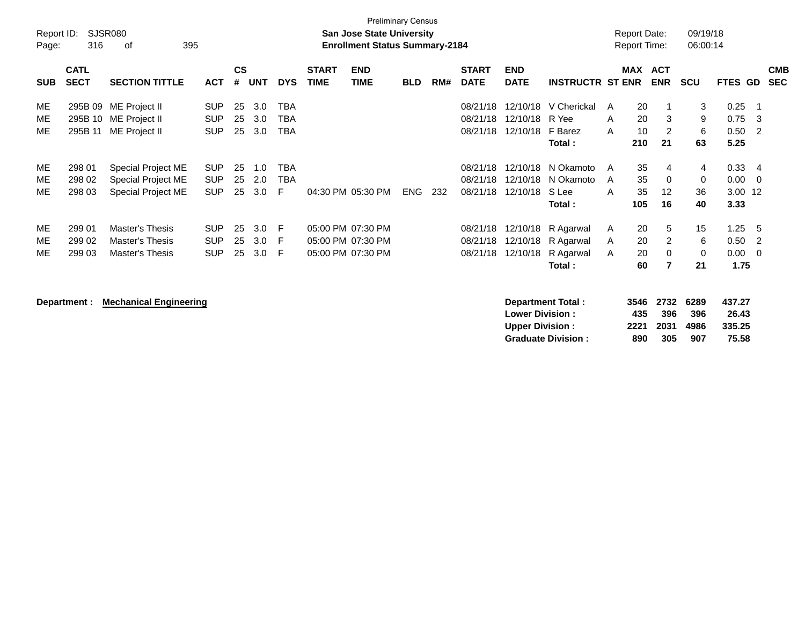|            |             |                        |            |               |            |            |              | <b>Preliminary Census</b>             |            |     |              |                |                         |   |     |                     |          |                |                          |            |
|------------|-------------|------------------------|------------|---------------|------------|------------|--------------|---------------------------------------|------------|-----|--------------|----------------|-------------------------|---|-----|---------------------|----------|----------------|--------------------------|------------|
| Report ID: |             | <b>SJSR080</b>         |            |               |            |            |              | <b>San Jose State University</b>      |            |     |              |                |                         |   |     | <b>Report Date:</b> | 09/19/18 |                |                          |            |
| Page:      | 316         | 395<br>0f              |            |               |            |            |              | <b>Enrollment Status Summary-2184</b> |            |     |              |                |                         |   |     | <b>Report Time:</b> | 06:00:14 |                |                          |            |
|            | <b>CATL</b> |                        |            | $\mathsf{cs}$ |            |            | <b>START</b> | <b>END</b>                            |            |     | <b>START</b> | <b>END</b>     |                         |   |     | MAX ACT             |          |                |                          | <b>CMB</b> |
| <b>SUB</b> | <b>SECT</b> | <b>SECTION TITTLE</b>  | <b>ACT</b> | #             | <b>UNT</b> | <b>DYS</b> | <b>TIME</b>  | <b>TIME</b>                           | <b>BLD</b> | RM# | <b>DATE</b>  | <b>DATE</b>    | <b>INSTRUCTR ST ENR</b> |   |     | <b>ENR</b>          | SCU      | <b>FTES GD</b> |                          | <b>SEC</b> |
| ME         |             | 295B 09 ME Project II  | <b>SUP</b> | 25            | 3.0        | <b>TBA</b> |              |                                       |            |     | 08/21/18     |                | 12/10/18 V Cherickal    | A | 20  |                     | 3        | 0.25           | - 1                      |            |
| ME         |             | 295B 10 ME Project II  | <b>SUP</b> | 25            | 3.0        | <b>TBA</b> |              |                                       |            |     | 08/21/18     | 12/10/18 R Yee |                         | A | 20  | 3                   | 9        | 0.75           | - 3                      |            |
| ME         | 295B 11     | ME Project II          | <b>SUP</b> | 25            | 3.0        | <b>TBA</b> |              |                                       |            |     | 08/21/18     | 12/10/18       | F Barez                 | A | 10  | 2                   | 6        | 0.50           | -2                       |            |
|            |             |                        |            |               |            |            |              |                                       |            |     |              |                | Total:                  |   | 210 | 21                  | 63       | 5.25           |                          |            |
| ME         | 298 01      | Special Project ME     | <b>SUP</b> | 25            | 1.0        | <b>TBA</b> |              |                                       |            |     | 08/21/18     |                | 12/10/18 N Okamoto      | A | 35  | $\overline{4}$      | 4        | 0.33           | $\overline{4}$           |            |
| ME         | 298 02      | Special Project ME     | <b>SUP</b> | 25            | 2.0        | <b>TBA</b> |              |                                       |            |     | 08/21/18     |                | 12/10/18 N Okamoto      | A | 35  | $\mathbf 0$         | 0        | 0.00           | $\overline{\phantom{0}}$ |            |
| ME         | 298 03      | Special Project ME     | <b>SUP</b> | 25            | 3.0        | E          |              | 04:30 PM 05:30 PM                     | <b>ENG</b> | 232 | 08/21/18     | 12/10/18       | S Lee                   | A | 35  | $12 \overline{ }$   | 36       | 3.00 12        |                          |            |
|            |             |                        |            |               |            |            |              |                                       |            |     |              |                | Total:                  |   | 105 | 16                  | 40       | 3.33           |                          |            |
| ME         | 299 01      | <b>Master's Thesis</b> | <b>SUP</b> | 25            | 3.0        | F          |              | 05:00 PM 07:30 PM                     |            |     | 08/21/18     |                | 12/10/18 R Agarwal      | A | 20  | 5                   | 15       | 1.25           | - 5                      |            |
| ME         | 299 02      | <b>Master's Thesis</b> | <b>SUP</b> | 25            | 3.0        | F.         |              | 05:00 PM 07:30 PM                     |            |     | 08/21/18     | 12/10/18       | R Agarwal               | A | 20  | $\overline{2}$      | 6        | 0.50           | -2                       |            |
| ME         | 299 03      | Master's Thesis        | <b>SUP</b> | 25            | 3.0        | -F         |              | 05:00 PM 07:30 PM                     |            |     | 08/21/18     | 12/10/18       | R Agarwal               | A | 20  | $\mathbf 0$         | 0        | 0.00           | - 0                      |            |
|            |             |                        |            |               |            |            |              |                                       |            |     |              |                | Total:                  |   | 60  | $\overline{7}$      | 21       | 1.75           |                          |            |
|            |             |                        |            |               |            |            |              |                                       |            |     |              |                |                         |   |     |                     |          |                |                          |            |
|            |             | .                      |            |               |            |            |              |                                       |            |     |              |                |                         |   |     |                     |          |                |                          |            |

**Department : Mechanical Engineering Department Total : 3546 2732 6289 437.27 Lower Division : Upper Division : 2221 2031 4986 335.25 Graduate Division :**